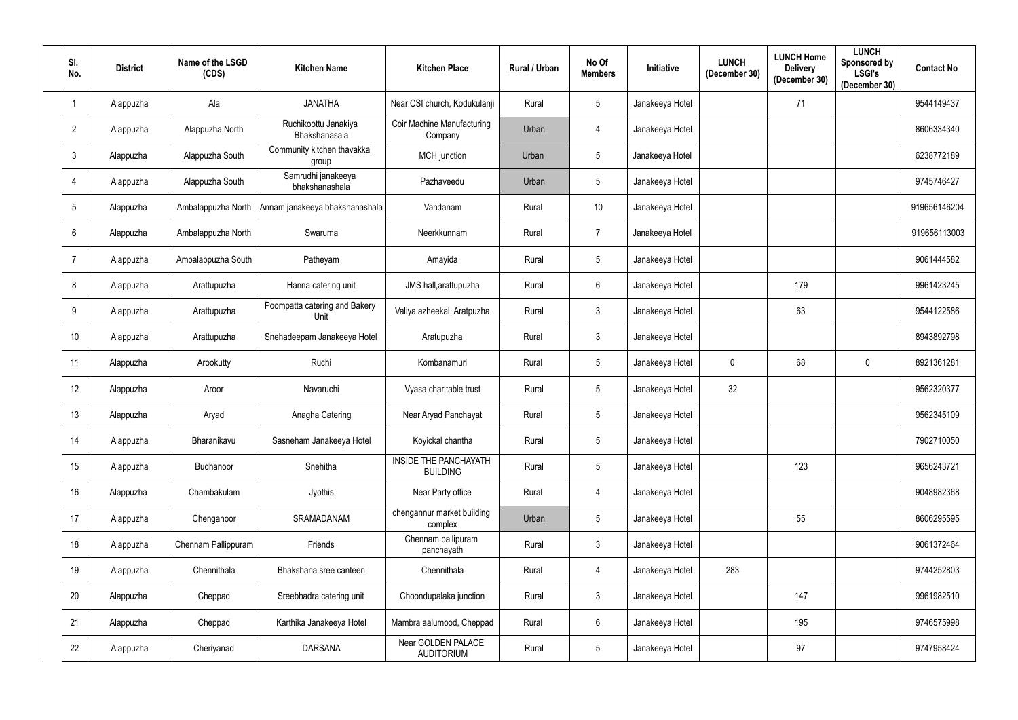| SI.<br>No.      | <b>District</b> | Name of the LSGD<br>(CDS) | <b>Kitchen Name</b>                   | <b>Kitchen Place</b>                         | Rural / Urban | No Of<br><b>Members</b> | Initiative      | <b>LUNCH</b><br>(December 30) | <b>LUNCH Home</b><br><b>Delivery</b><br>(December 30) | <b>LUNCH</b><br>Sponsored by<br><b>LSGI's</b><br>(December 30) | <b>Contact No</b> |
|-----------------|-----------------|---------------------------|---------------------------------------|----------------------------------------------|---------------|-------------------------|-----------------|-------------------------------|-------------------------------------------------------|----------------------------------------------------------------|-------------------|
|                 | Alappuzha       | Ala                       | <b>JANATHA</b>                        | Near CSI church, Kodukulanji                 | Rural         | 5                       | Janakeeya Hotel |                               | 71                                                    |                                                                | 9544149437        |
| $\overline{2}$  | Alappuzha       | Alappuzha North           | Ruchikoottu Janakiya<br>Bhakshanasala | <b>Coir Machine Manufacturing</b><br>Company | Urban         | 4                       | Janakeeya Hotel |                               |                                                       |                                                                | 8606334340        |
| $\mathbf{3}$    | Alappuzha       | Alappuzha South           | Community kitchen thavakkal<br>group  | MCH junction                                 | Urban         | 5                       | Janakeeya Hotel |                               |                                                       |                                                                | 6238772189        |
| 4               | Alappuzha       | Alappuzha South           | Samrudhi janakeeya<br>bhakshanashala  | Pazhaveedu                                   | Urban         | 5                       | Janakeeya Hotel |                               |                                                       |                                                                | 9745746427        |
| $5\phantom{.0}$ | Alappuzha       | Ambalappuzha North        | Annam janakeeya bhakshanashala        | Vandanam                                     | Rural         | 10                      | Janakeeya Hotel |                               |                                                       |                                                                | 919656146204      |
| 6               | Alappuzha       | Ambalappuzha North        | Swaruma                               | Neerkkunnam                                  | Rural         | $\overline{7}$          | Janakeeya Hotel |                               |                                                       |                                                                | 919656113003      |
| $\overline{7}$  | Alappuzha       | Ambalappuzha South        | Patheyam                              | Amayida                                      | Rural         | $5\phantom{.0}$         | Janakeeya Hotel |                               |                                                       |                                                                | 9061444582        |
| 8               | Alappuzha       | Arattupuzha               | Hanna catering unit                   | JMS hall, arattupuzha                        | Rural         | 6                       | Janakeeya Hotel |                               | 179                                                   |                                                                | 9961423245        |
| 9               | Alappuzha       | Arattupuzha               | Poompatta catering and Bakery<br>Unit | Valiya azheekal, Aratpuzha                   | Rural         | 3                       | Janakeeya Hotel |                               | 63                                                    |                                                                | 9544122586        |
| 10              | Alappuzha       | Arattupuzha               | Snehadeepam Janakeeya Hotel           | Aratupuzha                                   | Rural         | 3                       | Janakeeya Hotel |                               |                                                       |                                                                | 8943892798        |
| 11              | Alappuzha       | Arookutty                 | Ruchi                                 | Kombanamuri                                  | Rural         | $5\phantom{.0}$         | Janakeeya Hotel | $\pmb{0}$                     | 68                                                    | $\boldsymbol{0}$                                               | 8921361281        |
| 12              | Alappuzha       | Aroor                     | Navaruchi                             | Vyasa charitable trust                       | Rural         | 5                       | Janakeeya Hotel | 32                            |                                                       |                                                                | 9562320377        |
| 13              | Alappuzha       | Aryad                     | Anagha Catering                       | Near Aryad Panchayat                         | Rural         | 5 <sup>5</sup>          | Janakeeya Hotel |                               |                                                       |                                                                | 9562345109        |
| 14              | Alappuzha       | Bharanikavu               | Sasneham Janakeeya Hotel              | Koyickal chantha                             | Rural         | $5\phantom{.0}$         | Janakeeya Hotel |                               |                                                       |                                                                | 7902710050        |
| 15              | Alappuzha       | Budhanoor                 | Snehitha                              | INSIDE THE PANCHAYATH<br><b>BUILDING</b>     | Rural         | $5\overline{)}$         | Janakeeya Hotel |                               | 123                                                   |                                                                | 9656243721        |
| 16              | Alappuzha       | Chambakulam               | Jyothis                               | Near Party office                            | Rural         | $\overline{4}$          | Janakeeya Hotel |                               |                                                       |                                                                | 9048982368        |
| 17              | Alappuzha       | Chenganoor                | SRAMADANAM                            | chengannur market building<br>complex        | Urban         | $5\phantom{.0}$         | Janakeeya Hotel |                               | 55                                                    |                                                                | 8606295595        |
| 18              | Alappuzha       | Chennam Pallippuram       | Friends                               | Chennam pallipuram<br>panchayath             | Rural         | $\mathbf{3}$            | Janakeeya Hotel |                               |                                                       |                                                                | 9061372464        |
| 19              | Alappuzha       | Chennithala               | Bhakshana sree canteen                | Chennithala                                  | Rural         | 4                       | Janakeeya Hotel | 283                           |                                                       |                                                                | 9744252803        |
| 20              | Alappuzha       | Cheppad                   | Sreebhadra catering unit              | Choondupalaka junction                       | Rural         | $\mathfrak{Z}$          | Janakeeya Hotel |                               | 147                                                   |                                                                | 9961982510        |
| 21              | Alappuzha       | Cheppad                   | Karthika Janakeeya Hotel              | Mambra aalumood, Cheppad                     | Rural         | $6\overline{6}$         | Janakeeya Hotel |                               | 195                                                   |                                                                | 9746575998        |
| 22              | Alappuzha       | Cheriyanad                | <b>DARSANA</b>                        | Near GOLDEN PALACE<br><b>AUDITORIUM</b>      | Rural         | $5\phantom{.0}$         | Janakeeya Hotel |                               | 97                                                    |                                                                | 9747958424        |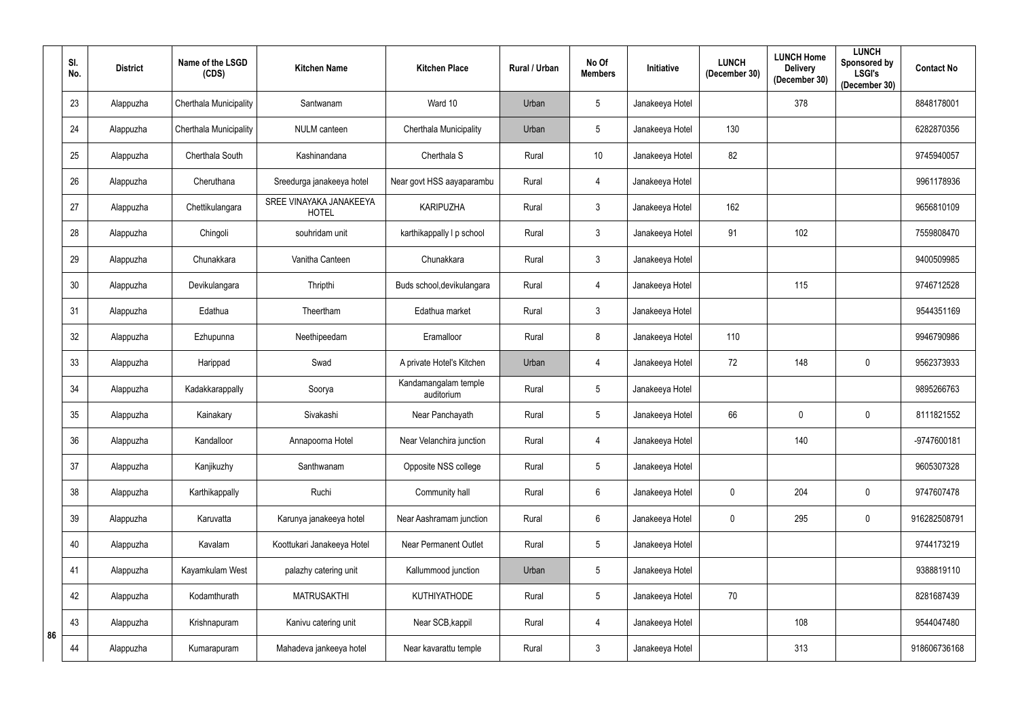|    | SI.<br>No. | <b>District</b> | Name of the LSGD<br>(CDS) | <b>Kitchen Name</b>                     | <b>Kitchen Place</b>               | Rural / Urban | No Of<br><b>Members</b> | Initiative      | <b>LUNCH</b><br>(December 30) | <b>LUNCH Home</b><br><b>Delivery</b><br>(December 30) | <b>LUNCH</b><br>Sponsored by<br><b>LSGI's</b><br>(December 30) | <b>Contact No</b> |
|----|------------|-----------------|---------------------------|-----------------------------------------|------------------------------------|---------------|-------------------------|-----------------|-------------------------------|-------------------------------------------------------|----------------------------------------------------------------|-------------------|
|    | 23         | Alappuzha       | Cherthala Municipality    | Santwanam                               | Ward 10                            | Urban         | $5\phantom{.0}$         | Janakeeya Hotel |                               | 378                                                   |                                                                | 8848178001        |
|    | 24         | Alappuzha       | Cherthala Municipality    | <b>NULM</b> canteen                     | Cherthala Municipality             | Urban         | $5\phantom{.0}$         | Janakeeya Hotel | 130                           |                                                       |                                                                | 6282870356        |
|    | 25         | Alappuzha       | Cherthala South           | Kashinandana                            | Cherthala S                        | Rural         | 10                      | Janakeeya Hotel | 82                            |                                                       |                                                                | 9745940057        |
|    | 26         | Alappuzha       | Cheruthana                | Sreedurga janakeeya hotel               | Near govt HSS aayaparambu          | Rural         | $\overline{4}$          | Janakeeya Hotel |                               |                                                       |                                                                | 9961178936        |
|    | 27         | Alappuzha       | Chettikulangara           | SREE VINAYAKA JANAKEEYA<br><b>HOTEL</b> | <b>KARIPUZHA</b>                   | Rural         | $\mathbf{3}$            | Janakeeya Hotel | 162                           |                                                       |                                                                | 9656810109        |
|    | 28         | Alappuzha       | Chingoli                  | souhridam unit                          | karthikappally I p school          | Rural         | $\mathfrak{Z}$          | Janakeeya Hotel | 91                            | 102                                                   |                                                                | 7559808470        |
|    | 29         | Alappuzha       | Chunakkara                | Vanitha Canteen                         | Chunakkara                         | Rural         | $\mathfrak{Z}$          | Janakeeya Hotel |                               |                                                       |                                                                | 9400509985        |
|    | 30         | Alappuzha       | Devikulangara             | Thripthi                                | Buds school, devikulangara         | Rural         | 4                       | Janakeeya Hotel |                               | 115                                                   |                                                                | 9746712528        |
|    | 31         | Alappuzha       | Edathua                   | Theertham                               | Edathua market                     | Rural         | $\mathfrak{Z}$          | Janakeeya Hotel |                               |                                                       |                                                                | 9544351169        |
|    | 32         | Alappuzha       | Ezhupunna                 | Neethipeedam                            | Eramalloor                         | Rural         | 8                       | Janakeeya Hotel | 110                           |                                                       |                                                                | 9946790986        |
|    | 33         | Alappuzha       | Harippad                  | Swad                                    | A private Hotel's Kitchen          | Urban         | $\overline{4}$          | Janakeeya Hotel | 72                            | 148                                                   | $\overline{0}$                                                 | 9562373933        |
|    | 34         | Alappuzha       | Kadakkarappally           | Soorya                                  | Kandamangalam temple<br>auditorium | Rural         | $5\phantom{.0}$         | Janakeeya Hotel |                               |                                                       |                                                                | 9895266763        |
|    | 35         | Alappuzha       | Kainakary                 | Sivakashi                               | Near Panchayath                    | Rural         | $5\phantom{.0}$         | Janakeeya Hotel | 66                            | $\mathbf 0$                                           | $\overline{0}$                                                 | 8111821552        |
|    | 36         | Alappuzha       | Kandalloor                | Annapoorna Hotel                        | Near Velanchira junction           | Rural         | $\overline{4}$          | Janakeeya Hotel |                               | 140                                                   |                                                                | -9747600181       |
|    | 37         | Alappuzha       | Kanjikuzhy                | Santhwanam                              | Opposite NSS college               | Rural         | $5\phantom{.0}$         | Janakeeya Hotel |                               |                                                       |                                                                | 9605307328        |
|    | 38         | Alappuzha       | Karthikappally            | Ruchi                                   | Community hall                     | Rural         | $6\phantom{.0}$         | Janakeeya Hotel | $\mathbf 0$                   | 204                                                   | $\overline{0}$                                                 | 9747607478        |
|    | 39         | Alappuzha       | Karuvatta                 | Karunya janakeeya hotel                 | Near Aashramam junction            | Rural         | $6\phantom{.0}$         | Janakeeya Hotel | $\pmb{0}$                     | 295                                                   | $\bm{0}$                                                       | 916282508791      |
|    | 40         | Alappuzha       | Kavalam                   | Koottukari Janakeeya Hotel              | <b>Near Permanent Outlet</b>       | Rural         | $5\phantom{.0}$         | Janakeeya Hotel |                               |                                                       |                                                                | 9744173219        |
|    | 41         | Alappuzha       | Kayamkulam West           | palazhy catering unit                   | Kallummood junction                | Urban         | $5\phantom{.0}$         | Janakeeya Hotel |                               |                                                       |                                                                | 9388819110        |
|    | 42         | Alappuzha       | Kodamthurath              | <b>MATRUSAKTHI</b>                      | <b>KUTHIYATHODE</b>                | Rural         | $5\phantom{.0}$         | Janakeeya Hotel | 70                            |                                                       |                                                                | 8281687439        |
|    | 43         | Alappuzha       | Krishnapuram              | Kanivu catering unit                    | Near SCB, kappil                   | Rural         | $\overline{4}$          | Janakeeya Hotel |                               | 108                                                   |                                                                | 9544047480        |
| 86 | 44         | Alappuzha       | Kumarapuram               | Mahadeva jankeeya hotel                 | Near kavarattu temple              | Rural         | $\mathfrak{Z}$          | Janakeeya Hotel |                               | 313                                                   |                                                                | 918606736168      |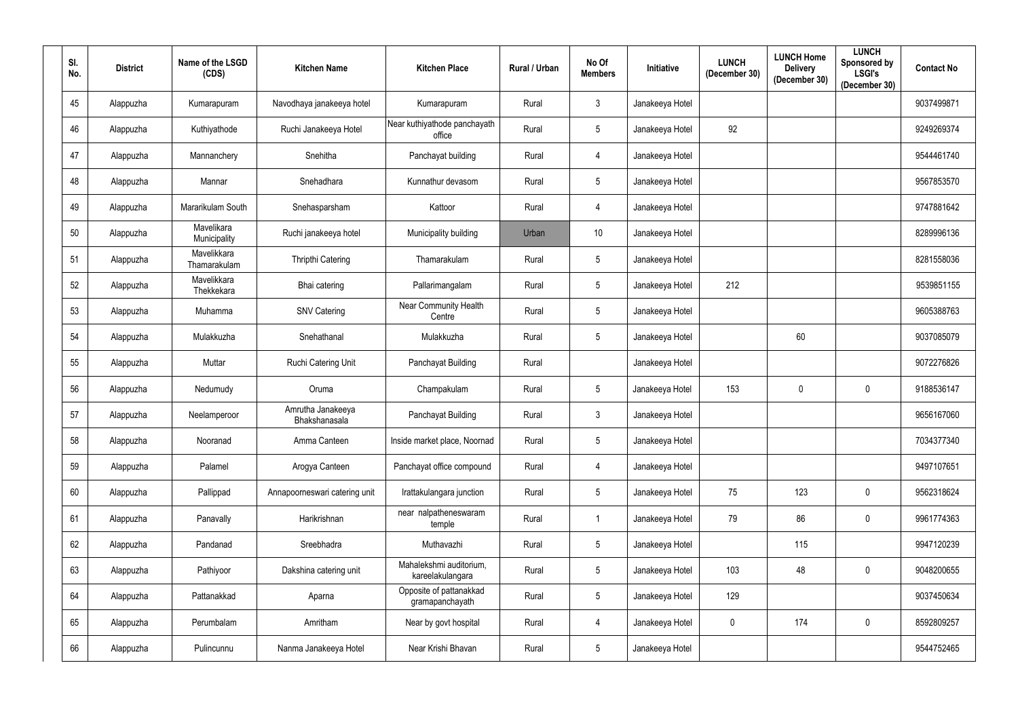| SI.<br>No. | <b>District</b> | Name of the LSGD<br>(CDS)   | <b>Kitchen Name</b>                | <b>Kitchen Place</b>                        | <b>Rural / Urban</b> | No Of<br><b>Members</b> | <b>Initiative</b> | <b>LUNCH</b><br>(December 30) | <b>LUNCH Home</b><br><b>Delivery</b><br>(December 30) | <b>LUNCH</b><br>Sponsored by<br><b>LSGI's</b><br>(December 30) | <b>Contact No</b> |
|------------|-----------------|-----------------------------|------------------------------------|---------------------------------------------|----------------------|-------------------------|-------------------|-------------------------------|-------------------------------------------------------|----------------------------------------------------------------|-------------------|
| 45         | Alappuzha       | Kumarapuram                 | Navodhaya janakeeya hotel          | Kumarapuram                                 | Rural                | $\mathbf{3}$            | Janakeeya Hotel   |                               |                                                       |                                                                | 9037499871        |
| 46         | Alappuzha       | Kuthiyathode                | Ruchi Janakeeya Hotel              | Near kuthiyathode panchayath<br>office      | Rural                | $5\phantom{.0}$         | Janakeeya Hotel   | 92                            |                                                       |                                                                | 9249269374        |
| 47         | Alappuzha       | Mannanchery                 | Snehitha                           | Panchayat building                          | Rural                | $\overline{4}$          | Janakeeya Hotel   |                               |                                                       |                                                                | 9544461740        |
| 48         | Alappuzha       | Mannar                      | Snehadhara                         | Kunnathur devasom                           | Rural                | $5\overline{)}$         | Janakeeya Hotel   |                               |                                                       |                                                                | 9567853570        |
| 49         | Alappuzha       | Mararikulam South           | Snehasparsham                      | Kattoor                                     | Rural                | $\overline{4}$          | Janakeeya Hotel   |                               |                                                       |                                                                | 9747881642        |
| 50         | Alappuzha       | Mavelikara<br>Municipality  | Ruchi janakeeya hotel              | Municipality building                       | Urban                | 10                      | Janakeeya Hotel   |                               |                                                       |                                                                | 8289996136        |
| 51         | Alappuzha       | Mavelikkara<br>Thamarakulam | <b>Thripthi Catering</b>           | Thamarakulam                                | Rural                | $5\phantom{.0}$         | Janakeeya Hotel   |                               |                                                       |                                                                | 8281558036        |
| 52         | Alappuzha       | Mavelikkara<br>Thekkekara   | Bhai catering                      | Pallarimangalam                             | Rural                | $5\overline{)}$         | Janakeeya Hotel   | 212                           |                                                       |                                                                | 9539851155        |
| 53         | Alappuzha       | Muhamma                     | <b>SNV Catering</b>                | <b>Near Community Health</b><br>Centre      | Rural                | $5\overline{)}$         | Janakeeya Hotel   |                               |                                                       |                                                                | 9605388763        |
| 54         | Alappuzha       | Mulakkuzha                  | Snehathanal                        | Mulakkuzha                                  | Rural                | $5\overline{)}$         | Janakeeya Hotel   |                               | 60                                                    |                                                                | 9037085079        |
| 55         | Alappuzha       | Muttar                      | Ruchi Catering Unit                | Panchayat Building                          | Rural                |                         | Janakeeya Hotel   |                               |                                                       |                                                                | 9072276826        |
| 56         | Alappuzha       | Nedumudy                    | Oruma                              | Champakulam                                 | Rural                | $5\overline{)}$         | Janakeeya Hotel   | 153                           | $\mathbf 0$                                           | $\overline{0}$                                                 | 9188536147        |
| 57         | Alappuzha       | Neelamperoor                | Amrutha Janakeeya<br>Bhakshanasala | Panchayat Building                          | Rural                | $\mathbf{3}$            | Janakeeya Hotel   |                               |                                                       |                                                                | 9656167060        |
| 58         | Alappuzha       | Nooranad                    | Amma Canteen                       | Inside market place, Noornad                | Rural                | $5\phantom{.0}$         | Janakeeya Hotel   |                               |                                                       |                                                                | 7034377340        |
| 59         | Alappuzha       | Palamel                     | Arogya Canteen                     | Panchayat office compound                   | Rural                | $\overline{4}$          | Janakeeya Hotel   |                               |                                                       |                                                                | 9497107651        |
| 60         | Alappuzha       | Pallippad                   | Annapoorneswari catering unit      | Irattakulangara junction                    | Rural                | $5\phantom{.0}$         | Janakeeya Hotel   | 75                            | 123                                                   | $\mathbf 0$                                                    | 9562318624        |
| 61         | Alappuzha       | Panavally                   | Harikrishnan                       | near nalpatheneswaram<br>temple             | Rural                |                         | Janakeeya Hotel   | 79                            | 86                                                    | $\mathbf 0$                                                    | 9961774363        |
| 62         | Alappuzha       | Pandanad                    | Sreebhadra                         | Muthavazhi                                  | Rural                | $5\phantom{.0}$         | Janakeeya Hotel   |                               | 115                                                   |                                                                | 9947120239        |
| 63         | Alappuzha       | Pathiyoor                   | Dakshina catering unit             | Mahalekshmi auditorium,<br>kareelakulangara | Rural                | 5 <sub>5</sub>          | Janakeeya Hotel   | 103                           | 48                                                    | $\mathbf 0$                                                    | 9048200655        |
| 64         | Alappuzha       | Pattanakkad                 | Aparna                             | Opposite of pattanakkad<br>gramapanchayath  | Rural                | $5\phantom{.0}$         | Janakeeya Hotel   | 129                           |                                                       |                                                                | 9037450634        |
| 65         | Alappuzha       | Perumbalam                  | Amritham                           | Near by govt hospital                       | Rural                | $\overline{4}$          | Janakeeya Hotel   | $\mathbf 0$                   | 174                                                   | $\mathbf 0$                                                    | 8592809257        |
| 66         | Alappuzha       | Pulincunnu                  | Nanma Janakeeya Hotel              | Near Krishi Bhavan                          | Rural                | $5\phantom{.0}$         | Janakeeya Hotel   |                               |                                                       |                                                                | 9544752465        |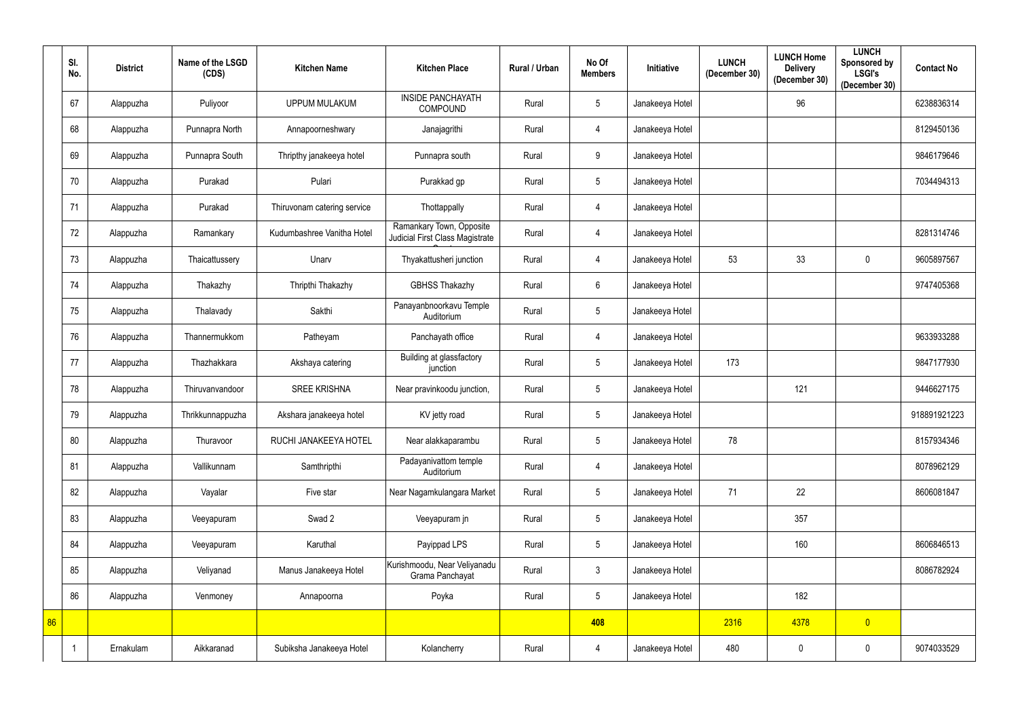|    | SI.<br>No. | <b>District</b> | Name of the LSGD<br>(CDS) | <b>Kitchen Name</b>         | <b>Kitchen Place</b>                                        | Rural / Urban | No Of<br><b>Members</b> | Initiative      | <b>LUNCH</b><br>(December 30) | <b>LUNCH Home</b><br><b>Delivery</b><br>(December 30) | <b>LUNCH</b><br>Sponsored by<br><b>LSGI's</b><br>(December 30) | <b>Contact No</b> |
|----|------------|-----------------|---------------------------|-----------------------------|-------------------------------------------------------------|---------------|-------------------------|-----------------|-------------------------------|-------------------------------------------------------|----------------------------------------------------------------|-------------------|
|    | 67         | Alappuzha       | Puliyoor                  | UPPUM MULAKUM               | <b>INSIDE PANCHAYATH</b><br><b>COMPOUND</b>                 | Rural         | $5\phantom{.0}$         | Janakeeya Hotel |                               | 96                                                    |                                                                | 6238836314        |
|    | 68         | Alappuzha       | Punnapra North            | Annapoorneshwary            | Janajagrithi                                                | Rural         | $\overline{4}$          | Janakeeya Hotel |                               |                                                       |                                                                | 8129450136        |
|    | 69         | Alappuzha       | Punnapra South            | Thripthy janakeeya hotel    | Punnapra south                                              | Rural         | 9                       | Janakeeya Hotel |                               |                                                       |                                                                | 9846179646        |
|    | 70         | Alappuzha       | Purakad                   | Pulari                      | Purakkad gp                                                 | Rural         | $5\phantom{.0}$         | Janakeeya Hotel |                               |                                                       |                                                                | 7034494313        |
|    | 71         | Alappuzha       | Purakad                   | Thiruvonam catering service | Thottappally                                                | Rural         | $\overline{4}$          | Janakeeya Hotel |                               |                                                       |                                                                |                   |
|    | 72         | Alappuzha       | Ramankary                 | Kudumbashree Vanitha Hotel  | Ramankary Town, Opposite<br>Judicial First Class Magistrate | Rural         | $\overline{4}$          | Janakeeya Hotel |                               |                                                       |                                                                | 8281314746        |
|    | 73         | Alappuzha       | Thaicattussery            | Unarv                       | Thyakattusheri junction                                     | Rural         | $\overline{4}$          | Janakeeya Hotel | 53                            | 33                                                    | $\overline{0}$                                                 | 9605897567        |
|    | 74         | Alappuzha       | Thakazhy                  | Thripthi Thakazhy           | <b>GBHSS Thakazhy</b>                                       | Rural         | $6\phantom{.}$          | Janakeeya Hotel |                               |                                                       |                                                                | 9747405368        |
|    | 75         | Alappuzha       | Thalavady                 | Sakthi                      | Panayanbnoorkavu Temple<br>Auditorium                       | Rural         | $5\phantom{.0}$         | Janakeeya Hotel |                               |                                                       |                                                                |                   |
|    | 76         | Alappuzha       | Thannermukkom             | Patheyam                    | Panchayath office                                           | Rural         | 4                       | Janakeeya Hotel |                               |                                                       |                                                                | 9633933288        |
|    | 77         | Alappuzha       | Thazhakkara               | Akshaya catering            | Building at glassfactory<br>junction                        | Rural         | $5\phantom{.0}$         | Janakeeya Hotel | 173                           |                                                       |                                                                | 9847177930        |
|    | 78         | Alappuzha       | Thiruvanvandoor           | <b>SREE KRISHNA</b>         | Near pravinkoodu junction,                                  | Rural         | $5\phantom{.0}$         | Janakeeya Hotel |                               | 121                                                   |                                                                | 9446627175        |
|    | 79         | Alappuzha       | Thrikkunnappuzha          | Akshara janakeeya hotel     | KV jetty road                                               | Rural         | $5\phantom{.0}$         | Janakeeya Hotel |                               |                                                       |                                                                | 918891921223      |
|    | 80         | Alappuzha       | Thuravoor                 | RUCHI JANAKEEYA HOTEL       | Near alakkaparambu                                          | Rural         | $5\phantom{.0}$         | Janakeeya Hotel | 78                            |                                                       |                                                                | 8157934346        |
|    | 81         | Alappuzha       | Vallikunnam               | Samthripthi                 | Padayanivattom temple<br>Auditorium                         | Rural         | $\overline{4}$          | Janakeeya Hotel |                               |                                                       |                                                                | 8078962129        |
|    | 82         | Alappuzha       | Vayalar                   | Five star                   | Near Nagamkulangara Market                                  | Rural         | $5\phantom{.0}$         | Janakeeya Hotel | 71                            | 22                                                    |                                                                | 8606081847        |
|    | 83         | Alappuzha       | Veeyapuram                | Swad 2                      | Veeyapuram jn                                               | Rural         | $5\phantom{.0}$         | Janakeeya Hotel |                               | 357                                                   |                                                                |                   |
|    | 84         | Alappuzha       | Veeyapuram                | Karuthal                    | Payippad LPS                                                | Rural         | $5\phantom{.0}$         | Janakeeya Hotel |                               | 160                                                   |                                                                | 8606846513        |
|    | 85         | Alappuzha       | Veliyanad                 | Manus Janakeeya Hotel       | Kurishmoodu, Near Veliyanadu<br>Grama Panchayat             | Rural         | $\mathbf{3}$            | Janakeeya Hotel |                               |                                                       |                                                                | 8086782924        |
|    | 86         | Alappuzha       | Venmoney                  | Annapoorna                  | Poyka                                                       | Rural         | $5\phantom{.0}$         | Janakeeya Hotel |                               | 182                                                   |                                                                |                   |
| 86 |            |                 |                           |                             |                                                             |               | 408                     |                 | 2316                          | 4378                                                  | $\overline{0}$                                                 |                   |
|    | -1         | Ernakulam       | Aikkaranad                | Subiksha Janakeeya Hotel    | Kolancherry                                                 | Rural         | $\overline{4}$          | Janakeeya Hotel | 480                           | $\overline{0}$                                        | $\bf{0}$                                                       | 9074033529        |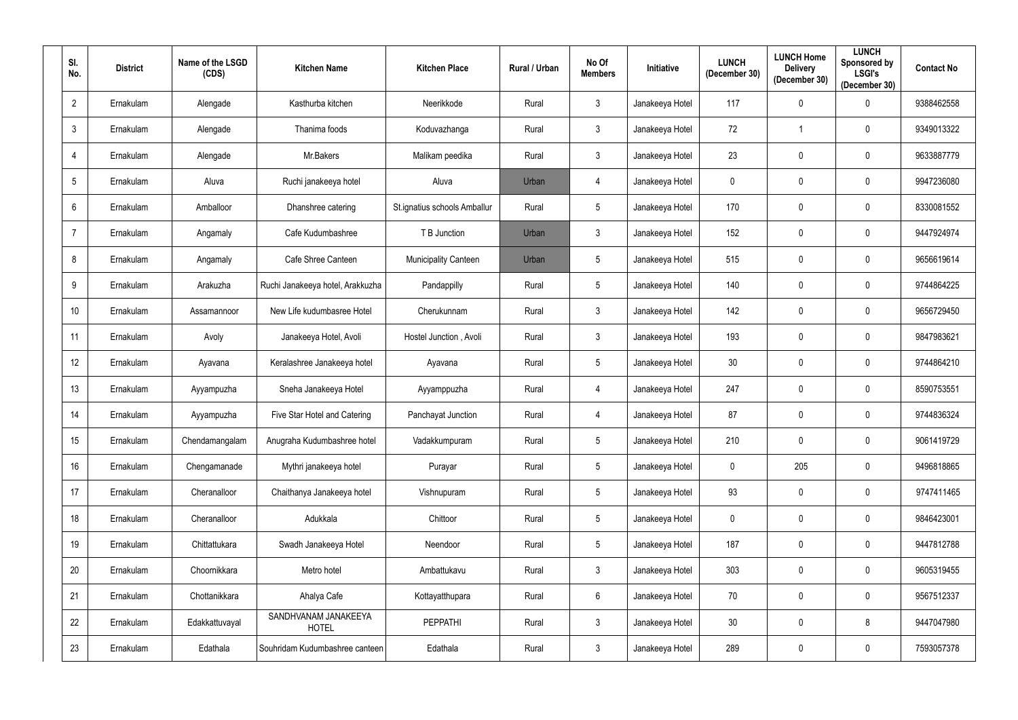| SI.<br>No.       | <b>District</b> | Name of the LSGD<br>(CDS) | <b>Kitchen Name</b>                  | <b>Kitchen Place</b>         | <b>Rural / Urban</b> | No Of<br><b>Members</b> | Initiative      | <b>LUNCH</b><br>(December 30) | <b>LUNCH Home</b><br><b>Delivery</b><br>(December 30) | <b>LUNCH</b><br><b>Sponsored by</b><br><b>LSGI's</b><br>(December 30) | <b>Contact No</b> |
|------------------|-----------------|---------------------------|--------------------------------------|------------------------------|----------------------|-------------------------|-----------------|-------------------------------|-------------------------------------------------------|-----------------------------------------------------------------------|-------------------|
| $\overline{2}$   | Ernakulam       | Alengade                  | Kasthurba kitchen                    | Neerikkode                   | Rural                | $\mathbf{3}$            | Janakeeya Hotel | 117                           | $\mathbf 0$                                           | $\mathbf 0$                                                           | 9388462558        |
| $\mathfrak{Z}$   | Ernakulam       | Alengade                  | Thanima foods                        | Koduvazhanga                 | Rural                | $\mathbf{3}$            | Janakeeya Hotel | 72                            |                                                       | $\mathbf{0}$                                                          | 9349013322        |
| 4                | Ernakulam       | Alengade                  | Mr.Bakers                            | Malikam peedika              | Rural                | $\mathbf{3}$            | Janakeeya Hotel | 23                            | $\mathbf 0$                                           | $\mathbf 0$                                                           | 9633887779        |
| $5\phantom{.0}$  | Ernakulam       | Aluva                     | Ruchi janakeeya hotel                | Aluva                        | Urban                | 4                       | Janakeeya Hotel | 0                             | $\mathbf 0$                                           | $\mathbf 0$                                                           | 9947236080        |
| 6                | Ernakulam       | Amballoor                 | Dhanshree catering                   | St.ignatius schools Amballur | Rural                | $5\phantom{.0}$         | Janakeeya Hotel | 170                           | $\mathbf 0$                                           | $\mathbf 0$                                                           | 8330081552        |
| $\overline{7}$   | Ernakulam       | Angamaly                  | Cafe Kudumbashree                    | T B Junction                 | Urban                | $\mathbf{3}$            | Janakeeya Hotel | 152                           | $\mathbf 0$                                           | $\mathbf 0$                                                           | 9447924974        |
| 8                | Ernakulam       | Angamaly                  | Cafe Shree Canteen                   | <b>Municipality Canteen</b>  | Urban                | $5\phantom{.0}$         | Janakeeya Hotel | 515                           | $\mathbf 0$                                           | $\mathbf 0$                                                           | 9656619614        |
| 9                | Ernakulam       | Arakuzha                  | Ruchi Janakeeya hotel, Arakkuzha     | Pandappilly                  | Rural                | $5\overline{)}$         | Janakeeya Hotel | 140                           | $\mathbf 0$                                           | $\mathbf{0}$                                                          | 9744864225        |
| 10 <sup>°</sup>  | Ernakulam       | Assamannoor               | New Life kudumbasree Hotel           | Cherukunnam                  | Rural                | $\mathbf{3}$            | Janakeeya Hotel | 142                           | $\mathbf 0$                                           | $\mathbf{0}$                                                          | 9656729450        |
| 11               | Ernakulam       | Avoly                     | Janakeeya Hotel, Avoli               | Hostel Junction, Avoli       | Rural                | $\mathbf{3}$            | Janakeeya Hotel | 193                           | $\mathbf 0$                                           | $\mathbf{0}$                                                          | 9847983621        |
| 12 <sup>°</sup>  | Ernakulam       | Ayavana                   | Keralashree Janakeeya hotel          | Ayavana                      | Rural                | $5\overline{)}$         | Janakeeya Hotel | 30                            | $\mathbf 0$                                           | $\mathbf 0$                                                           | 9744864210        |
| 13               | Ernakulam       | Ayyampuzha                | Sneha Janakeeya Hotel                | Ayyamppuzha                  | Rural                | $\overline{4}$          | Janakeeya Hotel | 247                           | $\mathbf 0$                                           | $\mathbf 0$                                                           | 8590753551        |
| 14               | Ernakulam       | Ayyampuzha                | Five Star Hotel and Catering         | Panchayat Junction           | Rural                | $\overline{4}$          | Janakeeya Hotel | 87                            | $\mathbf 0$                                           | $\mathbf 0$                                                           | 9744836324        |
| 15 <sub>15</sub> | Ernakulam       | Chendamangalam            | Anugraha Kudumbashree hotel          | Vadakkumpuram                | Rural                | $5\phantom{.0}$         | Janakeeya Hotel | 210                           | $\mathbf 0$                                           | $\mathbf 0$                                                           | 9061419729        |
| 16 <sup>°</sup>  | Ernakulam       | Chengamanade              | Mythri janakeeya hotel               | Purayar                      | Rural                | $5\phantom{.0}$         | Janakeeya Hotel | $\mathbf 0$                   | 205                                                   | $\mathbf 0$                                                           | 9496818865        |
| 17               | Ernakulam       | Cheranalloor              | Chaithanya Janakeeya hotel           | Vishnupuram                  | Rural                | $5\phantom{.0}$         | Janakeeya Hotel | 93                            | $\mathbf 0$                                           | $\mathbf 0$                                                           | 9747411465        |
| 18               | Ernakulam       | Cheranalloor              | Adukkala                             | Chittoor                     | Rural                | $5\phantom{.0}$         | Janakeeya Hotel | $\mathbf 0$                   | $\mathbf 0$                                           | $\mathbf 0$                                                           | 9846423001        |
| 19               | Ernakulam       | Chittattukara             | Swadh Janakeeya Hotel                | Neendoor                     | Rural                | $5\phantom{.0}$         | Janakeeya Hotel | 187                           | $\mathbf 0$                                           | $\mathbf 0$                                                           | 9447812788        |
| 20               | Ernakulam       | Choornikkara              | Metro hotel                          | Ambattukavu                  | Rural                | $\mathbf{3}$            | Janakeeya Hotel | 303                           | $\mathbf 0$                                           | $\mathbf 0$                                                           | 9605319455        |
| 21               | Ernakulam       | Chottanikkara             | Ahalya Cafe                          | Kottayatthupara              | Rural                | $6\overline{6}$         | Janakeeya Hotel | 70                            | $\mathbf 0$                                           | $\mathbf 0$                                                           | 9567512337        |
| 22               | Ernakulam       | Edakkattuvayal            | SANDHVANAM JANAKEEYA<br><b>HOTEL</b> | PEPPATHI                     | Rural                | $\mathbf{3}$            | Janakeeya Hotel | 30 <sup>°</sup>               | $\overline{0}$                                        | $8\phantom{1}$                                                        | 9447047980        |
| 23               | Ernakulam       | Edathala                  | Souhridam Kudumbashree canteen       | Edathala                     | Rural                | $\mathbf{3}$            | Janakeeya Hotel | 289                           | $\boldsymbol{0}$                                      | $\overline{0}$                                                        | 7593057378        |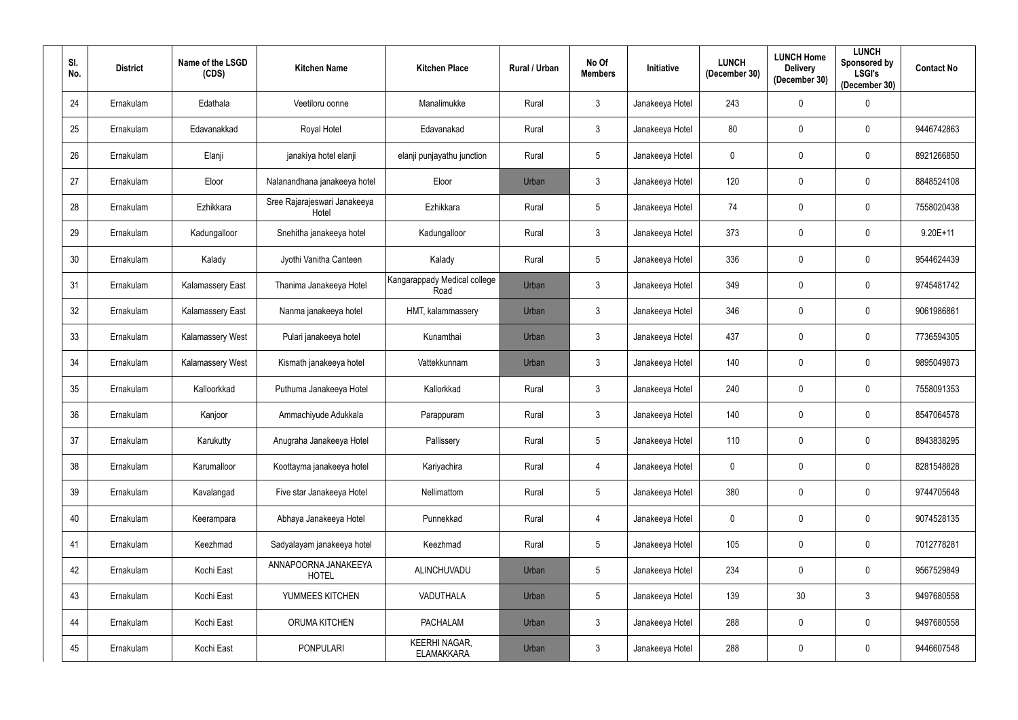| SI.<br>No.      | <b>District</b> | Name of the LSGD<br>(CDS) | <b>Kitchen Name</b>                   | <b>Kitchen Place</b>                      | Rural / Urban | No Of<br><b>Members</b> | Initiative      | <b>LUNCH</b><br>(December 30) | <b>LUNCH Home</b><br><b>Delivery</b><br>(December 30) | <b>LUNCH</b><br>Sponsored by<br><b>LSGI's</b><br>(December 30) | <b>Contact No</b> |
|-----------------|-----------------|---------------------------|---------------------------------------|-------------------------------------------|---------------|-------------------------|-----------------|-------------------------------|-------------------------------------------------------|----------------------------------------------------------------|-------------------|
| 24              | Ernakulam       | Edathala                  | Veetiloru oonne                       | Manalimukke                               | Rural         | $\mathbf{3}$            | Janakeeya Hotel | 243                           | $\mathbf 0$                                           | $\bm{0}$                                                       |                   |
| 25              | Ernakulam       | Edavanakkad               | Royal Hotel                           | Edavanakad                                | Rural         | $\mathbf{3}$            | Janakeeya Hotel | 80                            | $\mathbf 0$                                           | $\mathbf 0$                                                    | 9446742863        |
| 26              | Ernakulam       | Elanji                    | janakiya hotel elanji                 | elanji punjayathu junction                | Rural         | 5                       | Janakeeya Hotel | $\mathbf 0$                   | $\mathbf 0$                                           | $\mathbf 0$                                                    | 8921266850        |
| 27              | Ernakulam       | Eloor                     | Nalanandhana janakeeya hotel          | Eloor                                     | Urban         | $\mathbf{3}$            | Janakeeya Hotel | 120                           | $\mathbf 0$                                           | $\mathbf 0$                                                    | 8848524108        |
| 28              | Ernakulam       | Ezhikkara                 | Sree Rajarajeswari Janakeeya<br>Hotel | Ezhikkara                                 | Rural         | $5\phantom{.0}$         | Janakeeya Hotel | 74                            | $\mathbf 0$                                           | $\mathbf 0$                                                    | 7558020438        |
| 29              | Ernakulam       | Kadungalloor              | Snehitha janakeeya hotel              | Kadungalloor                              | Rural         | $\mathbf{3}$            | Janakeeya Hotel | 373                           | $\mathbf 0$                                           | $\mathbf 0$                                                    | $9.20E + 11$      |
| 30 <sub>o</sub> | Ernakulam       | Kalady                    | Jyothi Vanitha Canteen                | Kalady                                    | Rural         | $5\overline{)}$         | Janakeeya Hotel | 336                           | $\mathbf 0$                                           | $\mathbf 0$                                                    | 9544624439        |
| 31              | Ernakulam       | Kalamassery East          | Thanima Janakeeya Hotel               | Kangarappady Medical college<br>Road      | Urban         | $\mathbf{3}$            | Janakeeya Hotel | 349                           | $\mathbf 0$                                           | $\mathbf 0$                                                    | 9745481742        |
| 32              | Ernakulam       | Kalamassery East          | Nanma janakeeya hotel                 | HMT, kalammassery                         | Urban         | $\mathbf{3}$            | Janakeeya Hotel | 346                           | $\mathbf 0$                                           | $\mathbf 0$                                                    | 9061986861        |
| 33              | Ernakulam       | Kalamassery West          | Pulari janakeeya hotel                | Kunamthai                                 | Urban         | $\mathbf{3}$            | Janakeeya Hotel | 437                           | $\mathbf 0$                                           | $\mathbf 0$                                                    | 7736594305        |
| 34              | Ernakulam       | Kalamassery West          | Kismath janakeeya hotel               | Vattekkunnam                              | Urban         | $\mathbf{3}$            | Janakeeya Hotel | 140                           | $\mathbf 0$                                           | $\mathbf 0$                                                    | 9895049873        |
| 35              | Ernakulam       | Kalloorkkad               | Puthuma Janakeeya Hotel               | Kallorkkad                                | Rural         | $\mathbf{3}$            | Janakeeya Hotel | 240                           | 0                                                     | $\mathbf 0$                                                    | 7558091353        |
| 36              | Ernakulam       | Kanjoor                   | Ammachiyude Adukkala                  | Parappuram                                | Rural         | 3                       | Janakeeya Hotel | 140                           | $\mathbf 0$                                           | $\mathbf 0$                                                    | 8547064578        |
| 37              | Ernakulam       | Karukutty                 | Anugraha Janakeeya Hotel              | Pallissery                                | Rural         | $5\phantom{.0}$         | Janakeeya Hotel | 110                           | $\mathbf 0$                                           | $\mathbf 0$                                                    | 8943838295        |
| 38              | Ernakulam       | Karumalloor               | Koottayma janakeeya hotel             | Kariyachira                               | Rural         | $\overline{4}$          | Janakeeya Hotel | $\mathbf 0$                   | $\mathbf 0$                                           | $\mathbf 0$                                                    | 8281548828        |
| 39              | Ernakulam       | Kavalangad                | Five star Janakeeya Hotel             | Nellimattom                               | Rural         | $5\overline{)}$         | Janakeeya Hotel | 380                           | $\bf{0}$                                              | $\overline{0}$                                                 | 9744705648        |
| 40              | Ernakulam       | Keerampara                | Abhaya Janakeeya Hotel                | Punnekkad                                 | Rural         | $\overline{4}$          | Janakeeya Hotel | $\mathbf 0$                   | $\bf{0}$                                              | $\mathbf 0$                                                    | 9074528135        |
| 41              | Ernakulam       | Keezhmad                  | Sadyalayam janakeeya hotel            | Keezhmad                                  | Rural         | $5\overline{)}$         | Janakeeya Hotel | 105                           | $\mathbf 0$                                           | $\mathbf 0$                                                    | 7012778281        |
| 42              | Ernakulam       | Kochi East                | ANNAPOORNA JANAKEEYA<br><b>HOTEL</b>  | ALINCHUVADU                               | Urban         | $5\phantom{.0}$         | Janakeeya Hotel | 234                           | $\boldsymbol{0}$                                      | $\mathbf 0$                                                    | 9567529849        |
| 43              | Ernakulam       | Kochi East                | YUMMEES KITCHEN                       | VADUTHALA                                 | Urban         | 5 <sub>5</sub>          | Janakeeya Hotel | 139                           | 30 <sup>°</sup>                                       | $\mathbf{3}$                                                   | 9497680558        |
| 44              | Ernakulam       | Kochi East                | ORUMA KITCHEN                         | PACHALAM                                  | Urban         | $\mathfrak{Z}$          | Janakeeya Hotel | 288                           | $\bf{0}$                                              | $\bm{0}$                                                       | 9497680558        |
| 45              | Ernakulam       | Kochi East                | <b>PONPULARI</b>                      | <b>KEERHI NAGAR,</b><br><b>ELAMAKKARA</b> | Urban         | $\mathfrak{Z}$          | Janakeeya Hotel | 288                           | $\pmb{0}$                                             | $\bm{0}$                                                       | 9446607548        |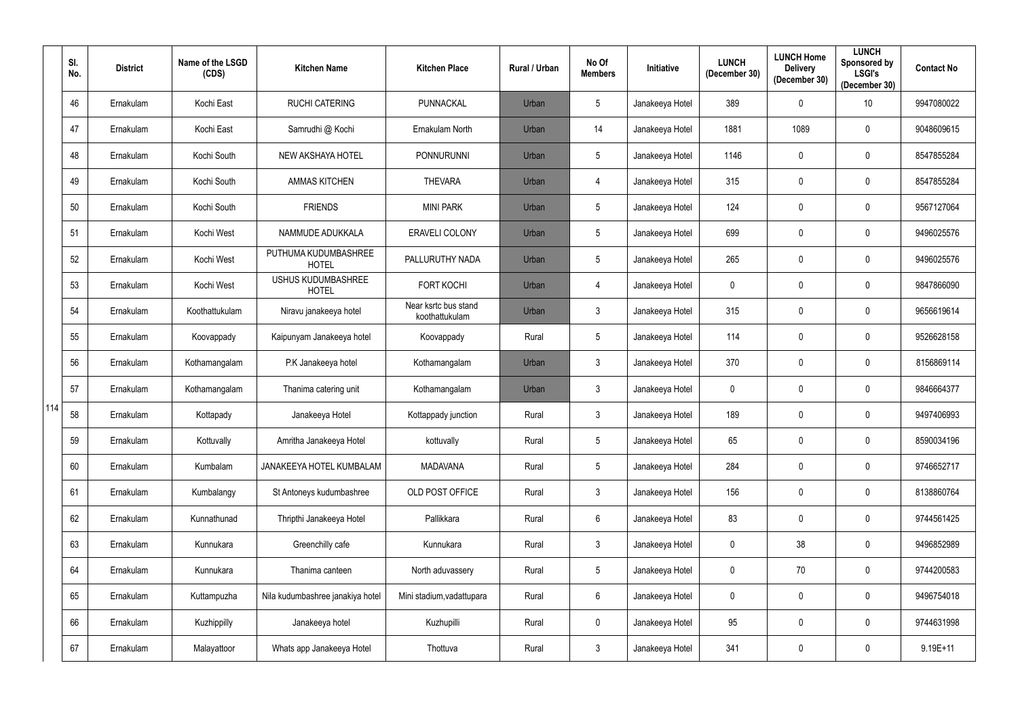|     | SI.<br>No. | <b>District</b> | Name of the LSGD<br>(CDS) | <b>Kitchen Name</b>                       | <b>Kitchen Place</b>                   | Rural / Urban | No Of<br><b>Members</b> | <b>Initiative</b> | <b>LUNCH</b><br>(December 30) | <b>LUNCH Home</b><br><b>Delivery</b><br>(December 30) | <b>LUNCH</b><br>Sponsored by<br><b>LSGI's</b><br>(December 30) | <b>Contact No</b> |
|-----|------------|-----------------|---------------------------|-------------------------------------------|----------------------------------------|---------------|-------------------------|-------------------|-------------------------------|-------------------------------------------------------|----------------------------------------------------------------|-------------------|
|     | 46         | Ernakulam       | Kochi East                | <b>RUCHI CATERING</b>                     | <b>PUNNACKAL</b>                       | Urban         | 5                       | Janakeeya Hotel   | 389                           | $\mathbf 0$                                           | 10                                                             | 9947080022        |
|     | 47         | Ernakulam       | Kochi East                | Samrudhi @ Kochi                          | Ernakulam North                        | Urban         | 14                      | Janakeeya Hotel   | 1881                          | 1089                                                  | $\overline{0}$                                                 | 9048609615        |
|     | 48         | Ernakulam       | Kochi South               | <b>NEW AKSHAYA HOTEL</b>                  | <b>PONNURUNNI</b>                      | Urban         | 5                       | Janakeeya Hotel   | 1146                          | $\mathbf 0$                                           | $\mathbf 0$                                                    | 8547855284        |
|     | 49         | Ernakulam       | Kochi South               | <b>AMMAS KITCHEN</b>                      | <b>THEVARA</b>                         | Urban         | $\overline{4}$          | Janakeeya Hotel   | 315                           | $\mathbf 0$                                           | $\overline{0}$                                                 | 8547855284        |
|     | 50         | Ernakulam       | Kochi South               | <b>FRIENDS</b>                            | <b>MINI PARK</b>                       | Urban         | $5\phantom{.0}$         | Janakeeya Hotel   | 124                           | $\mathbf 0$                                           | $\mathbf 0$                                                    | 9567127064        |
|     | 51         | Ernakulam       | Kochi West                | NAMMUDE ADUKKALA                          | ERAVELI COLONY                         | Urban         | $5\phantom{.0}$         | Janakeeya Hotel   | 699                           | $\mathbf 0$                                           | $\mathbf 0$                                                    | 9496025576        |
|     | 52         | Ernakulam       | Kochi West                | PUTHUMA KUDUMBASHREE<br><b>HOTEL</b>      | PALLURUTHY NADA                        | Urban         | $5\phantom{.0}$         | Janakeeya Hotel   | 265                           | $\mathbf 0$                                           | $\mathbf 0$                                                    | 9496025576        |
|     | 53         | Ernakulam       | Kochi West                | <b>USHUS KUDUMBASHREE</b><br><b>HOTEL</b> | <b>FORT KOCHI</b>                      | Urban         | 4                       | Janakeeya Hotel   | 0                             | 0                                                     | $\mathbf 0$                                                    | 9847866090        |
|     | 54         | Ernakulam       | Koothattukulam            | Niravu janakeeya hotel                    | Near ksrtc bus stand<br>koothattukulam | Urban         | 3                       | Janakeeya Hotel   | 315                           | 0                                                     | $\mathbf 0$                                                    | 9656619614        |
|     | 55         | Ernakulam       | Koovappady                | Kaipunyam Janakeeya hotel                 | Koovappady                             | Rural         | $5\phantom{.0}$         | Janakeeya Hotel   | 114                           | 0                                                     | $\mathbf 0$                                                    | 9526628158        |
|     | 56         | Ernakulam       | Kothamangalam             | P.K Janakeeya hotel                       | Kothamangalam                          | Urban         | 3                       | Janakeeya Hotel   | 370                           | $\mathbf 0$                                           | $\mathbf 0$                                                    | 8156869114        |
|     | 57         | Ernakulam       | Kothamangalam             | Thanima catering unit                     | Kothamangalam                          | Urban         | 3                       | Janakeeya Hotel   | 0                             | 0                                                     | $\overline{0}$                                                 | 9846664377        |
| 114 | 58         | Ernakulam       | Kottapady                 | Janakeeya Hotel                           | Kottappady junction                    | Rural         | 3 <sup>1</sup>          | Janakeeya Hotel   | 189                           | $\mathbf 0$                                           | $\overline{0}$                                                 | 9497406993        |
|     | 59         | Ernakulam       | Kottuvally                | Amritha Janakeeya Hotel                   | kottuvally                             | Rural         | $5\phantom{.0}$         | Janakeeya Hotel   | 65                            | $\mathbf 0$                                           | $\mathbf 0$                                                    | 8590034196        |
|     | 60         | Ernakulam       | Kumbalam                  | JANAKEEYA HOTEL KUMBALAM                  | <b>MADAVANA</b>                        | Rural         | $5\phantom{.0}$         | Janakeeya Hotel   | 284                           | 0                                                     | $\mathbf 0$                                                    | 9746652717        |
|     | 61         | Ernakulam       | Kumbalangy                | St Antoneys kudumbashree                  | OLD POST OFFICE                        | Rural         | $\mathfrak{Z}$          | Janakeeya Hotel   | 156                           | $\mathbf 0$                                           | $\boldsymbol{0}$                                               | 8138860764        |
|     | 62         | Ernakulam       | Kunnathunad               | Thripthi Janakeeya Hotel                  | Pallikkara                             | Rural         | $6\phantom{.0}$         | Janakeeya Hotel   | 83                            | $\mathbf 0$                                           | $\mathbf 0$                                                    | 9744561425        |
|     | 63         | Ernakulam       | Kunnukara                 | Greenchilly cafe                          | Kunnukara                              | Rural         | $\mathfrak{Z}$          | Janakeeya Hotel   | 0                             | 38                                                    | $\boldsymbol{0}$                                               | 9496852989        |
|     | 64         | Ernakulam       | Kunnukara                 | Thanima canteen                           | North aduvassery                       | Rural         | $5\phantom{.0}$         | Janakeeya Hotel   | 0                             | 70                                                    | $\boldsymbol{0}$                                               | 9744200583        |
|     | 65         | Ernakulam       | Kuttampuzha               | Nila kudumbashree janakiya hotel          | Mini stadium, vadattupara              | Rural         | 6                       | Janakeeya Hotel   | $\pmb{0}$                     | $\mathbf 0$                                           | $\boldsymbol{0}$                                               | 9496754018        |
|     | 66         | Ernakulam       | Kuzhippilly               | Janakeeya hotel                           | Kuzhupilli                             | Rural         | 0                       | Janakeeya Hotel   | 95                            | $\pmb{0}$                                             | $\boldsymbol{0}$                                               | 9744631998        |
|     | 67         | Ernakulam       | Malayattoor               | Whats app Janakeeya Hotel                 | Thottuva                               | Rural         | $\mathfrak{Z}$          | Janakeeya Hotel   | 341                           | $\boldsymbol{0}$                                      | $\bm{0}$                                                       | $9.19E + 11$      |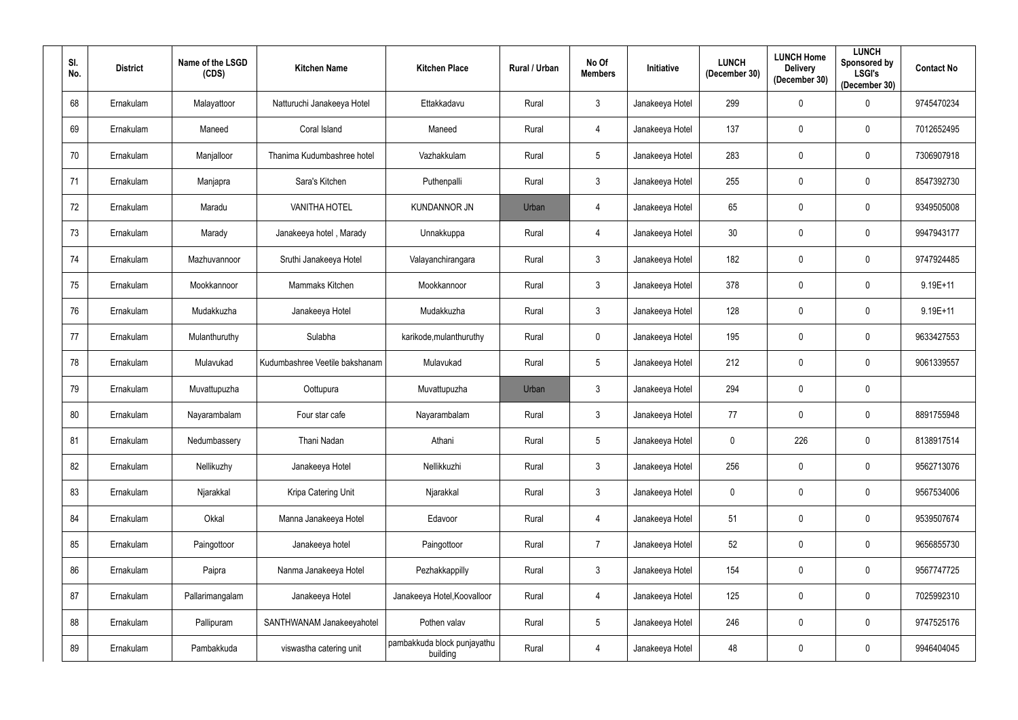| SI.<br>No. | <b>District</b> | Name of the LSGD<br>(CDS) | <b>Kitchen Name</b>            | <b>Kitchen Place</b>                    | <b>Rural / Urban</b> | No Of<br><b>Members</b> | Initiative      | <b>LUNCH</b><br>(December 30) | <b>LUNCH Home</b><br><b>Delivery</b><br>(December 30) | <b>LUNCH</b><br><b>Sponsored by</b><br><b>LSGI's</b><br>(December 30) | <b>Contact No</b> |
|------------|-----------------|---------------------------|--------------------------------|-----------------------------------------|----------------------|-------------------------|-----------------|-------------------------------|-------------------------------------------------------|-----------------------------------------------------------------------|-------------------|
| 68         | Ernakulam       | Malayattoor               | Natturuchi Janakeeya Hotel     | Ettakkadavu                             | Rural                | $\mathbf{3}$            | Janakeeya Hotel | 299                           | $\mathbf 0$                                           | $\mathbf 0$                                                           | 9745470234        |
| 69         | Ernakulam       | Maneed                    | Coral Island                   | Maneed                                  | Rural                | $\overline{4}$          | Janakeeya Hotel | 137                           | $\mathbf 0$                                           | 0                                                                     | 7012652495        |
| 70         | Ernakulam       | Manjalloor                | Thanima Kudumbashree hotel     | Vazhakkulam                             | Rural                | $5\overline{)}$         | Janakeeya Hotel | 283                           | $\mathbf 0$                                           | $\mathbf 0$                                                           | 7306907918        |
| 71         | Ernakulam       | Manjapra                  | Sara's Kitchen                 | Puthenpalli                             | Rural                | $\mathbf{3}$            | Janakeeya Hotel | 255                           | $\mathbf 0$                                           | $\mathbf 0$                                                           | 8547392730        |
| 72         | Ernakulam       | Maradu                    | <b>VANITHA HOTEL</b>           | <b>KUNDANNOR JN</b>                     | Urban                | 4                       | Janakeeya Hotel | 65                            | $\overline{0}$                                        | $\mathbf 0$                                                           | 9349505008        |
| 73         | Ernakulam       | Marady                    | Janakeeya hotel, Marady        | Unnakkuppa                              | Rural                | $\overline{4}$          | Janakeeya Hotel | 30 <sup>°</sup>               | $\mathbf 0$                                           | $\overline{0}$                                                        | 9947943177        |
| 74         | Ernakulam       | Mazhuvannoor              | Sruthi Janakeeya Hotel         | Valayanchirangara                       | Rural                | $\mathbf{3}$            | Janakeeya Hotel | 182                           | $\mathbf 0$                                           | $\mathbf 0$                                                           | 9747924485        |
| 75         | Ernakulam       | Mookkannoor               | Mammaks Kitchen                | Mookkannoor                             | Rural                | $\mathbf{3}$            | Janakeeya Hotel | 378                           | $\mathbf 0$                                           | $\mathbf 0$                                                           | $9.19E + 11$      |
| 76         | Ernakulam       | Mudakkuzha                | Janakeeya Hotel                | Mudakkuzha                              | Rural                | $\mathbf{3}$            | Janakeeya Hotel | 128                           | $\mathbf 0$                                           | $\mathbf 0$                                                           | $9.19E + 11$      |
| 77         | Ernakulam       | Mulanthuruthy             | Sulabha                        | karikode, mulanthuruthy                 | Rural                | $\overline{0}$          | Janakeeya Hotel | 195                           | $\mathbf 0$                                           | $\mathbf{0}$                                                          | 9633427553        |
| 78         | Ernakulam       | Mulavukad                 | Kudumbashree Veetile bakshanam | Mulavukad                               | Rural                | $5\overline{)}$         | Janakeeya Hotel | 212                           | $\mathbf 0$                                           | $\mathbf{0}$                                                          | 9061339557        |
| 79         | Ernakulam       | Muvattupuzha              | Oottupura                      | Muvattupuzha                            | Urban                | $\mathbf{3}$            | Janakeeya Hotel | 294                           | $\mathbf 0$                                           | $\mathbf 0$                                                           |                   |
| 80         | Ernakulam       | Nayarambalam              | Four star cafe                 | Nayarambalam                            | Rural                | $\mathbf{3}$            | Janakeeya Hotel | 77                            | $\mathbf 0$                                           | $\overline{0}$                                                        | 8891755948        |
| 81         | Ernakulam       | Nedumbassery              | Thani Nadan                    | Athani                                  | Rural                | $5\phantom{.0}$         | Janakeeya Hotel | $\mathbf 0$                   | 226                                                   | $\mathbf 0$                                                           | 8138917514        |
| 82         | Ernakulam       | Nellikuzhy                | Janakeeya Hotel                | Nellikkuzhi                             | Rural                | $\mathbf{3}$            | Janakeeya Hotel | 256                           | $\mathbf 0$                                           | $\mathbf 0$                                                           | 9562713076        |
| 83         | Ernakulam       | Njarakkal                 | Kripa Catering Unit            | Njarakkal                               | Rural                | $\mathbf{3}$            | Janakeeya Hotel | $\mathbf 0$                   | $\mathbf 0$                                           | $\mathbf 0$                                                           | 9567534006        |
| 84         | Ernakulam       | Okkal                     | Manna Janakeeya Hotel          | Edavoor                                 | Rural                | $\overline{4}$          | Janakeeya Hotel | 51                            | $\mathbf 0$                                           | $\mathbf 0$                                                           | 9539507674        |
| 85         | Ernakulam       | Paingottoor               | Janakeeya hotel                | Paingottoor                             | Rural                | $\overline{7}$          | Janakeeya Hotel | 52                            | $\mathbf 0$                                           | $\mathbf 0$                                                           | 9656855730        |
| 86         | Ernakulam       | Paipra                    | Nanma Janakeeya Hotel          | Pezhakkappilly                          | Rural                | $\mathbf{3}$            | Janakeeya Hotel | 154                           | $\mathbf 0$                                           | $\mathbf 0$                                                           | 9567747725        |
| 87         | Ernakulam       | Pallarimangalam           | Janakeeya Hotel                | Janakeeya Hotel, Koovalloor             | Rural                | $\overline{4}$          | Janakeeya Hotel | 125                           | $\mathbf 0$                                           | $\mathbf 0$                                                           | 7025992310        |
| 88         | Ernakulam       | Pallipuram                | SANTHWANAM Janakeeyahotel      | Pothen valav                            | Rural                | $5\phantom{.0}$         | Janakeeya Hotel | 246                           | $\mathbf 0$                                           | $\mathbf 0$                                                           | 9747525176        |
| 89         | Ernakulam       | Pambakkuda                | viswastha catering unit        | pambakkuda block punjayathu<br>building | Rural                | $\overline{4}$          | Janakeeya Hotel | 48                            | $\boldsymbol{0}$                                      | $\overline{0}$                                                        | 9946404045        |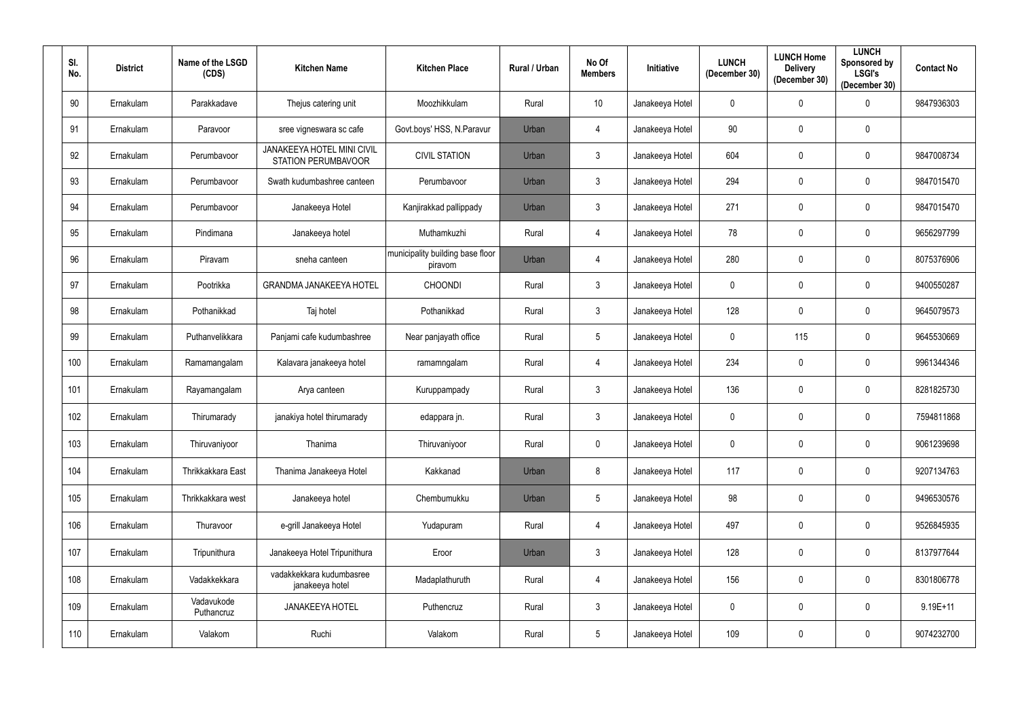| SI.<br>No. | <b>District</b> | Name of the LSGD<br>(CDS) | <b>Kitchen Name</b>                                      | <b>Kitchen Place</b>                        | Rural / Urban | No Of<br><b>Members</b> | Initiative      | <b>LUNCH</b><br>(December 30) | <b>LUNCH Home</b><br><b>Delivery</b><br>(December 30) | <b>LUNCH</b><br><b>Sponsored by</b><br><b>LSGI's</b><br>(December 30) | <b>Contact No</b> |
|------------|-----------------|---------------------------|----------------------------------------------------------|---------------------------------------------|---------------|-------------------------|-----------------|-------------------------------|-------------------------------------------------------|-----------------------------------------------------------------------|-------------------|
| 90         | Ernakulam       | Parakkadave               | Thejus catering unit                                     | Moozhikkulam                                | Rural         | 10                      | Janakeeya Hotel | 0                             | $\mathbf 0$                                           | $\Omega$                                                              | 9847936303        |
| 91         | Ernakulam       | Paravoor                  | sree vigneswara sc cafe                                  | Govt.boys' HSS, N.Paravur                   | Urban         | $\overline{4}$          | Janakeeya Hotel | 90                            | $\mathbf 0$                                           | $\mathbf 0$                                                           |                   |
| 92         | Ernakulam       | Perumbavoor               | JANAKEEYA HOTEL MINI CIVIL<br><b>STATION PERUMBAVOOR</b> | <b>CIVIL STATION</b>                        | Urban         | $\mathbf{3}$            | Janakeeya Hotel | 604                           | $\mathbf 0$                                           | $\mathbf 0$                                                           | 9847008734        |
| 93         | Ernakulam       | Perumbavoor               | Swath kudumbashree canteen                               | Perumbavoor                                 | Urban         | $\mathbf{3}$            | Janakeeya Hotel | 294                           | $\mathbf 0$                                           | 0                                                                     | 9847015470        |
| 94         | Ernakulam       | Perumbavoor               | Janakeeya Hotel                                          | Kanjirakkad pallippady                      | Urban         | $\mathbf{3}$            | Janakeeya Hotel | 271                           | $\mathbf 0$                                           | $\mathbf 0$                                                           | 9847015470        |
| 95         | Ernakulam       | Pindimana                 | Janakeeya hotel                                          | Muthamkuzhi                                 | Rural         | $\overline{4}$          | Janakeeya Hotel | 78                            | $\mathbf 0$                                           | $\mathbf 0$                                                           | 9656297799        |
| 96         | Ernakulam       | Piravam                   | sneha canteen                                            | municipality building base floor<br>piravom | Urban         | $\overline{4}$          | Janakeeya Hotel | 280                           | $\overline{0}$                                        | $\mathbf 0$                                                           | 8075376906        |
| 97         | Ernakulam       | Pootrikka                 | <b>GRANDMA JANAKEEYA HOTEL</b>                           | <b>CHOONDI</b>                              | Rural         | $\mathbf{3}$            | Janakeeya Hotel | 0                             | $\mathbf 0$                                           | $\mathbf 0$                                                           | 9400550287        |
| 98         | Ernakulam       | Pothanikkad               | Taj hotel                                                | Pothanikkad                                 | Rural         | $\mathbf{3}$            | Janakeeya Hotel | 128                           | $\overline{0}$                                        | $\mathbf 0$                                                           | 9645079573        |
| 99         | Ernakulam       | Puthanvelikkara           | Panjami cafe kudumbashree                                | Near panjayath office                       | Rural         | $5\phantom{.0}$         | Janakeeya Hotel | 0                             | 115                                                   | $\mathbf 0$                                                           | 9645530669        |
| 100        | Ernakulam       | Ramamangalam              | Kalavara janakeeya hotel                                 | ramamngalam                                 | Rural         | 4                       | Janakeeya Hotel | 234                           | $\mathbf 0$                                           | $\mathbf 0$                                                           | 9961344346        |
| 101        | Ernakulam       | Rayamangalam              | Arya canteen                                             | Kuruppampady                                | Rural         | $\mathbf{3}$            | Janakeeya Hotel | 136                           | $\mathbf 0$                                           | $\mathbf 0$                                                           | 8281825730        |
| 102        | Ernakulam       | Thirumarady               | janakiya hotel thirumarady                               | edappara jn.                                | Rural         | $\mathbf{3}$            | Janakeeya Hotel | 0                             | $\mathbf 0$                                           | 0                                                                     | 7594811868        |
| 103        | Ernakulam       | Thiruvaniyoor             | Thanima                                                  | Thiruvaniyoor                               | Rural         | $\overline{0}$          | Janakeeya Hotel | $\mathbf 0$                   | $\mathbf 0$                                           | $\mathbf 0$                                                           | 9061239698        |
| 104        | Ernakulam       | Thrikkakkara East         | Thanima Janakeeya Hotel                                  | Kakkanad                                    | Urban         | 8                       | Janakeeya Hotel | 117                           | $\mathbf 0$                                           | $\pmb{0}$                                                             | 9207134763        |
| 105        | Ernakulam       | Thrikkakkara west         | Janakeeya hotel                                          | Chembumukku                                 | Urban         | $5\phantom{.0}$         | Janakeeya Hotel | 98                            | $\mathbf 0$                                           | $\pmb{0}$                                                             | 9496530576        |
| 106        | Ernakulam       | Thuravoor                 | e-grill Janakeeya Hotel                                  | Yudapuram                                   | Rural         | 4                       | Janakeeya Hotel | 497                           | $\mathbf 0$                                           | $\pmb{0}$                                                             | 9526845935        |
| 107        | Ernakulam       | Tripunithura              | Janakeeya Hotel Tripunithura                             | Eroor                                       | Urban         | $\mathbf{3}$            | Janakeeya Hotel | 128                           | $\mathbf 0$                                           | $\pmb{0}$                                                             | 8137977644        |
| 108        | Ernakulam       | Vadakkekkara              | vadakkekkara kudumbasree<br>janakeeya hotel              | Madaplathuruth                              | Rural         | $\overline{4}$          | Janakeeya Hotel | 156                           | $\mathbf 0$                                           | $\mathbf 0$                                                           | 8301806778        |
| 109        | Ernakulam       | Vadavukode<br>Puthancruz  | <b>JANAKEEYA HOTEL</b>                                   | Puthencruz                                  | Rural         | $\mathbf{3}$            | Janakeeya Hotel | $\mathbf 0$                   | $\mathbf 0$                                           | $\mathbf 0$                                                           | $9.19E + 11$      |
| 110        | Ernakulam       | Valakom                   | Ruchi                                                    | Valakom                                     | Rural         | $5\phantom{.0}$         | Janakeeya Hotel | 109                           | $\mathbf 0$                                           | $\pmb{0}$                                                             | 9074232700        |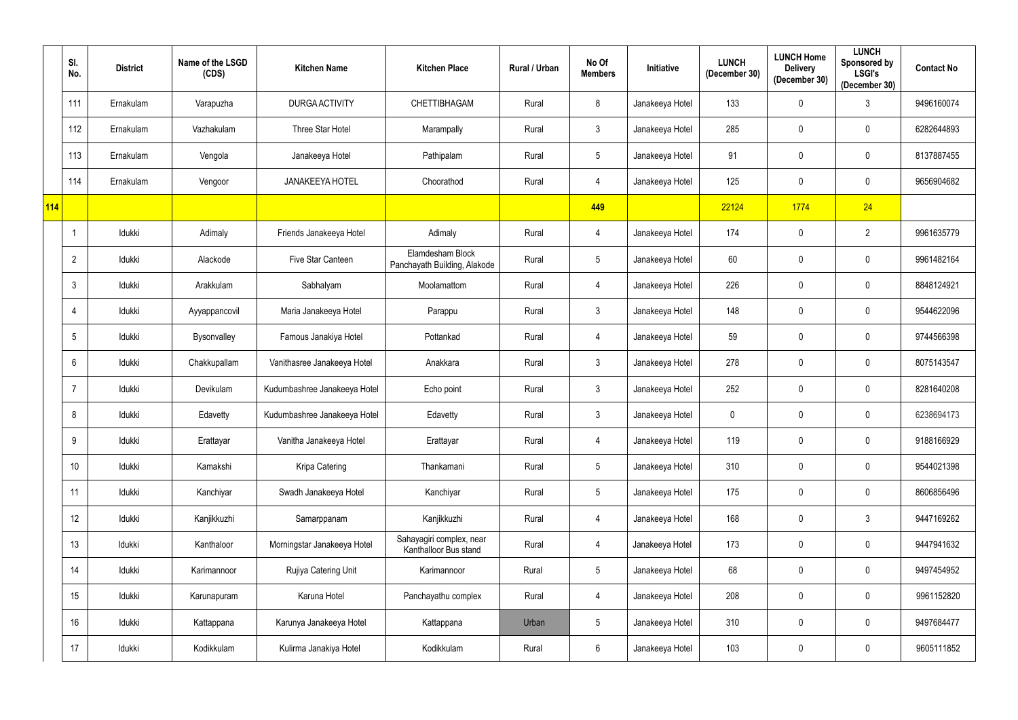|     | SI.<br>No.      | <b>District</b> | Name of the LSGD<br>(CDS) | <b>Kitchen Name</b>          | <b>Kitchen Place</b>                              | Rural / Urban | No Of<br><b>Members</b> | Initiative      | <b>LUNCH</b><br>(December 30) | <b>LUNCH Home</b><br><b>Delivery</b><br>(December 30) | <b>LUNCH</b><br>Sponsored by<br><b>LSGI's</b><br>(December 30) | <b>Contact No</b> |
|-----|-----------------|-----------------|---------------------------|------------------------------|---------------------------------------------------|---------------|-------------------------|-----------------|-------------------------------|-------------------------------------------------------|----------------------------------------------------------------|-------------------|
|     | 111             | Ernakulam       | Varapuzha                 | <b>DURGA ACTIVITY</b>        | CHETTIBHAGAM                                      | Rural         | 8                       | Janakeeya Hotel | 133                           | $\mathbf 0$                                           | $\mathbf{3}$                                                   | 9496160074        |
|     | 112             | Ernakulam       | Vazhakulam                | <b>Three Star Hotel</b>      | Marampally                                        | Rural         | 3                       | Janakeeya Hotel | 285                           | $\mathbf 0$                                           | $\mathbf 0$                                                    | 6282644893        |
|     | 113             | Ernakulam       | Vengola                   | Janakeeya Hotel              | Pathipalam                                        | Rural         | $5\phantom{.0}$         | Janakeeya Hotel | 91                            | $\mathbf 0$                                           | $\mathbf 0$                                                    | 8137887455        |
|     | 114             | Ernakulam       | Vengoor                   | <b>JANAKEEYA HOTEL</b>       | Choorathod                                        | Rural         | 4                       | Janakeeya Hotel | 125                           | $\mathbf 0$                                           | $\mathbf 0$                                                    | 9656904682        |
| 114 |                 |                 |                           |                              |                                                   |               | 449                     |                 | 22124                         | 1774                                                  | 24                                                             |                   |
|     |                 | Idukki          | Adimaly                   | Friends Janakeeya Hotel      | Adimaly                                           | Rural         | $\overline{4}$          | Janakeeya Hotel | 174                           | $\mathbf 0$                                           | $\overline{2}$                                                 | 9961635779        |
|     | $\overline{2}$  | Idukki          | Alackode                  | Five Star Canteen            | Elamdesham Block<br>Panchayath Building, Alakode  | Rural         | $5\phantom{.0}$         | Janakeeya Hotel | 60                            | $\mathbf 0$                                           | $\mathbf 0$                                                    | 9961482164        |
|     | $\mathbf{3}$    | Idukki          | Arakkulam                 | Sabhalyam                    | Moolamattom                                       | Rural         | 4                       | Janakeeya Hotel | 226                           | $\mathbf 0$                                           | $\mathbf 0$                                                    | 8848124921        |
|     | 4               | Idukki          | Ayyappancovil             | Maria Janakeeya Hotel        | Parappu                                           | Rural         | $\mathfrak{Z}$          | Janakeeya Hotel | 148                           | $\mathbf 0$                                           | $\mathbf 0$                                                    | 9544622096        |
|     | 5               | Idukki          | Bysonvalley               | Famous Janakiya Hotel        | Pottankad                                         | Rural         | 4                       | Janakeeya Hotel | 59                            | 0                                                     | $\mathbf 0$                                                    | 9744566398        |
|     | 6               | Idukki          | Chakkupallam              | Vanithasree Janakeeya Hotel  | Anakkara                                          | Rural         | 3                       | Janakeeya Hotel | 278                           | $\mathbf 0$                                           | $\mathbf 0$                                                    | 8075143547        |
|     | $\overline{7}$  | Idukki          | Devikulam                 | Kudumbashree Janakeeya Hotel | Echo point                                        | Rural         | $\mathbf{3}$            | Janakeeya Hotel | 252                           | 0                                                     | $\mathbf 0$                                                    | 8281640208        |
|     | 8               | Idukki          | Edavetty                  | Kudumbashree Janakeeya Hotel | Edavetty                                          | Rural         | $\mathbf{3}$            | Janakeeya Hotel | $\mathbf 0$                   | $\mathbf 0$                                           | $\overline{0}$                                                 | 6238694173        |
|     | 9               | Idukki          | Erattayar                 | Vanitha Janakeeya Hotel      | Erattayar                                         | Rural         | $\overline{4}$          | Janakeeya Hotel | 119                           | $\mathbf 0$                                           | $\mathbf 0$                                                    | 9188166929        |
|     | 10 <sup>°</sup> | Idukki          | Kamakshi                  | Kripa Catering               | Thankamani                                        | Rural         | $5\phantom{.0}$         | Janakeeya Hotel | 310                           | $\mathbf 0$                                           | $\mathbf 0$                                                    | 9544021398        |
|     | 11              | Idukki          | Kanchiyar                 | Swadh Janakeeya Hotel        | Kanchiyar                                         | Rural         | $5\phantom{.0}$         | Janakeeya Hotel | 175                           | $\bf{0}$                                              | $\mathbf 0$                                                    | 8606856496        |
|     | 12              | Idukki          | Kanjikkuzhi               | Samarppanam                  | Kanjikkuzhi                                       | Rural         | $\overline{4}$          | Janakeeya Hotel | 168                           | $\bf{0}$                                              | $\mathbf{3}$                                                   | 9447169262        |
|     | 13              | ldukki          | Kanthaloor                | Morningstar Janakeeya Hotel  | Sahayagiri complex, near<br>Kanthalloor Bus stand | Rural         | 4                       | Janakeeya Hotel | 173                           | $\mathbf 0$                                           | $\mathbf 0$                                                    | 9447941632        |
|     | 14              | Idukki          | Karimannoor               | Rujiya Catering Unit         | Karimannoor                                       | Rural         | $5\phantom{.0}$         | Janakeeya Hotel | 68                            | $\bf{0}$                                              | $\mathbf 0$                                                    | 9497454952        |
|     | 15              | Idukki          | Karunapuram               | Karuna Hotel                 | Panchayathu complex                               | Rural         | $\overline{4}$          | Janakeeya Hotel | 208                           | $\mathbf 0$                                           | $\mathbf 0$                                                    | 9961152820        |
|     | 16              | Idukki          | Kattappana                | Karunya Janakeeya Hotel      | Kattappana                                        | Urban         | $5\phantom{.0}$         | Janakeeya Hotel | 310                           | $\bf{0}$                                              | $\mathbf 0$                                                    | 9497684477        |
|     | 17              | ldukki          | Kodikkulam                | Kulirma Janakiya Hotel       | Kodikkulam                                        | Rural         | $6\phantom{.0}$         | Janakeeya Hotel | 103                           | $\boldsymbol{0}$                                      | $\boldsymbol{0}$                                               | 9605111852        |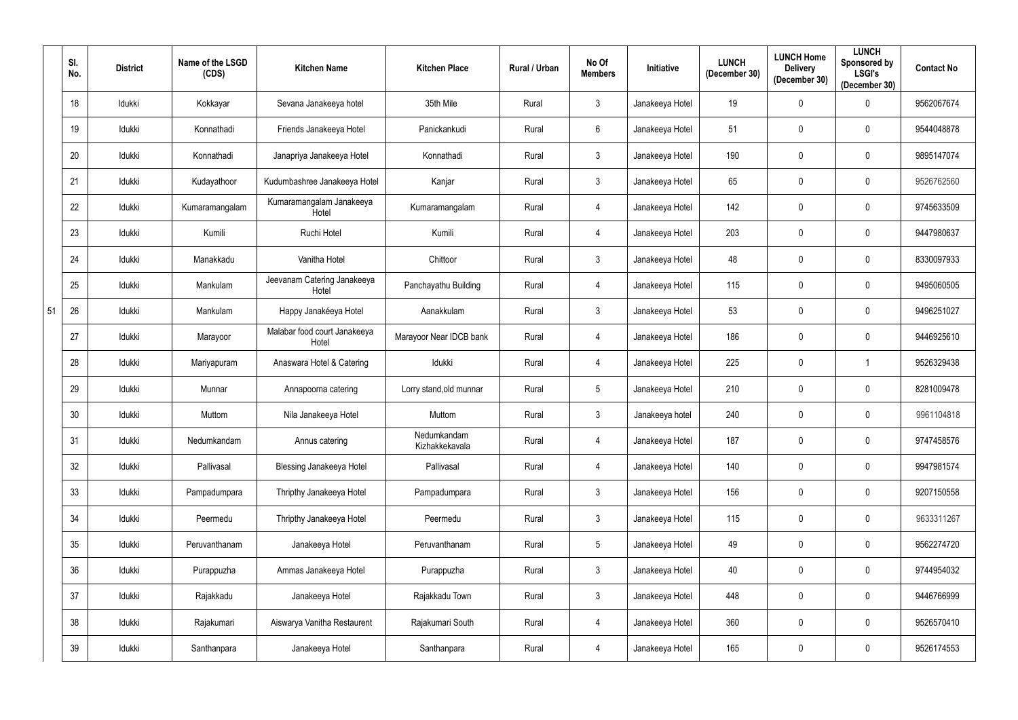|    | SI.<br>No. | <b>District</b> | Name of the LSGD<br>(CDS) | <b>Kitchen Name</b>                   | <b>Kitchen Place</b>          | Rural / Urban | No Of<br><b>Members</b> | Initiative      | <b>LUNCH</b><br>(December 30) | <b>LUNCH Home</b><br><b>Delivery</b><br>(December 30) | <b>LUNCH</b><br>Sponsored by<br><b>LSGI's</b><br>(December 30) | <b>Contact No</b> |
|----|------------|-----------------|---------------------------|---------------------------------------|-------------------------------|---------------|-------------------------|-----------------|-------------------------------|-------------------------------------------------------|----------------------------------------------------------------|-------------------|
|    | 18         | Idukki          | Kokkayar                  | Sevana Janakeeya hotel                | 35th Mile                     | Rural         | 3                       | Janakeeya Hotel | 19                            | $\mathbf 0$                                           | $\mathbf 0$                                                    | 9562067674        |
|    | 19         | Idukki          | Konnathadi                | Friends Janakeeya Hotel               | Panickankudi                  | Rural         | 6                       | Janakeeya Hotel | 51                            | $\mathbf 0$                                           | $\mathbf 0$                                                    | 9544048878        |
|    | 20         | Idukki          | Konnathadi                | Janapriya Janakeeya Hotel             | Konnathadi                    | Rural         | 3                       | Janakeeya Hotel | 190                           | $\mathbf 0$                                           | $\mathbf 0$                                                    | 9895147074        |
|    | 21         | Idukki          | Kudayathoor               | Kudumbashree Janakeeya Hotel          | Kanjar                        | Rural         | 3                       | Janakeeya Hotel | 65                            | $\mathbf 0$                                           | $\mathbf 0$                                                    | 9526762560        |
|    | 22         | Idukki          | Kumaramangalam            | Kumaramangalam Janakeeya<br>Hotel     | Kumaramangalam                | Rural         | $\overline{4}$          | Janakeeya Hotel | 142                           | $\mathbf 0$                                           | $\mathbf 0$                                                    | 9745633509        |
|    | 23         | Idukki          | Kumili                    | Ruchi Hotel                           | Kumili                        | Rural         | $\overline{4}$          | Janakeeya Hotel | 203                           | $\mathbf 0$                                           | $\mathbf 0$                                                    | 9447980637        |
|    | 24         | Idukki          | Manakkadu                 | Vanitha Hotel                         | Chittoor                      | Rural         | 3 <sup>1</sup>          | Janakeeya Hotel | 48                            | $\mathbf 0$                                           | $\mathbf 0$                                                    | 8330097933        |
|    | 25         | Idukki          | Mankulam                  | Jeevanam Catering Janakeeya<br>Hotel  | Panchayathu Building          | Rural         | $\overline{4}$          | Janakeeya Hotel | 115                           | $\mathbf 0$                                           | $\mathbf 0$                                                    | 9495060505        |
| 51 | 26         | Idukki          | Mankulam                  | Happy Janakéeya Hotel                 | Aanakkulam                    | Rural         | 3                       | Janakeeya Hotel | 53                            | $\mathbf 0$                                           | $\mathbf 0$                                                    | 9496251027        |
|    | 27         | Idukki          | Marayoor                  | Malabar food court Janakeeya<br>Hotel | Marayoor Near IDCB bank       | Rural         | 4                       | Janakeeya Hotel | 186                           | 0                                                     | $\mathbf 0$                                                    | 9446925610        |
|    | 28         | Idukki          | Mariyapuram               | Anaswara Hotel & Catering             | Idukki                        | Rural         | $\overline{4}$          | Janakeeya Hotel | 225                           | $\mathbf 0$                                           |                                                                | 9526329438        |
|    | 29         | Idukki          | Munnar                    | Annapoorna catering                   | Lorry stand, old munnar       | Rural         | 5                       | Janakeeya Hotel | 210                           | 0                                                     | $\mathbf 0$                                                    | 8281009478        |
|    | 30         | Idukki          | Muttom                    | Nila Janakeeya Hotel                  | Muttom                        | Rural         | 3 <sup>1</sup>          | Janakeeya hotel | 240                           | $\mathbf 0$                                           | $\mathbf 0$                                                    | 9961104818        |
|    | 31         | Idukki          | Nedumkandam               | Annus catering                        | Nedumkandam<br>Kizhakkekavala | Rural         | $\overline{4}$          | Janakeeya Hotel | 187                           | $\mathbf 0$                                           | $\mathbf 0$                                                    | 9747458576        |
|    | 32         | Idukki          | Pallivasal                | <b>Blessing Janakeeya Hotel</b>       | Pallivasal                    | Rural         | $\overline{4}$          | Janakeeya Hotel | 140                           | $\boldsymbol{0}$                                      | $\mathbf 0$                                                    | 9947981574        |
|    | 33         | Idukki          | Pampadumpara              | Thripthy Janakeeya Hotel              | Pampadumpara                  | Rural         | $\mathfrak{Z}$          | Janakeeya Hotel | 156                           | $\bf{0}$                                              | $\mathbf 0$                                                    | 9207150558        |
|    | 34         | Idukki          | Peermedu                  | Thripthy Janakeeya Hotel              | Peermedu                      | Rural         | $\mathfrak{Z}$          | Janakeeya Hotel | 115                           | $\bf{0}$                                              | $\mathbf 0$                                                    | 9633311267        |
|    | 35         | Idukki          | Peruvanthanam             | Janakeeya Hotel                       | Peruvanthanam                 | Rural         | $5\phantom{.0}$         | Janakeeya Hotel | 49                            | $\mathbf 0$                                           | $\mathbf 0$                                                    | 9562274720        |
|    | 36         | Idukki          | Purappuzha                | Ammas Janakeeya Hotel                 | Purappuzha                    | Rural         | $\mathfrak{Z}$          | Janakeeya Hotel | 40                            | $\bf{0}$                                              | $\mathbf 0$                                                    | 9744954032        |
|    | 37         | Idukki          | Rajakkadu                 | Janakeeya Hotel                       | Rajakkadu Town                | Rural         | $\mathbf{3}$            | Janakeeya Hotel | 448                           | $\mathbf 0$                                           | $\mathbf 0$                                                    | 9446766999        |
|    | 38         | Idukki          | Rajakumari                | Aiswarya Vanitha Restaurent           | Rajakumari South              | Rural         | $\overline{4}$          | Janakeeya Hotel | 360                           | $\bf{0}$                                              | $\mathbf 0$                                                    | 9526570410        |
|    | 39         | Idukki          | Santhanpara               | Janakeeya Hotel                       | Santhanpara                   | Rural         | $\overline{4}$          | Janakeeya Hotel | 165                           | $\boldsymbol{0}$                                      | $\boldsymbol{0}$                                               | 9526174553        |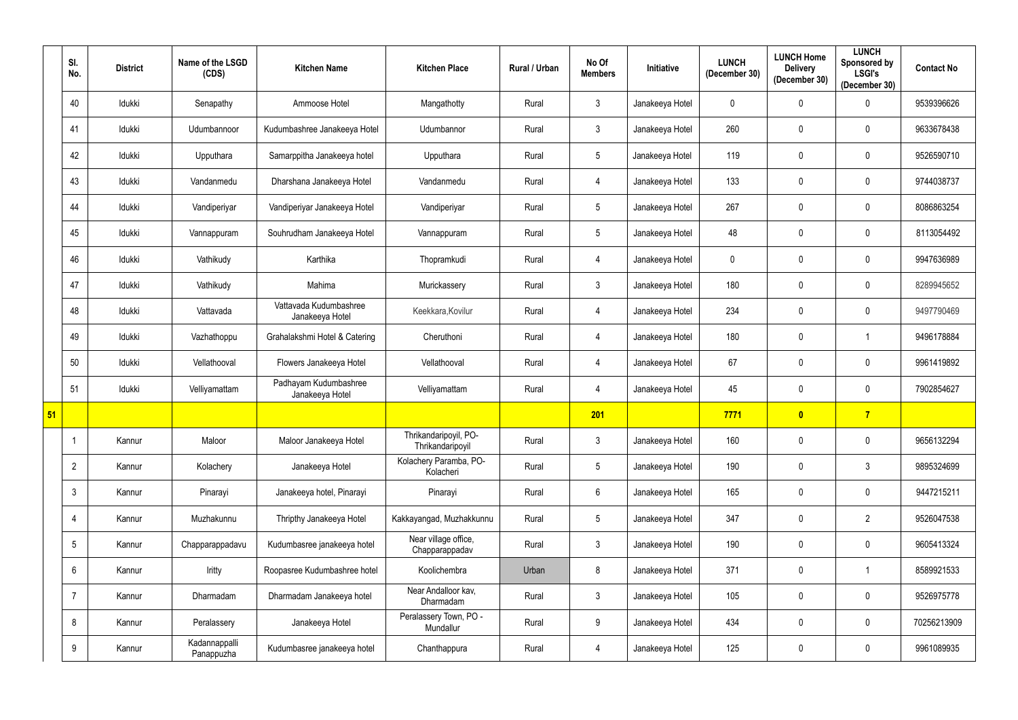|    | SI.<br>No.      | <b>District</b> | Name of the LSGD<br>(CDS)   | <b>Kitchen Name</b>                       | <b>Kitchen Place</b>                      | Rural / Urban | No Of<br><b>Members</b> | Initiative      | <b>LUNCH</b><br>(December 30) | <b>LUNCH Home</b><br><b>Delivery</b><br>(December 30) | <b>LUNCH</b><br>Sponsored by<br><b>LSGI's</b><br>(December 30) | <b>Contact No</b> |
|----|-----------------|-----------------|-----------------------------|-------------------------------------------|-------------------------------------------|---------------|-------------------------|-----------------|-------------------------------|-------------------------------------------------------|----------------------------------------------------------------|-------------------|
|    | 40              | Idukki          | Senapathy                   | Ammoose Hotel                             | Mangathotty                               | Rural         | $\mathfrak{Z}$          | Janakeeya Hotel | $\mathbf 0$                   | $\mathbf 0$                                           | $\mathbf 0$                                                    | 9539396626        |
|    | 41              | ldukki          | Udumbannoor                 | Kudumbashree Janakeeya Hotel              | Udumbannor                                | Rural         | $\mathfrak{Z}$          | Janakeeya Hotel | 260                           | 0                                                     | $\mathbf 0$                                                    | 9633678438        |
|    | 42              | Idukki          | Upputhara                   | Samarppitha Janakeeya hotel               | Upputhara                                 | Rural         | $\overline{5}$          | Janakeeya Hotel | 119                           | $\mathbf 0$                                           | $\mathbf 0$                                                    | 9526590710        |
|    | 43              | Idukki          | Vandanmedu                  | Dharshana Janakeeya Hotel                 | Vandanmedu                                | Rural         | $\overline{4}$          | Janakeeya Hotel | 133                           | $\mathbf 0$                                           | $\mathbf 0$                                                    | 9744038737        |
|    | 44              | Idukki          | Vandiperiyar                | Vandiperiyar Janakeeya Hotel              | Vandiperiyar                              | Rural         | $5\phantom{.0}$         | Janakeeya Hotel | 267                           | $\mathbf 0$                                           | $\mathbf 0$                                                    | 8086863254        |
|    | 45              | Idukki          | Vannappuram                 | Souhrudham Janakeeya Hotel                | Vannappuram                               | Rural         | $\overline{5}$          | Janakeeya Hotel | 48                            | $\mathbf 0$                                           | $\mathbf 0$                                                    | 8113054492        |
|    | 46              | Idukki          | Vathikudy                   | Karthika                                  | Thopramkudi                               | Rural         | 4                       | Janakeeya Hotel | $\mathbf 0$                   | $\mathbf 0$                                           | $\mathbf 0$                                                    | 9947636989        |
|    | 47              | Idukki          | Vathikudy                   | Mahima                                    | Murickassery                              | Rural         | $\mathfrak{Z}$          | Janakeeya Hotel | 180                           | 0                                                     | $\mathbf 0$                                                    | 8289945652        |
|    | 48              | Idukki          | Vattavada                   | Vattavada Kudumbashree<br>Janakeeya Hotel | Keekkara, Kovilur                         | Rural         | 4                       | Janakeeya Hotel | 234                           | $\mathbf 0$                                           | $\mathbf 0$                                                    | 9497790469        |
|    | 49              | Idukki          | Vazhathoppu                 | Grahalakshmi Hotel & Catering             | Cheruthoni                                | Rural         | 4                       | Janakeeya Hotel | 180                           | 0                                                     |                                                                | 9496178884        |
|    | 50              | Idukki          | Vellathooval                | Flowers Janakeeya Hotel                   | Vellathooval                              | Rural         | 4                       | Janakeeya Hotel | 67                            | $\mathbf 0$                                           | $\mathbf 0$                                                    | 9961419892        |
|    | 51              | Idukki          | Velliyamattam               | Padhayam Kudumbashree<br>Janakeeya Hotel  | Velliyamattam                             | Rural         | 4                       | Janakeeya Hotel | 45                            | 0                                                     | $\mathbf 0$                                                    | 7902854627        |
| 51 |                 |                 |                             |                                           |                                           |               | 201                     |                 | 7771                          | $\overline{\mathbf{0}}$                               | 7 <sup>7</sup>                                                 |                   |
|    |                 | Kannur          | Maloor                      | Maloor Janakeeya Hotel                    | Thrikandaripoyil, PO-<br>Thrikandaripoyil | Rural         | $\mathfrak{Z}$          | Janakeeya Hotel | 160                           | $\mathbf 0$                                           | $\mathbf 0$                                                    | 9656132294        |
|    | $\overline{2}$  | Kannur          | Kolachery                   | Janakeeya Hotel                           | Kolachery Paramba, PO-<br>Kolacheri       | Rural         | $5\phantom{.0}$         | Janakeeya Hotel | 190                           | 0                                                     | $\mathbf{3}$                                                   | 9895324699        |
|    | $\mathbf{3}$    | Kannur          | Pinarayi                    | Janakeeya hotel, Pinarayi                 | Pinarayi                                  | Rural         | $6\phantom{.0}$         | Janakeeya Hotel | 165                           | $\mathbf 0$                                           | $\mathbf 0$                                                    | 9447215211        |
|    | 4               | Kannur          | Muzhakunnu                  | Thripthy Janakeeya Hotel                  | Kakkayangad, Muzhakkunnu                  | Rural         | $5\phantom{.0}$         | Janakeeya Hotel | 347                           | $\mathbf 0$                                           | $\overline{2}$                                                 | 9526047538        |
|    | $5\overline{)}$ | Kannur          | Chapparappadavu             | Kudumbasree janakeeya hotel               | Near village office,<br>Chapparappadav    | Rural         | $\mathfrak{Z}$          | Janakeeya Hotel | 190                           | $\mathbf 0$                                           | $\mathbf 0$                                                    | 9605413324        |
|    | 6               | Kannur          | Iritty                      | Roopasree Kudumbashree hotel              | Koolichembra                              | Urban         | 8                       | Janakeeya Hotel | 371                           | $\bf{0}$                                              | $\mathbf{1}$                                                   | 8589921533        |
|    | $\overline{7}$  | Kannur          | Dharmadam                   | Dharmadam Janakeeya hotel                 | Near Andalloor kav,<br>Dharmadam          | Rural         | $\mathbf{3}$            | Janakeeya Hotel | 105                           | $\mathbf 0$                                           | $\mathbf 0$                                                    | 9526975778        |
|    | 8               | Kannur          | Peralassery                 | Janakeeya Hotel                           | Peralassery Town, PO -<br>Mundallur       | Rural         | 9                       | Janakeeya Hotel | 434                           | $\bf{0}$                                              | $\mathbf 0$                                                    | 70256213909       |
|    | 9               | Kannur          | Kadannappalli<br>Panappuzha | Kudumbasree janakeeya hotel               | Chanthappura                              | Rural         | $\overline{4}$          | Janakeeya Hotel | 125                           | $\boldsymbol{0}$                                      | $\bm{0}$                                                       | 9961089935        |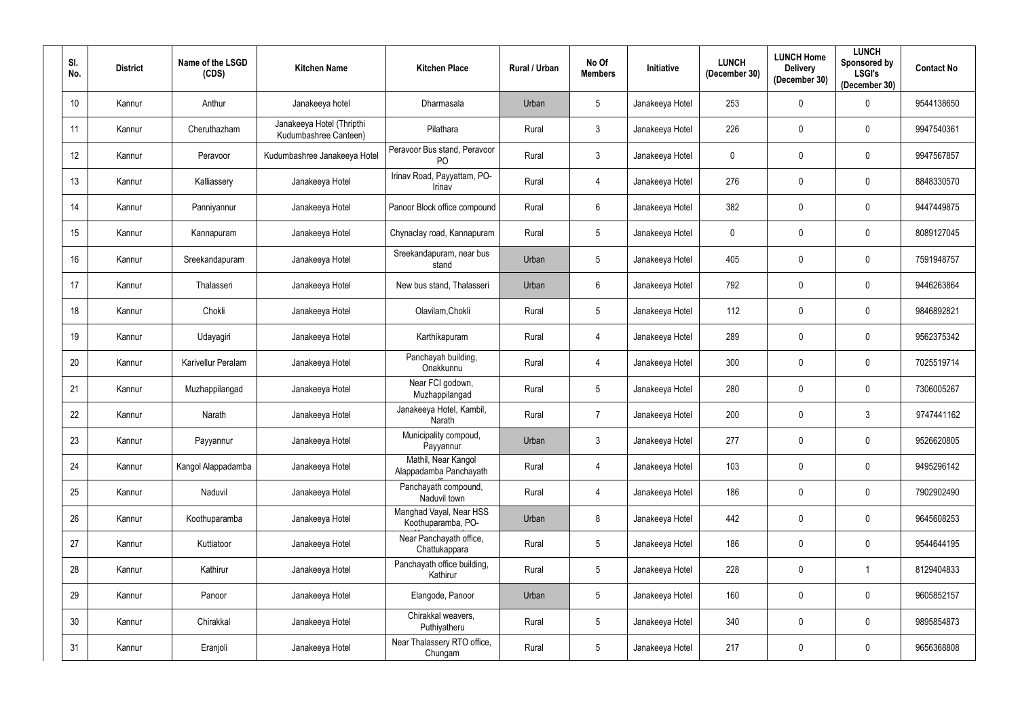| SI.<br>No.      | <b>District</b> | Name of the LSGD<br>(CDS) | <b>Kitchen Name</b>                                | <b>Kitchen Place</b>                           | <b>Rural / Urban</b> | No Of<br><b>Members</b> | <b>Initiative</b> | <b>LUNCH</b><br>(December 30) | <b>LUNCH Home</b><br><b>Delivery</b><br>(December 30) | <b>LUNCH</b><br>Sponsored by<br><b>LSGI's</b><br>(December 30) | <b>Contact No</b> |
|-----------------|-----------------|---------------------------|----------------------------------------------------|------------------------------------------------|----------------------|-------------------------|-------------------|-------------------------------|-------------------------------------------------------|----------------------------------------------------------------|-------------------|
| 10 <sup>1</sup> | Kannur          | Anthur                    | Janakeeya hotel                                    | Dharmasala                                     | Urban                | $5\phantom{.0}$         | Janakeeya Hotel   | 253                           | $\mathbf 0$                                           | $\mathbf 0$                                                    | 9544138650        |
| 11              | Kannur          | Cheruthazham              | Janakeeya Hotel (Thripthi<br>Kudumbashree Canteen) | Pilathara                                      | Rural                | $\mathbf{3}$            | Janakeeya Hotel   | 226                           | $\mathbf 0$                                           | $\mathbf{0}$                                                   | 9947540361        |
| 12              | Kannur          | Peravoor                  | Kudumbashree Janakeeya Hotel                       | Peravoor Bus stand, Peravoor<br>P <sub>O</sub> | Rural                | $\mathbf{3}$            | Janakeeya Hotel   | $\mathbf 0$                   | $\pmb{0}$                                             | $\mathbf{0}$                                                   | 9947567857        |
| 13              | Kannur          | Kalliassery               | Janakeeya Hotel                                    | Irinav Road, Payyattam, PO-<br>Irinav          | Rural                | 4                       | Janakeeya Hotel   | 276                           | $\mathbf 0$                                           | $\mathbf{0}$                                                   | 8848330570        |
| 14              | Kannur          | Panniyannur               | Janakeeya Hotel                                    | Panoor Block office compound                   | Rural                | $6\overline{6}$         | Janakeeya Hotel   | 382                           | $\mathbf 0$                                           | $\mathbf 0$                                                    | 9447449875        |
| 15              | Kannur          | Kannapuram                | Janakeeya Hotel                                    | Chynaclay road, Kannapuram                     | Rural                | $5\phantom{.0}$         | Janakeeya Hotel   | $\mathbf 0$                   | $\mathbf 0$                                           | $\mathbf 0$                                                    | 8089127045        |
| 16              | Kannur          | Sreekandapuram            | Janakeeya Hotel                                    | Sreekandapuram, near bus<br>stand              | Urban                | $5\overline{)}$         | Janakeeya Hotel   | 405                           | $\mathbf 0$                                           | $\mathbf 0$                                                    | 7591948757        |
| 17              | Kannur          | Thalasseri                | Janakeeya Hotel                                    | New bus stand, Thalasseri                      | Urban                | $6\overline{6}$         | Janakeeya Hotel   | 792                           | $\mathbf 0$                                           | $\mathbf{0}$                                                   | 9446263864        |
| 18              | Kannur          | Chokli                    | Janakeeya Hotel                                    | Olavilam, Chokli                               | Rural                | $5\phantom{.0}$         | Janakeeya Hotel   | 112                           | $\pmb{0}$                                             | $\mathbf{0}$                                                   | 9846892821        |
| 19              | Kannur          | Udayagiri                 | Janakeeya Hotel                                    | Karthikapuram                                  | Rural                | 4                       | Janakeeya Hotel   | 289                           | $\mathbf 0$                                           | $\mathbf{0}$                                                   | 9562375342        |
| 20              | Kannur          | Karivellur Peralam        | Janakeeya Hotel                                    | Panchayah building,<br>Onakkunnu               | Rural                | 4                       | Janakeeya Hotel   | 300                           | $\mathbf 0$                                           | $\mathbf{0}$                                                   | 7025519714        |
| 21              | Kannur          | Muzhappilangad            | Janakeeya Hotel                                    | Near FCI godown,<br>Muzhappilangad             | Rural                | $5\phantom{.0}$         | Janakeeya Hotel   | 280                           | $\mathbf 0$                                           | $\mathbf 0$                                                    | 7306005267        |
| 22              | Kannur          | Narath                    | Janakeeya Hotel                                    | Janakeeya Hotel, Kambil,<br>Narath             | Rural                | $\overline{7}$          | Janakeeya Hotel   | 200                           | $\mathbf 0$                                           | $\mathbf{3}$                                                   | 9747441162        |
| 23              | Kannur          | Payyannur                 | Janakeeya Hotel                                    | Municipality compoud,<br>Payyannur             | Urban                | $\mathbf{3}$            | Janakeeya Hotel   | 277                           | $\pmb{0}$                                             | $\mathbf 0$                                                    | 9526620805        |
| 24              | Kannur          | Kangol Alappadamba        | Janakeeya Hotel                                    | Mathil, Near Kangol<br>Alappadamba Panchayath  | Rural                | $\overline{4}$          | Janakeeya Hotel   | 103                           | $\mathbf 0$                                           | $\mathbf 0$                                                    | 9495296142        |
| 25              | Kannur          | Naduvil                   | Janakeeya Hotel                                    | Panchayath compound,<br>Naduvil town           | Rural                | $\overline{4}$          | Janakeeya Hotel   | 186                           | $\mathbf 0$                                           | $\mathbf 0$                                                    | 7902902490        |
| 26              | Kannur          | Koothuparamba             | Janakeeya Hotel                                    | Manghad Vayal, Near HSS<br>Koothuparamba, PO-  | Urban                | 8                       | Janakeeya Hotel   | 442                           | $\mathbf 0$                                           | $\mathbf 0$                                                    | 9645608253        |
| 27              | Kannur          | Kuttiatoor                | Janakeeya Hotel                                    | Near Panchayath office,<br>Chattukappara       | Rural                | $5\overline{)}$         | Janakeeya Hotel   | 186                           | $\pmb{0}$                                             | $\mathbf 0$                                                    | 9544644195        |
| 28              | Kannur          | Kathirur                  | Janakeeya Hotel                                    | Panchayath office building,<br>Kathirur        | Rural                | $5\phantom{.0}$         | Janakeeya Hotel   | 228                           | $\mathbf 0$                                           |                                                                | 8129404833        |
| 29              | Kannur          | Panoor                    | Janakeeya Hotel                                    | Elangode, Panoor                               | Urban                | $5\phantom{.0}$         | Janakeeya Hotel   | 160                           | $\pmb{0}$                                             | $\mathbf 0$                                                    | 9605852157        |
| 30              | Kannur          | Chirakkal                 | Janakeeya Hotel                                    | Chirakkal weavers,<br>Puthiyatheru             | Rural                | $5\phantom{.0}$         | Janakeeya Hotel   | 340                           | $\pmb{0}$                                             | $\pmb{0}$                                                      | 9895854873        |
| 31              | Kannur          | Eranjoli                  | Janakeeya Hotel                                    | Near Thalassery RTO office,<br>Chungam         | Rural                | 5 <sub>5</sub>          | Janakeeya Hotel   | 217                           | 0                                                     | $\pmb{0}$                                                      | 9656368808        |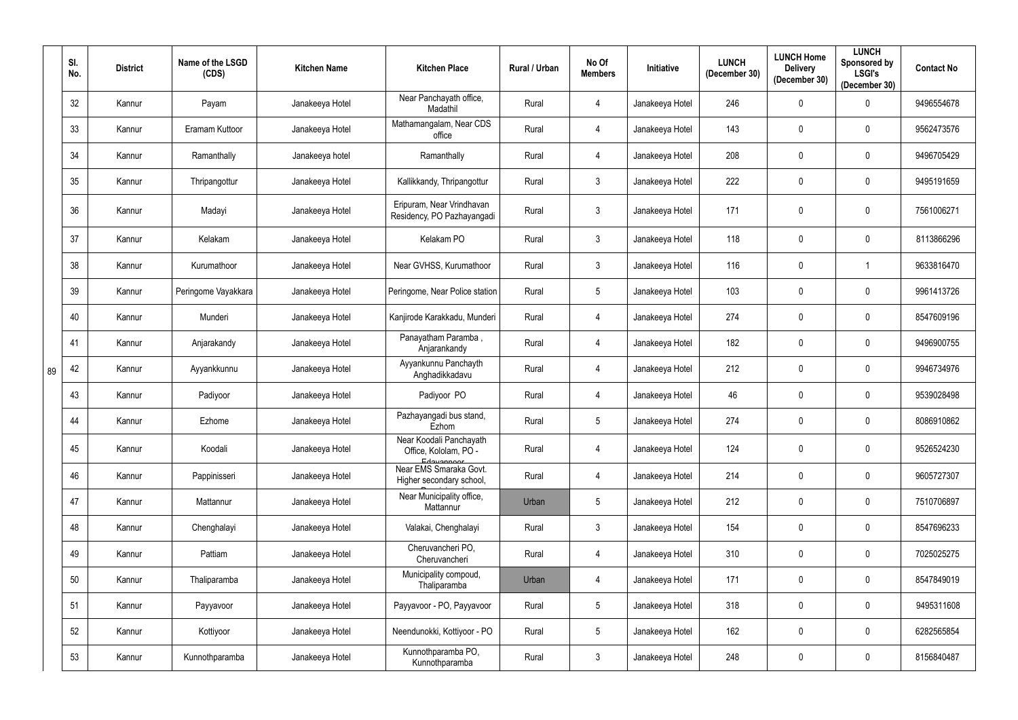|    | SI.<br>No. | <b>District</b> | Name of the LSGD<br>(CDS) | <b>Kitchen Name</b> | <b>Kitchen Place</b>                                           | Rural / Urban | No Of<br><b>Members</b> | Initiative      | <b>LUNCH</b><br>(December 30) | <b>LUNCH Home</b><br><b>Delivery</b><br>(December 30) | <b>LUNCH</b><br>Sponsored by<br><b>LSGI's</b><br>(December 30) | <b>Contact No</b> |
|----|------------|-----------------|---------------------------|---------------------|----------------------------------------------------------------|---------------|-------------------------|-----------------|-------------------------------|-------------------------------------------------------|----------------------------------------------------------------|-------------------|
|    | 32         | Kannur          | Payam                     | Janakeeya Hotel     | Near Panchayath office,<br>Madathil                            | Rural         | 4                       | Janakeeya Hotel | 246                           | 0                                                     | 0                                                              | 9496554678        |
|    | 33         | Kannur          | Eramam Kuttoor            | Janakeeya Hotel     | Mathamangalam, Near CDS<br>office                              | Rural         | $\overline{4}$          | Janakeeya Hotel | 143                           | 0                                                     | $\boldsymbol{0}$                                               | 9562473576        |
|    | 34         | Kannur          | Ramanthally               | Janakeeya hotel     | Ramanthally                                                    | Rural         | $\overline{4}$          | Janakeeya Hotel | 208                           | $\mathbf 0$                                           | $\boldsymbol{0}$                                               | 9496705429        |
|    | 35         | Kannur          | Thripangottur             | Janakeeya Hotel     | Kallikkandy, Thripangottur                                     | Rural         | 3                       | Janakeeya Hotel | 222                           | 0                                                     | $\mathbf 0$                                                    | 9495191659        |
|    | 36         | Kannur          | Madayi                    | Janakeeya Hotel     | Eripuram, Near Vrindhavan<br>Residency, PO Pazhayangadi        | Rural         | 3                       | Janakeeya Hotel | 171                           | $\mathbf 0$                                           | $\mathbf 0$                                                    | 7561006271        |
|    | 37         | Kannur          | Kelakam                   | Janakeeya Hotel     | Kelakam PO                                                     | Rural         | 3                       | Janakeeya Hotel | 118                           | $\mathbf 0$                                           | $\mathbf 0$                                                    | 8113866296        |
|    | 38         | Kannur          | Kurumathoor               | Janakeeya Hotel     | Near GVHSS, Kurumathoor                                        | Rural         | 3                       | Janakeeya Hotel | 116                           | 0                                                     | 1                                                              | 9633816470        |
|    | 39         | Kannur          | Peringome Vayakkara       | Janakeeya Hotel     | Peringome, Near Police station                                 | Rural         | 5                       | Janakeeya Hotel | 103                           | $\mathbf 0$                                           | $\mathbf 0$                                                    | 9961413726        |
|    | 40         | Kannur          | Munderi                   | Janakeeya Hotel     | Kanjirode Karakkadu, Munderi                                   | Rural         | 4                       | Janakeeya Hotel | 274                           | $\mathbf 0$                                           | $\mathbf 0$                                                    | 8547609196        |
|    | 41         | Kannur          | Anjarakandy               | Janakeeya Hotel     | Panayatham Paramba,<br>Anjarankandy                            | Rural         | 4                       | Janakeeya Hotel | 182                           | $\mathbf 0$                                           | $\mathbf 0$                                                    | 9496900755        |
| 89 | 42         | Kannur          | Ayyankkunnu               | Janakeeya Hotel     | Ayyankunnu Panchayth<br>Anghadikkadavu                         | Rural         | 4                       | Janakeeya Hotel | 212                           | $\mathbf 0$                                           | $\mathbf 0$                                                    | 9946734976        |
|    | 43         | Kannur          | Padiyoor                  | Janakeeya Hotel     | Padiyoor PO                                                    | Rural         | 4                       | Janakeeya Hotel | 46                            | $\mathbf 0$                                           | $\boldsymbol{0}$                                               | 9539028498        |
|    | 44         | Kannur          | Ezhome                    | Janakeeya Hotel     | Pazhayangadi bus stand,<br>Ezhom                               | Rural         | 5                       | Janakeeya Hotel | 274                           | 0                                                     | 0                                                              | 8086910862        |
|    | 45         | Kannur          | Koodali                   | Janakeeya Hotel     | Near Koodali Panchayath<br>Office, Kololam, PO -<br>Edavannoor | Rural         | $\overline{4}$          | Janakeeya Hotel | 124                           | $\boldsymbol{0}$                                      | $\mathbf 0$                                                    | 9526524230        |
|    | 46         | Kannur          | Pappinisseri              | Janakeeya Hotel     | Near EMS Smaraka Govt.<br>Higher secondary school,             | Rural         | $\overline{4}$          | Janakeeya Hotel | 214                           | $\mathbf 0$                                           | $\mathbf 0$                                                    | 9605727307        |
|    | 47         | Kannur          | Mattannur                 | Janakeeya Hotel     | Near Municipality office,<br>Mattannur                         | Urban         | $5\phantom{.0}$         | Janakeeya Hotel | 212                           | $\mathbf 0$                                           | $\mathbf 0$                                                    | 7510706897        |
|    | 48         | Kannur          | Chenghalayi               | Janakeeya Hotel     | Valakai, Chenghalayi                                           | Rural         | $\mathbf{3}$            | Janakeeya Hotel | 154                           | $\mathbf 0$                                           | $\mathbf 0$                                                    | 8547696233        |
|    | 49         | Kannur          | Pattiam                   | Janakeeya Hotel     | Cheruvancheri PO,<br>Cheruvancheri                             | Rural         | $\overline{4}$          | Janakeeya Hotel | 310                           | $\boldsymbol{0}$                                      | $\bm{0}$                                                       | 7025025275        |
|    | 50         | Kannur          | Thaliparamba              | Janakeeya Hotel     | Municipality compoud,<br>Thaliparamba                          | Urban         | 4                       | Janakeeya Hotel | 171                           | $\boldsymbol{0}$                                      | $\mathbf 0$                                                    | 8547849019        |
|    | 51         | Kannur          | Payyavoor                 | Janakeeya Hotel     | Payyavoor - PO, Payyavoor                                      | Rural         | $5\phantom{.0}$         | Janakeeya Hotel | 318                           | $\boldsymbol{0}$                                      | $\mathbf 0$                                                    | 9495311608        |
|    | 52         | Kannur          | Kottiyoor                 | Janakeeya Hotel     | Neendunokki, Kottiyoor - PO                                    | Rural         | $5\phantom{.0}$         | Janakeeya Hotel | 162                           | $\pmb{0}$                                             | $\pmb{0}$                                                      | 6282565854        |
|    | 53         | Kannur          | Kunnothparamba            | Janakeeya Hotel     | Kunnothparamba PO,<br>Kunnothparamba                           | Rural         | $\mathfrak{Z}$          | Janakeeya Hotel | 248                           | $\pmb{0}$                                             | $\bm{0}$                                                       | 8156840487        |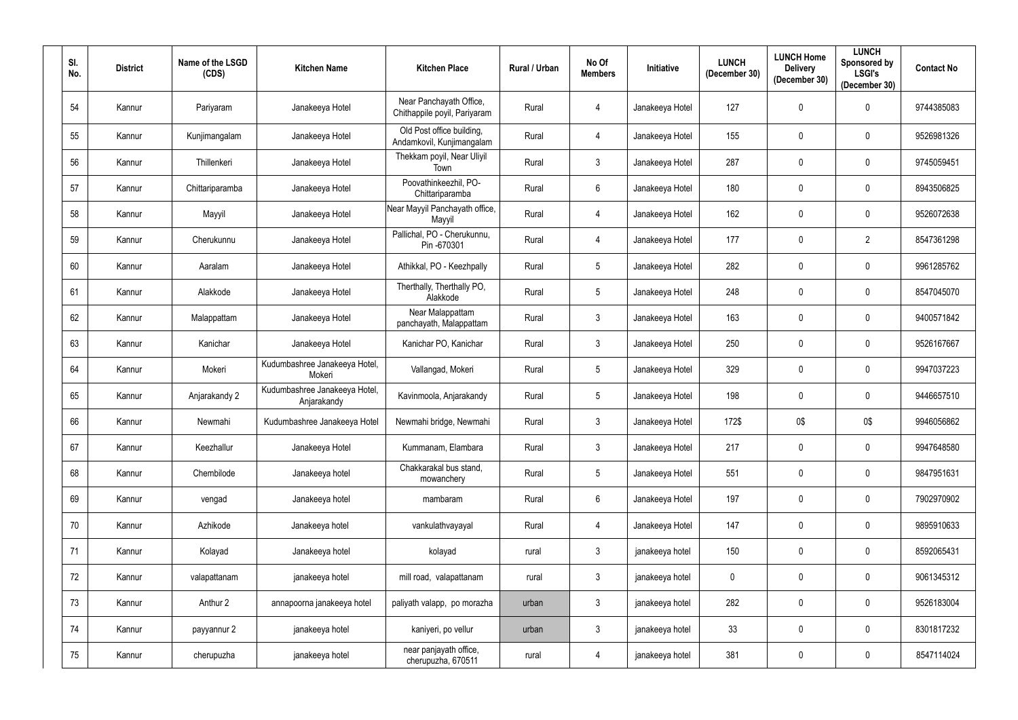| SI.<br>No. | <b>District</b> | Name of the LSGD<br>(CDS) | <b>Kitchen Name</b>                          | <b>Kitchen Place</b>                                    | Rural / Urban | No Of<br><b>Members</b> | <b>Initiative</b> | <b>LUNCH</b><br>(December 30) | <b>LUNCH Home</b><br><b>Delivery</b><br>(December 30) | <b>LUNCH</b><br>Sponsored by<br><b>LSGI's</b><br>(December 30) | <b>Contact No</b> |
|------------|-----------------|---------------------------|----------------------------------------------|---------------------------------------------------------|---------------|-------------------------|-------------------|-------------------------------|-------------------------------------------------------|----------------------------------------------------------------|-------------------|
| 54         | Kannur          | Pariyaram                 | Janakeeya Hotel                              | Near Panchayath Office,<br>Chithappile poyil, Pariyaram | Rural         | $\overline{4}$          | Janakeeya Hotel   | 127                           | $\mathbf 0$                                           | $\mathbf 0$                                                    | 9744385083        |
| 55         | Kannur          | Kunjimangalam             | Janakeeya Hotel                              | Old Post office building,<br>Andamkovil, Kunjimangalam  | Rural         | $\overline{4}$          | Janakeeya Hotel   | 155                           | $\mathbf 0$                                           | $\boldsymbol{0}$                                               | 9526981326        |
| 56         | Kannur          | Thillenkeri               | Janakeeya Hotel                              | Thekkam poyil, Near Uliyil<br>Town                      | Rural         | $\mathfrak{Z}$          | Janakeeya Hotel   | 287                           | $\mathbf 0$                                           | $\boldsymbol{0}$                                               | 9745059451        |
| 57         | Kannur          | Chittariparamba           | Janakeeya Hotel                              | Poovathinkeezhil, PO-<br>Chittariparamba                | Rural         | $6\phantom{.0}$         | Janakeeya Hotel   | 180                           | $\mathbf 0$                                           | $\mathbf 0$                                                    | 8943506825        |
| 58         | Kannur          | Mayyil                    | Janakeeya Hotel                              | Near Mayyil Panchayath office,<br>Mayyil                | Rural         | $\overline{4}$          | Janakeeya Hotel   | 162                           | $\mathbf 0$                                           | $\boldsymbol{0}$                                               | 9526072638        |
| 59         | Kannur          | Cherukunnu                | Janakeeya Hotel                              | Pallichal, PO - Cherukunnu,<br>Pin -670301              | Rural         | $\overline{4}$          | Janakeeya Hotel   | 177                           | $\mathbf 0$                                           | $\overline{2}$                                                 | 8547361298        |
| 60         | Kannur          | Aaralam                   | Janakeeya Hotel                              | Athikkal, PO - Keezhpally                               | Rural         | $\overline{5}$          | Janakeeya Hotel   | 282                           | $\mathbf 0$                                           | $\mathbf 0$                                                    | 9961285762        |
| 61         | Kannur          | Alakkode                  | Janakeeya Hotel                              | Therthally, Therthally PO,<br>Alakkode                  | Rural         | $5\phantom{.0}$         | Janakeeya Hotel   | 248                           | $\mathbf 0$                                           | $\boldsymbol{0}$                                               | 8547045070        |
| 62         | Kannur          | Malappattam               | Janakeeya Hotel                              | Near Malappattam<br>panchayath, Malappattam             | Rural         | $3\phantom{.0}$         | Janakeeya Hotel   | 163                           | $\mathbf 0$                                           | $\mathbf 0$                                                    | 9400571842        |
| 63         | Kannur          | Kanichar                  | Janakeeya Hotel                              | Kanichar PO, Kanichar                                   | Rural         | $\mathfrak{Z}$          | Janakeeya Hotel   | 250                           | 0                                                     | $\boldsymbol{0}$                                               | 9526167667        |
| 64         | Kannur          | Mokeri                    | Kudumbashree Janakeeya Hotel,<br>Mokeri      | Vallangad, Mokeri                                       | Rural         | $\overline{5}$          | Janakeeya Hotel   | 329                           | $\overline{0}$                                        | $\mathbf 0$                                                    | 9947037223        |
| 65         | Kannur          | Anjarakandy 2             | Kudumbashree Janakeeya Hotel,<br>Anjarakandy | Kavinmoola, Anjarakandy                                 | Rural         | $\overline{5}$          | Janakeeya Hotel   | 198                           | 0                                                     | 0                                                              | 9446657510        |
| 66         | Kannur          | Newmahi                   | Kudumbashree Janakeeya Hotel                 | Newmahi bridge, Newmahi                                 | Rural         | $\mathbf{3}$            | Janakeeya Hotel   | 172\$                         | 0\$                                                   | 0\$                                                            | 9946056862        |
| 67         | Kannur          | Keezhallur                | Janakeeya Hotel                              | Kummanam, Elambara                                      | Rural         | $\mathbf{3}$            | Janakeeya Hotel   | 217                           | $\mathbf 0$                                           | $\mathbf 0$                                                    | 9947648580        |
| 68         | Kannur          | Chembilode                | Janakeeya hotel                              | Chakkarakal bus stand,<br>mowanchery                    | Rural         | $\overline{5}$          | Janakeeya Hotel   | 551                           | $\mathbf 0$                                           | $\mathbf 0$                                                    | 9847951631        |
| 69         | Kannur          | vengad                    | Janakeeya hotel                              | mambaram                                                | Rural         | $6\phantom{.0}$         | Janakeeya Hotel   | 197                           | $\mathbf 0$                                           | $\mathbf 0$                                                    | 7902970902        |
| 70         | Kannur          | Azhikode                  | Janakeeya hotel                              | vankulathvayayal                                        | Rural         | $\overline{4}$          | Janakeeya Hotel   | 147                           | $\mathbf 0$                                           | $\mathbf 0$                                                    | 9895910633        |
| 71         | Kannur          | Kolayad                   | Janakeeya hotel                              | kolayad                                                 | rural         | $\mathfrak{Z}$          | janakeeya hotel   | 150                           | $\mathbf 0$                                           | $\mathbf 0$                                                    | 8592065431        |
| 72         | Kannur          | valapattanam              | janakeeya hotel                              | mill road, valapattanam                                 | rural         | $\mathbf{3}$            | janakeeya hotel   | $\mathbf 0$                   | $\mathbf 0$                                           | $\mathbf 0$                                                    | 9061345312        |
| 73         | Kannur          | Anthur 2                  | annapoorna janakeeya hotel                   | paliyath valapp, po morazha                             | urban         | $\mathfrak{Z}$          | janakeeya hotel   | 282                           | $\mathbf 0$                                           | $\mathbf 0$                                                    | 9526183004        |
| 74         | Kannur          | payyannur 2               | janakeeya hotel                              | kaniyeri, po vellur                                     | urban         | $\mathfrak{Z}$          | janakeeya hotel   | 33                            | $\mathbf 0$                                           | $\mathbf 0$                                                    | 8301817232        |
| 75         | Kannur          | cherupuzha                | janakeeya hotel                              | near panjayath office,<br>cherupuzha, 670511            | rural         | 4                       | janakeeya hotel   | 381                           | $\pmb{0}$                                             | $\bm{0}$                                                       | 8547114024        |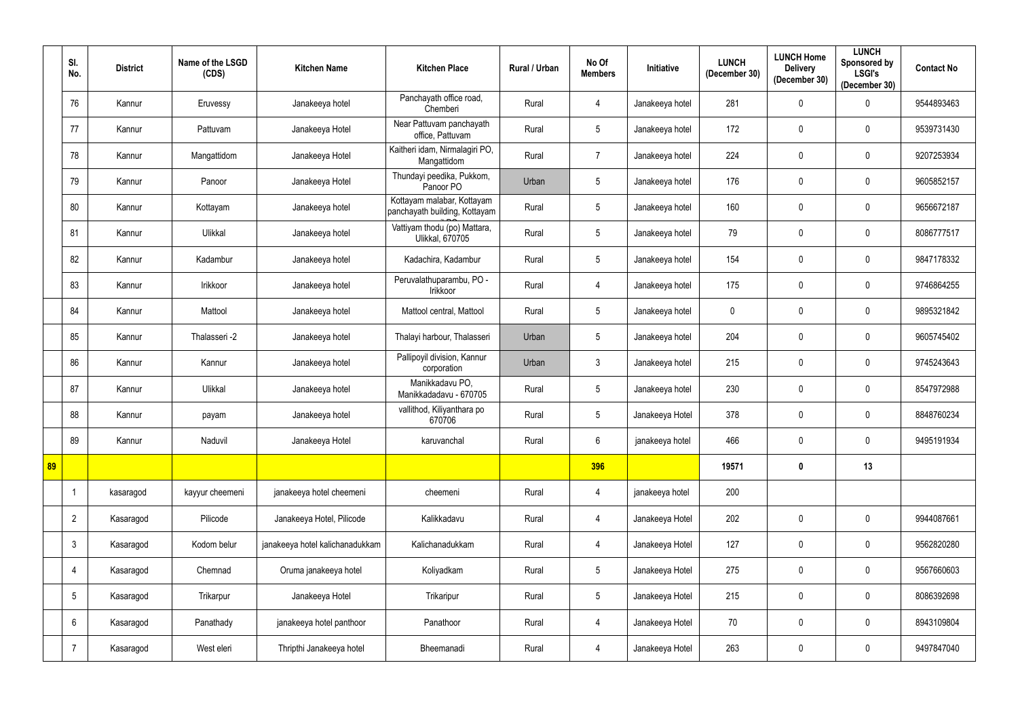|    | SI.<br>No.      | <b>District</b> | Name of the LSGD<br>(CDS) | <b>Kitchen Name</b>             | <b>Kitchen Place</b>                                        | <b>Rural / Urban</b> | No Of<br><b>Members</b> | Initiative      | <b>LUNCH</b><br>(December 30) | <b>LUNCH Home</b><br><b>Delivery</b><br>(December 30) | <b>LUNCH</b><br>Sponsored by<br><b>LSGI's</b><br>(December 30) | <b>Contact No</b> |
|----|-----------------|-----------------|---------------------------|---------------------------------|-------------------------------------------------------------|----------------------|-------------------------|-----------------|-------------------------------|-------------------------------------------------------|----------------------------------------------------------------|-------------------|
|    | 76              | Kannur          | Eruvessy                  | Janakeeya hotel                 | Panchayath office road,<br>Chemberi                         | Rural                | 4                       | Janakeeya hotel | 281                           | $\mathbf 0$                                           | 0                                                              | 9544893463        |
|    | 77              | Kannur          | Pattuvam                  | Janakeeya Hotel                 | Near Pattuvam panchayath<br>office, Pattuvam                | Rural                | $5\phantom{.0}$         | Janakeeya hotel | 172                           | $\mathbf 0$                                           | $\boldsymbol{0}$                                               | 9539731430        |
|    | 78              | Kannur          | Mangattidom               | Janakeeya Hotel                 | Kaitheri idam, Nirmalagiri PO,<br>Mangattidom               | Rural                | $\overline{7}$          | Janakeeya hotel | 224                           | $\mathbf 0$                                           | $\mathbf 0$                                                    | 9207253934        |
|    | 79              | Kannur          | Panoor                    | Janakeeya Hotel                 | Thundayi peedika, Pukkom,<br>Panoor PO                      | Urban                | $5\phantom{.0}$         | Janakeeya hotel | 176                           | $\mathbf 0$                                           | $\boldsymbol{0}$                                               | 9605852157        |
|    | 80              | Kannur          | Kottayam                  | Janakeeya hotel                 | Kottayam malabar, Kottayam<br>panchayath building, Kottayam | Rural                | $5\phantom{.0}$         | Janakeeya hotel | 160                           | $\mathbf 0$                                           | $\mathbf 0$                                                    | 9656672187        |
|    | 81              | Kannur          | Ulikkal                   | Janakeeya hotel                 | Vattiyam thodu (po) Mattara,<br><b>Ulikkal, 670705</b>      | Rural                | $5\phantom{.0}$         | Janakeeya hotel | 79                            | $\mathbf 0$                                           | $\mathbf 0$                                                    | 8086777517        |
|    | 82              | Kannur          | Kadambur                  | Janakeeya hotel                 | Kadachira, Kadambur                                         | Rural                | $5\phantom{.0}$         | Janakeeya hotel | 154                           | $\mathbf 0$                                           | $\mathbf 0$                                                    | 9847178332        |
|    | 83              | Kannur          | Irikkoor                  | Janakeeya hotel                 | Peruvalathuparambu, PO -<br>Irikkoor                        | Rural                | 4                       | Janakeeya hotel | 175                           | $\mathbf 0$                                           | $\boldsymbol{0}$                                               | 9746864255        |
|    | 84              | Kannur          | Mattool                   | Janakeeya hotel                 | Mattool central, Mattool                                    | Rural                | $5\phantom{.0}$         | Janakeeya hotel | $\mathbf 0$                   | $\mathbf 0$                                           | $\mathbf 0$                                                    | 9895321842        |
|    | 85              | Kannur          | Thalasseri -2             | Janakeeya hotel                 | Thalayi harbour, Thalasseri                                 | Urban                | $5\phantom{.0}$         | Janakeeya hotel | 204                           | $\mathbf 0$                                           | $\boldsymbol{0}$                                               | 9605745402        |
|    | 86              | Kannur          | Kannur                    | Janakeeya hotel                 | Pallipoyil division, Kannur<br>corporation                  | Urban                | $\mathbf{3}$            | Janakeeya hotel | 215                           | $\mathbf 0$                                           | $\mathbf 0$                                                    | 9745243643        |
|    | 87              | Kannur          | Ulikkal                   | Janakeeya hotel                 | Manikkadavu PO,<br>Manikkadadavu - 670705                   | Rural                | $5\phantom{.0}$         | Janakeeya hotel | 230                           | $\mathbf{0}$                                          | $\boldsymbol{0}$                                               | 8547972988        |
|    | 88              | Kannur          | payam                     | Janakeeya hotel                 | vallithod, Kiliyanthara po<br>670706                        | Rural                | $5\phantom{.0}$         | Janakeeya Hotel | 378                           | $\mathbf 0$                                           | $\mathbf 0$                                                    | 8848760234        |
|    | 89              | Kannur          | Naduvil                   | Janakeeya Hotel                 | karuvanchal                                                 | Rural                | $6\phantom{.0}$         | janakeeya hotel | 466                           | $\mathbf 0$                                           | $\overline{0}$                                                 | 9495191934        |
| 89 |                 |                 |                           |                                 |                                                             |                      | 396                     |                 | 19571                         | $\mathbf 0$                                           | 13                                                             |                   |
|    |                 | kasaragod       | kayyur cheemeni           | janakeeya hotel cheemeni        | cheemeni                                                    | Rural                | $\overline{4}$          | janakeeya hotel | 200                           |                                                       |                                                                |                   |
|    | $\overline{2}$  | Kasaragod       | Pilicode                  | Janakeeya Hotel, Pilicode       | Kalikkadavu                                                 | Rural                | 4                       | Janakeeya Hotel | 202                           | $\mathbf 0$                                           | $\mathbf 0$                                                    | 9944087661        |
|    | $\mathbf{3}$    | Kasaragod       | Kodom belur               | janakeeya hotel kalichanadukkam | Kalichanadukkam                                             | Rural                | 4                       | Janakeeya Hotel | 127                           | $\mathbf 0$                                           | $\mathbf 0$                                                    | 9562820280        |
|    | 4               | Kasaragod       | Chemnad                   | Oruma janakeeya hotel           | Koliyadkam                                                  | Rural                | $\sqrt{5}$              | Janakeeya Hotel | 275                           | $\pmb{0}$                                             | $\pmb{0}$                                                      | 9567660603        |
|    | $5\phantom{.0}$ | Kasaragod       | Trikarpur                 | Janakeeya Hotel                 | Trikaripur                                                  | Rural                | $\sqrt{5}$              | Janakeeya Hotel | 215                           | $\mathbf 0$                                           | $\bm{0}$                                                       | 8086392698        |
|    | 6               | Kasaragod       | Panathady                 | janakeeya hotel panthoor        | Panathoor                                                   | Rural                | 4                       | Janakeeya Hotel | 70                            | $\mathbf 0$                                           | $\bm{0}$                                                       | 8943109804        |
|    | $\overline{7}$  | Kasaragod       | West eleri                | Thripthi Janakeeya hotel        | Bheemanadi                                                  | Rural                | $\overline{4}$          | Janakeeya Hotel | 263                           | $\overline{0}$                                        | $\bm{0}$                                                       | 9497847040        |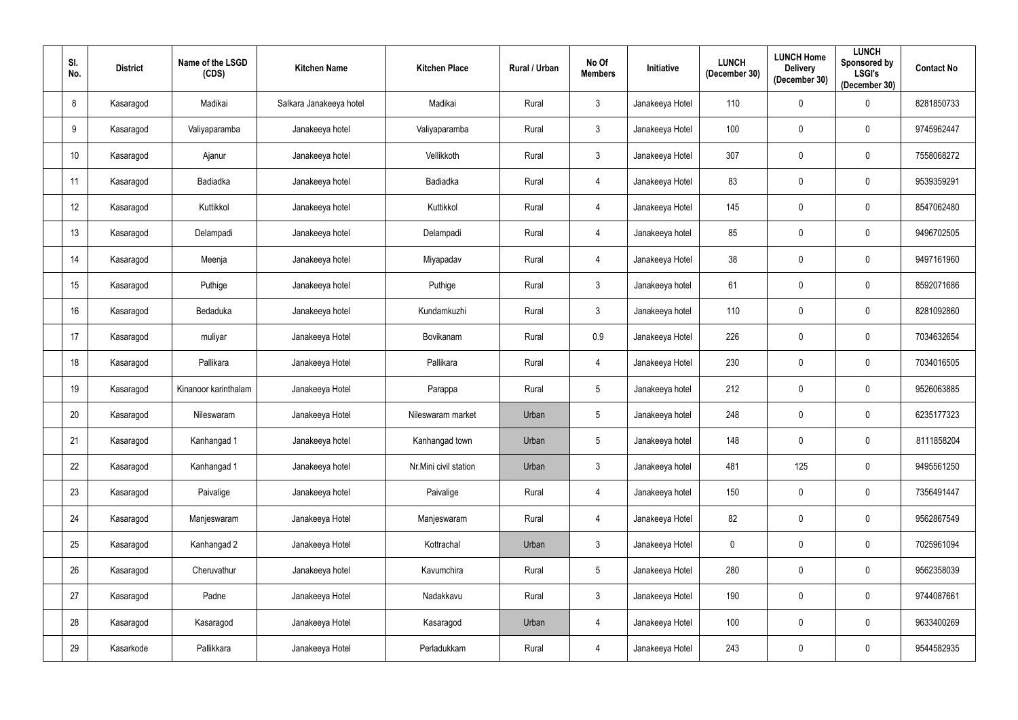| SI.<br>No. | <b>District</b> | Name of the LSGD<br>(CDS) | <b>Kitchen Name</b>     | <b>Kitchen Place</b>  | Rural / Urban | No Of<br><b>Members</b> | Initiative      | <b>LUNCH</b><br>(December 30) | <b>LUNCH Home</b><br><b>Delivery</b><br>(December 30) | <b>LUNCH</b><br>Sponsored by<br><b>LSGI's</b><br>(December 30) | <b>Contact No</b> |
|------------|-----------------|---------------------------|-------------------------|-----------------------|---------------|-------------------------|-----------------|-------------------------------|-------------------------------------------------------|----------------------------------------------------------------|-------------------|
| 8          | Kasaragod       | Madikai                   | Salkara Janakeeya hotel | Madikai               | Rural         | $\mathfrak{Z}$          | Janakeeya Hotel | 110                           | $\mathbf 0$                                           | $\boldsymbol{0}$                                               | 8281850733        |
| 9          | Kasaragod       | Valiyaparamba             | Janakeeya hotel         | Valiyaparamba         | Rural         | $\mathbf{3}$            | Janakeeya Hotel | 100                           | $\mathbf 0$                                           | $\overline{0}$                                                 | 9745962447        |
| 10         | Kasaragod       | Ajanur                    | Janakeeya hotel         | Vellikkoth            | Rural         | $\mathbf{3}$            | Janakeeya Hotel | 307                           | $\mathbf 0$                                           | $\overline{0}$                                                 | 7558068272        |
| 11         | Kasaragod       | Badiadka                  | Janakeeya hotel         | Badiadka              | Rural         | 4                       | Janakeeya Hotel | 83                            | $\mathbf 0$                                           | $\overline{0}$                                                 | 9539359291        |
| 12         | Kasaragod       | Kuttikkol                 | Janakeeya hotel         | Kuttikkol             | Rural         | 4                       | Janakeeya Hotel | 145                           | $\mathbf 0$                                           | $\overline{0}$                                                 | 8547062480        |
| 13         | Kasaragod       | Delampadi                 | Janakeeya hotel         | Delampadi             | Rural         | 4                       | Janakeeya hotel | 85                            | $\mathbf 0$                                           | $\overline{0}$                                                 | 9496702505        |
| 14         | Kasaragod       | Meenja                    | Janakeeya hotel         | Miyapadav             | Rural         | 4                       | Janakeeya Hotel | 38                            | $\mathbf 0$                                           | $\overline{0}$                                                 | 9497161960        |
| 15         | Kasaragod       | Puthige                   | Janakeeya hotel         | Puthige               | Rural         | $\mathfrak{Z}$          | Janakeeya hotel | 61                            | $\mathbf 0$                                           | $\pmb{0}$                                                      | 8592071686        |
| 16         | Kasaragod       | Bedaduka                  | Janakeeya hotel         | Kundamkuzhi           | Rural         | $\mathbf{3}$            | Janakeeya hotel | 110                           | $\mathbf 0$                                           | $\overline{0}$                                                 | 8281092860        |
| 17         | Kasaragod       | muliyar                   | Janakeeya Hotel         | Bovikanam             | Rural         | 0.9                     | Janakeeya Hotel | 226                           | $\mathbf 0$                                           | $\overline{0}$                                                 | 7034632654        |
| 18         | Kasaragod       | Pallikara                 | Janakeeya Hotel         | Pallikara             | Rural         | $\overline{4}$          | Janakeeya Hotel | 230                           | $\mathbf 0$                                           | $\overline{0}$                                                 | 7034016505        |
| 19         | Kasaragod       | Kinanoor karinthalam      | Janakeeya Hotel         | Parappa               | Rural         | $5\phantom{.0}$         | Janakeeya hotel | 212                           | $\mathbf 0$                                           | $\overline{0}$                                                 | 9526063885        |
| 20         | Kasaragod       | Nileswaram                | Janakeeya Hotel         | Nileswaram market     | Urban         | $5\phantom{.0}$         | Janakeeya hotel | 248                           | $\mathbf 0$                                           | $\overline{0}$                                                 | 6235177323        |
| 21         | Kasaragod       | Kanhangad 1               | Janakeeya hotel         | Kanhangad town        | Urban         | $5\phantom{.0}$         | Janakeeya hotel | 148                           | $\mathbf 0$                                           | $\mathbf 0$                                                    | 8111858204        |
| 22         | Kasaragod       | Kanhangad 1               | Janakeeya hotel         | Nr.Mini civil station | Urban         | $\mathbf{3}$            | Janakeeya hotel | 481                           | 125                                                   | $\bf{0}$                                                       | 9495561250        |
| 23         | Kasaragod       | Paivalige                 | Janakeeya hotel         | Paivalige             | Rural         | $\overline{4}$          | Janakeeya hotel | 150                           | $\mathbf 0$                                           | $\bm{0}$                                                       | 7356491447        |
| 24         | Kasaragod       | Manjeswaram               | Janakeeya Hotel         | Manjeswaram           | Rural         | $\overline{4}$          | Janakeeya Hotel | 82                            | $\mathbf 0$                                           | $\bm{0}$                                                       | 9562867549        |
| 25         | Kasaragod       | Kanhangad 2               | Janakeeya Hotel         | Kottrachal            | Urban         | $\mathbf{3}$            | Janakeeya Hotel | $\pmb{0}$                     | $\mathbf 0$                                           | $\bm{0}$                                                       | 7025961094        |
| 26         | Kasaragod       | Cheruvathur               | Janakeeya hotel         | Kavumchira            | Rural         | $5\phantom{.0}$         | Janakeeya Hotel | 280                           | $\pmb{0}$                                             | $\bm{0}$                                                       | 9562358039        |
| 27         | Kasaragod       | Padne                     | Janakeeya Hotel         | Nadakkavu             | Rural         | $\mathbf{3}$            | Janakeeya Hotel | 190                           | $\mathbf 0$                                           | $\bm{0}$                                                       | 9744087661        |
| 28         | Kasaragod       | Kasaragod                 | Janakeeya Hotel         | Kasaragod             | Urban         | $\overline{4}$          | Janakeeya Hotel | 100                           | $\mathbf 0$                                           | $\bm{0}$                                                       | 9633400269        |
| 29         | Kasarkode       | Pallikkara                | Janakeeya Hotel         | Perladukkam           | Rural         | $\overline{4}$          | Janakeeya Hotel | 243                           | $\overline{0}$                                        | $\bf{0}$                                                       | 9544582935        |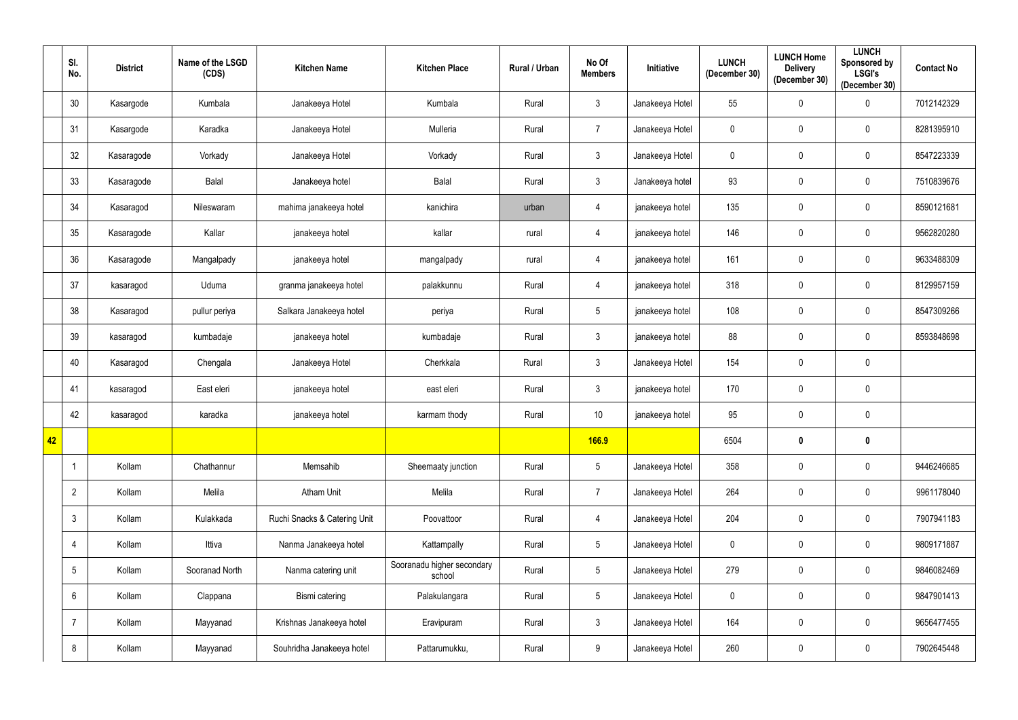|    | SI.<br>No.      | <b>District</b> | Name of the LSGD<br>(CDS) | <b>Kitchen Name</b>          | <b>Kitchen Place</b>                 | <b>Rural / Urban</b> | No Of<br><b>Members</b> | Initiative      | <b>LUNCH</b><br>(December 30) | <b>LUNCH Home</b><br><b>Delivery</b><br>(December 30) | <b>LUNCH</b><br>Sponsored by<br><b>LSGI's</b><br>(December 30) | <b>Contact No</b> |
|----|-----------------|-----------------|---------------------------|------------------------------|--------------------------------------|----------------------|-------------------------|-----------------|-------------------------------|-------------------------------------------------------|----------------------------------------------------------------|-------------------|
|    | 30              | Kasargode       | Kumbala                   | Janakeeya Hotel              | Kumbala                              | Rural                | $\mathfrak{Z}$          | Janakeeya Hotel | 55                            | $\mathbf 0$                                           | $\boldsymbol{0}$                                               | 7012142329        |
|    | 31              | Kasargode       | Karadka                   | Janakeeya Hotel              | Mulleria                             | Rural                | $\overline{7}$          | Janakeeya Hotel | $\mathbf 0$                   | $\mathbf 0$                                           | $\mathbf 0$                                                    | 8281395910        |
|    | 32              | Kasaragode      | Vorkady                   | Janakeeya Hotel              | Vorkady                              | Rural                | $\mathbf{3}$            | Janakeeya Hotel | $\overline{0}$                | $\mathbf 0$                                           | $\mathbf 0$                                                    | 8547223339        |
|    | 33              | Kasaragode      | Balal                     | Janakeeya hotel              | Balal                                | Rural                | $\mathfrak{Z}$          | Janakeeya hotel | 93                            | $\mathbf 0$                                           | $\mathbf 0$                                                    | 7510839676        |
|    | 34              | Kasaragod       | Nileswaram                | mahima janakeeya hotel       | kanichira                            | urban                | 4                       | janakeeya hotel | 135                           | $\mathbf 0$                                           | $\pmb{0}$                                                      | 8590121681        |
|    | 35              | Kasaragode      | Kallar                    | janakeeya hotel              | kallar                               | rural                | 4                       | janakeeya hotel | 146                           | $\mathbf 0$                                           | $\mathbf 0$                                                    | 9562820280        |
|    | 36              | Kasaragode      | Mangalpady                | janakeeya hotel              | mangalpady                           | rural                | $\overline{4}$          | janakeeya hotel | 161                           | $\mathbf 0$                                           | $\mathbf 0$                                                    | 9633488309        |
|    | 37              | kasaragod       | Uduma                     | granma janakeeya hotel       | palakkunnu                           | Rural                | 4                       | janakeeya hotel | 318                           | $\mathbf 0$                                           | $\mathbf 0$                                                    | 8129957159        |
|    | 38              | Kasaragod       | pullur periya             | Salkara Janakeeya hotel      | periya                               | Rural                | $5\phantom{.0}$         | janakeeya hotel | 108                           | $\mathbf 0$                                           | $\mathbf 0$                                                    | 8547309266        |
|    | 39              | kasaragod       | kumbadaje                 | janakeeya hotel              | kumbadaje                            | Rural                | $\mathbf{3}$            | janakeeya hotel | 88                            | $\mathbf 0$                                           | $\mathbf 0$                                                    | 8593848698        |
|    | 40              | Kasaragod       | Chengala                  | Janakeeya Hotel              | Cherkkala                            | Rural                | $\mathbf{3}$            | Janakeeya Hotel | 154                           | $\mathbf 0$                                           | $\mathbf 0$                                                    |                   |
|    | 41              | kasaragod       | East eleri                | janakeeya hotel              | east eleri                           | Rural                | $\mathfrak{Z}$          | janakeeya hotel | 170                           | $\mathbf 0$                                           | $\mathbf 0$                                                    |                   |
|    | 42              | kasaragod       | karadka                   | janakeeya hotel              | karmam thody                         | Rural                | 10                      | janakeeya hotel | 95                            | $\mathbf 0$                                           | $\mathbf 0$                                                    |                   |
| 42 |                 |                 |                           |                              |                                      |                      | <b>166.9</b>            |                 | 6504                          | $\mathbf 0$                                           | $\boldsymbol{0}$                                               |                   |
|    |                 | Kollam          | Chathannur                | Memsahib                     | Sheemaaty junction                   | Rural                | $5\phantom{.0}$         | Janakeeya Hotel | 358                           | $\mathbf 0$                                           | $\overline{0}$                                                 | 9446246685        |
|    | $\overline{2}$  | Kollam          | Melila                    | <b>Atham Unit</b>            | Melila                               | Rural                | $\overline{7}$          | Janakeeya Hotel | 264                           | $\mathbf 0$                                           | $\mathbf 0$                                                    | 9961178040        |
|    | $\mathbf{3}$    | Kollam          | Kulakkada                 | Ruchi Snacks & Catering Unit | Poovattoor                           | Rural                | 4                       | Janakeeya Hotel | 204                           | $\mathbf 0$                                           | $\mathbf 0$                                                    | 7907941183        |
|    | 4               | Kollam          | Ittiva                    | Nanma Janakeeya hotel        | Kattampally                          | Rural                | $5\phantom{.0}$         | Janakeeya Hotel | $\mathbf 0$                   | $\mathbf 0$                                           | $\mathbf 0$                                                    | 9809171887        |
|    | $5\phantom{.0}$ | Kollam          | Sooranad North            | Nanma catering unit          | Sooranadu higher secondary<br>school | Rural                | $5\phantom{.0}$         | Janakeeya Hotel | 279                           | $\mathbf 0$                                           | $\mathbf 0$                                                    | 9846082469        |
|    | 6               | Kollam          | Clappana                  | Bismi catering               | Palakulangara                        | Rural                | $5\phantom{.0}$         | Janakeeya Hotel | $\mathbf 0$                   | $\mathbf 0$                                           | $\mathbf 0$                                                    | 9847901413        |
|    | $\overline{7}$  | Kollam          | Mayyanad                  | Krishnas Janakeeya hotel     | Eravipuram                           | Rural                | $\mathbf{3}$            | Janakeeya Hotel | 164                           | $\mathbf 0$                                           | $\mathbf 0$                                                    | 9656477455        |
|    | 8               | Kollam          | Mayyanad                  | Souhridha Janakeeya hotel    | Pattarumukku,                        | Rural                | 9                       | Janakeeya Hotel | 260                           | $\mathbf 0$                                           | $\bm{0}$                                                       | 7902645448        |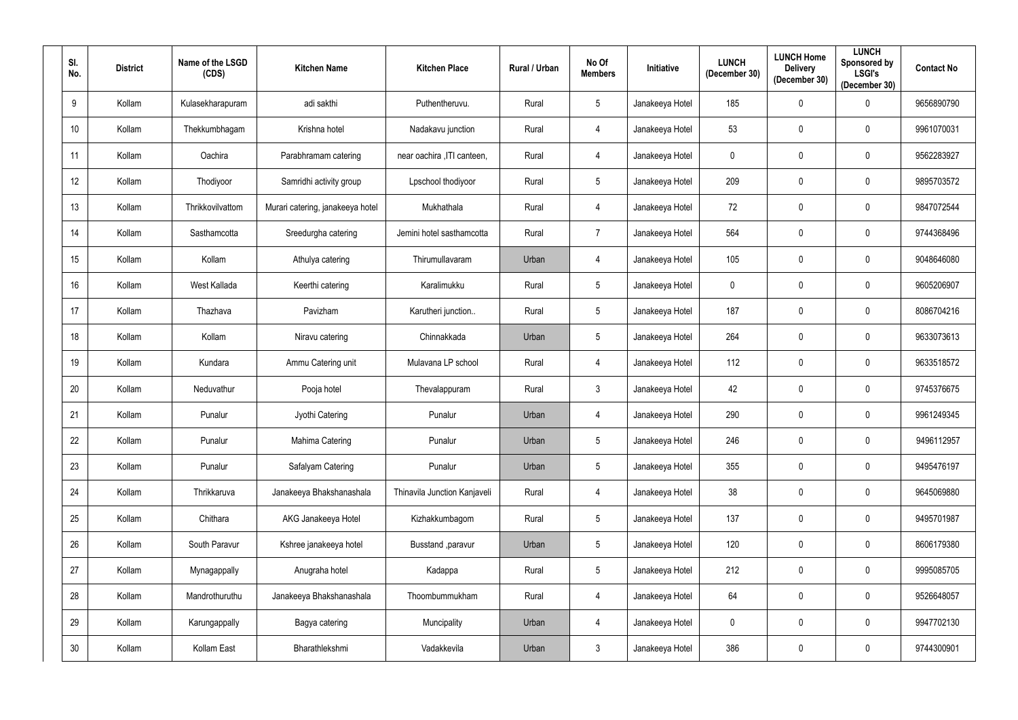| SI.<br>No.      | <b>District</b> | Name of the LSGD<br>(CDS) | <b>Kitchen Name</b>              | <b>Kitchen Place</b>         | Rural / Urban | No Of<br><b>Members</b> | <b>Initiative</b> | <b>LUNCH</b><br>(December 30) | <b>LUNCH Home</b><br><b>Delivery</b><br>(December 30) | <b>LUNCH</b><br>Sponsored by<br><b>LSGI's</b><br>(December 30) | <b>Contact No</b> |
|-----------------|-----------------|---------------------------|----------------------------------|------------------------------|---------------|-------------------------|-------------------|-------------------------------|-------------------------------------------------------|----------------------------------------------------------------|-------------------|
| 9               | Kollam          | Kulasekharapuram          | adi sakthi                       | Puthentheruvu.               | Rural         | $5\overline{)}$         | Janakeeya Hotel   | 185                           | $\mathbf 0$                                           | $\mathbf 0$                                                    | 9656890790        |
| 10              | Kollam          | Thekkumbhagam             | Krishna hotel                    | Nadakavu junction            | Rural         | 4                       | Janakeeya Hotel   | 53                            | $\mathbf 0$                                           | $\boldsymbol{0}$                                               | 9961070031        |
| 11              | Kollam          | Oachira                   | Parabhramam catering             | near oachira , ITI canteen,  | Rural         | 4                       | Janakeeya Hotel   | $\mathbf 0$                   | $\mathbf 0$                                           | $\mathbf 0$                                                    | 9562283927        |
| 12              | Kollam          | Thodiyoor                 | Samridhi activity group          | Lpschool thodiyoor           | Rural         | $5\phantom{.0}$         | Janakeeya Hotel   | 209                           | $\mathbf 0$                                           | $\mathbf 0$                                                    | 9895703572        |
| 13              | Kollam          | Thrikkovilvattom          | Murari catering, janakeeya hotel | Mukhathala                   | Rural         | $\overline{4}$          | Janakeeya Hotel   | 72                            | $\mathbf 0$                                           | $\mathbf 0$                                                    | 9847072544        |
| 14              | Kollam          | Sasthamcotta              | Sreedurgha catering              | Jemini hotel sasthamcotta    | Rural         | $\overline{7}$          | Janakeeya Hotel   | 564                           | $\mathbf 0$                                           | $\mathbf 0$                                                    | 9744368496        |
| 15              | Kollam          | Kollam                    | Athulya catering                 | Thirumullavaram              | Urban         | $\overline{4}$          | Janakeeya Hotel   | 105                           | $\mathbf 0$                                           | $\mathbf 0$                                                    | 9048646080        |
| 16 <sup>°</sup> | Kollam          | West Kallada              | Keerthi catering                 | Karalimukku                  | Rural         | $5\phantom{.0}$         | Janakeeya Hotel   | $\mathbf 0$                   | $\mathbf 0$                                           | $\mathbf 0$                                                    | 9605206907        |
| 17              | Kollam          | Thazhava                  | Pavizham                         | Karutheri junction           | Rural         | $5\phantom{.0}$         | Janakeeya Hotel   | 187                           | $\mathbf 0$                                           | $\mathbf 0$                                                    | 8086704216        |
| 18              | Kollam          | Kollam                    | Niravu catering                  | Chinnakkada                  | Urban         | 5                       | Janakeeya Hotel   | 264                           | $\mathbf 0$                                           | $\mathbf 0$                                                    | 9633073613        |
| 19              | Kollam          | Kundara                   | Ammu Catering unit               | Mulavana LP school           | Rural         | 4                       | Janakeeya Hotel   | 112                           | $\mathbf 0$                                           | $\mathbf 0$                                                    | 9633518572        |
| 20              | Kollam          | Neduvathur                | Pooja hotel                      | Thevalappuram                | Rural         | $\mathbf{3}$            | Janakeeya Hotel   | 42                            | $\mathbf 0$                                           | $\mathbf 0$                                                    | 9745376675        |
| 21              | Kollam          | Punalur                   | Jyothi Catering                  | Punalur                      | Urban         | 4                       | Janakeeya Hotel   | 290                           | $\mathbf 0$                                           | $\mathbf 0$                                                    | 9961249345        |
| 22              | Kollam          | Punalur                   | Mahima Catering                  | Punalur                      | Urban         | $5\phantom{.0}$         | Janakeeya Hotel   | 246                           | $\mathbf 0$                                           | $\mathbf 0$                                                    | 9496112957        |
| 23              | Kollam          | Punalur                   | Safalyam Catering                | Punalur                      | Urban         | $5\phantom{.0}$         | Janakeeya Hotel   | 355                           | $\mathbf 0$                                           | $\overline{0}$                                                 | 9495476197        |
| 24              | Kollam          | Thrikkaruva               | Janakeeya Bhakshanashala         | Thinavila Junction Kanjaveli | Rural         | $\overline{4}$          | Janakeeya Hotel   | 38                            | $\pmb{0}$                                             | $\bm{0}$                                                       | 9645069880        |
| 25              | Kollam          | Chithara                  | AKG Janakeeya Hotel              | Kizhakkumbagom               | Rural         | $5\overline{)}$         | Janakeeya Hotel   | 137                           | $\boldsymbol{0}$                                      | $\mathbf 0$                                                    | 9495701987        |
| 26              | Kollam          | South Paravur             | Kshree janakeeya hotel           | Busstand , paravur           | Urban         | $5\phantom{.0}$         | Janakeeya Hotel   | 120                           | $\mathbf 0$                                           | $\pmb{0}$                                                      | 8606179380        |
| 27              | Kollam          | Mynagappally              | Anugraha hotel                   | Kadappa                      | Rural         | 5 <sub>5</sub>          | Janakeeya Hotel   | 212                           | $\pmb{0}$                                             | $\mathbf 0$                                                    | 9995085705        |
| 28              | Kollam          | Mandrothuruthu            | Janakeeya Bhakshanashala         | Thoombummukham               | Rural         | $\overline{4}$          | Janakeeya Hotel   | 64                            | $\mathbf 0$                                           | $\mathbf 0$                                                    | 9526648057        |
| 29              | Kollam          | Karungappally             | Bagya catering                   | Muncipality                  | Urban         | $\overline{4}$          | Janakeeya Hotel   | $\mathbf 0$                   | $\bf{0}$                                              | $\bm{0}$                                                       | 9947702130        |
| 30 <sub>o</sub> | Kollam          | Kollam East               | Bharathlekshmi                   | Vadakkevila                  | Urban         | $\mathbf{3}$            | Janakeeya Hotel   | 386                           | $\boldsymbol{0}$                                      | $\bm{0}$                                                       | 9744300901        |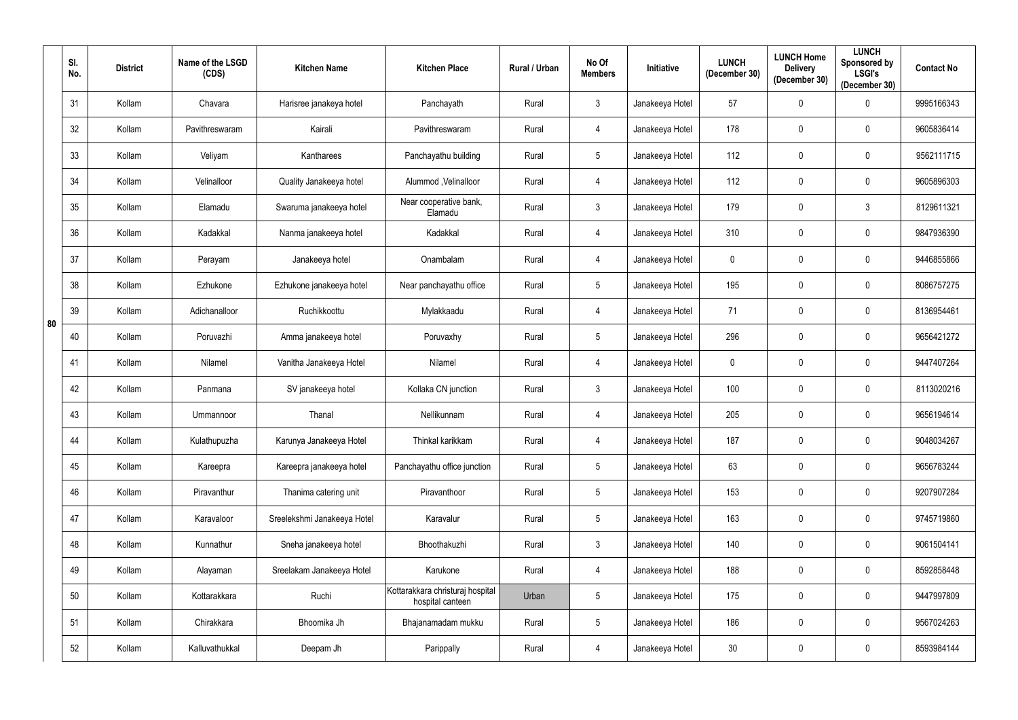|    | SI.<br>No. | <b>District</b> | Name of the LSGD<br>(CDS) | <b>Kitchen Name</b>         | <b>Kitchen Place</b>                                 | Rural / Urban | No Of<br><b>Members</b> | Initiative      | <b>LUNCH</b><br>(December 30) | <b>LUNCH Home</b><br><b>Delivery</b><br>(December 30) | <b>LUNCH</b><br>Sponsored by<br><b>LSGI's</b><br>(December 30) | <b>Contact No</b> |
|----|------------|-----------------|---------------------------|-----------------------------|------------------------------------------------------|---------------|-------------------------|-----------------|-------------------------------|-------------------------------------------------------|----------------------------------------------------------------|-------------------|
|    | 31         | Kollam          | Chavara                   | Harisree janakeya hotel     | Panchayath                                           | Rural         | 3                       | Janakeeya Hotel | 57                            | $\mathbf 0$                                           | $\mathbf 0$                                                    | 9995166343        |
|    | 32         | Kollam          | Pavithreswaram            | Kairali                     | Pavithreswaram                                       | Rural         | $\overline{4}$          | Janakeeya Hotel | 178                           | $\mathbf 0$                                           | $\mathbf 0$                                                    | 9605836414        |
|    | 33         | Kollam          | Veliyam                   | Kantharees                  | Panchayathu building                                 | Rural         | $5\phantom{.0}$         | Janakeeya Hotel | 112                           | $\mathbf 0$                                           | $\mathbf 0$                                                    | 9562111715        |
|    | 34         | Kollam          | Velinalloor               | Quality Janakeeya hotel     | Alummod, Velinalloor                                 | Rural         | $\overline{4}$          | Janakeeya Hotel | 112                           | $\mathbf 0$                                           | $\mathbf 0$                                                    | 9605896303        |
|    | 35         | Kollam          | Elamadu                   | Swaruma janakeeya hotel     | Near cooperative bank,<br>Elamadu                    | Rural         | $\mathfrak{Z}$          | Janakeeya Hotel | 179                           | $\mathbf 0$                                           | $\mathbf{3}$                                                   | 8129611321        |
|    | 36         | Kollam          | Kadakkal                  | Nanma janakeeya hotel       | Kadakkal                                             | Rural         | $\overline{4}$          | Janakeeya Hotel | 310                           | $\mathbf 0$                                           | $\mathbf 0$                                                    | 9847936390        |
|    | 37         | Kollam          | Perayam                   | Janakeeya hotel             | Onambalam                                            | Rural         | $\overline{4}$          | Janakeeya Hotel | $\mathbf 0$                   | $\mathbf 0$                                           | $\mathbf 0$                                                    | 9446855866        |
|    | 38         | Kollam          | Ezhukone                  | Ezhukone janakeeya hotel    | Near panchayathu office                              | Rural         | 5                       | Janakeeya Hotel | 195                           | $\mathbf 0$                                           | $\mathbf 0$                                                    | 8086757275        |
| 80 | 39         | Kollam          | Adichanalloor             | Ruchikkoottu                | Mylakkaadu                                           | Rural         | $\overline{4}$          | Janakeeya Hotel | 71                            | $\mathbf 0$                                           | $\mathbf 0$                                                    | 8136954461        |
|    | 40         | Kollam          | Poruvazhi                 | Amma janakeeya hotel        | Poruvaxhy                                            | Rural         | 5                       | Janakeeya Hotel | 296                           | 0                                                     | $\mathbf 0$                                                    | 9656421272        |
|    | 41         | Kollam          | Nilamel                   | Vanitha Janakeeya Hotel     | Nilamel                                              | Rural         | $\overline{4}$          | Janakeeya Hotel | $\pmb{0}$                     | $\mathbf 0$                                           | $\mathbf 0$                                                    | 9447407264        |
|    | 42         | Kollam          | Panmana                   | SV janakeeya hotel          | Kollaka CN junction                                  | Rural         | $\mathbf{3}$            | Janakeeya Hotel | 100                           | $\mathbf 0$                                           | $\mathbf 0$                                                    | 8113020216        |
|    | 43         | Kollam          | Ummannoor                 | Thanal                      | Nellikunnam                                          | Rural         | $\overline{4}$          | Janakeeya Hotel | 205                           | $\mathbf 0$                                           | $\mathbf 0$                                                    | 9656194614        |
|    | 44         | Kollam          | Kulathupuzha              | Karunya Janakeeya Hotel     | Thinkal karikkam                                     | Rural         | $\overline{4}$          | Janakeeya Hotel | 187                           | $\mathbf 0$                                           | $\mathbf 0$                                                    | 9048034267        |
|    | 45         | Kollam          | Kareepra                  | Kareepra janakeeya hotel    | Panchayathu office junction                          | Rural         | $5\phantom{.0}$         | Janakeeya Hotel | 63                            | $\mathbf 0$                                           | $\mathbf 0$                                                    | 9656783244        |
|    | 46         | Kollam          | Piravanthur               | Thanima catering unit       | Piravanthoor                                         | Rural         | $5\phantom{.0}$         | Janakeeya Hotel | 153                           | $\bf{0}$                                              | $\mathbf 0$                                                    | 9207907284        |
|    | 47         | Kollam          | Karavaloor                | Sreelekshmi Janakeeya Hotel | Karavalur                                            | Rural         | $5\phantom{.0}$         | Janakeeya Hotel | 163                           | $\bf{0}$                                              | $\mathbf 0$                                                    | 9745719860        |
|    | 48         | Kollam          | Kunnathur                 | Sneha janakeeya hotel       | Bhoothakuzhi                                         | Rural         | $\mathfrak{Z}$          | Janakeeya Hotel | 140                           | $\mathbf 0$                                           | $\mathbf 0$                                                    | 9061504141        |
|    | 49         | Kollam          | Alayaman                  | Sreelakam Janakeeya Hotel   | Karukone                                             | Rural         | $\overline{4}$          | Janakeeya Hotel | 188                           | $\bf{0}$                                              | $\pmb{0}$                                                      | 8592858448        |
|    | 50         | Kollam          | Kottarakkara              | Ruchi                       | Kottarakkara christuraj hospital<br>hospital canteen | Urban         | 5                       | Janakeeya Hotel | 175                           | $\mathbf 0$                                           | $\mathbf 0$                                                    | 9447997809        |
|    | 51         | Kollam          | Chirakkara                | Bhoomika Jh                 | Bhajanamadam mukku                                   | Rural         | $5\phantom{.0}$         | Janakeeya Hotel | 186                           | $\bf{0}$                                              | $\mathbf 0$                                                    | 9567024263        |
|    | 52         | Kollam          | Kalluvathukkal            | Deepam Jh                   | Parippally                                           | Rural         | $\overline{4}$          | Janakeeya Hotel | 30                            | $\boldsymbol{0}$                                      | $\boldsymbol{0}$                                               | 8593984144        |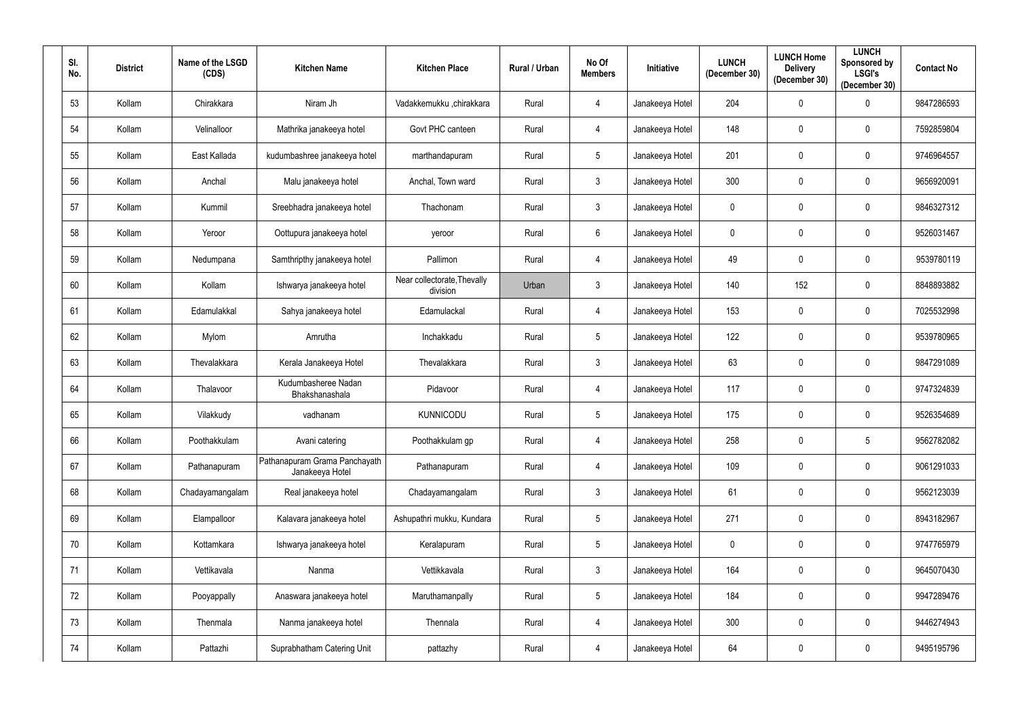| SI.<br>No. | <b>District</b> | Name of the LSGD<br>(CDS) | <b>Kitchen Name</b>                              | <b>Kitchen Place</b>                    | <b>Rural / Urban</b> | No Of<br><b>Members</b> | <b>Initiative</b> | <b>LUNCH</b><br>(December 30) | <b>LUNCH Home</b><br><b>Delivery</b><br>(December 30) | <b>LUNCH</b><br>Sponsored by<br><b>LSGI's</b><br>(December 30) | <b>Contact No</b> |
|------------|-----------------|---------------------------|--------------------------------------------------|-----------------------------------------|----------------------|-------------------------|-------------------|-------------------------------|-------------------------------------------------------|----------------------------------------------------------------|-------------------|
| 53         | Kollam          | Chirakkara                | Niram Jh                                         | Vadakkemukku ,chirakkara                | Rural                | $\overline{4}$          | Janakeeya Hotel   | 204                           | $\mathbf 0$                                           | $\mathbf 0$                                                    | 9847286593        |
| 54         | Kollam          | Velinalloor               | Mathrika janakeeya hotel                         | Govt PHC canteen                        | Rural                | $\overline{4}$          | Janakeeya Hotel   | 148                           | $\mathbf 0$                                           | $\mathbf 0$                                                    | 7592859804        |
| 55         | Kollam          | East Kallada              | kudumbashree janakeeya hotel                     | marthandapuram                          | Rural                | $5\phantom{.0}$         | Janakeeya Hotel   | 201                           | $\pmb{0}$                                             | $\mathbf 0$                                                    | 9746964557        |
| 56         | Kollam          | Anchal                    | Malu janakeeya hotel                             | Anchal, Town ward                       | Rural                | $\mathbf{3}$            | Janakeeya Hotel   | 300                           | $\mathbf 0$                                           | $\mathbf 0$                                                    | 9656920091        |
| 57         | Kollam          | Kummil                    | Sreebhadra janakeeya hotel                       | Thachonam                               | Rural                | $\mathbf{3}$            | Janakeeya Hotel   | $\mathbf 0$                   | $\mathbf 0$                                           | $\mathbf 0$                                                    | 9846327312        |
| 58         | Kollam          | Yeroor                    | Oottupura janakeeya hotel                        | yeroor                                  | Rural                | $6\overline{6}$         | Janakeeya Hotel   | $\mathbf 0$                   | $\mathbf 0$                                           | $\mathbf 0$                                                    | 9526031467        |
| 59         | Kollam          | Nedumpana                 | Samthripthy janakeeya hotel                      | Pallimon                                | Rural                | $\overline{4}$          | Janakeeya Hotel   | 49                            | $\pmb{0}$                                             | $\mathbf 0$                                                    | 9539780119        |
| 60         | Kollam          | Kollam                    | Ishwarya janakeeya hotel                         | Near collectorate, Thevally<br>division | Urban                | $\mathbf{3}$            | Janakeeya Hotel   | 140                           | 152                                                   | $\mathbf 0$                                                    | 8848893882        |
| 61         | Kollam          | Edamulakkal               | Sahya janakeeya hotel                            | Edamulackal                             | Rural                | $\overline{4}$          | Janakeeya Hotel   | 153                           | $\mathbf 0$                                           | $\mathbf 0$                                                    | 7025532998        |
| 62         | Kollam          | Mylom                     | Amrutha                                          | Inchakkadu                              | Rural                | $5\phantom{.0}$         | Janakeeya Hotel   | 122                           | $\mathbf 0$                                           | $\mathbf{0}$                                                   | 9539780965        |
| 63         | Kollam          | Thevalakkara              | Kerala Janakeeya Hotel                           | Thevalakkara                            | Rural                | $\mathbf{3}$            | Janakeeya Hotel   | 63                            | $\pmb{0}$                                             | $\mathbf 0$                                                    | 9847291089        |
| 64         | Kollam          | Thalavoor                 | Kudumbasheree Nadan<br>Bhakshanashala            | Pidavoor                                | Rural                | $\overline{4}$          | Janakeeya Hotel   | 117                           | $\mathbf 0$                                           | $\mathbf 0$                                                    | 9747324839        |
| 65         | Kollam          | Vilakkudy                 | vadhanam                                         | <b>KUNNICODU</b>                        | Rural                | $5\phantom{.0}$         | Janakeeya Hotel   | 175                           | $\mathbf 0$                                           | $\mathbf 0$                                                    | 9526354689        |
| 66         | Kollam          | Poothakkulam              | Avani catering                                   | Poothakkulam gp                         | Rural                | $\overline{4}$          | Janakeeya Hotel   | 258                           | $\mathbf 0$                                           | $5\overline{)}$                                                | 9562782082        |
| 67         | Kollam          | Pathanapuram              | Pathanapuram Grama Panchayath<br>Janakeeya Hotel | Pathanapuram                            | Rural                | $\overline{4}$          | Janakeeya Hotel   | 109                           | $\mathbf 0$                                           | $\mathbf 0$                                                    | 9061291033        |
| 68         | Kollam          | Chadayamangalam           | Real janakeeya hotel                             | Chadayamangalam                         | Rural                | $\mathbf{3}$            | Janakeeya Hotel   | 61                            | $\mathbf 0$                                           | $\mathbf 0$                                                    | 9562123039        |
| 69         | Kollam          | Elampalloor               | Kalavara janakeeya hotel                         | Ashupathri mukku, Kundara               | Rural                | $5\overline{)}$         | Janakeeya Hotel   | 271                           | $\mathbf 0$                                           | $\mathbf 0$                                                    | 8943182967        |
| 70         | Kollam          | Kottamkara                | Ishwarya janakeeya hotel                         | Keralapuram                             | Rural                | $5\phantom{.0}$         | Janakeeya Hotel   | $\mathbf 0$                   | $\pmb{0}$                                             | $\mathbf 0$                                                    | 9747765979        |
| 71         | Kollam          | Vettikavala               | Nanma                                            | Vettikkavala                            | Rural                | $\mathbf{3}$            | Janakeeya Hotel   | 164                           | $\mathbf 0$                                           | $\mathbf 0$                                                    | 9645070430        |
| 72         | Kollam          | Pooyappally               | Anaswara janakeeya hotel                         | Maruthamanpally                         | Rural                | $5\phantom{.0}$         | Janakeeya Hotel   | 184                           | $\pmb{0}$                                             | $\mathbf 0$                                                    | 9947289476        |
| 73         | Kollam          | Thenmala                  | Nanma janakeeya hotel                            | Thennala                                | Rural                | $\overline{4}$          | Janakeeya Hotel   | 300                           | $\mathbf 0$                                           | $\mathbf 0$                                                    | 9446274943        |
| 74         | Kollam          | Pattazhi                  | Suprabhatham Catering Unit                       | pattazhy                                | Rural                | $\overline{4}$          | Janakeeya Hotel   | 64                            | 0                                                     | $\overline{0}$                                                 | 9495195796        |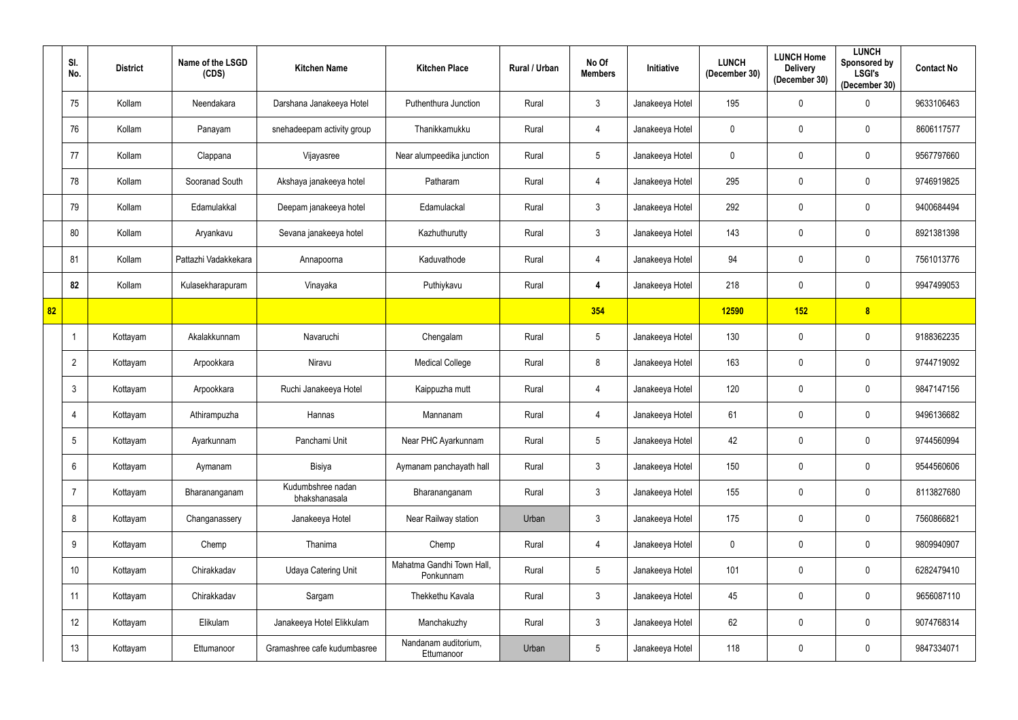|    | SI.<br>No.      | <b>District</b> | Name of the LSGD<br>(CDS) | <b>Kitchen Name</b>                | <b>Kitchen Place</b>                   | Rural / Urban | No Of<br><b>Members</b> | Initiative      | <b>LUNCH</b><br>(December 30) | <b>LUNCH Home</b><br><b>Delivery</b><br>(December 30) | <b>LUNCH</b><br>Sponsored by<br><b>LSGI's</b><br>(December 30) | <b>Contact No</b> |
|----|-----------------|-----------------|---------------------------|------------------------------------|----------------------------------------|---------------|-------------------------|-----------------|-------------------------------|-------------------------------------------------------|----------------------------------------------------------------|-------------------|
|    | 75              | Kollam          | Neendakara                | Darshana Janakeeya Hotel           | Puthenthura Junction                   | Rural         | $\mathfrak{Z}$          | Janakeeya Hotel | 195                           | $\mathbf 0$                                           | $\mathbf 0$                                                    | 9633106463        |
|    | 76              | Kollam          | Panayam                   | snehadeepam activity group         | Thanikkamukku                          | Rural         | 4                       | Janakeeya Hotel | $\mathbf 0$                   | 0                                                     | $\mathbf 0$                                                    | 8606117577        |
|    | 77              | Kollam          | Clappana                  | Vijayasree                         | Near alumpeedika junction              | Rural         | $5\phantom{.0}$         | Janakeeya Hotel | $\boldsymbol{0}$              | $\mathbf 0$                                           | $\mathbf 0$                                                    | 9567797660        |
|    | 78              | Kollam          | Sooranad South            | Akshaya janakeeya hotel            | Patharam                               | Rural         | 4                       | Janakeeya Hotel | 295                           | $\mathbf 0$                                           | $\mathbf 0$                                                    | 9746919825        |
|    | 79              | Kollam          | Edamulakkal               | Deepam janakeeya hotel             | Edamulackal                            | Rural         | $\mathfrak{Z}$          | Janakeeya Hotel | 292                           | $\mathbf 0$                                           | $\mathbf 0$                                                    | 9400684494        |
|    | 80              | Kollam          | Aryankavu                 | Sevana janakeeya hotel             | Kazhuthurutty                          | Rural         | $\mathfrak{Z}$          | Janakeeya Hotel | 143                           | $\mathbf 0$                                           | $\mathbf 0$                                                    | 8921381398        |
|    | 81              | Kollam          | Pattazhi Vadakkekara      | Annapoorna                         | Kaduvathode                            | Rural         | $\overline{4}$          | Janakeeya Hotel | 94                            | $\mathbf 0$                                           | $\mathbf 0$                                                    | 7561013776        |
|    | 82              | Kollam          | Kulasekharapuram          | Vinayaka                           | Puthiykavu                             | Rural         | 4                       | Janakeeya Hotel | 218                           | 0                                                     | $\mathbf 0$                                                    | 9947499053        |
| 82 |                 |                 |                           |                                    |                                        |               | 354                     |                 | 12590                         | 152                                                   | 8                                                              |                   |
|    |                 | Kottayam        | Akalakkunnam              | Navaruchi                          | Chengalam                              | Rural         | $\overline{5}$          | Janakeeya Hotel | 130                           | 0                                                     | $\mathbf 0$                                                    | 9188362235        |
|    | $\overline{2}$  | Kottayam        | Arpookkara                | Niravu                             | <b>Medical College</b>                 | Rural         | 8                       | Janakeeya Hotel | 163                           | $\mathbf 0$                                           | $\mathbf 0$                                                    | 9744719092        |
|    | $\mathbf{3}$    | Kottayam        | Arpookkara                | Ruchi Janakeeya Hotel              | Kaippuzha mutt                         | Rural         | 4                       | Janakeeya Hotel | 120                           | 0                                                     | $\mathbf 0$                                                    | 9847147156        |
|    | 4               | Kottayam        | Athirampuzha              | Hannas                             | Mannanam                               | Rural         | $\overline{4}$          | Janakeeya Hotel | 61                            | $\mathbf 0$                                           | $\mathbf 0$                                                    | 9496136682        |
|    | $5\overline{)}$ | Kottayam        | Ayarkunnam                | Panchami Unit                      | Near PHC Ayarkunnam                    | Rural         | $5\phantom{.0}$         | Janakeeya Hotel | 42                            | $\mathbf 0$                                           | $\mathbf 0$                                                    | 9744560994        |
|    | 6               | Kottayam        | Aymanam                   | Bisiya                             | Aymanam panchayath hall                | Rural         | $\mathfrak{Z}$          | Janakeeya Hotel | 150                           | $\mathbf 0$                                           | $\overline{0}$                                                 | 9544560606        |
|    | $\overline{7}$  | Kottayam        | Bharananganam             | Kudumbshree nadan<br>bhakshanasala | Bharananganam                          | Rural         | $\mathfrak{Z}$          | Janakeeya Hotel | 155                           | $\mathbf 0$                                           | $\mathbf 0$                                                    | 8113827680        |
|    | 8               | Kottayam        | Changanassery             | Janakeeya Hotel                    | Near Railway station                   | Urban         | $\mathfrak{Z}$          | Janakeeya Hotel | 175                           | $\boldsymbol{0}$                                      | $\mathbf 0$                                                    | 7560866821        |
|    | 9               | Kottayam        | Chemp                     | Thanima                            | Chemp                                  | Rural         | $\overline{4}$          | Janakeeya Hotel | $\mathbf 0$                   | $\mathbf 0$                                           | $\mathbf 0$                                                    | 9809940907        |
|    | 10              | Kottayam        | Chirakkadav               | <b>Udaya Catering Unit</b>         | Mahatma Gandhi Town Hall,<br>Ponkunnam | Rural         | $5\phantom{.0}$         | Janakeeya Hotel | 101                           | $\pmb{0}$                                             | $\pmb{0}$                                                      | 6282479410        |
|    | 11              | Kottayam        | Chirakkadav               | Sargam                             | Thekkethu Kavala                       | Rural         | $\mathbf{3}$            | Janakeeya Hotel | 45                            | $\mathbf 0$                                           | $\mathbf 0$                                                    | 9656087110        |
|    | 12              | Kottayam        | Elikulam                  | Janakeeya Hotel Elikkulam          | Manchakuzhy                            | Rural         | $\mathfrak{Z}$          | Janakeeya Hotel | 62                            | $\boldsymbol{0}$                                      | $\mathbf 0$                                                    | 9074768314        |
|    | 13              | Kottayam        | Ettumanoor                | Gramashree cafe kudumbasree        | Nandanam auditorium,<br>Ettumanoor     | Urban         | $5\phantom{.0}$         | Janakeeya Hotel | 118                           | $\boldsymbol{0}$                                      | $\bm{0}$                                                       | 9847334071        |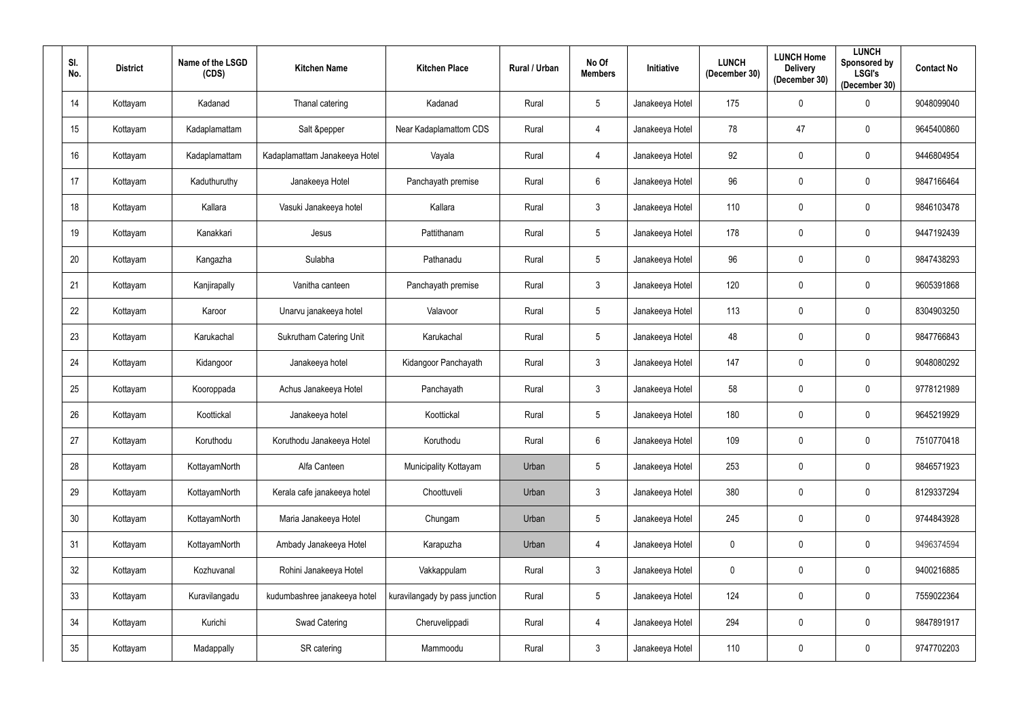| SI.<br>No.      | <b>District</b> | Name of the LSGD<br>(CDS) | <b>Kitchen Name</b>            | <b>Kitchen Place</b>           | <b>Rural / Urban</b> | No Of<br><b>Members</b> | <b>Initiative</b> | <b>LUNCH</b><br>(December 30) | <b>LUNCH Home</b><br><b>Delivery</b><br>(December 30) | <b>LUNCH</b><br>Sponsored by<br><b>LSGI's</b><br>(December 30) | <b>Contact No</b> |
|-----------------|-----------------|---------------------------|--------------------------------|--------------------------------|----------------------|-------------------------|-------------------|-------------------------------|-------------------------------------------------------|----------------------------------------------------------------|-------------------|
| 14              | Kottayam        | Kadanad                   | Thanal catering                | Kadanad                        | Rural                | $5\overline{)}$         | Janakeeya Hotel   | 175                           | $\mathbf 0$                                           | $\mathbf 0$                                                    | 9048099040        |
| 15              | Kottayam        | Kadaplamattam             | Salt &pepper                   | Near Kadaplamattom CDS         | Rural                | $\overline{4}$          | Janakeeya Hotel   | 78                            | 47                                                    | $\boldsymbol{0}$                                               | 9645400860        |
| 16 <sup>°</sup> | Kottayam        | Kadaplamattam             | Kadaplamattam Janakeeya Hotel  | Vayala                         | Rural                | $\overline{4}$          | Janakeeya Hotel   | 92                            | $\mathbf 0$                                           | $\mathbf 0$                                                    | 9446804954        |
| 17              | Kottayam        | Kaduthuruthy              | Janakeeya Hotel                | Panchayath premise             | Rural                | $6\overline{6}$         | Janakeeya Hotel   | 96                            | $\mathbf 0$                                           | $\mathbf 0$                                                    | 9847166464        |
| 18              | Kottayam        | Kallara                   | Vasuki Janakeeya hotel         | Kallara                        | Rural                | $\mathbf{3}$            | Janakeeya Hotel   | 110                           | $\mathbf 0$                                           | $\mathbf 0$                                                    | 9846103478        |
| 19              | Kottayam        | Kanakkari                 | Jesus                          | Pattithanam                    | Rural                | $5\overline{)}$         | Janakeeya Hotel   | 178                           | $\mathbf 0$                                           | $\mathbf 0$                                                    | 9447192439        |
| 20              | Kottayam        | Kangazha                  | Sulabha                        | Pathanadu                      | Rural                | $5\phantom{.0}$         | Janakeeya Hotel   | 96                            | $\mathbf 0$                                           | $\mathbf 0$                                                    | 9847438293        |
| 21              | Kottayam        | Kanjirapally              | Vanitha canteen                | Panchayath premise             | Rural                | $\mathbf{3}$            | Janakeeya Hotel   | 120                           | $\mathbf 0$                                           | $\mathbf 0$                                                    | 9605391868        |
| 22              | Kottayam        | Karoor                    | Unarvu janakeeya hotel         | Valavoor                       | Rural                | $5\overline{)}$         | Janakeeya Hotel   | 113                           | $\mathbf 0$                                           | $\mathbf 0$                                                    | 8304903250        |
| 23              | Kottayam        | Karukachal                | <b>Sukrutham Catering Unit</b> | Karukachal                     | Rural                | $5\overline{)}$         | Janakeeya Hotel   | 48                            | $\mathbf 0$                                           | $\mathbf 0$                                                    | 9847766843        |
| 24              | Kottayam        | Kidangoor                 | Janakeeya hotel                | Kidangoor Panchayath           | Rural                | $\mathbf{3}$            | Janakeeya Hotel   | 147                           | $\mathbf 0$                                           | $\boldsymbol{0}$                                               | 9048080292        |
| 25              | Kottayam        | Kooroppada                | Achus Janakeeya Hotel          | Panchayath                     | Rural                | $\mathbf{3}$            | Janakeeya Hotel   | 58                            | $\mathbf 0$                                           | $\mathbf 0$                                                    | 9778121989        |
| 26              | Kottayam        | Koottickal                | Janakeeya hotel                | Koottickal                     | Rural                | $5\phantom{.0}$         | Janakeeya Hotel   | 180                           | $\mathbf 0$                                           | $\mathbf 0$                                                    | 9645219929        |
| 27              | Kottayam        | Koruthodu                 | Koruthodu Janakeeya Hotel      | Koruthodu                      | Rural                | $6\overline{6}$         | Janakeeya Hotel   | 109                           | $\mathbf 0$                                           | $\mathbf 0$                                                    | 7510770418        |
| 28              | Kottayam        | KottayamNorth             | Alfa Canteen                   | Municipality Kottayam          | Urban                | $5\phantom{.0}$         | Janakeeya Hotel   | 253                           | $\boldsymbol{0}$                                      | $\overline{0}$                                                 | 9846571923        |
| 29              | Kottayam        | KottayamNorth             | Kerala cafe janakeeya hotel    | Choottuveli                    | Urban                | $\mathbf{3}$            | Janakeeya Hotel   | 380                           | $\bf{0}$                                              | $\bm{0}$                                                       | 8129337294        |
| 30 <sub>o</sub> | Kottayam        | KottayamNorth             | Maria Janakeeya Hotel          | Chungam                        | Urban                | $5\phantom{.0}$         | Janakeeya Hotel   | 245                           | $\boldsymbol{0}$                                      | $\mathbf 0$                                                    | 9744843928        |
| 31              | Kottayam        | KottayamNorth             | Ambady Janakeeya Hotel         | Karapuzha                      | Urban                | $\overline{4}$          | Janakeeya Hotel   | $\mathbf 0$                   | $\mathbf 0$                                           | $\bm{0}$                                                       | 9496374594        |
| 32              | Kottayam        | Kozhuvanal                | Rohini Janakeeya Hotel         | Vakkappulam                    | Rural                | $\mathbf{3}$            | Janakeeya Hotel   | $\mathbf 0$                   | $\pmb{0}$                                             | $\mathbf 0$                                                    | 9400216885        |
| 33              | Kottayam        | Kuravilangadu             | kudumbashree janakeeya hotel   | kuravilangady by pass junction | Rural                | $5\phantom{.0}$         | Janakeeya Hotel   | 124                           | $\mathbf 0$                                           | $\bm{0}$                                                       | 7559022364        |
| 34              | Kottayam        | Kurichi                   | Swad Catering                  | Cheruvelippadi                 | Rural                | $\overline{4}$          | Janakeeya Hotel   | 294                           | $\bf{0}$                                              | $\bm{0}$                                                       | 9847891917        |
| $35\,$          | Kottayam        | Madappally                | SR catering                    | Mammoodu                       | Rural                | $\mathbf{3}$            | Janakeeya Hotel   | 110                           | $\pmb{0}$                                             | $\bf{0}$                                                       | 9747702203        |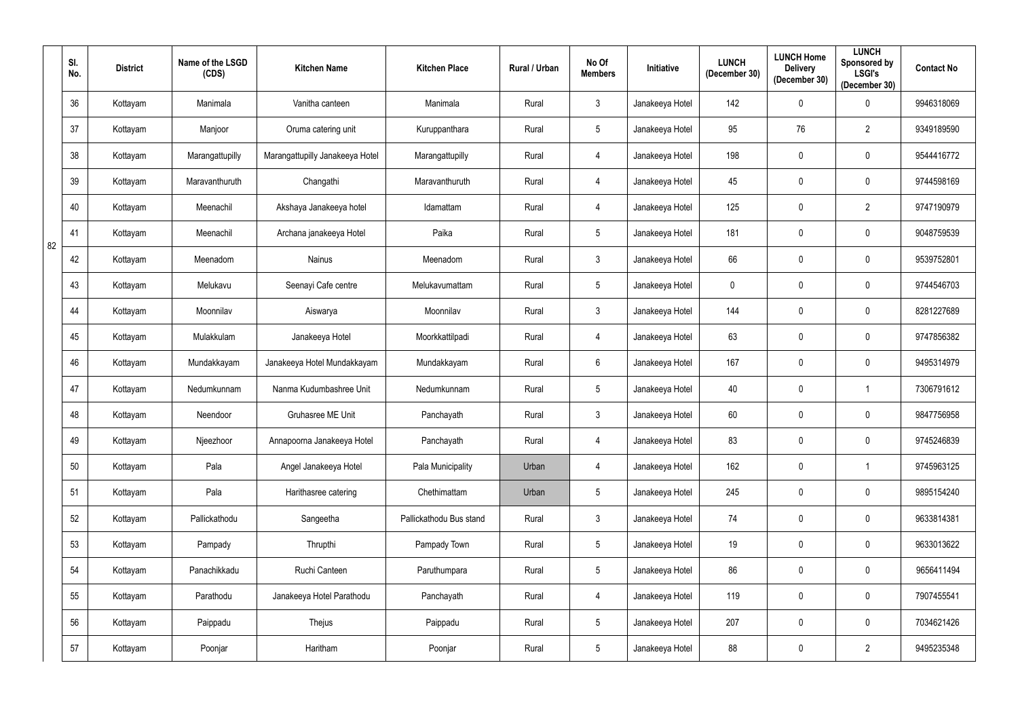|    | SI.<br>No. | <b>District</b> | Name of the LSGD<br>(CDS) | <b>Kitchen Name</b>             | <b>Kitchen Place</b>    | Rural / Urban | No Of<br><b>Members</b> | Initiative      | <b>LUNCH</b><br>(December 30) | <b>LUNCH Home</b><br><b>Delivery</b><br>(December 30) | <b>LUNCH</b><br><b>Sponsored by</b><br><b>LSGI's</b><br>(December 30) | <b>Contact No</b> |
|----|------------|-----------------|---------------------------|---------------------------------|-------------------------|---------------|-------------------------|-----------------|-------------------------------|-------------------------------------------------------|-----------------------------------------------------------------------|-------------------|
|    | 36         | Kottayam        | Manimala                  | Vanitha canteen                 | Manimala                | Rural         | 3                       | Janakeeya Hotel | 142                           | $\mathbf 0$                                           | $\mathbf 0$                                                           | 9946318069        |
|    | 37         | Kottayam        | Manjoor                   | Oruma catering unit             | Kuruppanthara           | Rural         | $5\phantom{.0}$         | Janakeeya Hotel | 95                            | 76                                                    | $\overline{2}$                                                        | 9349189590        |
|    | 38         | Kottayam        | Marangattupilly           | Marangattupilly Janakeeya Hotel | Marangattupilly         | Rural         | 4                       | Janakeeya Hotel | 198                           | $\mathbf 0$                                           | $\mathbf 0$                                                           | 9544416772        |
|    | 39         | Kottayam        | Maravanthuruth            | Changathi                       | Maravanthuruth          | Rural         | 4                       | Janakeeya Hotel | 45                            | $\mathbf 0$                                           | $\mathbf 0$                                                           | 9744598169        |
|    | 40         | Kottayam        | Meenachil                 | Akshaya Janakeeya hotel         | Idamattam               | Rural         | 4                       | Janakeeya Hotel | 125                           | $\mathbf 0$                                           | $\overline{2}$                                                        | 9747190979        |
| 82 | 41         | Kottayam        | Meenachil                 | Archana janakeeya Hotel         | Paika                   | Rural         | 5                       | Janakeeya Hotel | 181                           | $\mathbf 0$                                           | $\mathbf 0$                                                           | 9048759539        |
|    | 42         | Kottayam        | Meenadom                  | Nainus                          | Meenadom                | Rural         | $\mathfrak{Z}$          | Janakeeya Hotel | 66                            | $\mathbf 0$                                           | $\mathbf 0$                                                           | 9539752801        |
|    | 43         | Kottayam        | Melukavu                  | Seenayi Cafe centre             | Melukavumattam          | Rural         | 5                       | Janakeeya Hotel | $\mathbf 0$                   | $\mathbf 0$                                           | $\mathbf 0$                                                           | 9744546703        |
|    | 44         | Kottayam        | Moonnilav                 | Aiswarya                        | Moonnilav               | Rural         | $\mathbf{3}$            | Janakeeya Hotel | 144                           | $\mathbf 0$                                           | $\mathbf 0$                                                           | 8281227689        |
|    | 45         | Kottayam        | Mulakkulam                | Janakeeya Hotel                 | Moorkkattilpadi         | Rural         | 4                       | Janakeeya Hotel | 63                            | $\mathbf 0$                                           | $\mathbf 0$                                                           | 9747856382        |
|    | 46         | Kottayam        | Mundakkayam               | Janakeeya Hotel Mundakkayam     | Mundakkayam             | Rural         | $6\phantom{.}$          | Janakeeya Hotel | 167                           | $\mathbf 0$                                           | $\mathbf 0$                                                           | 9495314979        |
|    | 47         | Kottayam        | Nedumkunnam               | Nanma Kudumbashree Unit         | Nedumkunnam             | Rural         | 5                       | Janakeeya Hotel | 40                            | $\mathbf 0$                                           | $\overline{1}$                                                        | 7306791612        |
|    | 48         | Kottayam        | Neendoor                  | Gruhasree ME Unit               | Panchayath              | Rural         | 3 <sup>1</sup>          | Janakeeya Hotel | 60                            | $\mathbf 0$                                           | $\overline{0}$                                                        | 9847756958        |
|    | 49         | Kottayam        | Njeezhoor                 | Annapoorna Janakeeya Hotel      | Panchayath              | Rural         | $\overline{4}$          | Janakeeya Hotel | 83                            | $\mathbf 0$                                           | $\mathbf 0$                                                           | 9745246839        |
|    | 50         | Kottayam        | Pala                      | Angel Janakeeya Hotel           | Pala Municipality       | Urban         | 4                       | Janakeeya Hotel | 162                           | $\bf{0}$                                              |                                                                       | 9745963125        |
|    | 51         | Kottayam        | Pala                      | Harithasree catering            | Chethimattam            | Urban         | $5\overline{)}$         | Janakeeya Hotel | 245                           | $\bf{0}$                                              | $\mathbf 0$                                                           | 9895154240        |
|    | 52         | Kottayam        | Pallickathodu             | Sangeetha                       | Pallickathodu Bus stand | Rural         | 3 <sup>1</sup>          | Janakeeya Hotel | 74                            | $\bf{0}$                                              | $\mathbf 0$                                                           | 9633814381        |
|    | 53         | Kottayam        | Pampady                   | Thrupthi                        | Pampady Town            | Rural         | $5\phantom{.0}$         | Janakeeya Hotel | 19                            | $\bf{0}$                                              | $\boldsymbol{0}$                                                      | 9633013622        |
|    | 54         | Kottayam        | Panachikkadu              | Ruchi Canteen                   | Paruthumpara            | Rural         | $5\phantom{.0}$         | Janakeeya Hotel | 86                            | $\bf{0}$                                              | $\mathbf 0$                                                           | 9656411494        |
|    | 55         | Kottayam        | Parathodu                 | Janakeeya Hotel Parathodu       | Panchayath              | Rural         | $\overline{4}$          | Janakeeya Hotel | 119                           | $\mathbf 0$                                           | $\mathbf 0$                                                           | 7907455541        |
|    | 56         | Kottayam        | Paippadu                  | Thejus                          | Paippadu                | Rural         | $5\phantom{.0}$         | Janakeeya Hotel | 207                           | $\bf{0}$                                              | $\mathbf 0$                                                           | 7034621426        |
|    | 57         | Kottayam        | Poonjar                   | Haritham                        | Poonjar                 | Rural         | $5\phantom{.0}$         | Janakeeya Hotel | 88                            | $\pmb{0}$                                             | $\overline{2}$                                                        | 9495235348        |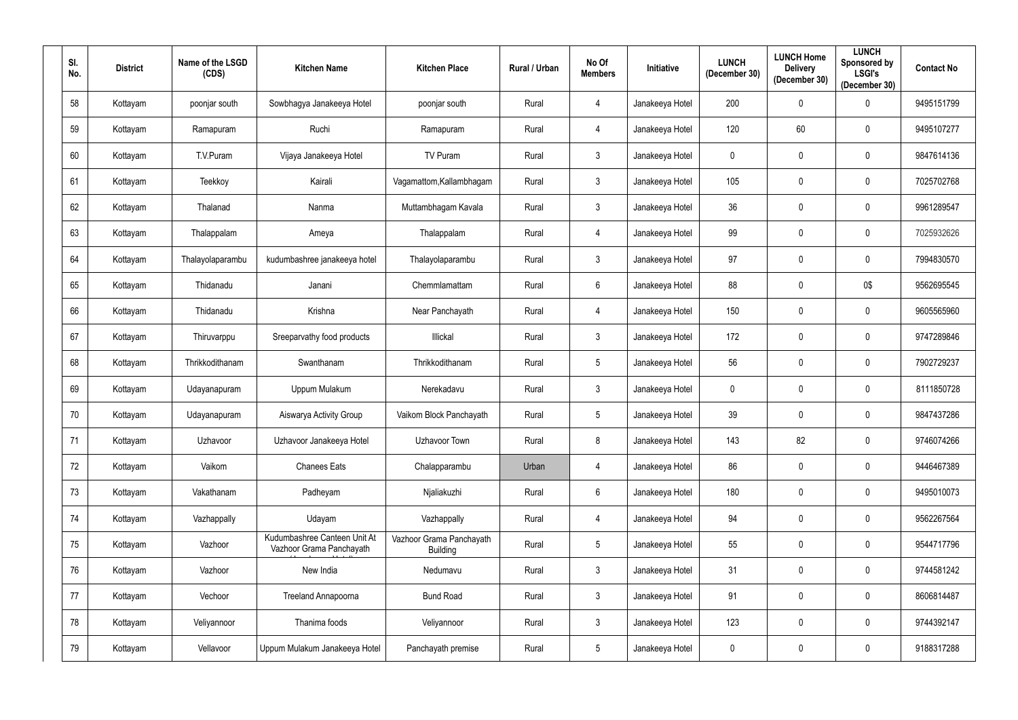| SI.<br>No. |    | <b>District</b> | Name of the LSGD<br>(CDS) | <b>Kitchen Name</b>                                      | <b>Kitchen Place</b>                        | Rural / Urban | No Of<br><b>Members</b> | Initiative      | <b>LUNCH</b><br>(December 30) | <b>LUNCH Home</b><br><b>Delivery</b><br>(December 30) | <b>LUNCH</b><br><b>Sponsored by</b><br><b>LSGI's</b><br>(December 30) | <b>Contact No</b> |
|------------|----|-----------------|---------------------------|----------------------------------------------------------|---------------------------------------------|---------------|-------------------------|-----------------|-------------------------------|-------------------------------------------------------|-----------------------------------------------------------------------|-------------------|
|            | 58 | Kottayam        | poonjar south             | Sowbhagya Janakeeya Hotel                                | poonjar south                               | Rural         | 4                       | Janakeeya Hotel | 200                           | $\mathbf 0$                                           | $\Omega$                                                              | 9495151799        |
|            | 59 | Kottayam        | Ramapuram                 | Ruchi                                                    | Ramapuram                                   | Rural         | 4                       | Janakeeya Hotel | 120                           | 60                                                    | 0                                                                     | 9495107277        |
|            | 60 | Kottayam        | T.V.Puram                 | Vijaya Janakeeya Hotel                                   | TV Puram                                    | Rural         | $\mathbf{3}$            | Janakeeya Hotel | 0                             | $\mathbf 0$                                           | $\mathbf 0$                                                           | 9847614136        |
| 61         |    | Kottayam        | Teekkoy                   | Kairali                                                  | Vagamattom, Kallambhagam                    | Rural         | $\mathbf{3}$            | Janakeeya Hotel | 105                           | $\mathbf 0$                                           | 0                                                                     | 7025702768        |
| 62         |    | Kottayam        | Thalanad                  | Nanma                                                    | Muttambhagam Kavala                         | Rural         | $\mathbf{3}$            | Janakeeya Hotel | 36                            | $\overline{0}$                                        | 0                                                                     | 9961289547        |
|            | 63 | Kottayam        | Thalappalam               | Ameya                                                    | Thalappalam                                 | Rural         | $\overline{4}$          | Janakeeya Hotel | 99                            | $\mathbf 0$                                           | $\mathbf 0$                                                           | 7025932626        |
|            | 64 | Kottayam        | Thalayolaparambu          | kudumbashree janakeeya hotel                             | Thalayolaparambu                            | Rural         | $\mathbf{3}$            | Janakeeya Hotel | 97                            | $\mathbf 0$                                           | $\mathbf 0$                                                           | 7994830570        |
|            | 65 | Kottayam        | Thidanadu                 | Janani                                                   | Chemmlamattam                               | Rural         | $6\overline{6}$         | Janakeeya Hotel | 88                            | $\mathbf 0$                                           | 0\$                                                                   | 9562695545        |
|            | 66 | Kottayam        | Thidanadu                 | Krishna                                                  | Near Panchayath                             | Rural         | 4                       | Janakeeya Hotel | 150                           | $\mathbf 0$                                           | $\mathbf 0$                                                           | 9605565960        |
| 67         |    | Kottayam        | Thiruvarppu               | Sreeparvathy food products                               | Illickal                                    | Rural         | $\mathbf{3}$            | Janakeeya Hotel | 172                           | $\mathbf 0$                                           | 0                                                                     | 9747289846        |
| 68         |    | Kottayam        | Thrikkodithanam           | Swanthanam                                               | Thrikkodithanam                             | Rural         | $5\overline{)}$         | Janakeeya Hotel | 56                            | $\mathbf 0$                                           | $\mathbf 0$                                                           | 7902729237        |
| 69         |    | Kottayam        | Udayanapuram              | Uppum Mulakum                                            | Nerekadavu                                  | Rural         | $\mathbf{3}$            | Janakeeya Hotel | 0                             | $\overline{0}$                                        | 0                                                                     | 8111850728        |
|            | 70 | Kottayam        | Udayanapuram              | Aiswarya Activity Group                                  | Vaikom Block Panchayath                     | Rural         | $5\phantom{.0}$         | Janakeeya Hotel | 39                            | $\mathbf 0$                                           | $\mathbf 0$                                                           | 9847437286        |
| 71         |    | Kottayam        | Uzhavoor                  | Uzhavoor Janakeeya Hotel                                 | Uzhavoor Town                               | Rural         | 8                       | Janakeeya Hotel | 143                           | 82                                                    | $\mathbf 0$                                                           | 9746074266        |
|            | 72 | Kottayam        | Vaikom                    | <b>Chanees Eats</b>                                      | Chalapparambu                               | Urban         | 4                       | Janakeeya Hotel | 86                            | $\mathbf 0$                                           | $\mathbf 0$                                                           | 9446467389        |
| 73         |    | Kottayam        | Vakathanam                | Padheyam                                                 | Njaliakuzhi                                 | Rural         | $6\overline{6}$         | Janakeeya Hotel | 180                           | $\mathbf 0$                                           | $\mathbf 0$                                                           | 9495010073        |
|            | 74 | Kottayam        | Vazhappally               | Udayam                                                   | Vazhappally                                 | Rural         | $\overline{4}$          | Janakeeya Hotel | 94                            | $\mathbf 0$                                           | 0                                                                     | 9562267564        |
|            | 75 | Kottayam        | Vazhoor                   | Kudumbashree Canteen Unit At<br>Vazhoor Grama Panchayath | Vazhoor Grama Panchayath<br><b>Building</b> | Rural         | $5\phantom{.0}$         | Janakeeya Hotel | 55                            | $\mathbf 0$                                           | $\mathbf 0$                                                           | 9544717796        |
|            | 76 | Kottayam        | Vazhoor                   | New India                                                | Nedumavu                                    | Rural         | $\mathbf{3}$            | Janakeeya Hotel | 31                            | $\mathbf 0$                                           | $\mathbf 0$                                                           | 9744581242        |
| 77         |    | Kottayam        | Vechoor                   | Treeland Annapoorna                                      | <b>Bund Road</b>                            | Rural         | $\mathbf{3}$            | Janakeeya Hotel | 91                            | $\overline{0}$                                        | 0                                                                     | 8606814487        |
|            | 78 | Kottayam        | Veliyannoor               | Thanima foods                                            | Veliyannoor                                 | Rural         | $\mathbf{3}$            | Janakeeya Hotel | 123                           | $\mathbf 0$                                           | 0                                                                     | 9744392147        |
| 79         |    | Kottayam        | Vellavoor                 | Uppum Mulakum Janakeeya Hotel                            | Panchayath premise                          | Rural         | $5\phantom{.0}$         | Janakeeya Hotel | $\overline{0}$                | $\overline{0}$                                        | $\overline{0}$                                                        | 9188317288        |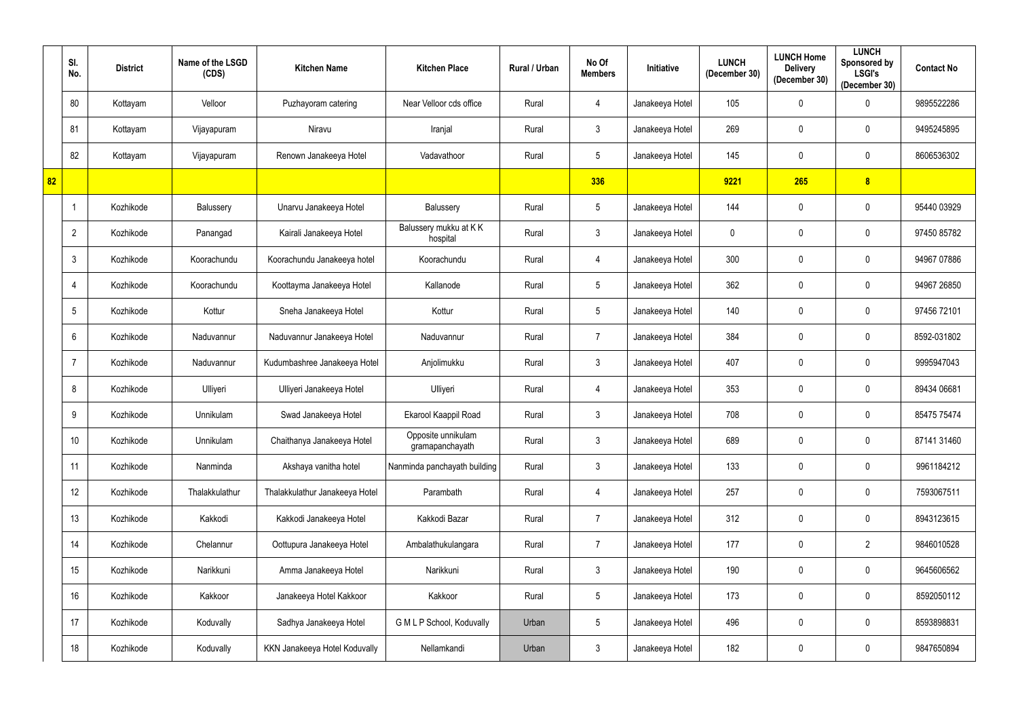|    | SI.<br>No.      | <b>District</b> | Name of the LSGD<br>(CDS) | <b>Kitchen Name</b>            | <b>Kitchen Place</b>                  | Rural / Urban | No Of<br><b>Members</b> | Initiative      | <b>LUNCH</b><br>(December 30) | <b>LUNCH Home</b><br><b>Delivery</b><br>(December 30) | <b>LUNCH</b><br>Sponsored by<br><b>LSGI's</b><br>(December 30) | <b>Contact No</b> |
|----|-----------------|-----------------|---------------------------|--------------------------------|---------------------------------------|---------------|-------------------------|-----------------|-------------------------------|-------------------------------------------------------|----------------------------------------------------------------|-------------------|
|    | 80              | Kottayam        | Velloor                   | Puzhayoram catering            | Near Velloor cds office               | Rural         | $\overline{4}$          | Janakeeya Hotel | 105                           | $\mathbf 0$                                           | $\mathbf 0$                                                    | 9895522286        |
|    | 81              | Kottayam        | Vijayapuram               | Niravu                         | Iranjal                               | Rural         | $\mathbf{3}$            | Janakeeya Hotel | 269                           | $\mathbf 0$                                           | $\mathbf 0$                                                    | 9495245895        |
|    | 82              | Kottayam        | Vijayapuram               | Renown Janakeeya Hotel         | Vadavathoor                           | Rural         | $5\phantom{.0}$         | Janakeeya Hotel | 145                           | $\mathbf 0$                                           | $\mathbf 0$                                                    | 8606536302        |
| 82 |                 |                 |                           |                                |                                       |               | 336                     |                 | 9221                          | 265                                                   | 8 <sup>1</sup>                                                 |                   |
|    |                 | Kozhikode       | Balussery                 | Unarvu Janakeeya Hotel         | Balussery                             | Rural         | 5                       | Janakeeya Hotel | 144                           | $\mathbf 0$                                           | $\overline{0}$                                                 | 95440 03929       |
|    | $\overline{2}$  | Kozhikode       | Panangad                  | Kairali Janakeeya Hotel        | Balussery mukku at KK<br>hospital     | Rural         | $\mathbf{3}$            | Janakeeya Hotel | $\mathbf 0$                   | $\mathbf 0$                                           | $\mathbf 0$                                                    | 97450 85782       |
|    | 3               | Kozhikode       | Koorachundu               | Koorachundu Janakeeya hotel    | Koorachundu                           | Rural         | $\overline{4}$          | Janakeeya Hotel | 300                           | $\mathbf 0$                                           | $\mathbf 0$                                                    | 94967 07886       |
|    | 4               | Kozhikode       | Koorachundu               | Koottayma Janakeeya Hotel      | Kallanode                             | Rural         | $5\phantom{.0}$         | Janakeeya Hotel | 362                           | $\mathbf 0$                                           | $\boldsymbol{0}$                                               | 94967 26850       |
|    | $5^{\circ}$     | Kozhikode       | Kottur                    | Sneha Janakeeya Hotel          | Kottur                                | Rural         | $5\phantom{.0}$         | Janakeeya Hotel | 140                           | $\mathbf 0$                                           | $\overline{0}$                                                 | 97456 72101       |
|    | 6               | Kozhikode       | Naduvannur                | Naduvannur Janakeeya Hotel     | Naduvannur                            | Rural         | $\overline{7}$          | Janakeeya Hotel | 384                           | $\mathbf 0$                                           | $\boldsymbol{0}$                                               | 8592-031802       |
|    | 7               | Kozhikode       | Naduvannur                | Kudumbashree Janakeeya Hotel   | Anjolimukku                           | Rural         | $\mathbf{3}$            | Janakeeya Hotel | 407                           | $\mathbf 0$                                           | $\overline{0}$                                                 | 9995947043        |
|    | 8               | Kozhikode       | Ulliyeri                  | Ulliyeri Janakeeya Hotel       | Ulliyeri                              | Rural         | $\overline{4}$          | Janakeeya Hotel | 353                           | $\mathbf 0$                                           | $\overline{0}$                                                 | 89434 06681       |
|    | 9               | Kozhikode       | Unnikulam                 | Swad Janakeeya Hotel           | Ekarool Kaappil Road                  | Rural         | $\mathbf{3}$            | Janakeeya Hotel | 708                           | $\mathbf 0$                                           | $\mathbf 0$                                                    | 85475 75474       |
|    | 10 <sup>°</sup> | Kozhikode       | Unnikulam                 | Chaithanya Janakeeya Hotel     | Opposite unnikulam<br>gramapanchayath | Rural         | $\mathfrak{Z}$          | Janakeeya Hotel | 689                           | $\mathbf 0$                                           | $\mathbf 0$                                                    | 87141 31460       |
|    | 11              | Kozhikode       | Nanminda                  | Akshaya vanitha hotel          | Nanminda panchayath building          | Rural         | $\mathfrak{Z}$          | Janakeeya Hotel | 133                           | $\mathbf 0$                                           | $\bm{0}$                                                       | 9961184212        |
|    | 12              | Kozhikode       | Thalakkulathur            | Thalakkulathur Janakeeya Hotel | Parambath                             | Rural         | $\overline{4}$          | Janakeeya Hotel | 257                           | $\mathbf 0$                                           | $\mathbf 0$                                                    | 7593067511        |
|    | 13              | Kozhikode       | Kakkodi                   | Kakkodi Janakeeya Hotel        | Kakkodi Bazar                         | Rural         | $\overline{7}$          | Janakeeya Hotel | 312                           | $\boldsymbol{0}$                                      | $\pmb{0}$                                                      | 8943123615        |
|    | 14              | Kozhikode       | Chelannur                 | Oottupura Janakeeya Hotel      | Ambalathukulangara                    | Rural         | $\overline{7}$          | Janakeeya Hotel | 177                           | $\mathbf 0$                                           | $\overline{2}$                                                 | 9846010528        |
|    | 15              | Kozhikode       | Narikkuni                 | Amma Janakeeya Hotel           | Narikkuni                             | Rural         | $\mathbf{3}$            | Janakeeya Hotel | 190                           | $\mathbf 0$                                           | $\mathbf 0$                                                    | 9645606562        |
|    | 16              | Kozhikode       | Kakkoor                   | Janakeeya Hotel Kakkoor        | Kakkoor                               | Rural         | $5\phantom{.0}$         | Janakeeya Hotel | 173                           | $\mathbf 0$                                           | $\mathbf 0$                                                    | 8592050112        |
|    | 17              | Kozhikode       | Koduvally                 | Sadhya Janakeeya Hotel         | G M L P School, Koduvally             | Urban         | $5\phantom{.0}$         | Janakeeya Hotel | 496                           | $\mathbf 0$                                           | $\bf{0}$                                                       | 8593898831        |
|    | 18              | Kozhikode       | Koduvally                 | KKN Janakeeya Hotel Koduvally  | Nellamkandi                           | Urban         | $\mathfrak{Z}$          | Janakeeya Hotel | 182                           | $\overline{0}$                                        | $\bm{0}$                                                       | 9847650894        |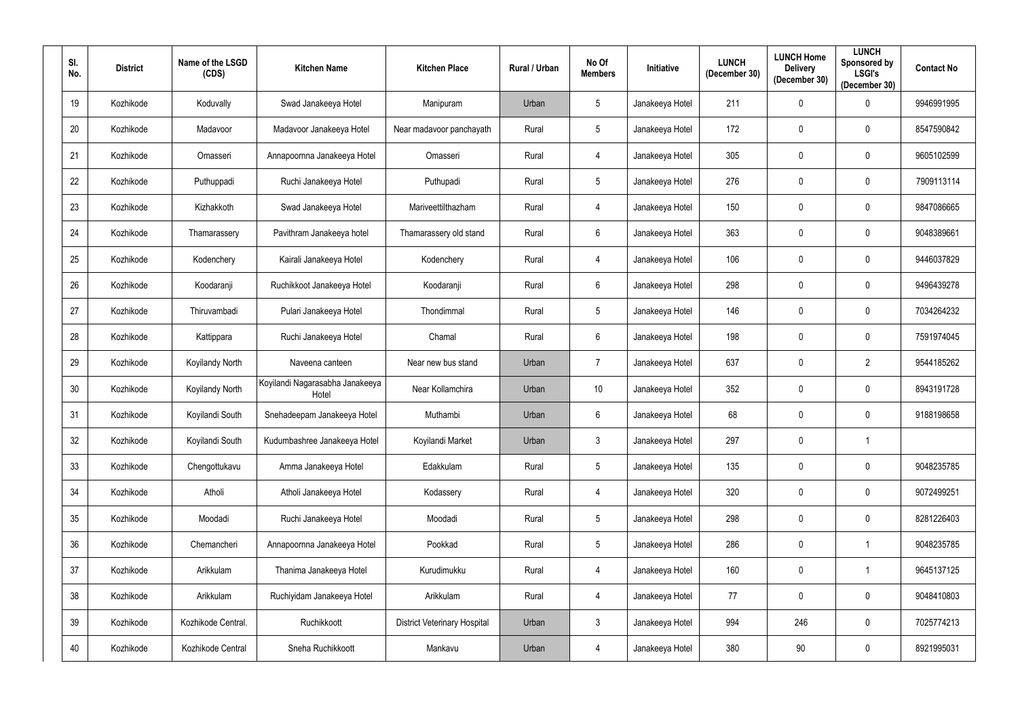| SI.<br>No. | <b>District</b> | Name of the LSGD<br>(CDS) | <b>Kitchen Name</b>                      | <b>Kitchen Place</b>                | Rural / Urban | No Of<br><b>Members</b> | Initiative      | <b>LUNCH</b><br>(December 30) | <b>LUNCH Home</b><br><b>Delivery</b><br>(December 30) | <b>LUNCH</b><br>Sponsored by<br><b>LSGI's</b><br>(December 30) | <b>Contact No</b> |
|------------|-----------------|---------------------------|------------------------------------------|-------------------------------------|---------------|-------------------------|-----------------|-------------------------------|-------------------------------------------------------|----------------------------------------------------------------|-------------------|
| 19         | Kozhikode       | Koduvally                 | Swad Janakeeya Hotel                     | Manipuram                           | Urban         | $5\overline{)}$         | Janakeeya Hotel | 211                           | $\mathbf 0$                                           | $\mathbf 0$                                                    | 9946991995        |
| 20         | Kozhikode       | Madavoor                  | Madavoor Janakeeya Hotel                 | Near madavoor panchayath            | Rural         | $5\overline{)}$         | Janakeeya Hotel | 172                           | $\mathbf 0$                                           | $\mathbf 0$                                                    | 8547590842        |
| 21         | Kozhikode       | Omasseri                  | Annapoornna Janakeeya Hotel              | Omasseri                            | Rural         | $\overline{4}$          | Janakeeya Hotel | 305                           | $\mathbf 0$                                           | $\mathbf 0$                                                    | 9605102599        |
| 22         | Kozhikode       | Puthuppadi                | Ruchi Janakeeya Hotel                    | Puthupadi                           | Rural         | $5\overline{)}$         | Janakeeya Hotel | 276                           | $\mathbf 0$                                           | $\mathbf 0$                                                    | 7909113114        |
| 23         | Kozhikode       | Kizhakkoth                | Swad Janakeeya Hotel                     | Mariveettilthazham                  | Rural         | $\overline{4}$          | Janakeeya Hotel | 150                           | $\mathbf 0$                                           | $\mathbf 0$                                                    | 9847086665        |
| 24         | Kozhikode       | Thamarassery              | Pavithram Janakeeya hotel                | Thamarassery old stand              | Rural         | $6\overline{6}$         | Janakeeya Hotel | 363                           | $\mathbf 0$                                           | $\mathbf 0$                                                    | 9048389661        |
| 25         | Kozhikode       | Kodenchery                | Kairali Janakeeya Hotel                  | Kodenchery                          | Rural         | $\overline{4}$          | Janakeeya Hotel | 106                           | 0                                                     | $\mathbf 0$                                                    | 9446037829        |
| 26         | Kozhikode       | Koodaranji                | Ruchikkoot Janakeeya Hotel               | Koodaranji                          | Rural         | $6\overline{6}$         | Janakeeya Hotel | 298                           | $\mathbf 0$                                           | $\mathbf 0$                                                    | 9496439278        |
| 27         | Kozhikode       | Thiruvambadi              | Pulari Janakeeya Hotel                   | Thondimmal                          | Rural         | $5\overline{)}$         | Janakeeya Hotel | 146                           | $\mathbf 0$                                           | $\mathbf 0$                                                    | 7034264232        |
| 28         | Kozhikode       | Kattippara                | Ruchi Janakeeya Hotel                    | Chamal                              | Rural         | $6\overline{6}$         | Janakeeya Hotel | 198                           | $\mathbf 0$                                           | $\mathbf 0$                                                    | 7591974045        |
| 29         | Kozhikode       | Koyilandy North           | Naveena canteen                          | Near new bus stand                  | Urban         | $\overline{7}$          | Janakeeya Hotel | 637                           | 0                                                     | $\overline{2}$                                                 | 9544185262        |
| 30         | Kozhikode       | Koyilandy North           | Koyilandi Nagarasabha Janakeeya<br>Hotel | Near Kollamchira                    | Urban         | 10                      | Janakeeya Hotel | 352                           | $\mathbf 0$                                           | $\mathbf 0$                                                    | 8943191728        |
| 31         | Kozhikode       | Koyilandi South           | Snehadeepam Janakeeya Hotel              | Muthambi                            | Urban         | $6\overline{6}$         | Janakeeya Hotel | 68                            | $\mathbf 0$                                           | $\mathbf 0$                                                    | 9188198658        |
| 32         | Kozhikode       | Koyilandi South           | Kudumbashree Janakeeya Hotel             | Koyilandi Market                    | Urban         | $\mathbf{3}$            | Janakeeya Hotel | 297                           | $\mathbf 0$                                           | $\mathbf{1}$                                                   |                   |
| 33         | Kozhikode       | Chengottukavu             | Amma Janakeeya Hotel                     | Edakkulam                           | Rural         | $5\phantom{.0}$         | Janakeeya Hotel | 135                           | 0                                                     | $\overline{0}$                                                 | 9048235785        |
| 34         | Kozhikode       | Atholi                    | Atholi Janakeeya Hotel                   | Kodassery                           | Rural         | $\overline{4}$          | Janakeeya Hotel | 320                           | $\mathbf 0$                                           | $\mathbf 0$                                                    | 9072499251        |
| 35         | Kozhikode       | Moodadi                   | Ruchi Janakeeya Hotel                    | Moodadi                             | Rural         | $5\phantom{.0}$         | Janakeeya Hotel | 298                           | $\pmb{0}$                                             | $\bm{0}$                                                       | 8281226403        |
| 36         | Kozhikode       | Chemancheri               | Annapoornna Janakeeya Hotel              | Pookkad                             | Rural         | $5\phantom{.0}$         | Janakeeya Hotel | 286                           | $\mathbf 0$                                           | $\mathbf{1}$                                                   | 9048235785        |
| 37         | Kozhikode       | Arikkulam                 | Thanima Janakeeya Hotel                  | Kurudimukku                         | Rural         | $\overline{4}$          | Janakeeya Hotel | 160                           | $\mathbf 0$                                           | $\mathbf{1}$                                                   | 9645137125        |
| 38         | Kozhikode       | Arikkulam                 | Ruchiyidam Janakeeya Hotel               | Arikkulam                           | Rural         | $\overline{4}$          | Janakeeya Hotel | 77                            | 0                                                     | $\mathbf 0$                                                    | 9048410803        |
| 39         | Kozhikode       | Kozhikode Central.        | Ruchikkoott                              | <b>District Veterinary Hospital</b> | Urban         | $\mathbf{3}$            | Janakeeya Hotel | 994                           | 246                                                   | $\overline{0}$                                                 | 7025774213        |
| 40         | Kozhikode       | Kozhikode Central         | Sneha Ruchikkoott                        | Mankavu                             | Urban         | $\overline{4}$          | Janakeeya Hotel | 380                           | 90                                                    | $\bm{0}$                                                       | 8921995031        |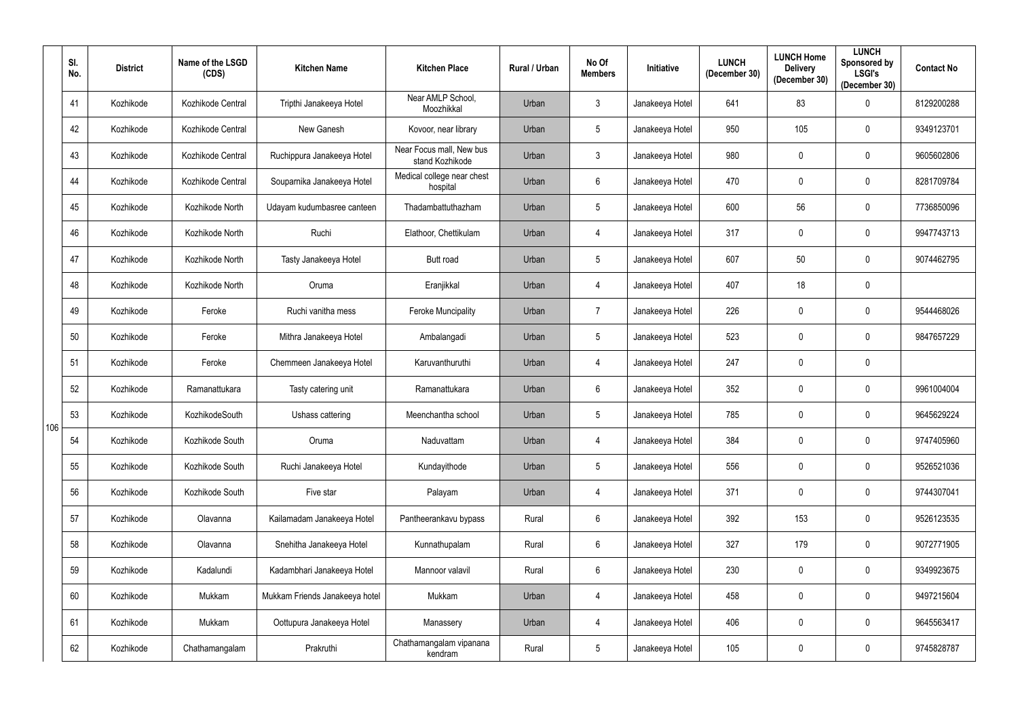|     | SI.<br>No. | <b>District</b> | Name of the LSGD<br>(CDS) | <b>Kitchen Name</b>            | <b>Kitchen Place</b>                        | Rural / Urban | No Of<br><b>Members</b> | Initiative      | <b>LUNCH</b><br>(December 30) | <b>LUNCH Home</b><br><b>Delivery</b><br>(December 30) | <b>LUNCH</b><br>Sponsored by<br><b>LSGI's</b><br>(December 30) | <b>Contact No</b> |
|-----|------------|-----------------|---------------------------|--------------------------------|---------------------------------------------|---------------|-------------------------|-----------------|-------------------------------|-------------------------------------------------------|----------------------------------------------------------------|-------------------|
|     | 41         | Kozhikode       | Kozhikode Central         | Tripthi Janakeeya Hotel        | Near AMLP School,<br>Moozhikkal             | Urban         | 3                       | Janakeeya Hotel | 641                           | 83                                                    | $\mathbf 0$                                                    | 8129200288        |
|     | 42         | Kozhikode       | Kozhikode Central         | New Ganesh                     | Kovoor, near library                        | Urban         | 5                       | Janakeeya Hotel | 950                           | 105                                                   | $\mathbf 0$                                                    | 9349123701        |
|     | 43         | Kozhikode       | Kozhikode Central         | Ruchippura Janakeeya Hotel     | Near Focus mall, New bus<br>stand Kozhikode | Urban         | $\mathfrak{Z}$          | Janakeeya Hotel | 980                           | $\mathbf 0$                                           | $\boldsymbol{0}$                                               | 9605602806        |
|     | 44         | Kozhikode       | Kozhikode Central         | Souparnika Janakeeya Hotel     | Medical college near chest<br>hospital      | Urban         | $6\phantom{.}$          | Janakeeya Hotel | 470                           | $\mathbf 0$                                           | $\mathbf 0$                                                    | 8281709784        |
|     | 45         | Kozhikode       | Kozhikode North           | Udayam kudumbasree canteen     | Thadambattuthazham                          | Urban         | $5\phantom{.0}$         | Janakeeya Hotel | 600                           | 56                                                    | $\mathbf 0$                                                    | 7736850096        |
|     | 46         | Kozhikode       | Kozhikode North           | Ruchi                          | Elathoor, Chettikulam                       | Urban         | $\overline{4}$          | Janakeeya Hotel | 317                           | $\mathbf 0$                                           | $\boldsymbol{0}$                                               | 9947743713        |
|     | 47         | Kozhikode       | Kozhikode North           | Tasty Janakeeya Hotel          | Butt road                                   | Urban         | $5\phantom{.0}$         | Janakeeya Hotel | 607                           | 50                                                    | $\mathbf 0$                                                    | 9074462795        |
|     | 48         | Kozhikode       | Kozhikode North           | Oruma                          | Eranjikkal                                  | Urban         | 4                       | Janakeeya Hotel | 407                           | 18                                                    | $\mathbf 0$                                                    |                   |
|     | 49         | Kozhikode       | Feroke                    | Ruchi vanitha mess             | <b>Feroke Muncipality</b>                   | Urban         | $\overline{7}$          | Janakeeya Hotel | 226                           | $\mathbf 0$                                           | $\pmb{0}$                                                      | 9544468026        |
|     | 50         | Kozhikode       | Feroke                    | Mithra Janakeeya Hotel         | Ambalangadi                                 | Urban         | $5\phantom{.0}$         | Janakeeya Hotel | 523                           | 0                                                     | $\mathbf 0$                                                    | 9847657229        |
|     | 51         | Kozhikode       | Feroke                    | Chemmeen Janakeeya Hotel       | Karuvanthuruthi                             | Urban         | 4                       | Janakeeya Hotel | 247                           | $\mathbf 0$                                           | $\boldsymbol{0}$                                               |                   |
|     | 52         | Kozhikode       | Ramanattukara             | Tasty catering unit            | Ramanattukara                               | Urban         | $6\phantom{.}$          | Janakeeya Hotel | 352                           | 0                                                     | $\mathbf 0$                                                    | 9961004004        |
| 106 | 53         | Kozhikode       | KozhikodeSouth            | Ushass cattering               | Meenchantha school                          | Urban         | $5\phantom{.0}$         | Janakeeya Hotel | 785                           | $\mathbf 0$                                           | $\overline{0}$                                                 | 9645629224        |
|     | 54         | Kozhikode       | Kozhikode South           | Oruma                          | Naduvattam                                  | Urban         | $\overline{4}$          | Janakeeya Hotel | 384                           | $\mathbf 0$                                           | $\mathbf 0$                                                    | 9747405960        |
|     | 55         | Kozhikode       | Kozhikode South           | Ruchi Janakeeya Hotel          | Kundayithode                                | Urban         | $5\phantom{.0}$         | Janakeeya Hotel | 556                           | 0                                                     | $\overline{0}$                                                 | 9526521036        |
|     | 56         | Kozhikode       | Kozhikode South           | Five star                      | Palayam                                     | Urban         | 4                       | Janakeeya Hotel | 371                           | $\mathbf 0$                                           | $\boldsymbol{0}$                                               | 9744307041        |
|     | 57         | Kozhikode       | Olavanna                  | Kailamadam Janakeeya Hotel     | Pantheerankavu bypass                       | Rural         | 6                       | Janakeeya Hotel | 392                           | 153                                                   | $\mathbf 0$                                                    | 9526123535        |
|     | 58         | Kozhikode       | Olavanna                  | Snehitha Janakeeya Hotel       | Kunnathupalam                               | Rural         | 6                       | Janakeeya Hotel | 327                           | 179                                                   | $\boldsymbol{0}$                                               | 9072771905        |
|     | 59         | Kozhikode       | Kadalundi                 | Kadambhari Janakeeya Hotel     | Mannoor valavil                             | Rural         | $6\phantom{.0}$         | Janakeeya Hotel | 230                           | 0                                                     | $\boldsymbol{0}$                                               | 9349923675        |
|     | 60         | Kozhikode       | Mukkam                    | Mukkam Friends Janakeeya hotel | Mukkam                                      | Urban         | 4                       | Janakeeya Hotel | 458                           | $\mathbf 0$                                           | $\boldsymbol{0}$                                               | 9497215604        |
|     | 61         | Kozhikode       | Mukkam                    | Oottupura Janakeeya Hotel      | Manassery                                   | Urban         | 4                       | Janakeeya Hotel | 406                           | $\bf{0}$                                              | $\boldsymbol{0}$                                               | 9645563417        |
|     | 62         | Kozhikode       | Chathamangalam            | Prakruthi                      | Chathamangalam vipanana<br>kendram          | Rural         | $\overline{5}$          | Janakeeya Hotel | 105                           | $\boldsymbol{0}$                                      | $\boldsymbol{0}$                                               | 9745828787        |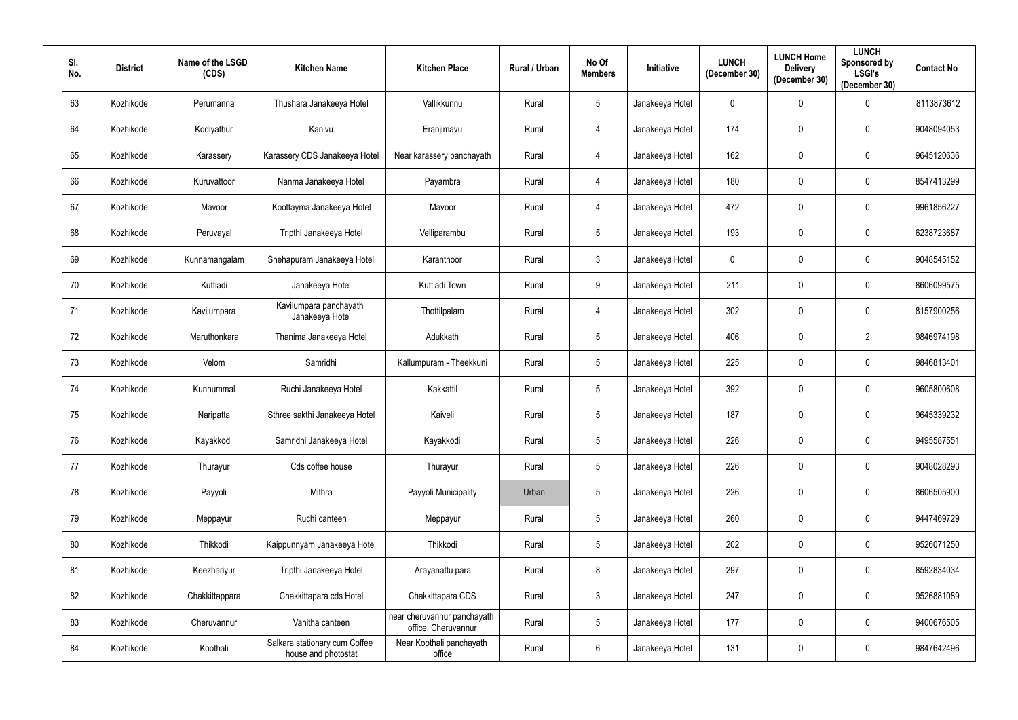| SI.<br>No. | <b>District</b> | Name of the LSGD<br>(CDS) | <b>Kitchen Name</b>                                  | <b>Kitchen Place</b>                               | <b>Rural / Urban</b> | No Of<br><b>Members</b> | Initiative      | <b>LUNCH</b><br>(December 30) | <b>LUNCH Home</b><br><b>Delivery</b><br>(December 30) | <b>LUNCH</b><br>Sponsored by<br><b>LSGI's</b><br>(December 30) | <b>Contact No</b> |
|------------|-----------------|---------------------------|------------------------------------------------------|----------------------------------------------------|----------------------|-------------------------|-----------------|-------------------------------|-------------------------------------------------------|----------------------------------------------------------------|-------------------|
| 63         | Kozhikode       | Perumanna                 | Thushara Janakeeya Hotel                             | Vallikkunnu                                        | Rural                | $5\overline{)}$         | Janakeeya Hotel | 0                             | $\mathbf 0$                                           | $\Omega$                                                       | 8113873612        |
| 64         | Kozhikode       | Kodiyathur                | Kanivu                                               | Eranjimavu                                         | Rural                | 4                       | Janakeeya Hotel | 174                           | $\mathbf 0$                                           | $\mathbf{0}$                                                   | 9048094053        |
| 65         | Kozhikode       | Karassery                 | Karassery CDS Janakeeya Hotel                        | Near karassery panchayath                          | Rural                | $\overline{4}$          | Janakeeya Hotel | 162                           | $\mathbf 0$                                           | $\mathbf{0}$                                                   | 9645120636        |
| 66         | Kozhikode       | Kuruvattoor               | Nanma Janakeeya Hotel                                | Payambra                                           | Rural                | $\overline{4}$          | Janakeeya Hotel | 180                           | $\mathbf 0$                                           | $\mathbf 0$                                                    | 8547413299        |
| 67         | Kozhikode       | Mavoor                    | Koottayma Janakeeya Hotel                            | Mavoor                                             | Rural                | $\overline{4}$          | Janakeeya Hotel | 472                           | $\overline{0}$                                        | $\mathbf 0$                                                    | 9961856227        |
| 68         | Kozhikode       | Peruvayal                 | Tripthi Janakeeya Hotel                              | Velliparambu                                       | Rural                | $5\overline{)}$         | Janakeeya Hotel | 193                           | $\mathbf 0$                                           | $\mathbf{0}$                                                   | 6238723687        |
| 69         | Kozhikode       | Kunnamangalam             | Snehapuram Janakeeya Hotel                           | Karanthoor                                         | Rural                | $\mathbf{3}$            | Janakeeya Hotel | $\mathbf 0$                   | $\mathbf 0$                                           | $\mathbf{0}$                                                   | 9048545152        |
| 70         | Kozhikode       | Kuttiadi                  | Janakeeya Hotel                                      | Kuttiadi Town                                      | Rural                | 9                       | Janakeeya Hotel | 211                           | $\mathbf 0$                                           | $\mathbf{0}$                                                   | 8606099575        |
| 71         | Kozhikode       | Kavilumpara               | Kavilumpara panchayath<br>Janakeeya Hotel            | Thottilpalam                                       | Rural                | $\overline{4}$          | Janakeeya Hotel | 302                           | $\mathbf 0$                                           | $\mathbf{0}$                                                   | 8157900256        |
| 72         | Kozhikode       | Maruthonkara              | Thanima Janakeeya Hotel                              | Adukkath                                           | Rural                | $5\overline{)}$         | Janakeeya Hotel | 406                           | $\mathbf 0$                                           | $\overline{2}$                                                 | 9846974198        |
| 73         | Kozhikode       | Velom                     | Samridhi                                             | Kallumpuram - Theekkuni                            | Rural                | $5\overline{)}$         | Janakeeya Hotel | 225                           | $\mathbf 0$                                           | $\mathbf{0}$                                                   | 9846813401        |
| 74         | Kozhikode       | Kunnummal                 | Ruchi Janakeeya Hotel                                | Kakkattil                                          | Rural                | $5\overline{)}$         | Janakeeya Hotel | 392                           | $\mathbf 0$                                           | $\mathbf 0$                                                    | 9605800608        |
| 75         | Kozhikode       | Naripatta                 | Sthree sakthi Janakeeya Hotel                        | Kaiveli                                            | Rural                | $5\overline{)}$         | Janakeeya Hotel | 187                           | $\mathbf 0$                                           | $\mathbf 0$                                                    | 9645339232        |
| 76         | Kozhikode       | Kayakkodi                 | Samridhi Janakeeya Hotel                             | Kayakkodi                                          | Rural                | $5\phantom{.0}$         | Janakeeya Hotel | 226                           | $\overline{0}$                                        | $\mathbf 0$                                                    | 9495587551        |
| 77         | Kozhikode       | Thurayur                  | Cds coffee house                                     | Thurayur                                           | Rural                | $5\phantom{.0}$         | Janakeeya Hotel | 226                           | $\mathbf 0$                                           | $\mathbf 0$                                                    | 9048028293        |
| 78         | Kozhikode       | Payyoli                   | Mithra                                               | Payyoli Municipality                               | Urban                | $5\phantom{.0}$         | Janakeeya Hotel | 226                           | $\mathbf 0$                                           | $\mathbf 0$                                                    | 8606505900        |
| 79         | Kozhikode       | Meppayur                  | Ruchi canteen                                        | Meppayur                                           | Rural                | $5\phantom{.0}$         | Janakeeya Hotel | 260                           | $\mathbf 0$                                           | $\mathbf 0$                                                    | 9447469729        |
| 80         | Kozhikode       | Thikkodi                  | Kaippunnyam Janakeeya Hotel                          | Thikkodi                                           | Rural                | $5\phantom{.0}$         | Janakeeya Hotel | 202                           | $\mathbf 0$                                           | $\pmb{0}$                                                      | 9526071250        |
| 81         | Kozhikode       | Keezhariyur               | Tripthi Janakeeya Hotel                              | Arayanattu para                                    | Rural                | 8                       | Janakeeya Hotel | 297                           | $\mathbf 0$                                           | $\mathbf 0$                                                    | 8592834034        |
| 82         | Kozhikode       | Chakkittappara            | Chakkittapara cds Hotel                              | Chakkittapara CDS                                  | Rural                | $\mathbf{3}$            | Janakeeya Hotel | 247                           | $\mathbf 0$                                           | $\pmb{0}$                                                      | 9526881089        |
| 83         | Kozhikode       | Cheruvannur               | Vanitha canteen                                      | near cheruvannur panchayath<br>office, Cheruvannur | Rural                | $5\phantom{.0}$         | Janakeeya Hotel | 177                           | $\mathbf 0$                                           | $\pmb{0}$                                                      | 9400676505        |
| 84         | Kozhikode       | Koothali                  | Salkara stationary cum Coffee<br>house and photostat | Near Koothali panchayath<br>office                 | Rural                | $6\overline{6}$         | Janakeeya Hotel | 131                           | $\boldsymbol{0}$                                      | $\overline{0}$                                                 | 9847642496        |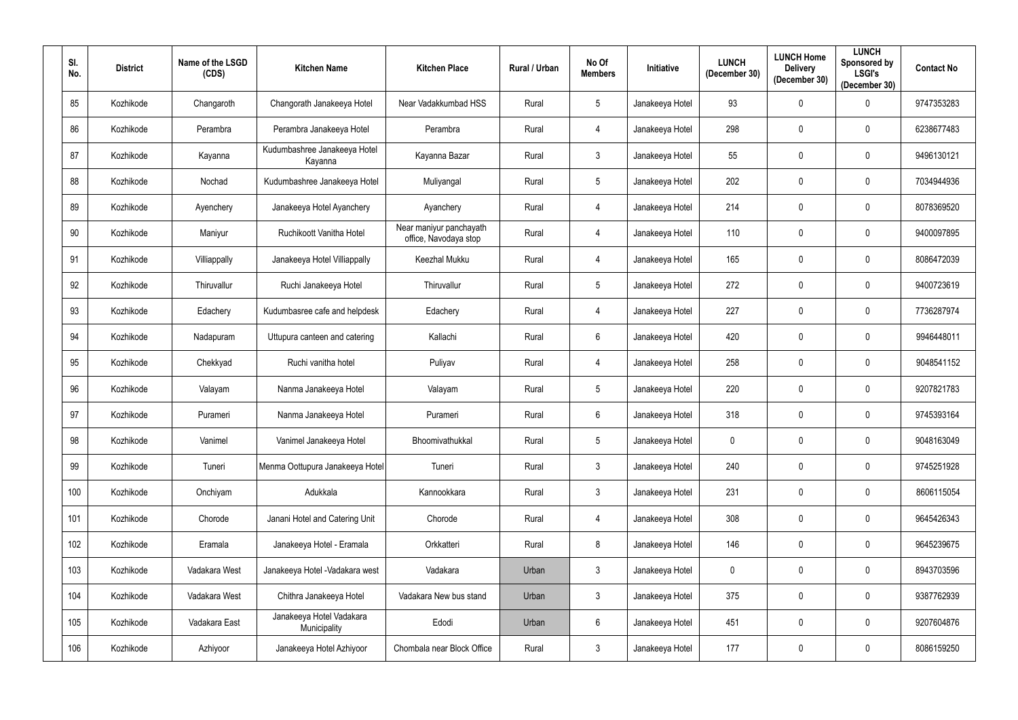| SI.<br>No. | <b>District</b> | Name of the LSGD<br>(CDS) | <b>Kitchen Name</b>                      | <b>Kitchen Place</b>                             | Rural / Urban | No Of<br><b>Members</b> | Initiative      | <b>LUNCH</b><br>(December 30) | <b>LUNCH Home</b><br><b>Delivery</b><br>(December 30) | <b>LUNCH</b><br>Sponsored by<br><b>LSGI's</b><br>(December 30) | <b>Contact No</b> |
|------------|-----------------|---------------------------|------------------------------------------|--------------------------------------------------|---------------|-------------------------|-----------------|-------------------------------|-------------------------------------------------------|----------------------------------------------------------------|-------------------|
| 85         | Kozhikode       | Changaroth                | Changorath Janakeeya Hotel               | Near Vadakkumbad HSS                             | Rural         | 5                       | Janakeeya Hotel | 93                            | $\mathbf 0$                                           | $\mathbf 0$                                                    | 9747353283        |
| 86         | Kozhikode       | Perambra                  | Perambra Janakeeya Hotel                 | Perambra                                         | Rural         | 4                       | Janakeeya Hotel | 298                           | $\mathbf 0$                                           | $\mathbf 0$                                                    | 6238677483        |
| 87         | Kozhikode       | Kayanna                   | Kudumbashree Janakeeya Hotel<br>Kayanna  | Kayanna Bazar                                    | Rural         | 3                       | Janakeeya Hotel | 55                            | $\mathbf 0$                                           | $\mathbf 0$                                                    | 9496130121        |
| 88         | Kozhikode       | Nochad                    | Kudumbashree Janakeeya Hotel             | Muliyangal                                       | Rural         | 5                       | Janakeeya Hotel | 202                           | $\mathbf 0$                                           | $\mathbf 0$                                                    | 7034944936        |
| 89         | Kozhikode       | Ayenchery                 | Janakeeya Hotel Ayanchery                | Ayanchery                                        | Rural         | $\overline{4}$          | Janakeeya Hotel | 214                           | $\mathbf 0$                                           | $\mathbf 0$                                                    | 8078369520        |
| 90         | Kozhikode       | Maniyur                   | Ruchikoott Vanitha Hotel                 | Near maniyur panchayath<br>office, Navodaya stop | Rural         | 4                       | Janakeeya Hotel | 110                           | $\mathbf 0$                                           | $\mathbf 0$                                                    | 9400097895        |
| 91         | Kozhikode       | Villiappally              | Janakeeya Hotel Villiappally             | Keezhal Mukku                                    | Rural         | $\overline{4}$          | Janakeeya Hotel | 165                           | $\mathbf 0$                                           | $\mathbf 0$                                                    | 8086472039        |
| 92         | Kozhikode       | Thiruvallur               | Ruchi Janakeeya Hotel                    | Thiruvallur                                      | Rural         | 5                       | Janakeeya Hotel | 272                           | $\mathbf 0$                                           | $\mathbf 0$                                                    | 9400723619        |
| 93         | Kozhikode       | Edachery                  | Kudumbasree cafe and helpdesk            | Edachery                                         | Rural         | 4                       | Janakeeya Hotel | 227                           | $\mathbf 0$                                           | $\mathbf 0$                                                    | 7736287974        |
| 94         | Kozhikode       | Nadapuram                 | Uttupura canteen and catering            | Kallachi                                         | Rural         | 6                       | Janakeeya Hotel | 420                           | $\mathbf 0$                                           | $\mathbf{0}$                                                   | 9946448011        |
| 95         | Kozhikode       | Chekkyad                  | Ruchi vanitha hotel                      | Puliyav                                          | Rural         | $\overline{4}$          | Janakeeya Hotel | 258                           | $\mathbf 0$                                           | $\mathbf{0}$                                                   | 9048541152        |
| 96         | Kozhikode       | Valayam                   | Nanma Janakeeya Hotel                    | Valayam                                          | Rural         | 5                       | Janakeeya Hotel | 220                           | $\mathbf 0$                                           | $\mathbf 0$                                                    | 9207821783        |
| 97         | Kozhikode       | Purameri                  | Nanma Janakeeya Hotel                    | Purameri                                         | Rural         | $6\phantom{.}$          | Janakeeya Hotel | 318                           | $\mathbf 0$                                           | $\mathbf 0$                                                    | 9745393164        |
| 98         | Kozhikode       | Vanimel                   | Vanimel Janakeeya Hotel                  | Bhoomivathukkal                                  | Rural         | $5\phantom{.0}$         | Janakeeya Hotel | $\mathbf 0$                   | $\mathbf 0$                                           | $\mathbf 0$                                                    | 9048163049        |
| 99         | Kozhikode       | Tuneri                    | Menma Oottupura Janakeeya Hotel          | Tuneri                                           | Rural         | $\mathfrak{Z}$          | Janakeeya Hotel | 240                           | $\mathbf 0$                                           | $\mathbf 0$                                                    | 9745251928        |
| 100        | Kozhikode       | Onchiyam                  | Adukkala                                 | Kannookkara                                      | Rural         | 3 <sup>1</sup>          | Janakeeya Hotel | 231                           | $\bf{0}$                                              | $\mathbf 0$                                                    | 8606115054        |
| 101        | Kozhikode       | Chorode                   | Janani Hotel and Catering Unit           | Chorode                                          | Rural         | $\overline{4}$          | Janakeeya Hotel | 308                           | $\bm{0}$                                              | $\mathbf 0$                                                    | 9645426343        |
| 102        | Kozhikode       | Eramala                   | Janakeeya Hotel - Eramala                | Orkkatteri                                       | Rural         | 8                       | Janakeeya Hotel | 146                           | $\mathbf 0$                                           | $\mathbf 0$                                                    | 9645239675        |
| 103        | Kozhikode       | Vadakara West             | Janakeeya Hotel - Vadakara west          | Vadakara                                         | Urban         | 3                       | Janakeeya Hotel | $\mathbf 0$                   | $\pmb{0}$                                             | $\mathbf 0$                                                    | 8943703596        |
| 104        | Kozhikode       | Vadakara West             | Chithra Janakeeya Hotel                  | Vadakara New bus stand                           | Urban         | $\mathfrak{Z}$          | Janakeeya Hotel | 375                           | $\mathbf 0$                                           | $\mathbf 0$                                                    | 9387762939        |
| 105        | Kozhikode       | Vadakara East             | Janakeeya Hotel Vadakara<br>Municipality | Edodi                                            | Urban         | $6\overline{6}$         | Janakeeya Hotel | 451                           | $\bf{0}$                                              | $\mathbf 0$                                                    | 9207604876        |
| 106        | Kozhikode       | Azhiyoor                  | Janakeeya Hotel Azhiyoor                 | Chombala near Block Office                       | Rural         | $\mathfrak{Z}$          | Janakeeya Hotel | 177                           | $\bm{0}$                                              | $\mathbf 0$                                                    | 8086159250        |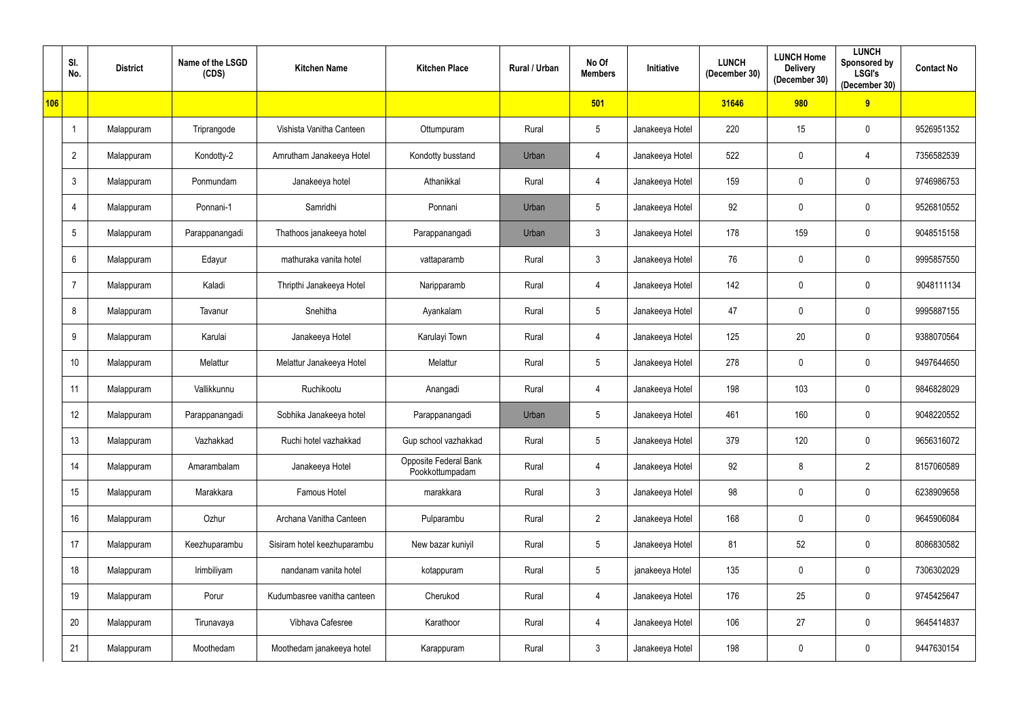|     | SI.<br>No.      | <b>District</b> | Name of the LSGD<br>(CDS) | <b>Kitchen Name</b>         | <b>Kitchen Place</b>                     | Rural / Urban | No Of<br><b>Members</b> | <b>Initiative</b> | <b>LUNCH</b><br>(December 30) | <b>LUNCH Home</b><br><b>Delivery</b><br>(December 30) | <b>LUNCH</b><br>Sponsored by<br><b>LSGI's</b><br>(December 30) | <b>Contact No</b> |
|-----|-----------------|-----------------|---------------------------|-----------------------------|------------------------------------------|---------------|-------------------------|-------------------|-------------------------------|-------------------------------------------------------|----------------------------------------------------------------|-------------------|
| 106 |                 |                 |                           |                             |                                          |               | 501                     |                   | 31646                         | 980                                                   | 9                                                              |                   |
|     |                 | Malappuram      | Triprangode               | Vishista Vanitha Canteen    | Ottumpuram                               | Rural         | $5\phantom{.0}$         | Janakeeya Hotel   | 220                           | 15                                                    | $\mathbf 0$                                                    | 9526951352        |
|     | $\overline{2}$  | Malappuram      | Kondotty-2                | Amrutham Janakeeya Hotel    | Kondotty busstand                        | Urban         | 4                       | Janakeeya Hotel   | 522                           | $\mathbf 0$                                           | 4                                                              | 7356582539        |
|     | $\mathbf{3}$    | Malappuram      | Ponmundam                 | Janakeeya hotel             | Athanikkal                               | Rural         | $\overline{4}$          | Janakeeya Hotel   | 159                           | $\mathbf 0$                                           | $\mathbf 0$                                                    | 9746986753        |
|     | 4               | Malappuram      | Ponnani-1                 | Samridhi                    | Ponnani                                  | Urban         | $5\phantom{.0}$         | Janakeeya Hotel   | 92                            | $\mathbf 0$                                           | $\mathbf 0$                                                    | 9526810552        |
|     | $5\phantom{.0}$ | Malappuram      | Parappanangadi            | Thathoos janakeeya hotel    | Parappanangadi                           | Urban         | $\mathbf{3}$            | Janakeeya Hotel   | 178                           | 159                                                   | $\mathbf 0$                                                    | 9048515158        |
|     | $6\overline{6}$ | Malappuram      | Edayur                    | mathuraka vanita hotel      | vattaparamb                              | Rural         | $\mathfrak{Z}$          | Janakeeya Hotel   | 76                            | $\mathbf 0$                                           | $\mathbf 0$                                                    | 9995857550        |
|     | -7              | Malappuram      | Kaladi                    | Thripthi Janakeeya Hotel    | Naripparamb                              | Rural         | 4                       | Janakeeya Hotel   | 142                           | 0                                                     | $\boldsymbol{0}$                                               | 9048111134        |
|     | 8               | Malappuram      | Tavanur                   | Snehitha                    | Ayankalam                                | Rural         | $5\phantom{.0}$         | Janakeeya Hotel   | 47                            | $\mathbf 0$                                           | $\mathbf 0$                                                    | 9995887155        |
|     | 9               | Malappuram      | Karulai                   | Janakeeya Hotel             | Karulayi Town                            | Rural         | 4                       | Janakeeya Hotel   | 125                           | 20                                                    | $\mathbf 0$                                                    | 9388070564        |
|     | 10              | Malappuram      | Melattur                  | Melattur Janakeeya Hotel    | Melattur                                 | Rural         | $5\phantom{.0}$         | Janakeeya Hotel   | 278                           | $\mathbf 0$                                           | $\mathbf 0$                                                    | 9497644650        |
|     | 11              | Malappuram      | Vallikkunnu               | Ruchikootu                  | Anangadi                                 | Rural         | $\overline{4}$          | Janakeeya Hotel   | 198                           | 103                                                   | $\mathbf 0$                                                    | 9846828029        |
|     | 12              | Malappuram      | Parappanangadi            | Sobhika Janakeeya hotel     | Parappanangadi                           | Urban         | $5\phantom{.0}$         | Janakeeya Hotel   | 461                           | 160                                                   | $\mathbf 0$                                                    | 9048220552        |
|     | 13              | Malappuram      | Vazhakkad                 | Ruchi hotel vazhakkad       | Gup school vazhakkad                     | Rural         | $5\phantom{.0}$         | Janakeeya Hotel   | 379                           | 120                                                   | $\mathbf 0$                                                    | 9656316072        |
|     | 14              | Malappuram      | Amarambalam               | Janakeeya Hotel             | Opposite Federal Bank<br>Pookkottumpadam | Rural         | $\overline{4}$          | Janakeeya Hotel   | 92                            | 8                                                     | $\overline{2}$                                                 | 8157060589        |
|     | 15              | Malappuram      | Marakkara                 | Famous Hotel                | marakkara                                | Rural         | $\mathfrak{Z}$          | Janakeeya Hotel   | 98                            | $\mathbf 0$                                           | $\mathbf 0$                                                    | 6238909658        |
|     | 16              | Malappuram      | Ozhur                     | Archana Vanitha Canteen     | Pulparambu                               | Rural         | $\overline{2}$          | Janakeeya Hotel   | 168                           | $\overline{0}$                                        | $\bm{0}$                                                       | 9645906084        |
|     | 17              | Malappuram      | Keezhuparambu             | Sisiram hotel keezhuparambu | New bazar kuniyil                        | Rural         | $5\phantom{.0}$         | Janakeeya Hotel   | 81                            | 52                                                    | $\bm{0}$                                                       | 8086830582        |
|     | 18              | Malappuram      | Irimbiliyam               | nandanam vanita hotel       | kotappuram                               | Rural         | $5\phantom{.0}$         | janakeeya Hotel   | 135                           | $\mathbf 0$                                           | $\mathbf 0$                                                    | 7306302029        |
|     | 19              | Malappuram      | Porur                     | Kudumbasree vanitha canteen | Cherukod                                 | Rural         | $\overline{4}$          | Janakeeya Hotel   | 176                           | 25                                                    | $\bm{0}$                                                       | 9745425647        |
|     | 20              | Malappuram      | Tirunavaya                | Vibhava Cafesree            | Karathoor                                | Rural         | $\overline{4}$          | Janakeeya Hotel   | 106                           | 27                                                    | $\bm{0}$                                                       | 9645414837        |
|     | 21              | Malappuram      | Moothedam                 | Moothedam janakeeya hotel   | Karappuram                               | Rural         | $\mathfrak{Z}$          | Janakeeya Hotel   | 198                           | $\overline{0}$                                        | $\bm{0}$                                                       | 9447630154        |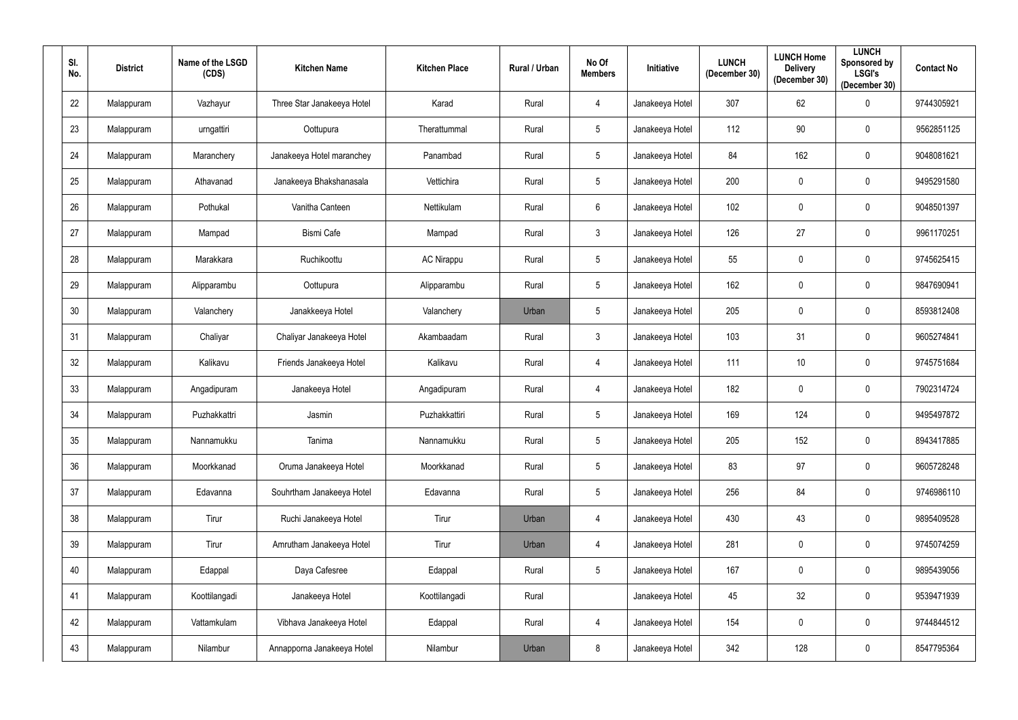| SI.<br>No. | <b>District</b> | Name of the LSGD<br>(CDS) | <b>Kitchen Name</b>        | <b>Kitchen Place</b> | Rural / Urban | No Of<br><b>Members</b> | Initiative      | <b>LUNCH</b><br>(December 30) | <b>LUNCH Home</b><br><b>Delivery</b><br>(December 30) | <b>LUNCH</b><br>Sponsored by<br><b>LSGI's</b><br>(December 30) | <b>Contact No</b> |
|------------|-----------------|---------------------------|----------------------------|----------------------|---------------|-------------------------|-----------------|-------------------------------|-------------------------------------------------------|----------------------------------------------------------------|-------------------|
| 22         | Malappuram      | Vazhayur                  | Three Star Janakeeya Hotel | Karad                | Rural         | 4                       | Janakeeya Hotel | 307                           | 62                                                    | 0                                                              | 9744305921        |
| 23         | Malappuram      | urngattiri                | Oottupura                  | Therattummal         | Rural         | $5\phantom{.0}$         | Janakeeya Hotel | 112                           | 90                                                    | $\mathbf 0$                                                    | 9562851125        |
| 24         | Malappuram      | Maranchery                | Janakeeya Hotel maranchey  | Panambad             | Rural         | $5\phantom{.0}$         | Janakeeya Hotel | 84                            | 162                                                   | 0                                                              | 9048081621        |
| 25         | Malappuram      | Athavanad                 | Janakeeya Bhakshanasala    | Vettichira           | Rural         | $5\overline{)}$         | Janakeeya Hotel | 200                           | $\mathbf 0$                                           | 0                                                              | 9495291580        |
| 26         | Malappuram      | Pothukal                  | Vanitha Canteen            | Nettikulam           | Rural         | $6\overline{6}$         | Janakeeya Hotel | 102                           | $\overline{0}$                                        | 0                                                              | 9048501397        |
| 27         | Malappuram      | Mampad                    | <b>Bismi Cafe</b>          | Mampad               | Rural         | $\mathbf{3}$            | Janakeeya Hotel | 126                           | 27                                                    | $\overline{0}$                                                 | 9961170251        |
| 28         | Malappuram      | Marakkara                 | Ruchikoottu                | <b>AC Nirappu</b>    | Rural         | $5\phantom{.0}$         | Janakeeya Hotel | 55                            | $\mathbf 0$                                           | 0                                                              | 9745625415        |
| 29         | Malappuram      | Alipparambu               | Oottupura                  | Alipparambu          | Rural         | $5\overline{)}$         | Janakeeya Hotel | 162                           | $\mathbf 0$                                           | $\mathbf 0$                                                    | 9847690941        |
| 30         | Malappuram      | Valanchery                | Janakkeeya Hotel           | Valanchery           | Urban         | $5\overline{)}$         | Janakeeya Hotel | 205                           | $\overline{0}$                                        | $\mathbf 0$                                                    | 8593812408        |
| 31         | Malappuram      | Chaliyar                  | Chaliyar Janakeeya Hotel   | Akambaadam           | Rural         | $\mathbf{3}$            | Janakeeya Hotel | 103                           | 31                                                    | 0                                                              | 9605274841        |
| 32         | Malappuram      | Kalikavu                  | Friends Janakeeya Hotel    | Kalikavu             | Rural         | $\overline{4}$          | Janakeeya Hotel | 111                           | 10                                                    | $\mathbf 0$                                                    | 9745751684        |
| 33         | Malappuram      | Angadipuram               | Janakeeya Hotel            | Angadipuram          | Rural         | 4                       | Janakeeya Hotel | 182                           | $\mathbf 0$                                           | 0                                                              | 7902314724        |
| 34         | Malappuram      | Puzhakkattri              | Jasmin                     | Puzhakkattiri        | Rural         | $5\phantom{.0}$         | Janakeeya Hotel | 169                           | 124                                                   | $\mathbf 0$                                                    | 9495497872        |
| $35\,$     | Malappuram      | Nannamukku                | Tanima                     | Nannamukku           | Rural         | $5\phantom{.0}$         | Janakeeya Hotel | 205                           | 152                                                   | $\mathbf 0$                                                    | 8943417885        |
| $36\,$     | Malappuram      | Moorkkanad                | Oruma Janakeeya Hotel      | Moorkkanad           | Rural         | $5\phantom{.0}$         | Janakeeya Hotel | 83                            | 97                                                    | $\mathbf 0$                                                    | 9605728248        |
| 37         | Malappuram      | Edavanna                  | Souhrtham Janakeeya Hotel  | Edavanna             | Rural         | $5\phantom{.0}$         | Janakeeya Hotel | 256                           | 84                                                    | $\mathbf 0$                                                    | 9746986110        |
| 38         | Malappuram      | Tirur                     | Ruchi Janakeeya Hotel      | Tirur                | Urban         | $\overline{4}$          | Janakeeya Hotel | 430                           | 43                                                    | $\mathbf 0$                                                    | 9895409528        |
| 39         | Malappuram      | Tirur                     | Amrutham Janakeeya Hotel   | Tirur                | Urban         | $\overline{4}$          | Janakeeya Hotel | 281                           | $\mathbf 0$                                           | $\boldsymbol{0}$                                               | 9745074259        |
| 40         | Malappuram      | Edappal                   | Daya Cafesree              | Edappal              | Rural         | $5\phantom{.0}$         | Janakeeya Hotel | 167                           | $\mathbf 0$                                           | $\boldsymbol{0}$                                               | 9895439056        |
| 41         | Malappuram      | Koottilangadi             | Janakeeya Hotel            | Koottilangadi        | Rural         |                         | Janakeeya Hotel | 45                            | 32                                                    | $\mathbf 0$                                                    | 9539471939        |
| 42         | Malappuram      | Vattamkulam               | Vibhava Janakeeya Hotel    | Edappal              | Rural         | $\overline{4}$          | Janakeeya Hotel | 154                           | $\mathbf 0$                                           | $\mathbf 0$                                                    | 9744844512        |
| 43         | Malappuram      | Nilambur                  | Annapporna Janakeeya Hotel | Nilambur             | Urban         | $8\phantom{.0}$         | Janakeeya Hotel | 342                           | 128                                                   | $\overline{0}$                                                 | 8547795364        |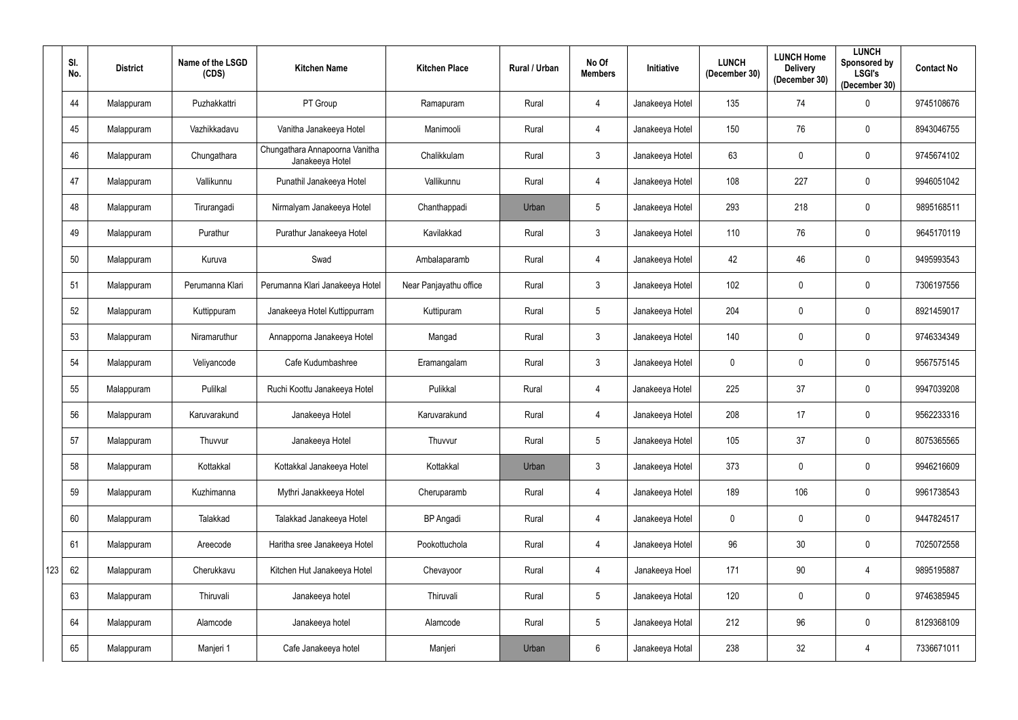|     | SI.<br>No. | <b>District</b> | Name of the LSGD<br>(CDS) | <b>Kitchen Name</b>                               | <b>Kitchen Place</b>   | Rural / Urban | No Of<br><b>Members</b> | <b>Initiative</b> | <b>LUNCH</b><br>(December 30) | <b>LUNCH Home</b><br><b>Delivery</b><br>(December 30) | <b>LUNCH</b><br>Sponsored by<br><b>LSGI's</b><br>(December 30) | <b>Contact No</b> |
|-----|------------|-----------------|---------------------------|---------------------------------------------------|------------------------|---------------|-------------------------|-------------------|-------------------------------|-------------------------------------------------------|----------------------------------------------------------------|-------------------|
|     | 44         | Malappuram      | Puzhakkattri              | PT Group                                          | Ramapuram              | Rural         | 4                       | Janakeeya Hotel   | 135                           | 74                                                    | $\mathbf 0$                                                    | 9745108676        |
|     | 45         | Malappuram      | Vazhikkadavu              | Vanitha Janakeeya Hotel                           | Manimooli              | Rural         | 4                       | Janakeeya Hotel   | 150                           | 76                                                    | $\mathbf 0$                                                    | 8943046755        |
|     | 46         | Malappuram      | Chungathara               | Chungathara Annapoorna Vanitha<br>Janakeeya Hotel | Chalikkulam            | Rural         | $\mathfrak{Z}$          | Janakeeya Hotel   | 63                            | 0                                                     | $\mathbf 0$                                                    | 9745674102        |
|     | 47         | Malappuram      | Vallikunnu                | Punathil Janakeeya Hotel                          | Vallikunnu             | Rural         | 4                       | Janakeeya Hotel   | 108                           | 227                                                   | $\mathbf 0$                                                    | 9946051042        |
|     | 48         | Malappuram      | Tirurangadi               | Nirmalyam Janakeeya Hotel                         | Chanthappadi           | Urban         | $5\overline{)}$         | Janakeeya Hotel   | 293                           | 218                                                   | $\mathbf 0$                                                    | 9895168511        |
|     | 49         | Malappuram      | Purathur                  | Purathur Janakeeya Hotel                          | Kavilakkad             | Rural         | $\mathbf{3}$            | Janakeeya Hotel   | 110                           | 76                                                    | $\mathbf 0$                                                    | 9645170119        |
|     | 50         | Malappuram      | Kuruva                    | Swad                                              | Ambalaparamb           | Rural         | $\overline{4}$          | Janakeeya Hotel   | 42                            | 46                                                    | $\mathbf 0$                                                    | 9495993543        |
|     | 51         | Malappuram      | Perumanna Klari           | Perumanna Klari Janakeeya Hotel                   | Near Panjayathu office | Rural         | $\mathfrak{Z}$          | Janakeeya Hotel   | 102                           | $\mathbf 0$                                           | $\mathbf 0$                                                    | 7306197556        |
|     | 52         | Malappuram      | Kuttippuram               | Janakeeya Hotel Kuttippurram                      | Kuttipuram             | Rural         | $5\phantom{.0}$         | Janakeeya Hotel   | 204                           | $\mathbf 0$                                           | $\mathbf 0$                                                    | 8921459017        |
|     | 53         | Malappuram      | Niramaruthur              | Annapporna Janakeeya Hotel                        | Mangad                 | Rural         | $\mathfrak{Z}$          | Janakeeya Hotel   | 140                           | 0                                                     | $\mathbf 0$                                                    | 9746334349        |
|     | 54         | Malappuram      | Veliyancode               | Cafe Kudumbashree                                 | Eramangalam            | Rural         | $\mathfrak{Z}$          | Janakeeya Hotel   | $\mathbf 0$                   | 0                                                     | $\mathbf 0$                                                    | 9567575145        |
|     | 55         | Malappuram      | Pulilkal                  | Ruchi Koottu Janakeeya Hotel                      | Pulikkal               | Rural         | 4                       | Janakeeya Hotel   | 225                           | 37                                                    | $\mathbf 0$                                                    | 9947039208        |
|     | 56         | Malappuram      | Karuvarakund              | Janakeeya Hotel                                   | Karuvarakund           | Rural         | 4                       | Janakeeya Hotel   | 208                           | 17                                                    | $\mathbf 0$                                                    | 9562233316        |
|     | 57         | Malappuram      | Thuvvur                   | Janakeeya Hotel                                   | Thuvvur                | Rural         | $5\phantom{.0}$         | Janakeeya Hotel   | 105                           | 37                                                    | $\mathbf 0$                                                    | 8075365565        |
|     | 58         | Malappuram      | Kottakkal                 | Kottakkal Janakeeya Hotel                         | Kottakkal              | Urban         | $\mathfrak{Z}$          | Janakeeya Hotel   | 373                           | $\mathbf 0$                                           | $\mathbf 0$                                                    | 9946216609        |
|     | 59         | Malappuram      | Kuzhimanna                | Mythri Janakkeeya Hotel                           | Cheruparamb            | Rural         | $\overline{4}$          | Janakeeya Hotel   | 189                           | 106                                                   | $\overline{0}$                                                 | 9961738543        |
|     | 60         | Malappuram      | Talakkad                  | Talakkad Janakeeya Hotel                          | <b>BP</b> Angadi       | Rural         | $\overline{4}$          | Janakeeya Hotel   | $\mathbf 0$                   | $\bf{0}$                                              | $\mathbf 0$                                                    | 9447824517        |
|     | 61         | Malappuram      | Areecode                  | Haritha sree Janakeeya Hotel                      | Pookottuchola          | Rural         | $\overline{4}$          | Janakeeya Hotel   | 96                            | 30 <sup>°</sup>                                       | $\mathbf 0$                                                    | 7025072558        |
| 123 | 62         | Malappuram      | Cherukkavu                | Kitchen Hut Janakeeya Hotel                       | Chevayoor              | Rural         | $\overline{4}$          | Janakeeya Hoel    | 171                           | 90                                                    | 4                                                              | 9895195887        |
|     | 63         | Malappuram      | Thiruvali                 | Janakeeya hotel                                   | Thiruvali              | Rural         | $5\phantom{.0}$         | Janakeeya Hotal   | 120                           | $\mathbf 0$                                           | $\bm{0}$                                                       | 9746385945        |
|     | 64         | Malappuram      | Alamcode                  | Janakeeya hotel                                   | Alamcode               | Rural         | $5\phantom{.0}$         | Janakeeya Hotal   | 212                           | 96                                                    | $\mathbf 0$                                                    | 8129368109        |
|     | 65         | Malappuram      | Manjeri 1                 | Cafe Janakeeya hotel                              | Manjeri                | Urban         | $6\phantom{.0}$         | Janakeeya Hotal   | 238                           | 32                                                    | $\overline{4}$                                                 | 7336671011        |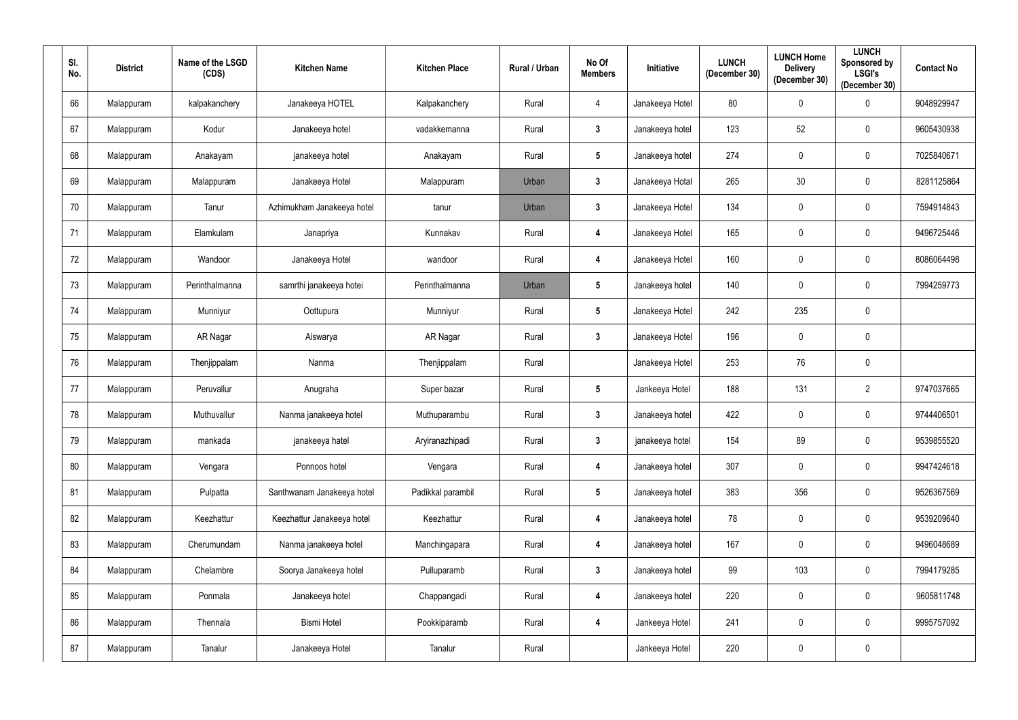| SI.<br>No. | <b>District</b> | Name of the LSGD<br>(CDS) | <b>Kitchen Name</b>        | <b>Kitchen Place</b> | Rural / Urban | No Of<br><b>Members</b> | Initiative      | <b>LUNCH</b><br>(December 30) | <b>LUNCH Home</b><br><b>Delivery</b><br>(December 30) | <b>LUNCH</b><br><b>Sponsored by</b><br><b>LSGI's</b><br>(December 30) | <b>Contact No</b> |
|------------|-----------------|---------------------------|----------------------------|----------------------|---------------|-------------------------|-----------------|-------------------------------|-------------------------------------------------------|-----------------------------------------------------------------------|-------------------|
| 66         | Malappuram      | kalpakanchery             | Janakeeya HOTEL            | Kalpakanchery        | Rural         | 4                       | Janakeeya Hotel | 80                            | $\mathbf 0$                                           | 0                                                                     | 9048929947        |
| 67         | Malappuram      | Kodur                     | Janakeeya hotel            | vadakkemanna         | Rural         | $3\phantom{a}$          | Janakeeya hotel | 123                           | 52                                                    | $\mathbf 0$                                                           | 9605430938        |
| 68         | Malappuram      | Anakayam                  | janakeeya hotel            | Anakayam             | Rural         | $5\phantom{.0}$         | Janakeeya hotel | 274                           | $\mathbf 0$                                           | 0                                                                     | 7025840671        |
| 69         | Malappuram      | Malappuram                | Janakeeya Hotel            | Malappuram           | Urban         | $\mathbf{3}$            | Janakeeya Hotal | 265                           | 30                                                    | 0                                                                     | 8281125864        |
| 70         | Malappuram      | Tanur                     | Azhimukham Janakeeya hotel | tanur                | Urban         | $\mathbf{3}$            | Janakeeya Hotel | 134                           | $\mathbf 0$                                           | $\mathbf 0$                                                           | 7594914843        |
| 71         | Malappuram      | Elamkulam                 | Janapriya                  | Kunnakav             | Rural         | $\overline{\mathbf{4}}$ | Janakeeya Hotel | 165                           | $\mathbf 0$                                           | 0                                                                     | 9496725446        |
| 72         | Malappuram      | Wandoor                   | Janakeeya Hotel            | wandoor              | Rural         | $\overline{4}$          | Janakeeya Hotel | 160                           | $\mathbf 0$                                           | $\mathbf 0$                                                           | 8086064498        |
| 73         | Malappuram      | Perinthalmanna            | samrthi janakeeya hotei    | Perinthalmanna       | Urban         | $5\phantom{.0}$         | Janakeeya hotel | 140                           | $\mathbf 0$                                           | 0                                                                     | 7994259773        |
| 74         | Malappuram      | Munniyur                  | Oottupura                  | Munniyur             | Rural         | $5\phantom{.0}$         | Janakeeya Hotel | 242                           | 235                                                   | $\mathbf 0$                                                           |                   |
| 75         | Malappuram      | AR Nagar                  | Aiswarya                   | AR Nagar             | Rural         | $3\phantom{a}$          | Janakeeya Hotel | 196                           | $\mathbf 0$                                           | $\mathbf 0$                                                           |                   |
| 76         | Malappuram      | Thenjippalam              | Nanma                      | Thenjippalam         | Rural         |                         | Janakeeya Hotel | 253                           | 76                                                    | $\mathbf 0$                                                           |                   |
| 77         | Malappuram      | Peruvallur                | Anugraha                   | Super bazar          | Rural         | $5\phantom{.0}$         | Jankeeya Hotel  | 188                           | 131                                                   | $\overline{2}$                                                        | 9747037665        |
| 78         | Malappuram      | Muthuvallur               | Nanma janakeeya hotel      | Muthuparambu         | Rural         | $3\phantom{a}$          | Janakeeya hotel | 422                           | $\mathbf 0$                                           | $\mathbf 0$                                                           | 9744406501        |
| 79         | Malappuram      | mankada                   | janakeeya hatel            | Aryiranazhipadi      | Rural         | $\mathbf{3}$            | janakeeya hotel | 154                           | 89                                                    | $\mathbf 0$                                                           | 9539855520        |
| 80         | Malappuram      | Vengara                   | Ponnoos hotel              | Vengara              | Rural         | $\overline{\mathbf{4}}$ | Janakeeya hotel | 307                           | $\mathbf 0$                                           | $\mathbf 0$                                                           | 9947424618        |
| 81         | Malappuram      | Pulpatta                  | Santhwanam Janakeeya hotel | Padikkal parambil    | Rural         | $5\phantom{.0}$         | Janakeeya hotel | 383                           | 356                                                   | $\mathbf 0$                                                           | 9526367569        |
| 82         | Malappuram      | Keezhattur                | Keezhattur Janakeeya hotel | Keezhattur           | Rural         | $\overline{\mathbf{4}}$ | Janakeeya hotel | 78                            | $\mathbf 0$                                           | $\pmb{0}$                                                             | 9539209640        |
| 83         | Malappuram      | Cherumundam               | Nanma janakeeya hotel      | Manchingapara        | Rural         | $\overline{\mathbf{4}}$ | Janakeeya hotel | 167                           | $\mathbf 0$                                           | $\mathbf 0$                                                           | 9496048689        |
| 84         | Malappuram      | Chelambre                 | Soorya Janakeeya hotel     | Pulluparamb          | Rural         | $3\phantom{a}$          | Janakeeya hotel | 99                            | 103                                                   | 0                                                                     | 7994179285        |
| 85         | Malappuram      | Ponmala                   | Janakeeya hotel            | Chappangadi          | Rural         | $\overline{\mathbf{4}}$ | Janakeeya hotel | 220                           | $\mathbf 0$                                           | $\mathbf 0$                                                           | 9605811748        |
| 86         | Malappuram      | Thennala                  | <b>Bismi Hotel</b>         | Pookkiparamb         | Rural         | $\overline{\mathbf{4}}$ | Jankeeya Hotel  | 241                           | $\mathbf 0$                                           | $\mathbf 0$                                                           | 9995757092        |
| 87         | Malappuram      | Tanalur                   | Janakeeya Hotel            | Tanalur              | Rural         |                         | Jankeeya Hotel  | 220                           | $\overline{0}$                                        | $\pmb{0}$                                                             |                   |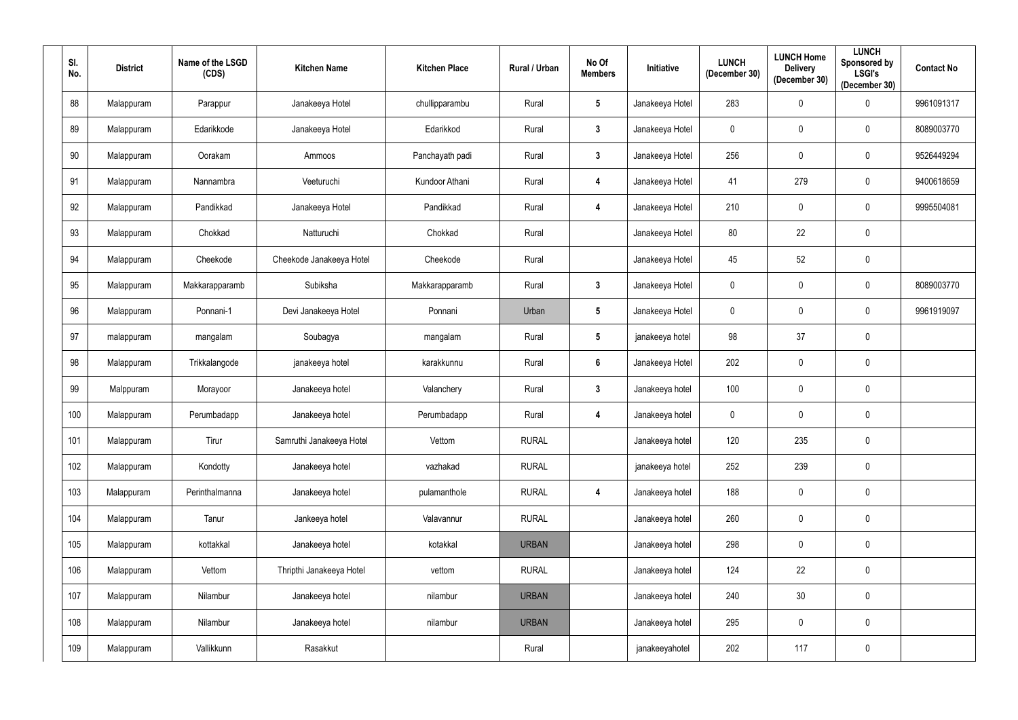| SI.<br>No. |     | <b>District</b> | Name of the LSGD<br>(CDS) | <b>Kitchen Name</b>      | <b>Kitchen Place</b> | Rural / Urban | No Of<br><b>Members</b> | <b>Initiative</b> | <b>LUNCH</b><br>(December 30) | <b>LUNCH Home</b><br><b>Delivery</b><br>(December 30) | <b>LUNCH</b><br>Sponsored by<br><b>LSGI's</b><br>(December 30) | <b>Contact No</b> |
|------------|-----|-----------------|---------------------------|--------------------------|----------------------|---------------|-------------------------|-------------------|-------------------------------|-------------------------------------------------------|----------------------------------------------------------------|-------------------|
| 88         |     | Malappuram      | Parappur                  | Janakeeya Hotel          | chullipparambu       | Rural         | $5\phantom{.0}$         | Janakeeya Hotel   | 283                           | $\mathbf 0$                                           | $\mathbf 0$                                                    | 9961091317        |
| 89         |     | Malappuram      | Edarikkode                | Janakeeya Hotel          | Edarikkod            | Rural         | $\mathbf{3}$            | Janakeeya Hotel   | $\mathbf 0$                   | $\mathbf 0$                                           | $\boldsymbol{0}$                                               | 8089003770        |
| 90         |     | Malappuram      | Oorakam                   | Ammoos                   | Panchayath padi      | Rural         | $\mathbf{3}$            | Janakeeya Hotel   | 256                           | $\mathbf 0$                                           | $\mathbf 0$                                                    | 9526449294        |
| 91         |     | Malappuram      | Nannambra                 | Veeturuchi               | Kundoor Athani       | Rural         | $\overline{4}$          | Janakeeya Hotel   | 41                            | 279                                                   | $\mathbf 0$                                                    | 9400618659        |
| 92         |     | Malappuram      | Pandikkad                 | Janakeeya Hotel          | Pandikkad            | Rural         | $\overline{\mathbf{4}}$ | Janakeeya Hotel   | 210                           | $\mathbf 0$                                           | $\mathbf 0$                                                    | 9995504081        |
| 93         |     | Malappuram      | Chokkad                   | Natturuchi               | Chokkad              | Rural         |                         | Janakeeya Hotel   | 80                            | 22                                                    | $\mathbf 0$                                                    |                   |
| 94         |     | Malappuram      | Cheekode                  | Cheekode Janakeeya Hotel | Cheekode             | Rural         |                         | Janakeeya Hotel   | 45                            | 52                                                    | $\pmb{0}$                                                      |                   |
| 95         |     | Malappuram      | Makkarapparamb            | Subiksha                 | Makkarapparamb       | Rural         | $\mathbf{3}$            | Janakeeya Hotel   | $\mathbf 0$                   | $\mathbf 0$                                           | $\mathbf 0$                                                    | 8089003770        |
|            | 96  | Malappuram      | Ponnani-1                 | Devi Janakeeya Hotel     | Ponnani              | Urban         | $5\phantom{.0}$         | Janakeeya Hotel   | $\mathbf 0$                   | $\mathbf 0$                                           | $\mathbf 0$                                                    | 9961919097        |
| 97         |     | malappuram      | mangalam                  | Soubagya                 | mangalam             | Rural         | $5\phantom{.0}$         | janakeeya hotel   | 98                            | 37                                                    | $\mathbf 0$                                                    |                   |
| 98         |     | Malappuram      | Trikkalangode             | janakeeya hotel          | karakkunnu           | Rural         | $6\phantom{.}6$         | Janakeeya Hotel   | 202                           | $\mathbf 0$                                           | $\pmb{0}$                                                      |                   |
| 99         |     | Malppuram       | Morayoor                  | Janakeeya hotel          | Valanchery           | Rural         | $\mathbf{3}$            | Janakeeya hotel   | 100                           | $\mathbf 0$                                           | $\mathbf 0$                                                    |                   |
| 100        |     | Malappuram      | Perumbadapp               | Janakeeya hotel          | Perumbadapp          | Rural         | $\boldsymbol{4}$        | Janakeeya hotel   | $\mathbf 0$                   | $\mathbf 0$                                           | $\mathbf 0$                                                    |                   |
| 101        |     | Malappuram      | Tirur                     | Samruthi Janakeeya Hotel | Vettom               | <b>RURAL</b>  |                         | Janakeeya hotel   | 120                           | 235                                                   | $\pmb{0}$                                                      |                   |
|            | 102 | Malappuram      | Kondotty                  | Janakeeya hotel          | vazhakad             | <b>RURAL</b>  |                         | janakeeya hotel   | 252                           | 239                                                   | $\overline{0}$                                                 |                   |
| 103        |     | Malappuram      | Perinthalmanna            | Janakeeya hotel          | pulamanthole         | <b>RURAL</b>  | $\boldsymbol{4}$        | Janakeeya hotel   | 188                           | $\bf{0}$                                              | $\mathbf 0$                                                    |                   |
| 104        |     | Malappuram      | Tanur                     | Jankeeya hotel           | Valavannur           | <b>RURAL</b>  |                         | Janakeeya hotel   | 260                           | $\bf{0}$                                              | $\mathbf 0$                                                    |                   |
| 105        |     | Malappuram      | kottakkal                 | Janakeeya hotel          | kotakkal             | <b>URBAN</b>  |                         | Janakeeya hotel   | 298                           | $\bf{0}$                                              | $\pmb{0}$                                                      |                   |
| 106        |     | Malappuram      | Vettom                    | Thripthi Janakeeya Hotel | vettom               | <b>RURAL</b>  |                         | Janakeeya hotel   | 124                           | 22                                                    | $\mathbf 0$                                                    |                   |
| 107        |     | Malappuram      | Nilambur                  | Janakeeya hotel          | nilambur             | <b>URBAN</b>  |                         | Janakeeya hotel   | 240                           | 30 <sup>°</sup>                                       | $\mathbf 0$                                                    |                   |
| 108        |     | Malappuram      | Nilambur                  | Janakeeya hotel          | nilambur             | <b>URBAN</b>  |                         | Janakeeya hotel   | 295                           | $\bf{0}$                                              | $\mathbf 0$                                                    |                   |
| 109        |     | Malappuram      | Vallikkunn                | Rasakkut                 |                      | Rural         |                         | janakeeyahotel    | 202                           | 117                                                   | $\bm{0}$                                                       |                   |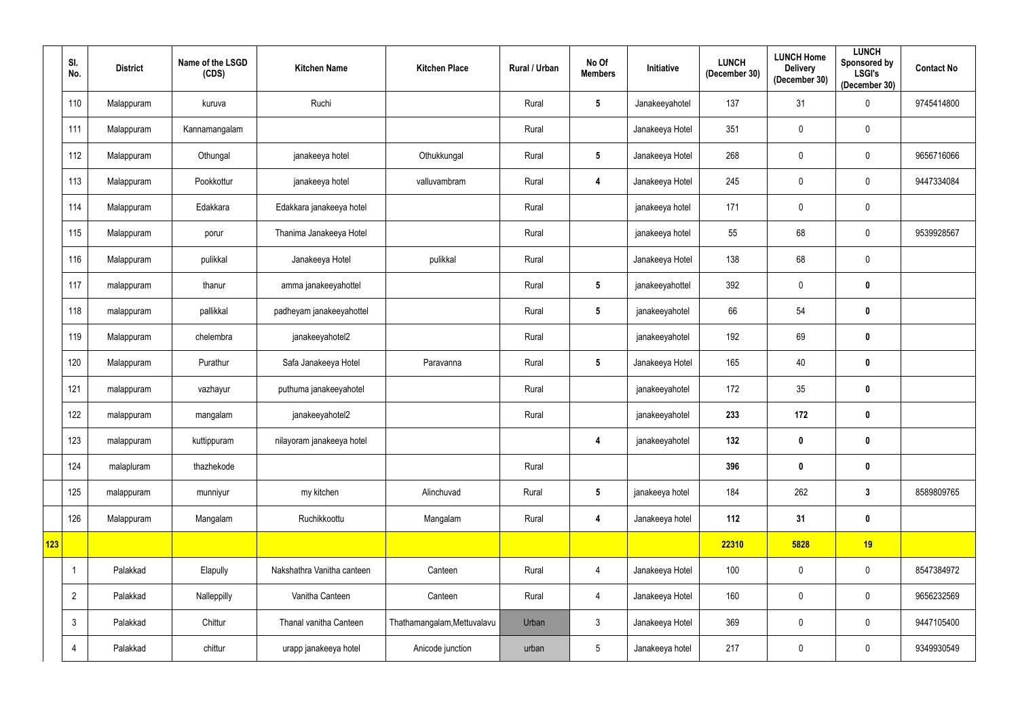|     | SI.<br>No.     | <b>District</b> | Name of the LSGD<br>(CDS) | <b>Kitchen Name</b>        | <b>Kitchen Place</b>        | Rural / Urban | No Of<br><b>Members</b> | Initiative      | <b>LUNCH</b><br>(December 30) | <b>LUNCH Home</b><br><b>Delivery</b><br>(December 30) | <b>LUNCH</b><br><b>Sponsored by</b><br><b>LSGI's</b><br>(December 30) | <b>Contact No</b> |
|-----|----------------|-----------------|---------------------------|----------------------------|-----------------------------|---------------|-------------------------|-----------------|-------------------------------|-------------------------------------------------------|-----------------------------------------------------------------------|-------------------|
|     | 110            | Malappuram      | kuruva                    | Ruchi                      |                             | Rural         | $5\phantom{.0}$         | Janakeeyahotel  | 137                           | 31                                                    | $\overline{0}$                                                        | 9745414800        |
|     | 111            | Malappuram      | Kannamangalam             |                            |                             | Rural         |                         | Janakeeya Hotel | 351                           | 0                                                     | $\mathbf 0$                                                           |                   |
|     | 112            | Malappuram      | Othungal                  | janakeeya hotel            | Othukkungal                 | Rural         | $5\phantom{.0}$         | Janakeeya Hotel | 268                           | 0                                                     | $\mathbf 0$                                                           | 9656716066        |
|     | 113            | Malappuram      | Pookkottur                | janakeeya hotel            | valluvambram                | Rural         | 4                       | Janakeeya Hotel | 245                           | $\mathbf 0$                                           | $\mathbf 0$                                                           | 9447334084        |
|     | 114            | Malappuram      | Edakkara                  | Edakkara janakeeya hotel   |                             | Rural         |                         | janakeeya hotel | 171                           | $\mathbf 0$                                           | $\mathbf 0$                                                           |                   |
|     | 115            | Malappuram      | porur                     | Thanima Janakeeya Hotel    |                             | Rural         |                         | janakeeya hotel | 55                            | 68                                                    | $\mathbf 0$                                                           | 9539928567        |
|     | 116            | Malappuram      | pulikkal                  | Janakeeya Hotel            | pulikkal                    | Rural         |                         | Janakeeya Hotel | 138                           | 68                                                    | $\mathbf 0$                                                           |                   |
|     | 117            | malappuram      | thanur                    | amma janakeeyahottel       |                             | Rural         | $5\phantom{.0}$         | janakeeyahottel | 392                           | $\mathbf 0$                                           | $\bf{0}$                                                              |                   |
|     | 118            | malappuram      | pallikkal                 | padheyam janakeeyahottel   |                             | Rural         | $5\phantom{.0}$         | janakeeyahotel  | 66                            | 54                                                    | $\mathbf 0$                                                           |                   |
|     | 119            | Malappuram      | chelembra                 | janakeeyahotel2            |                             | Rural         |                         | janakeeyahotel  | 192                           | 69                                                    | $\bf{0}$                                                              |                   |
|     | 120            | Malappuram      | Purathur                  | Safa Janakeeya Hotel       | Paravanna                   | Rural         | $5\phantom{.0}$         | Janakeeya Hotel | 165                           | 40                                                    | $\mathbf 0$                                                           |                   |
|     | 121            | malappuram      | vazhayur                  | puthuma janakeeyahotel     |                             | Rural         |                         | janakeeyahotel  | 172                           | 35                                                    | $\bf{0}$                                                              |                   |
|     | 122            | malappuram      | mangalam                  | janakeeyahotel2            |                             | Rural         |                         | janakeeyahotel  | 233                           | 172                                                   | $\bm{0}$                                                              |                   |
|     | 123            | malappuram      | kuttippuram               | nilayoram janakeeya hotel  |                             |               | $\overline{\mathbf{4}}$ | janakeeyahotel  | 132                           | $\mathbf 0$                                           | $\bm{0}$                                                              |                   |
|     | 124            | malapluram      | thazhekode                |                            |                             | Rural         |                         |                 | 396                           | $\mathbf 0$                                           | $\mathbf 0$                                                           |                   |
|     | 125            | malappuram      | munniyur                  | my kitchen                 | Alinchuvad                  | Rural         | $5\phantom{.0}$         | janakeeya hotel | 184                           | 262                                                   | $\mathbf{3}$                                                          | 8589809765        |
|     | 126            | Malappuram      | Mangalam                  | Ruchikkoottu               | Mangalam                    | Rural         | $\overline{\mathbf{4}}$ | Janakeeya hotel | 112                           | 31                                                    | $\mathbf 0$                                                           |                   |
| 123 |                |                 |                           |                            |                             |               |                         |                 | 22310                         | 5828                                                  | 19                                                                    |                   |
|     | -1             | Palakkad        | Elapully                  | Nakshathra Vanitha canteen | Canteen                     | Rural         | 4                       | Janakeeya Hotel | 100                           | $\mathbf 0$                                           | $\mathbf 0$                                                           | 8547384972        |
|     | $\overline{2}$ | Palakkad        | Nalleppilly               | Vanitha Canteen            | Canteen                     | Rural         | 4                       | Janakeeya Hotel | 160                           | 0                                                     | $\mathbf 0$                                                           | 9656232569        |
|     | $\mathbf{3}$   | Palakkad        | Chittur                   | Thanal vanitha Canteen     | Thathamangalam, Mettuvalavu | Urban         | $\mathfrak{Z}$          | Janakeeya Hotel | 369                           | $\mathbf 0$                                           | $\mathbf 0$                                                           | 9447105400        |
|     | 4              | Palakkad        | chittur                   | urapp janakeeya hotel      | Anicode junction            | urban         | $5\,$                   | Janakeeya hotel | 217                           | $\bf{0}$                                              | $\mathbf 0$                                                           | 9349930549        |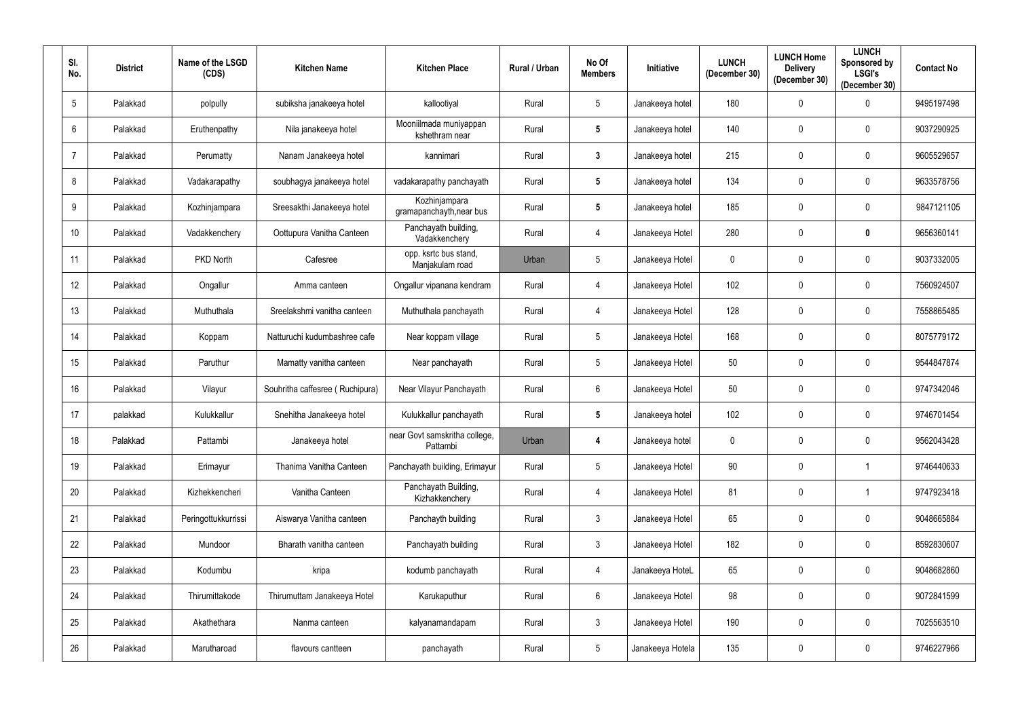| SI.<br>No.      | <b>District</b> | Name of the LSGD<br>(CDS) | <b>Kitchen Name</b>             | <b>Kitchen Place</b>                      | Rural / Urban | No Of<br><b>Members</b> | Initiative       | <b>LUNCH</b><br>(December 30) | <b>LUNCH Home</b><br><b>Delivery</b><br>(December 30) | <b>LUNCH</b><br>Sponsored by<br><b>LSGI's</b><br>(December 30) | <b>Contact No</b> |
|-----------------|-----------------|---------------------------|---------------------------------|-------------------------------------------|---------------|-------------------------|------------------|-------------------------------|-------------------------------------------------------|----------------------------------------------------------------|-------------------|
| $5\phantom{.0}$ | Palakkad        | polpully                  | subiksha janakeeya hotel        | kallootiyal                               | Rural         | 5 <sup>5</sup>          | Janakeeya hotel  | 180                           | $\mathbf 0$                                           | $\Omega$                                                       | 9495197498        |
| 6               | Palakkad        | Eruthenpathy              | Nila janakeeya hotel            | Mooniilmada muniyappan<br>kshethram near  | Rural         | $5\phantom{.0}$         | Janakeeya hotel  | 140                           | $\mathbf 0$                                           | 0                                                              | 9037290925        |
| $\overline{7}$  | Palakkad        | Perumatty                 | Nanam Janakeeya hotel           | kannimari                                 | Rural         | $3\phantom{a}$          | Janakeeya hotel  | 215                           | $\mathbf 0$                                           | $\mathbf{0}$                                                   | 9605529657        |
| 8               | Palakkad        | Vadakarapathy             | soubhagya janakeeya hotel       | vadakarapathy panchayath                  | Rural         | $5\phantom{.0}$         | Janakeeya hotel  | 134                           | $\mathbf 0$                                           | 0                                                              | 9633578756        |
| 9               | Palakkad        | Kozhinjampara             | Sreesakthi Janakeeya hotel      | Kozhinjampara<br>gramapanchayth, near bus | Rural         | $5\phantom{.0}$         | Janakeeya hotel  | 185                           | $\overline{0}$                                        | 0                                                              | 9847121105        |
| 10 <sup>°</sup> | Palakkad        | Vadakkenchery             | Oottupura Vanitha Canteen       | Panchayath building,<br>Vadakkenchery     | Rural         | 4                       | Janakeeya Hotel  | 280                           | $\mathbf 0$                                           | 0                                                              | 9656360141        |
| 11              | Palakkad        | PKD North                 | Cafesree                        | opp. ksrtc bus stand,<br>Manjakulam road  | Urban         | $5\overline{)}$         | Janakeeya Hotel  | $\mathbf 0$                   | $\mathbf 0$                                           | 0                                                              | 9037332005        |
| 12              | Palakkad        | Ongallur                  | Amma canteen                    | Ongallur vipanana kendram                 | Rural         | $\overline{4}$          | Janakeeya Hotel  | 102                           | $\mathbf 0$                                           | 0                                                              | 7560924507        |
| 13              | Palakkad        | Muthuthala                | Sreelakshmi vanitha canteen     | Muthuthala panchayath                     | Rural         | 4                       | Janakeeya Hotel  | 128                           | $\mathbf 0$                                           | $\mathbf{0}$                                                   | 7558865485        |
| 14              | Palakkad        | Koppam                    | Natturuchi kudumbashree cafe    | Near koppam village                       | Rural         | $5\phantom{.0}$         | Janakeeya Hotel  | 168                           | $\mathbf 0$                                           | 0                                                              | 8075779172        |
| 15              | Palakkad        | Paruthur                  | Mamatty vanitha canteen         | Near panchayath                           | Rural         | $5\overline{)}$         | Janakeeya Hotel  | 50                            | $\mathbf 0$                                           | 0                                                              | 9544847874        |
| 16              | Palakkad        | Vilayur                   | Souhritha caffesree (Ruchipura) | Near Vilayur Panchayath                   | Rural         | $6\overline{6}$         | Janakeeya Hotel  | 50                            | $\mathbf 0$                                           | 0                                                              | 9747342046        |
| 17              | palakkad        | Kulukkallur               | Snehitha Janakeeya hotel        | Kulukkallur panchayath                    | Rural         | $5\phantom{.0}$         | Janakeeya hotel  | 102                           | $\mathbf 0$                                           | 0                                                              | 9746701454        |
| 18              | Palakkad        | Pattambi                  | Janakeeya hotel                 | near Govt samskritha college,<br>Pattambi | Urban         | $\overline{4}$          | Janakeeya hotel  | $\mathbf 0$                   | $\overline{0}$                                        | $\mathbf 0$                                                    | 9562043428        |
| 19              | Palakkad        | Erimayur                  | Thanima Vanitha Canteen         | Panchayath building, Erimayur             | Rural         | $5\phantom{.0}$         | Janakeeya Hotel  | 90                            | $\mathbf 0$                                           |                                                                | 9746440633        |
| 20              | Palakkad        | Kizhekkencheri            | Vanitha Canteen                 | Panchayath Building,<br>Kizhakkenchery    | Rural         | $\overline{4}$          | Janakeeya Hotel  | 81                            | $\mathbf 0$                                           |                                                                | 9747923418        |
| 21              | Palakkad        | Peringottukkurrissi       | Aiswarya Vanitha canteen        | Panchayth building                        | Rural         | $\mathbf{3}$            | Janakeeya Hotel  | 65                            | $\mathbf 0$                                           | $\mathbf 0$                                                    | 9048665884        |
| 22              | Palakkad        | Mundoor                   | Bharath vanitha canteen         | Panchayath building                       | Rural         | $\mathbf{3}$            | Janakeeya Hotel  | 182                           | $\mathbf 0$                                           | $\mathbf 0$                                                    | 8592830607        |
| 23              | Palakkad        | Kodumbu                   | kripa                           | kodumb panchayath                         | Rural         | $\overline{4}$          | Janakeeya HoteL  | 65                            | $\mathbf 0$                                           | $\mathbf 0$                                                    | 9048682860        |
| 24              | Palakkad        | Thirumittakode            | Thirumuttam Janakeeya Hotel     | Karukaputhur                              | Rural         | $6\overline{6}$         | Janakeeya Hotel  | 98                            | $\mathbf 0$                                           | 0                                                              | 9072841599        |
| 25              | Palakkad        | Akathethara               | Nanma canteen                   | kalyanamandapam                           | Rural         | $\mathbf{3}$            | Janakeeya Hotel  | 190                           | $\overline{0}$                                        | $\mathbf 0$                                                    | 7025563510        |
| 26              | Palakkad        | Marutharoad               | flavours cantteen               | panchayath                                | Rural         | $5\phantom{.0}$         | Janakeeya Hotela | 135                           | $\overline{0}$                                        | $\boldsymbol{0}$                                               | 9746227966        |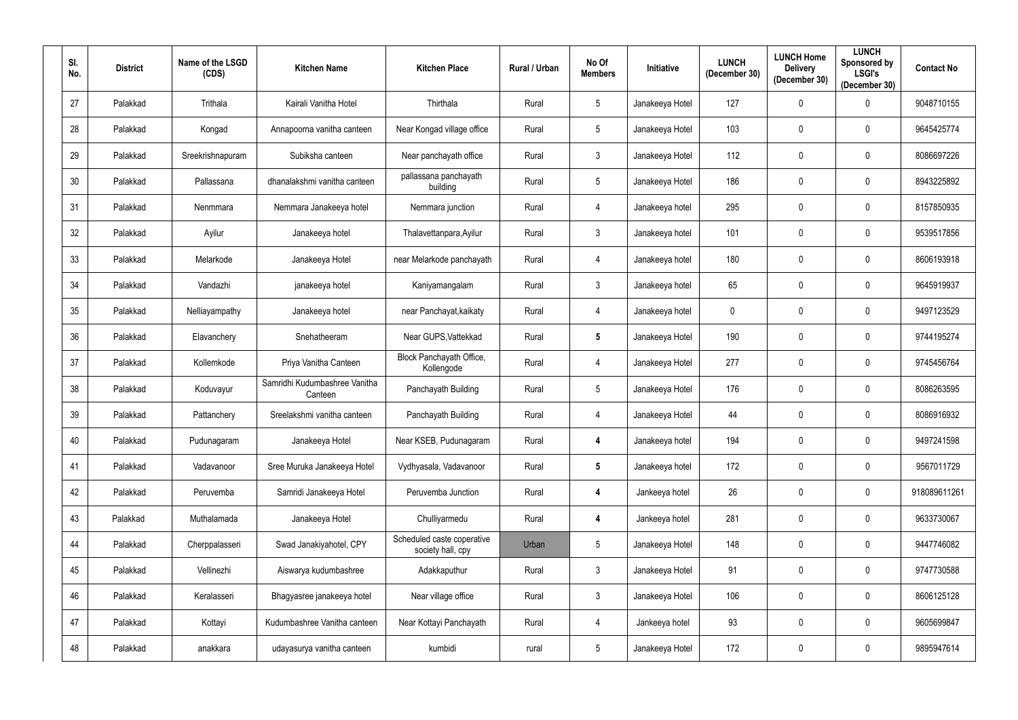| SI.<br>No. | <b>District</b> | Name of the LSGD<br>(CDS) | <b>Kitchen Name</b>                      | <b>Kitchen Place</b>                            | Rural / Urban | No Of<br><b>Members</b> | Initiative      | <b>LUNCH</b><br>(December 30) | <b>LUNCH Home</b><br><b>Delivery</b><br>(December 30) | <b>LUNCH</b><br>Sponsored by<br><b>LSGI's</b><br>(December 30) | <b>Contact No</b> |
|------------|-----------------|---------------------------|------------------------------------------|-------------------------------------------------|---------------|-------------------------|-----------------|-------------------------------|-------------------------------------------------------|----------------------------------------------------------------|-------------------|
| 27         | Palakkad        | Trithala                  | Kairali Vanitha Hotel                    | Thirthala                                       | Rural         | $5\overline{)}$         | Janakeeya Hotel | 127                           | $\mathbf 0$                                           | $\Omega$                                                       | 9048710155        |
| 28         | Palakkad        | Kongad                    | Annapoorna vanitha canteen               | Near Kongad village office                      | Rural         | $5\phantom{.0}$         | Janakeeya Hotel | 103                           | $\mathbf 0$                                           | $\mathbf{0}$                                                   | 9645425774        |
| 29         | Palakkad        | Sreekrishnapuram          | Subiksha canteen                         | Near panchayath office                          | Rural         | $\mathbf{3}$            | Janakeeya Hotel | 112                           | $\mathbf 0$                                           | $\mathbf{0}$                                                   | 8086697226        |
| 30         | Palakkad        | Pallassana                | dhanalakshmi vanitha canteen             | pallassana panchayath<br>building               | Rural         | $5\overline{)}$         | Janakeeya Hotel | 186                           | $\mathbf 0$                                           | $\mathbf 0$                                                    | 8943225892        |
| 31         | Palakkad        | Nenmmara                  | Nemmara Janakeeya hotel                  | Nemmara junction                                | Rural         | $\overline{4}$          | Janakeeya hotel | 295                           | $\mathbf 0$                                           | $\mathbf 0$                                                    | 8157850935        |
| 32         | Palakkad        | Ayilur                    | Janakeeya hotel                          | Thalavettanpara, Ayilur                         | Rural         | $\mathbf{3}$            | Janakeeya hotel | 101                           | $\mathbf 0$                                           | $\mathbf 0$                                                    | 9539517856        |
| 33         | Palakkad        | Melarkode                 | Janakeeya Hotel                          | near Melarkode panchayath                       | Rural         | $\overline{4}$          | Janakeeya hotel | 180                           | $\mathbf 0$                                           | $\mathbf{0}$                                                   | 8606193918        |
| 34         | Palakkad        | Vandazhi                  | janakeeya hotel                          | Kaniyamangalam                                  | Rural         | $\mathbf{3}$            | Janakeeya hotel | 65                            | $\mathbf 0$                                           | $\mathbf{0}$                                                   | 9645919937        |
| 35         | Palakkad        | Nelliayampathy            | Janakeeya hotel                          | near Panchayat, kaikaty                         | Rural         | $\overline{4}$          | Janakeeya hotel | 0                             | $\mathbf 0$                                           | $\mathbf{0}$                                                   | 9497123529        |
| 36         | Palakkad        | Elavanchery               | Snehatheeram                             | Near GUPS, Vattekkad                            | Rural         | $5\phantom{.0}$         | Janakeeya Hotel | 190                           | $\mathbf 0$                                           | $\mathbf{0}$                                                   | 9744195274        |
| 37         | Palakkad        | Kollemkode                | Priya Vanitha Canteen                    | Block Panchayath Office,<br>Kollengode          | Rural         | $\overline{4}$          | Janakeeya Hotel | 277                           | $\mathbf 0$                                           | $\mathbf{0}$                                                   | 9745456764        |
| 38         | Palakkad        | Koduvayur                 | Samridhi Kudumbashree Vanitha<br>Canteen | Panchayath Building                             | Rural         | $5\overline{)}$         | Janakeeya Hotel | 176                           | $\mathbf 0$                                           | $\mathbf 0$                                                    | 8086263595        |
| 39         | Palakkad        | Pattanchery               | Sreelakshmi vanitha canteen              | Panchayath Building                             | Rural         | $\overline{4}$          | Janakeeya Hotel | 44                            | $\mathbf 0$                                           | $\mathbf 0$                                                    | 8086916932        |
| 40         | Palakkad        | Pudunagaram               | Janakeeya Hotel                          | Near KSEB, Pudunagaram                          | Rural         | $\overline{\mathbf{4}}$ | Janakeeya hotel | 194                           | $\mathbf 0$                                           | $\mathbf 0$                                                    | 9497241598        |
| 41         | Palakkad        | Vadavanoor                | Sree Muruka Janakeeya Hotel              | Vydhyasala, Vadavanoor                          | Rural         | $5\phantom{.0}$         | Janakeeya hotel | 172                           | $\mathbf 0$                                           | $\mathbf 0$                                                    | 9567011729        |
| 42         | Palakkad        | Peruvemba                 | Samridi Janakeeya Hotel                  | Peruvemba Junction                              | Rural         | $\overline{\mathbf{4}}$ | Jankeeya hotel  | 26                            | $\mathbf 0$                                           | $\mathbf 0$                                                    | 918089611261      |
| 43         | Palakkad        | Muthalamada               | Janakeeya Hotel                          | Chulliyarmedu                                   | Rural         | $\overline{\mathbf{4}}$ | Jankeeya hotel  | 281                           | $\mathbf 0$                                           | $\mathbf 0$                                                    | 9633730067        |
| 44         | Palakkad        | Cherppalasseri            | Swad Janakiyahotel, CPY                  | Scheduled caste coperative<br>society hall, cpy | Urban         | $5\phantom{.0}$         | Janakeeya Hotel | 148                           | $\mathbf 0$                                           | $\pmb{0}$                                                      | 9447746082        |
| 45         | Palakkad        | Vellinezhi                | Aiswarya kudumbashree                    | Adakkaputhur                                    | Rural         | $\mathbf{3}$            | Janakeeya Hotel | 91                            | $\mathbf 0$                                           | $\mathbf 0$                                                    | 9747730588        |
| 46         | Palakkad        | Keralasseri               | Bhagyasree janakeeya hotel               | Near village office                             | Rural         | $\mathbf{3}$            | Janakeeya Hotel | 106                           | $\mathbf 0$                                           | $\pmb{0}$                                                      | 8606125128        |
| 47         | Palakkad        | Kottayi                   | Kudumbashree Vanitha canteen             | Near Kottayi Panchayath                         | Rural         | $\overline{4}$          | Jankeeya hotel  | 93                            | $\mathbf 0$                                           | $\mathbf 0$                                                    | 9605699847        |
| 48         | Palakkad        | anakkara                  | udayasurya vanitha canteen               | kumbidi                                         | rural         | $5\phantom{.0}$         | Janakeeya Hotel | 172                           | $\boldsymbol{0}$                                      | $\bm{0}$                                                       | 9895947614        |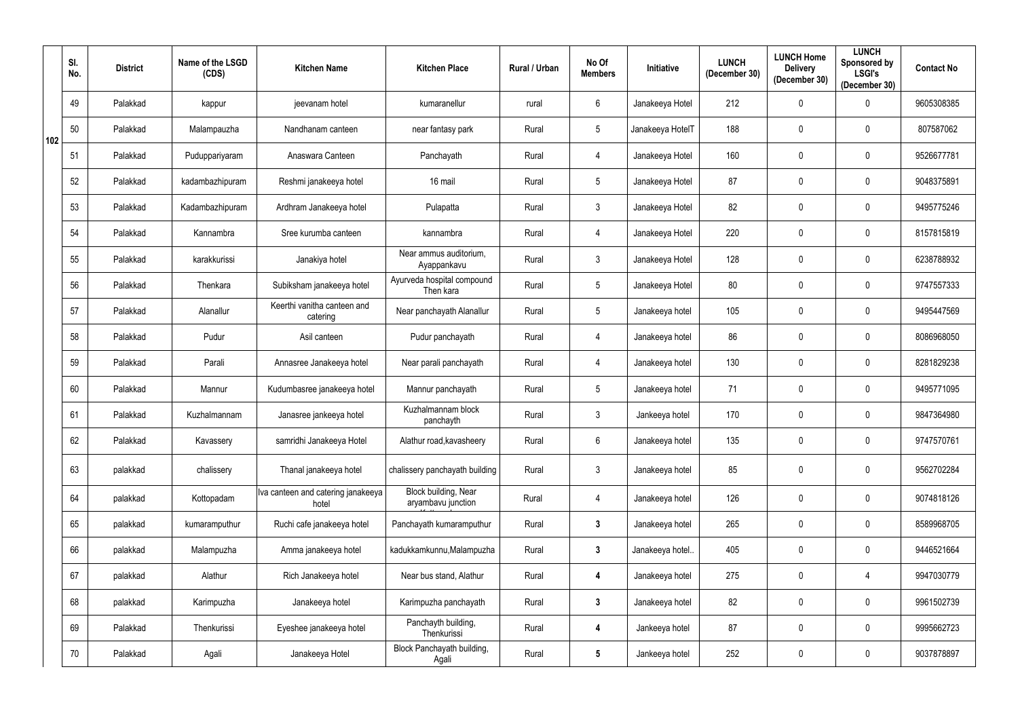|     | SI.<br>No. | <b>District</b> | Name of the LSGD<br>(CDS) | <b>Kitchen Name</b>                         | <b>Kitchen Place</b>                       | Rural / Urban | No Of<br><b>Members</b> | Initiative       | <b>LUNCH</b><br>(December 30) | <b>LUNCH Home</b><br><b>Delivery</b><br>(December 30) | <b>LUNCH</b><br>Sponsored by<br><b>LSGI's</b><br>(December 30) | <b>Contact No</b> |
|-----|------------|-----------------|---------------------------|---------------------------------------------|--------------------------------------------|---------------|-------------------------|------------------|-------------------------------|-------------------------------------------------------|----------------------------------------------------------------|-------------------|
|     | 49         | Palakkad        | kappur                    | jeevanam hotel                              | kumaranellur                               | rural         | 6                       | Janakeeya Hotel  | 212                           | 0                                                     | 0                                                              | 9605308385        |
| 102 | 50         | Palakkad        | Malampauzha               | Nandhanam canteen                           | near fantasy park                          | Rural         | $5\overline{)}$         | Janakeeya HotelT | 188                           | 0                                                     | $\boldsymbol{0}$                                               | 807587062         |
|     | 51         | Palakkad        | Puduppariyaram            | Anaswara Canteen                            | Panchayath                                 | Rural         | $\overline{4}$          | Janakeeya Hotel  | 160                           | $\mathbf 0$                                           | $\boldsymbol{0}$                                               | 9526677781        |
|     | 52         | Palakkad        | kadambazhipuram           | Reshmi janakeeya hotel                      | 16 mail                                    | Rural         | $5\overline{)}$         | Janakeeya Hotel  | 87                            | $\mathbf 0$                                           | $\boldsymbol{0}$                                               | 9048375891        |
|     | 53         | Palakkad        | Kadambazhipuram           | Ardhram Janakeeya hotel                     | Pulapatta                                  | Rural         | $\mathbf{3}$            | Janakeeya Hotel  | 82                            | $\mathbf 0$                                           | $\mathbf 0$                                                    | 9495775246        |
|     | 54         | Palakkad        | Kannambra                 | Sree kurumba canteen                        | kannambra                                  | Rural         | $\overline{4}$          | Janakeeya Hotel  | 220                           | $\mathbf 0$                                           | $\boldsymbol{0}$                                               | 8157815819        |
|     | 55         | Palakkad        | karakkurissi              | Janakiya hotel                              | Near ammus auditorium,<br>Ayappankavu      | Rural         | $\mathbf{3}$            | Janakeeya Hotel  | 128                           | $\mathbf 0$                                           | $\boldsymbol{0}$                                               | 6238788932        |
|     | 56         | Palakkad        | Thenkara                  | Subiksham janakeeya hotel                   | Ayurveda hospital compound<br>Then kara    | Rural         | $5\phantom{.0}$         | Janakeeya Hotel  | 80                            | 0                                                     | $\boldsymbol{0}$                                               | 9747557333        |
|     | 57         | Palakkad        | Alanallur                 | Keerthi vanitha canteen and<br>catering     | Near panchayath Alanallur                  | Rural         | $5\overline{)}$         | Janakeeya hotel  | 105                           | 0                                                     | $\boldsymbol{0}$                                               | 9495447569        |
|     | 58         | Palakkad        | Pudur                     | Asil canteen                                | Pudur panchayath                           | Rural         | 4                       | Janakeeya hotel  | 86                            | 0                                                     | $\mathbf 0$                                                    | 8086968050        |
|     | 59         | Palakkad        | Parali                    | Annasree Janakeeya hotel                    | Near parali panchayath                     | Rural         | $\overline{4}$          | Janakeeya hotel  | 130                           | $\mathbf 0$                                           | $\mathbf 0$                                                    | 8281829238        |
|     | 60         | Palakkad        | Mannur                    | Kudumbasree janakeeya hotel                 | Mannur panchayath                          | Rural         | $5\overline{)}$         | Janakeeya hotel  | 71                            | $\mathbf 0$                                           | $\mathbf 0$                                                    | 9495771095        |
|     | 61         | Palakkad        | Kuzhalmannam              | Janasree jankeeya hotel                     | Kuzhalmannam block<br>panchayth            | Rural         | $\mathbf{3}$            | Jankeeya hotel   | 170                           | $\mathbf 0$                                           | $\mathbf 0$                                                    | 9847364980        |
|     | 62         | Palakkad        | Kavassery                 | samridhi Janakeeya Hotel                    | Alathur road, kavasheery                   | Rural         | 6                       | Janakeeya hotel  | 135                           | $\mathbf 0$                                           | $\mathbf 0$                                                    | 9747570761        |
|     | 63         | palakkad        | chalissery                | Thanal janakeeya hotel                      | chalissery panchayath building             | Rural         | $\mathfrak{Z}$          | Janakeeya hotel  | 85                            | 0                                                     | $\pmb{0}$                                                      | 9562702284        |
|     | 64         | palakkad        | Kottopadam                | Iva canteen and catering janakeeya<br>hotel | Block building, Near<br>aryambavu junction | Rural         | $\overline{4}$          | Janakeeya hotel  | 126                           | $\mathbf 0$                                           | $\mathbf 0$                                                    | 9074818126        |
|     | 65         | palakkad        | kumaramputhur             | Ruchi cafe janakeeya hotel                  | Panchayath kumaramputhur                   | Rural         | $\mathbf{3}$            | Janakeeya hotel  | 265                           | $\mathbf 0$                                           | $\mathbf 0$                                                    | 8589968705        |
|     | 66         | palakkad        | Malampuzha                | Amma janakeeya hotel                        | kadukkamkunnu, Malampuzha                  | Rural         | $3\phantom{a}$          | Janakeeya hotel  | 405                           | $\mathbf 0$                                           | $\bm{0}$                                                       | 9446521664        |
|     | 67         | palakkad        | Alathur                   | Rich Janakeeya hotel                        | Near bus stand, Alathur                    | Rural         | $\overline{\mathbf{4}}$ | Janakeeya hotel  | 275                           | $\mathbf 0$                                           | $\overline{4}$                                                 | 9947030779        |
|     | 68         | palakkad        | Karimpuzha                | Janakeeya hotel                             | Karimpuzha panchayath                      | Rural         | $\mathbf{3}$            | Janakeeya hotel  | 82                            | $\mathbf 0$                                           | $\mathbf 0$                                                    | 9961502739        |
|     | 69         | Palakkad        | Thenkurissi               | Eyeshee janakeeya hotel                     | Panchayth building,<br>Thenkurissi         | Rural         | $\overline{\mathbf{4}}$ | Jankeeya hotel   | 87                            | $\mathbf 0$                                           | $\mathbf 0$                                                    | 9995662723        |
|     | 70         | Palakkad        | Agali                     | Janakeeya Hotel                             | Block Panchayath building,<br>Agali        | Rural         | $5\phantom{.0}$         | Jankeeya hotel   | 252                           | $\pmb{0}$                                             | $\boldsymbol{0}$                                               | 9037878897        |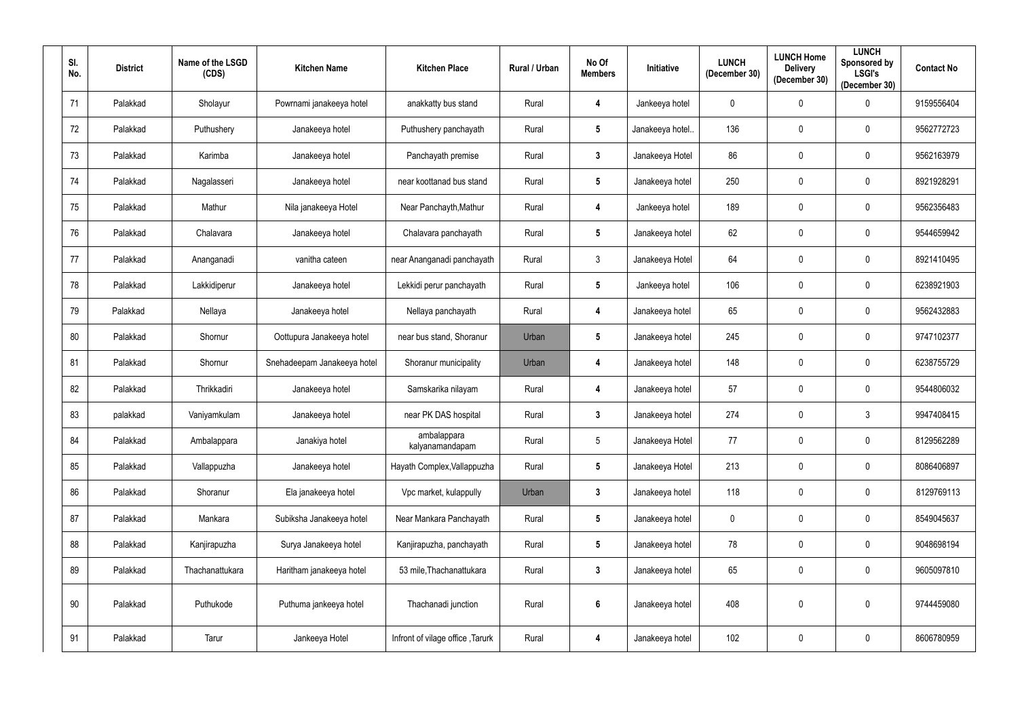| SI.<br>No. | <b>District</b> | Name of the LSGD<br>(CDS) | <b>Kitchen Name</b>         | <b>Kitchen Place</b>             | Rural / Urban | No Of<br><b>Members</b> | <b>Initiative</b> | <b>LUNCH</b><br>(December 30) | <b>LUNCH Home</b><br><b>Delivery</b><br>(December 30) | <b>LUNCH</b><br>Sponsored by<br><b>LSGI's</b><br>(December 30) | <b>Contact No</b> |
|------------|-----------------|---------------------------|-----------------------------|----------------------------------|---------------|-------------------------|-------------------|-------------------------------|-------------------------------------------------------|----------------------------------------------------------------|-------------------|
| 71         | Palakkad        | Sholayur                  | Powrnami janakeeya hotel    | anakkatty bus stand              | Rural         | 4                       | Jankeeya hotel    | $\mathbf 0$                   | $\mathbf 0$                                           | $\mathbf 0$                                                    | 9159556404        |
| 72         | Palakkad        | Puthushery                | Janakeeya hotel             | Puthushery panchayath            | Rural         | $5\phantom{.0}$         | Janakeeya hotel.  | 136                           | $\mathbf 0$                                           | $\mathbf{0}$                                                   | 9562772723        |
| 73         | Palakkad        | Karimba                   | Janakeeya hotel             | Panchayath premise               | Rural         | $\mathbf{3}$            | Janakeeya Hotel   | 86                            | 0                                                     | $\mathbf 0$                                                    | 9562163979        |
| 74         | Palakkad        | Nagalasseri               | Janakeeya hotel             | near koottanad bus stand         | Rural         | $5\phantom{.0}$         | Janakeeya hotel   | 250                           | $\mathbf 0$                                           | $\mathbf 0$                                                    | 8921928291        |
| 75         | Palakkad        | Mathur                    | Nila janakeeya Hotel        | Near Panchayth, Mathur           | Rural         | $\boldsymbol{4}$        | Jankeeya hotel    | 189                           | $\mathbf 0$                                           | $\mathbf 0$                                                    | 9562356483        |
| 76         | Palakkad        | Chalavara                 | Janakeeya hotel             | Chalavara panchayath             | Rural         | $5\phantom{.0}$         | Janakeeya hotel   | 62                            | $\mathbf 0$                                           | $\mathbf 0$                                                    | 9544659942        |
| 77         | Palakkad        | Ananganadi                | vanitha cateen              | near Ananganadi panchayath       | Rural         | $\mathbf{3}$            | Janakeeya Hotel   | 64                            | 0                                                     | $\mathbf 0$                                                    | 8921410495        |
| 78         | Palakkad        | Lakkidiperur              | Janakeeya hotel             | Lekkidi perur panchayath         | Rural         | $5\phantom{.0}$         | Jankeeya hotel    | 106                           | $\mathbf 0$                                           | $\mathbf 0$                                                    | 6238921903        |
| 79         | Palakkad        | Nellaya                   | Janakeeya hotel             | Nellaya panchayath               | Rural         | $\overline{\mathbf{4}}$ | Janakeeya hotel   | 65                            | $\pmb{0}$                                             | $\mathbf{0}$                                                   | 9562432883        |
| 80         | Palakkad        | Shornur                   | Oottupura Janakeeya hotel   | near bus stand, Shoranur         | Urban         | $5\phantom{.0}$         | Janakeeya hotel   | 245                           | $\mathbf 0$                                           | $\mathbf{0}$                                                   | 9747102377        |
| 81         | Palakkad        | Shornur                   | Snehadeepam Janakeeya hotel | Shoranur municipality            | Urban         | $\boldsymbol{4}$        | Janakeeya hotel   | 148                           | $\mathbf 0$                                           | $\mathbf 0$                                                    | 6238755729        |
| 82         | Palakkad        | Thrikkadiri               | Janakeeya hotel             | Samskarika nilayam               | Rural         | $\boldsymbol{4}$        | Janakeeya hotel   | 57                            | $\pmb{0}$                                             | $\mathbf 0$                                                    | 9544806032        |
| 83         | palakkad        | Vaniyamkulam              | Janakeeya hotel             | near PK DAS hospital             | Rural         | $3\phantom{a}$          | Janakeeya hotel   | 274                           | $\mathbf 0$                                           | $\mathbf{3}$                                                   | 9947408415        |
| 84         | Palakkad        | Ambalappara               | Janakiya hotel              | ambalappara<br>kalyanamandapam   | Rural         | $5\phantom{.0}$         | Janakeeya Hotel   | 77                            | $\pmb{0}$                                             | $\mathbf 0$                                                    | 8129562289        |
| 85         | Palakkad        | Vallappuzha               | Janakeeya hotel             | Hayath Complex, Vallappuzha      | Rural         | $5\phantom{.0}$         | Janakeeya Hotel   | 213                           | $\mathbf 0$                                           | $\mathbf 0$                                                    | 8086406897        |
| 86         | Palakkad        | Shoranur                  | Ela janakeeya hotel         | Vpc market, kulappully           | Urban         | $\mathbf{3}$            | Janakeeya hotel   | 118                           | $\mathbf 0$                                           | $\mathbf 0$                                                    | 8129769113        |
| 87         | Palakkad        | Mankara                   | Subiksha Janakeeya hotel    | Near Mankara Panchayath          | Rural         | $5\phantom{.0}$         | Janakeeya hotel   | $\mathbf 0$                   | $\mathbf 0$                                           | $\mathbf 0$                                                    | 8549045637        |
| 88         | Palakkad        | Kanjirapuzha              | Surya Janakeeya hotel       | Kanjirapuzha, panchayath         | Rural         | $5\phantom{.0}$         | Janakeeya hotel   | 78                            | $\mathbf 0$                                           | $\mathbf 0$                                                    | 9048698194        |
| 89         | Palakkad        | Thachanattukara           | Haritham janakeeya hotel    | 53 mile, Thachanattukara         | Rural         | $\mathbf{3}$            | Janakeeya hotel   | 65                            | $\mathbf 0$                                           | $\pmb{0}$                                                      | 9605097810        |
| 90         | Palakkad        | Puthukode                 | Puthuma jankeeya hotel      | Thachanadi junction              | Rural         | $6\phantom{.}6$         | Janakeeya hotel   | 408                           | $\mathbf 0$                                           | $\mathbf 0$                                                    | 9744459080        |
| 91         | Palakkad        | Tarur                     | Jankeeya Hotel              | Infront of vilage office, Tarurk | Rural         | $\boldsymbol{4}$        | Janakeeya hotel   | 102                           | 0                                                     | $\overline{0}$                                                 | 8606780959        |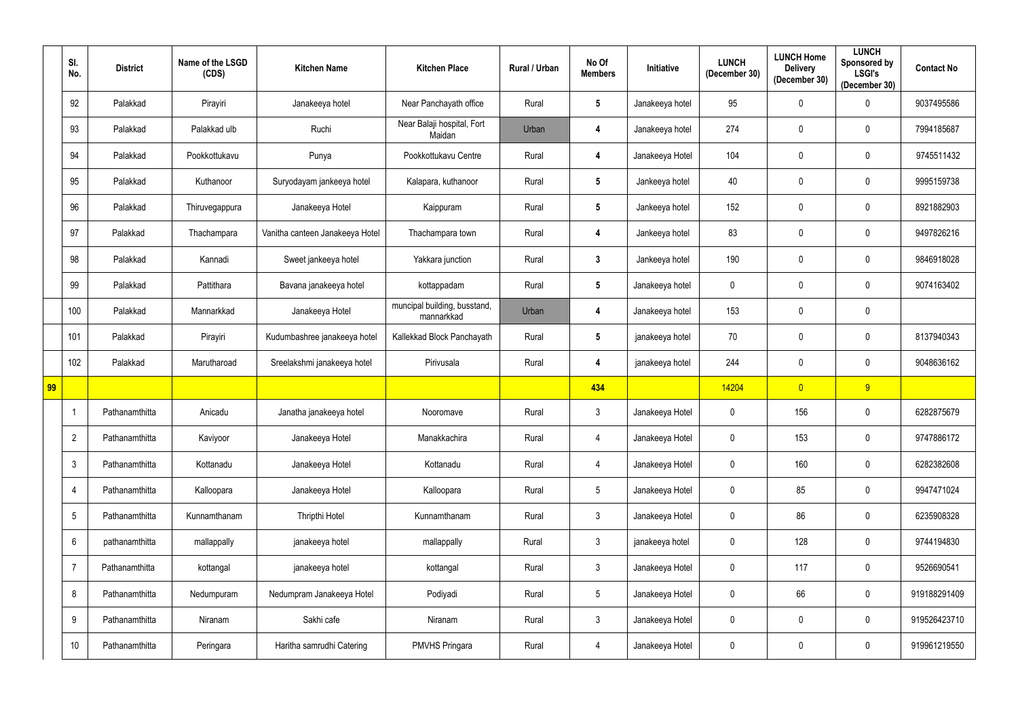|    | SI.<br>No.      | <b>District</b> | Name of the LSGD<br>(CDS) | <b>Kitchen Name</b>             | <b>Kitchen Place</b>                       | Rural / Urban | No Of<br><b>Members</b> | Initiative      | <b>LUNCH</b><br>(December 30) | <b>LUNCH Home</b><br><b>Delivery</b><br>(December 30) | <b>LUNCH</b><br>Sponsored by<br><b>LSGI's</b><br>(December 30) | <b>Contact No</b> |
|----|-----------------|-----------------|---------------------------|---------------------------------|--------------------------------------------|---------------|-------------------------|-----------------|-------------------------------|-------------------------------------------------------|----------------------------------------------------------------|-------------------|
|    | 92              | Palakkad        | Pirayiri                  | Janakeeya hotel                 | Near Panchayath office                     | Rural         | $5\overline{)}$         | Janakeeya hotel | 95                            | $\mathbf 0$                                           | 0                                                              | 9037495586        |
|    | 93              | Palakkad        | Palakkad ulb              | Ruchi                           | Near Balaji hospital, Fort<br>Maidan       | Urban         | 4                       | Janakeeya hotel | 274                           | $\mathbf 0$                                           | $\mathbf 0$                                                    | 7994185687        |
|    | 94              | Palakkad        | Pookkottukavu             | Punya                           | Pookkottukavu Centre                       | Rural         | $\overline{\mathbf{4}}$ | Janakeeya Hotel | 104                           | $\mathbf 0$                                           | $\boldsymbol{0}$                                               | 9745511432        |
|    | 95              | Palakkad        | Kuthanoor                 | Suryodayam jankeeya hotel       | Kalapara, kuthanoor                        | Rural         | $5\phantom{.0}$         | Jankeeya hotel  | 40                            | $\mathbf 0$                                           | $\boldsymbol{0}$                                               | 9995159738        |
|    | 96              | Palakkad        | Thiruvegappura            | Janakeeya Hotel                 | Kaippuram                                  | Rural         | $5\phantom{.0}$         | Jankeeya hotel  | 152                           | $\mathbf 0$                                           | $\mathbf 0$                                                    | 8921882903        |
|    | 97              | Palakkad        | Thachampara               | Vanitha canteen Janakeeya Hotel | Thachampara town                           | Rural         | 4                       | Jankeeya hotel  | 83                            | $\mathbf 0$                                           | $\mathbf 0$                                                    | 9497826216        |
|    | 98              | Palakkad        | Kannadi                   | Sweet jankeeya hotel            | Yakkara junction                           | Rural         | $\mathbf{3}$            | Jankeeya hotel  | 190                           | $\mathbf 0$                                           | $\mathbf 0$                                                    | 9846918028        |
|    | 99              | Palakkad        | Pattithara                | Bavana janakeeya hotel          | kottappadam                                | Rural         | $5\phantom{.0}$         | Janakeeya hotel | $\mathbf 0$                   | $\mathbf 0$                                           | $\mathbf 0$                                                    | 9074163402        |
|    | 100             | Palakkad        | Mannarkkad                | Janakeeya Hotel                 | muncipal building, busstand,<br>mannarkkad | Urban         | 4                       | Janakeeya hotel | 153                           | $\mathbf 0$                                           | $\pmb{0}$                                                      |                   |
|    | 101             | Palakkad        | Pirayiri                  | Kudumbashree janakeeya hotel    | Kallekkad Block Panchayath                 | Rural         | $5\phantom{.0}$         | janakeeya hotel | 70                            | 0                                                     | $\mathbf 0$                                                    | 8137940343        |
|    | 102             | Palakkad        | Marutharoad               | Sreelakshmi janakeeya hotel     | Pirivusala                                 | Rural         | $\overline{\mathbf{4}}$ | janakeeya hotel | 244                           | $\mathbf 0$                                           | $\mathbf 0$                                                    | 9048636162        |
| 99 |                 |                 |                           |                                 |                                            |               | 434                     |                 | 14204                         | $\overline{0}$                                        | 9 <sup>°</sup>                                                 |                   |
|    |                 | Pathanamthitta  | Anicadu                   | Janatha janakeeya hotel         | Nooromave                                  | Rural         | $\mathbf{3}$            | Janakeeya Hotel | $\mathbf 0$                   | 156                                                   | $\boldsymbol{0}$                                               | 6282875679        |
|    | $\overline{2}$  | Pathanamthitta  | Kaviyoor                  | Janakeeya Hotel                 | Manakkachira                               | Rural         | $\overline{4}$          | Janakeeya Hotel | $\mathbf 0$                   | 153                                                   | $\mathbf 0$                                                    | 9747886172        |
|    | $\mathfrak{Z}$  | Pathanamthitta  | Kottanadu                 | Janakeeya Hotel                 | Kottanadu                                  | Rural         | $\overline{4}$          | Janakeeya Hotel | $\overline{0}$                | 160                                                   | $\mathbf 0$                                                    | 6282382608        |
|    | 4               | Pathanamthitta  | Kalloopara                | Janakeeya Hotel                 | Kalloopara                                 | Rural         | $5\phantom{.0}$         | Janakeeya Hotel | $\overline{0}$                | 85                                                    | $\bm{0}$                                                       | 9947471024        |
|    | $5\phantom{.0}$ | Pathanamthitta  | Kunnamthanam              | Thripthi Hotel                  | Kunnamthanam                               | Rural         | $\mathfrak{Z}$          | Janakeeya Hotel | $\overline{0}$                | 86                                                    | $\mathbf 0$                                                    | 6235908328        |
|    | 6               | pathanamthitta  | mallappally               | janakeeya hotel                 | mallappally                                | Rural         | $\mathfrak{Z}$          | janakeeya hotel | $\overline{0}$                | 128                                                   | $\mathbf 0$                                                    | 9744194830        |
|    | $\overline{7}$  | Pathanamthitta  | kottangal                 | janakeeya hotel                 | kottangal                                  | Rural         | $\mathfrak{Z}$          | Janakeeya Hotel | $\overline{0}$                | 117                                                   | $\bm{0}$                                                       | 9526690541        |
|    | 8               | Pathanamthitta  | Nedumpuram                | Nedumpram Janakeeya Hotel       | Podiyadi                                   | Rural         | $5\phantom{.0}$         | Janakeeya Hotel | $\overline{0}$                | 66                                                    | $\mathbf 0$                                                    | 919188291409      |
|    | 9               | Pathanamthitta  | Niranam                   | Sakhi cafe                      | Niranam                                    | Rural         | $\mathfrak{Z}$          | Janakeeya Hotel | $\overline{0}$                | $\mathbf 0$                                           | $\mathbf 0$                                                    | 919526423710      |
|    | 10              | Pathanamthitta  | Peringara                 | Haritha samrudhi Catering       | <b>PMVHS Pringara</b>                      | Rural         | $\overline{4}$          | Janakeeya Hotel | $\overline{0}$                | $\boldsymbol{0}$                                      | $\overline{0}$                                                 | 919961219550      |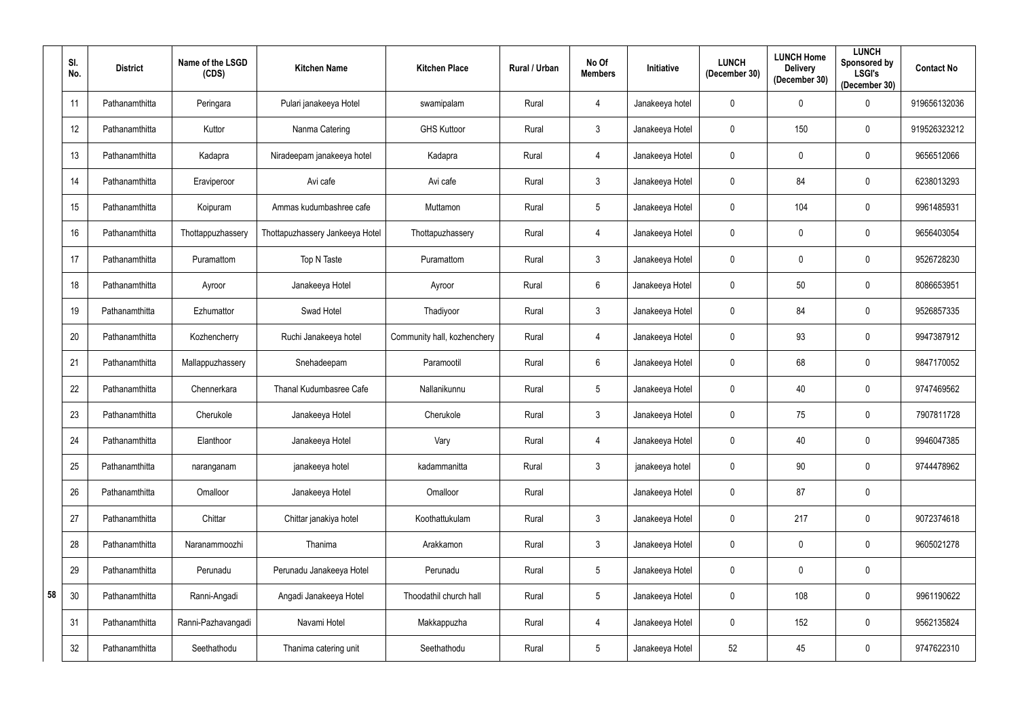|    | SI.<br>No. | <b>District</b> | Name of the LSGD<br>(CDS) | <b>Kitchen Name</b>             | <b>Kitchen Place</b>        | Rural / Urban | No Of<br><b>Members</b> | <b>Initiative</b> | <b>LUNCH</b><br>(December 30) | <b>LUNCH Home</b><br><b>Delivery</b><br>(December 30) | <b>LUNCH</b><br>Sponsored by<br><b>LSGI's</b><br>(December 30) | <b>Contact No</b> |
|----|------------|-----------------|---------------------------|---------------------------------|-----------------------------|---------------|-------------------------|-------------------|-------------------------------|-------------------------------------------------------|----------------------------------------------------------------|-------------------|
|    | 11         | Pathanamthitta  | Peringara                 | Pulari janakeeya Hotel          | swamipalam                  | Rural         | 4                       | Janakeeya hotel   | $\mathbf 0$                   | $\mathbf 0$                                           | $\boldsymbol{0}$                                               | 919656132036      |
|    | 12         | Pathanamthitta  | Kuttor                    | Nanma Catering                  | <b>GHS Kuttoor</b>          | Rural         | $\mathfrak{Z}$          | Janakeeya Hotel   | $\boldsymbol{0}$              | 150                                                   | $\mathbf 0$                                                    | 919526323212      |
|    | 13         | Pathanamthitta  | Kadapra                   | Niradeepam janakeeya hotel      | Kadapra                     | Rural         | 4                       | Janakeeya Hotel   | $\mathbf 0$                   | $\mathbf 0$                                           | $\mathbf 0$                                                    | 9656512066        |
|    | 14         | Pathanamthitta  | Eraviperoor               | Avi cafe                        | Avi cafe                    | Rural         | $\mathfrak{Z}$          | Janakeeya Hotel   | $\mathbf 0$                   | 84                                                    | $\mathbf 0$                                                    | 6238013293        |
|    | 15         | Pathanamthitta  | Koipuram                  | Ammas kudumbashree cafe         | Muttamon                    | Rural         | $5\overline{)}$         | Janakeeya Hotel   | $\mathbf 0$                   | 104                                                   | $\mathbf 0$                                                    | 9961485931        |
|    | 16         | Pathanamthitta  | Thottappuzhassery         | Thottapuzhassery Jankeeya Hotel | Thottapuzhassery            | Rural         | $\overline{4}$          | Janakeeya Hotel   | $\mathbf 0$                   | $\mathbf 0$                                           | $\boldsymbol{0}$                                               | 9656403054        |
|    | 17         | Pathanamthitta  | Puramattom                | Top N Taste                     | Puramattom                  | Rural         | $\mathfrak{Z}$          | Janakeeya Hotel   | $\boldsymbol{0}$              | $\mathbf 0$                                           | $\mathbf 0$                                                    | 9526728230        |
|    | 18         | Pathanamthitta  | Ayroor                    | Janakeeya Hotel                 | Ayroor                      | Rural         | 6                       | Janakeeya Hotel   | 0                             | 50                                                    | $\boldsymbol{0}$                                               | 8086653951        |
|    | 19         | Pathanamthitta  | Ezhumattor                | Swad Hotel                      | Thadiyoor                   | Rural         | $\mathfrak{Z}$          | Janakeeya Hotel   | $\mathbf 0$                   | 84                                                    | $\boldsymbol{0}$                                               | 9526857335        |
|    | 20         | Pathanamthitta  | Kozhencherry              | Ruchi Janakeeya hotel           | Community hall, kozhenchery | Rural         | 4                       | Janakeeya Hotel   | $\boldsymbol{0}$              | 93                                                    | $\mathbf 0$                                                    | 9947387912        |
|    | 21         | Pathanamthitta  | Mallappuzhassery          | Snehadeepam                     | Paramootil                  | Rural         | $6^{\circ}$             | Janakeeya Hotel   | $\mathbf 0$                   | 68                                                    | $\mathbf 0$                                                    | 9847170052        |
|    | 22         | Pathanamthitta  | Chennerkara               | Thanal Kudumbasree Cafe         | Nallanikunnu                | Rural         | $\overline{5}$          | Janakeeya Hotel   | $\boldsymbol{0}$              | 40                                                    | $\bf{0}$                                                       | 9747469562        |
|    | 23         | Pathanamthitta  | Cherukole                 | Janakeeya Hotel                 | Cherukole                   | Rural         | $\mathbf{3}$            | Janakeeya Hotel   | $\mathbf 0$                   | 75                                                    | $\mathbf 0$                                                    | 7907811728        |
|    | 24         | Pathanamthitta  | Elanthoor                 | Janakeeya Hotel                 | Vary                        | Rural         | $\overline{4}$          | Janakeeya Hotel   | $\mathbf 0$                   | 40                                                    | $\bm{0}$                                                       | 9946047385        |
|    | 25         | Pathanamthitta  | naranganam                | janakeeya hotel                 | kadammanitta                | Rural         | $\mathbf{3}$            | janakeeya hotel   | $\mathbf 0$                   | 90                                                    | $\pmb{0}$                                                      | 9744478962        |
|    | 26         | Pathanamthitta  | Omalloor                  | Janakeeya Hotel                 | Omalloor                    | Rural         |                         | Janakeeya Hotel   | $\overline{0}$                | 87                                                    | $\bm{0}$                                                       |                   |
|    | 27         | Pathanamthitta  | Chittar                   | Chittar janakiya hotel          | Koothattukulam              | Rural         | $\mathfrak{Z}$          | Janakeeya Hotel   | 0                             | 217                                                   | $\pmb{0}$                                                      | 9072374618        |
|    | 28         | Pathanamthitta  | Naranammoozhi             | Thanima                         | Arakkamon                   | Rural         | 3 <sup>1</sup>          | Janakeeya Hotel   | $\boldsymbol{0}$              | $\mathbf 0$                                           | $\mathbf 0$                                                    | 9605021278        |
|    | 29         | Pathanamthitta  | Perunadu                  | Perunadu Janakeeya Hotel        | Perunadu                    | Rural         | $5\phantom{.0}$         | Janakeeya Hotel   | $\mathbf 0$                   | $\mathbf 0$                                           | $\bm{0}$                                                       |                   |
| 58 | 30         | Pathanamthitta  | Ranni-Angadi              | Angadi Janakeeya Hotel          | Thoodathil church hall      | Rural         | $5\phantom{.0}$         | Janakeeya Hotel   | $\mathbf 0$                   | 108                                                   | $\bm{0}$                                                       | 9961190622        |
|    | 31         | Pathanamthitta  | Ranni-Pazhavangadi        | Navami Hotel                    | Makkappuzha                 | Rural         | $\overline{4}$          | Janakeeya Hotel   | $\mathbf 0$                   | 152                                                   | $\bm{0}$                                                       | 9562135824        |
|    | 32         | Pathanamthitta  | Seethathodu               | Thanima catering unit           | Seethathodu                 | Rural         | $5\phantom{.0}$         | Janakeeya Hotel   | $52\,$                        | 45                                                    | $\pmb{0}$                                                      | 9747622310        |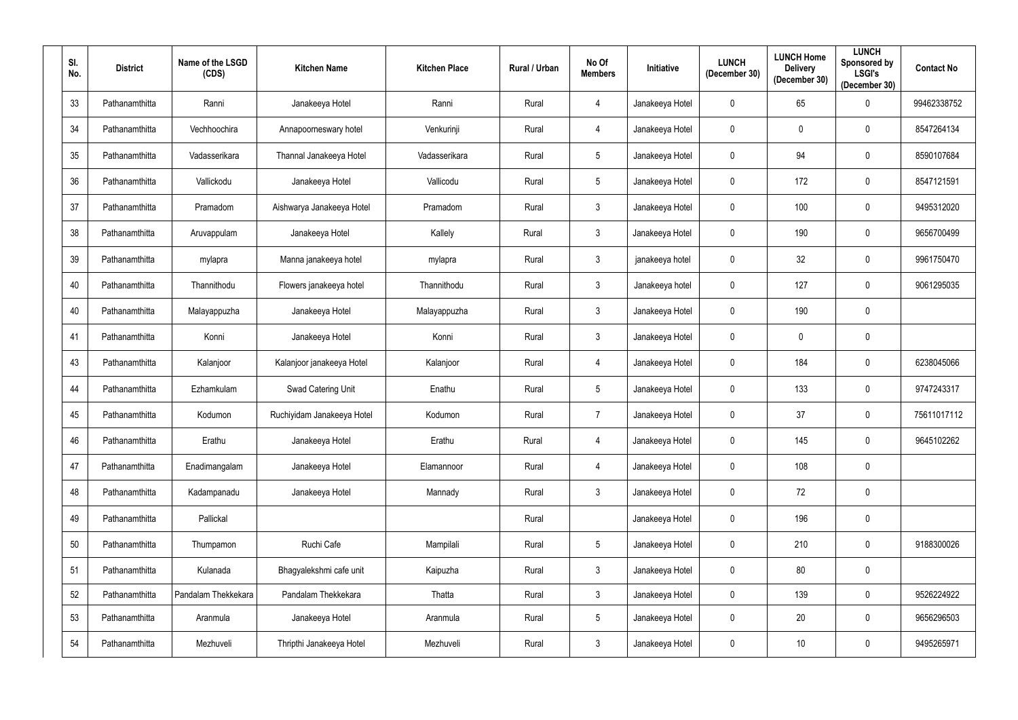| SI.<br>No. | <b>District</b> | Name of the LSGD<br>(CDS) | <b>Kitchen Name</b>        | <b>Kitchen Place</b> | Rural / Urban | No Of<br><b>Members</b> | Initiative      | <b>LUNCH</b><br>(December 30) | <b>LUNCH Home</b><br><b>Delivery</b><br>(December 30) | <b>LUNCH</b><br>Sponsored by<br><b>LSGI's</b><br>(December 30) | <b>Contact No</b> |
|------------|-----------------|---------------------------|----------------------------|----------------------|---------------|-------------------------|-----------------|-------------------------------|-------------------------------------------------------|----------------------------------------------------------------|-------------------|
| 33         | Pathanamthitta  | Ranni                     | Janakeeya Hotel            | Ranni                | Rural         | $\overline{4}$          | Janakeeya Hotel | $\mathbf 0$                   | 65                                                    | $\mathbf 0$                                                    | 99462338752       |
| 34         | Pathanamthitta  | Vechhoochira              | Annapoorneswary hotel      | Venkurinji           | Rural         | 4                       | Janakeeya Hotel | $\mathbf 0$                   | $\mathbf 0$                                           | $\mathbf 0$                                                    | 8547264134        |
| 35         | Pathanamthitta  | Vadasserikara             | Thannal Janakeeya Hotel    | Vadasserikara        | Rural         | $5\overline{)}$         | Janakeeya Hotel | $\mathbf 0$                   | 94                                                    | $\mathbf 0$                                                    | 8590107684        |
| 36         | Pathanamthitta  | Vallickodu                | Janakeeya Hotel            | Vallicodu            | Rural         | $5\overline{)}$         | Janakeeya Hotel | $\mathbf 0$                   | 172                                                   | $\mathbf 0$                                                    | 8547121591        |
| 37         | Pathanamthitta  | Pramadom                  | Aishwarya Janakeeya Hotel  | Pramadom             | Rural         | $\mathbf{3}$            | Janakeeya Hotel | $\mathbf 0$                   | 100                                                   | $\mathbf 0$                                                    | 9495312020        |
| 38         | Pathanamthitta  | Aruvappulam               | Janakeeya Hotel            | Kallely              | Rural         | $\mathbf{3}$            | Janakeeya Hotel | $\mathbf 0$                   | 190                                                   | $\mathbf 0$                                                    | 9656700499        |
| 39         | Pathanamthitta  | mylapra                   | Manna janakeeya hotel      | mylapra              | Rural         | $\mathbf{3}$            | janakeeya hotel | $\mathbf 0$                   | 32                                                    | $\mathbf 0$                                                    | 9961750470        |
| 40         | Pathanamthitta  | Thannithodu               | Flowers janakeeya hotel    | Thannithodu          | Rural         | $\mathbf{3}$            | Janakeeya hotel | $\mathbf 0$                   | 127                                                   | $\mathbf 0$                                                    | 9061295035        |
| 40         | Pathanamthitta  | Malayappuzha              | Janakeeya Hotel            | Malayappuzha         | Rural         | $\mathbf{3}$            | Janakeeya Hotel | $\mathbf 0$                   | 190                                                   | $\mathbf 0$                                                    |                   |
| 41         | Pathanamthitta  | Konni                     | Janakeeya Hotel            | Konni                | Rural         | $\mathbf{3}$            | Janakeeya Hotel | $\mathbf 0$                   | $\mathbf 0$                                           | $\mathbf 0$                                                    |                   |
| 43         | Pathanamthitta  | Kalanjoor                 | Kalanjoor janakeeya Hotel  | Kalanjoor            | Rural         | $\overline{4}$          | Janakeeya Hotel | $\mathbf 0$                   | 184                                                   | $\mathbf 0$                                                    | 6238045066        |
| 44         | Pathanamthitta  | Ezhamkulam                | Swad Catering Unit         | Enathu               | Rural         | $5\overline{)}$         | Janakeeya Hotel | $\mathbf 0$                   | 133                                                   | $\mathbf 0$                                                    | 9747243317        |
| 45         | Pathanamthitta  | Kodumon                   | Ruchiyidam Janakeeya Hotel | Kodumon              | Rural         | $\overline{7}$          | Janakeeya Hotel | $\mathbf 0$                   | 37                                                    | $\mathbf 0$                                                    | 75611017112       |
| 46         | Pathanamthitta  | Erathu                    | Janakeeya Hotel            | Erathu               | Rural         | $\overline{4}$          | Janakeeya Hotel | $\overline{0}$                | 145                                                   | $\mathbf 0$                                                    | 9645102262        |
| 47         | Pathanamthitta  | Enadimangalam             | Janakeeya Hotel            | Elamannoor           | Rural         | $\overline{4}$          | Janakeeya Hotel | $\mathbf 0$                   | 108                                                   | $\bm{0}$                                                       |                   |
| 48         | Pathanamthitta  | Kadampanadu               | Janakeeya Hotel            | Mannady              | Rural         | $\mathbf{3}$            | Janakeeya Hotel | $\mathbf 0$                   | 72                                                    | $\mathbf 0$                                                    |                   |
| 49         | Pathanamthitta  | Pallickal                 |                            |                      | Rural         |                         | Janakeeya Hotel | $\mathbf 0$                   | 196                                                   | $\pmb{0}$                                                      |                   |
| 50         | Pathanamthitta  | Thumpamon                 | Ruchi Cafe                 | Mampilali            | Rural         | $5\phantom{.0}$         | Janakeeya Hotel | $\mathbf 0$                   | 210                                                   | $\mathbf 0$                                                    | 9188300026        |
| 51         | Pathanamthitta  | Kulanada                  | Bhagyalekshmi cafe unit    | Kaipuzha             | Rural         | $\mathbf{3}$            | Janakeeya Hotel | $\pmb{0}$                     | $80\,$                                                | $\bm{0}$                                                       |                   |
| 52         | Pathanamthitta  | Pandalam Thekkekara       | Pandalam Thekkekara        | Thatta               | Rural         | $\mathbf{3}$            | Janakeeya Hotel | $\mathbf 0$                   | 139                                                   | $\mathbf 0$                                                    | 9526224922        |
| 53         | Pathanamthitta  | Aranmula                  | Janakeeya Hotel            | Aranmula             | Rural         | $5\phantom{.0}$         | Janakeeya Hotel | $\mathbf 0$                   | 20                                                    | $\bm{0}$                                                       | 9656296503        |
| 54         | Pathanamthitta  | Mezhuveli                 | Thripthi Janakeeya Hotel   | Mezhuveli            | Rural         | $\mathbf{3}$            | Janakeeya Hotel | $\pmb{0}$                     | 10                                                    | $\bm{0}$                                                       | 9495265971        |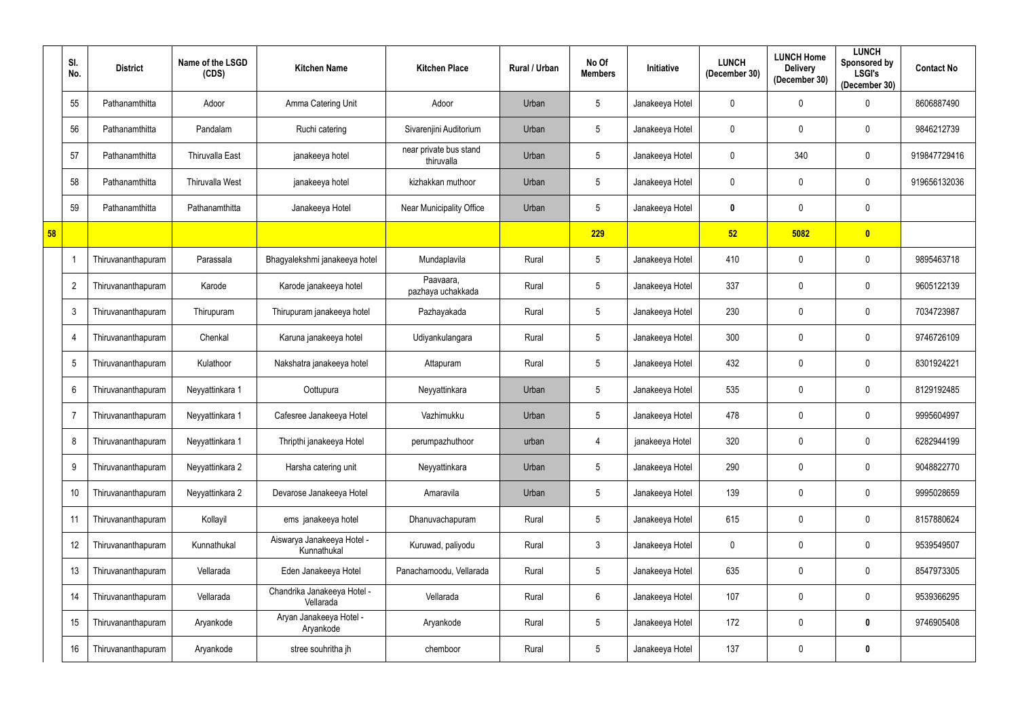|    | SI.<br>No.     | <b>District</b>    | Name of the LSGD<br>(CDS) | <b>Kitchen Name</b>                       | <b>Kitchen Place</b>                 | Rural / Urban | No Of<br><b>Members</b> | <b>Initiative</b> | <b>LUNCH</b><br>(December 30) | <b>LUNCH Home</b><br><b>Delivery</b><br>(December 30) | <b>LUNCH</b><br>Sponsored by<br><b>LSGI's</b><br>(December 30) | <b>Contact No</b> |
|----|----------------|--------------------|---------------------------|-------------------------------------------|--------------------------------------|---------------|-------------------------|-------------------|-------------------------------|-------------------------------------------------------|----------------------------------------------------------------|-------------------|
|    | 55             | Pathanamthitta     | Adoor                     | Amma Catering Unit                        | Adoor                                | Urban         | $5\phantom{.0}$         | Janakeeya Hotel   | $\mathbf 0$                   | $\mathbf 0$                                           | 0                                                              | 8606887490        |
|    | 56             | Pathanamthitta     | Pandalam                  | Ruchi catering                            | Sivarenjini Auditorium               | Urban         | $5\phantom{.0}$         | Janakeeya Hotel   | $\mathbf 0$                   | $\mathbf 0$                                           | $\boldsymbol{0}$                                               | 9846212739        |
|    | 57             | Pathanamthitta     | <b>Thiruvalla East</b>    | janakeeya hotel                           | near private bus stand<br>thiruvalla | Urban         | $5\overline{)}$         | Janakeeya Hotel   | $\mathbf 0$                   | 340                                                   | $\mathbf 0$                                                    | 919847729416      |
|    | 58             | Pathanamthitta     | <b>Thiruvalla West</b>    | janakeeya hotel                           | kizhakkan muthoor                    | Urban         | $5\phantom{.0}$         | Janakeeya Hotel   | 0                             | $\mathbf 0$                                           | $\mathbf 0$                                                    | 919656132036      |
|    | 59             | Pathanamthitta     | Pathanamthitta            | Janakeeya Hotel                           | Near Municipality Office             | Urban         | $\overline{5}$          | Janakeeya Hotel   | $\boldsymbol{0}$              | $\mathbf 0$                                           | $\boldsymbol{0}$                                               |                   |
| 58 |                |                    |                           |                                           |                                      |               | 229                     |                   | 52                            | 5082                                                  | $\bullet$                                                      |                   |
|    |                | Thiruvananthapuram | Parassala                 | Bhagyalekshmi janakeeya hotel             | Mundaplavila                         | Rural         | $5\phantom{.0}$         | Janakeeya Hotel   | 410                           | $\mathbf 0$                                           | $\mathbf 0$                                                    | 9895463718        |
|    | $\overline{2}$ | Thiruvananthapuram | Karode                    | Karode janakeeya hotel                    | Paavaara,<br>pazhaya uchakkada       | Rural         | $5\phantom{.0}$         | Janakeeya Hotel   | 337                           | $\mathbf 0$                                           | $\boldsymbol{0}$                                               | 9605122139        |
|    | $\mathbf{3}$   | Thiruvananthapuram | Thirupuram                | Thirupuram janakeeya hotel                | Pazhayakada                          | Rural         | $5\phantom{.0}$         | Janakeeya Hotel   | 230                           | $\mathbf 0$                                           | $\mathbf 0$                                                    | 7034723987        |
|    | $\overline{4}$ | Thiruvananthapuram | Chenkal                   | Karuna janakeeya hotel                    | Udiyankulangara                      | Rural         | $5\phantom{.0}$         | Janakeeya Hotel   | 300                           | $\mathbf 0$                                           | $\mathbf 0$                                                    | 9746726109        |
|    | 5              | Thiruvananthapuram | Kulathoor                 | Nakshatra janakeeya hotel                 | Attapuram                            | Rural         | $5\phantom{.0}$         | Janakeeya Hotel   | 432                           | $\mathbf 0$                                           | $\mathbf 0$                                                    | 8301924221        |
|    | 6              | Thiruvananthapuram | Neyyattinkara 1           | Oottupura                                 | Neyyattinkara                        | Urban         | $\overline{5}$          | Janakeeya Hotel   | 535                           | $\mathbf 0$                                           | $\boldsymbol{0}$                                               | 8129192485        |
|    | $\overline{7}$ | Thiruvananthapuram | Neyyattinkara 1           | Cafesree Janakeeya Hotel                  | Vazhimukku                           | Urban         | $5\phantom{.0}$         | Janakeeya Hotel   | 478                           | $\mathbf 0$                                           | $\mathbf 0$                                                    | 9995604997        |
|    | 8              | Thiruvananthapuram | Neyyattinkara 1           | Thripthi janakeeya Hotel                  | perumpazhuthoor                      | urban         | 4                       | janakeeya Hotel   | 320                           | $\mathbf 0$                                           | $\boldsymbol{0}$                                               | 6282944199        |
|    | 9              | Thiruvananthapuram | Neyyattinkara 2           | Harsha catering unit                      | Neyyattinkara                        | Urban         | $5\phantom{.0}$         | Janakeeya Hotel   | 290                           | $\mathbf 0$                                           | $\pmb{0}$                                                      | 9048822770        |
|    | 10             | Thiruvananthapuram | Neyyattinkara 2           | Devarose Janakeeya Hotel                  | Amaravila                            | Urban         | $5\phantom{.0}$         | Janakeeya Hotel   | 139                           | $\mathbf 0$                                           | $\mathbf 0$                                                    | 9995028659        |
|    | 11             | Thiruvananthapuram | Kollayil                  | ems janakeeya hotel                       | Dhanuvachapuram                      | Rural         | $5\phantom{.0}$         | Janakeeya Hotel   | 615                           | $\mathbf 0$                                           | $\mathbf 0$                                                    | 8157880624        |
|    | 12             | Thiruvananthapuram | Kunnathukal               | Aiswarya Janakeeya Hotel -<br>Kunnathukal | Kuruwad, paliyodu                    | Rural         | $\mathfrak{Z}$          | Janakeeya Hotel   | $\mathbf 0$                   | $\mathbf 0$                                           | $\mathbf 0$                                                    | 9539549507        |
|    | 13             | Thiruvananthapuram | Vellarada                 | Eden Janakeeya Hotel                      | Panachamoodu, Vellarada              | Rural         | $5\phantom{.0}$         | Janakeeya Hotel   | 635                           | $\mathbf 0$                                           | $\bm{0}$                                                       | 8547973305        |
|    | 14             | Thiruvananthapuram | Vellarada                 | Chandrika Janakeeya Hotel -<br>Vellarada  | Vellarada                            | Rural         | $6\phantom{.0}$         | Janakeeya Hotel   | 107                           | $\mathbf 0$                                           | $\mathbf 0$                                                    | 9539366295        |
|    | 15             | Thiruvananthapuram | Aryankode                 | Aryan Janakeeya Hotel -<br>Aryankode      | Aryankode                            | Rural         | $5\phantom{.0}$         | Janakeeya Hotel   | 172                           | $\mathbf 0$                                           | $\boldsymbol{0}$                                               | 9746905408        |
|    | 16             | Thiruvananthapuram | Aryankode                 | stree souhritha jh                        | chemboor                             | Rural         | $5\phantom{.0}$         | Janakeeya Hotel   | 137                           | $\bm{0}$                                              | $\boldsymbol{0}$                                               |                   |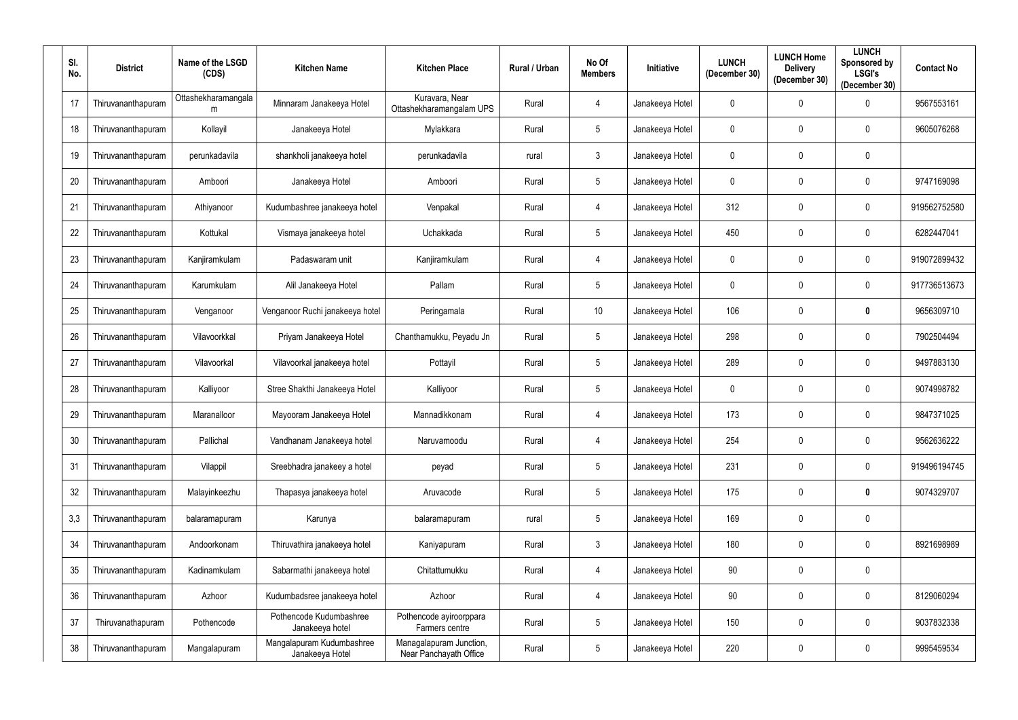| SI.<br>No. | <b>District</b>    | Name of the LSGD<br>(CDS) | <b>Kitchen Name</b>                          | <b>Kitchen Place</b>                              | Rural / Urban | No Of<br><b>Members</b> | <b>Initiative</b> | <b>LUNCH</b><br>(December 30) | <b>LUNCH Home</b><br><b>Delivery</b><br>(December 30) | <b>LUNCH</b><br>Sponsored by<br><b>LSGI's</b><br>(December 30) | <b>Contact No</b> |
|------------|--------------------|---------------------------|----------------------------------------------|---------------------------------------------------|---------------|-------------------------|-------------------|-------------------------------|-------------------------------------------------------|----------------------------------------------------------------|-------------------|
| 17         | Thiruvananthapuram | Ottashekharamangala<br>m  | Minnaram Janakeeya Hotel                     | Kuravara, Near<br>Ottashekharamangalam UPS        | Rural         | 4                       | Janakeeya Hotel   | 0                             | $\mathbf 0$                                           | $\mathbf 0$                                                    | 9567553161        |
| 18         | Thiruvananthapuram | Kollayil                  | Janakeeya Hotel                              | Mylakkara                                         | Rural         | $5\phantom{.0}$         | Janakeeya Hotel   | 0                             | $\mathbf 0$                                           | $\mathbf 0$                                                    | 9605076268        |
| 19         | Thiruvananthapuram | perunkadavila             | shankholi janakeeya hotel                    | perunkadavila                                     | rural         | $\mathbf{3}$            | Janakeeya Hotel   | $\mathbf 0$                   | $\mathbf 0$                                           | $\boldsymbol{0}$                                               |                   |
| 20         | Thiruvananthapuram | Amboori                   | Janakeeya Hotel                              | Amboori                                           | Rural         | $5\phantom{.0}$         | Janakeeya Hotel   | 0                             | $\mathbf 0$                                           | 0                                                              | 9747169098        |
| 21         | Thiruvananthapuram | Athiyanoor                | Kudumbashree janakeeya hotel                 | Venpakal                                          | Rural         | $\overline{4}$          | Janakeeya Hotel   | 312                           | $\mathbf 0$                                           | $\mathbf 0$                                                    | 919562752580      |
| 22         | Thiruvananthapuram | Kottukal                  | Vismaya janakeeya hotel                      | Uchakkada                                         | Rural         | $5\phantom{.0}$         | Janakeeya Hotel   | 450                           | $\mathbf 0$                                           | $\overline{0}$                                                 | 6282447041        |
| 23         | Thiruvananthapuram | Kanjiramkulam             | Padaswaram unit                              | Kanjiramkulam                                     | Rural         | $\overline{4}$          | Janakeeya Hotel   | $\mathbf 0$                   | $\mathbf 0$                                           | $\mathbf 0$                                                    | 919072899432      |
| 24         | Thiruvananthapuram | Karumkulam                | Alil Janakeeya Hotel                         | Pallam                                            | Rural         | $5\phantom{.0}$         | Janakeeya Hotel   | 0                             | $\mathbf 0$                                           | $\boldsymbol{0}$                                               | 917736513673      |
| 25         | Thiruvananthapuram | Venganoor                 | Venganoor Ruchi janakeeya hotel              | Peringamala                                       | Rural         | 10                      | Janakeeya Hotel   | 106                           | $\mathbf 0$                                           | $\mathbf 0$                                                    | 9656309710        |
| 26         | Thiruvananthapuram | Vilavoorkkal              | Priyam Janakeeya Hotel                       | Chanthamukku, Peyadu Jn                           | Rural         | $5\overline{)}$         | Janakeeya Hotel   | 298                           | $\mathbf 0$                                           | $\mathbf 0$                                                    | 7902504494        |
| 27         | Thiruvananthapuram | Vilavoorkal               | Vilavoorkal janakeeya hotel                  | Pottayil                                          | Rural         | $5\phantom{.0}$         | Janakeeya Hotel   | 289                           | $\mathbf 0$                                           | $\boldsymbol{0}$                                               | 9497883130        |
| 28         | Thiruvananthapuram | Kalliyoor                 | Stree Shakthi Janakeeya Hotel                | Kalliyoor                                         | Rural         | $5\overline{)}$         | Janakeeya Hotel   | 0                             | $\mathbf 0$                                           | $\overline{0}$                                                 | 9074998782        |
| 29         | Thiruvananthapuram | Maranalloor               | Mayooram Janakeeya Hotel                     | Mannadikkonam                                     | Rural         | 4                       | Janakeeya Hotel   | 173                           | $\mathbf 0$                                           | $\overline{0}$                                                 | 9847371025        |
| 30         | Thiruvananthapuram | Pallichal                 | Vandhanam Janakeeya hotel                    | Naruvamoodu                                       | Rural         | 4                       | Janakeeya Hotel   | 254                           | $\mathbf 0$                                           | $\overline{0}$                                                 | 9562636222        |
| 31         | Thiruvananthapuram | Vilappil                  | Sreebhadra janakeey a hotel                  | peyad                                             | Rural         | $5\phantom{.0}$         | Janakeeya Hotel   | 231                           | $\mathbf 0$                                           | $\mathbf 0$                                                    | 919496194745      |
| 32         | Thiruvananthapuram | Malayinkeezhu             | Thapasya janakeeya hotel                     | Aruvacode                                         | Rural         | $5\phantom{.0}$         | Janakeeya Hotel   | 175                           | $\pmb{0}$                                             | $\mathbf 0$                                                    | 9074329707        |
| 3,3        | Thiruvananthapuram | balaramapuram             | Karunya                                      | balaramapuram                                     | rural         | $5\phantom{.0}$         | Janakeeya Hotel   | 169                           | $\mathbf 0$                                           | $\boldsymbol{0}$                                               |                   |
| 34         | Thiruvananthapuram | Andoorkonam               | Thiruvathira janakeeya hotel                 | Kaniyapuram                                       | Rural         | $\mathbf{3}$            | Janakeeya Hotel   | 180                           | $\mathbf 0$                                           | $\boldsymbol{0}$                                               | 8921698989        |
| 35         | Thiruvananthapuram | Kadinamkulam              | Sabarmathi janakeeya hotel                   | Chitattumukku                                     | Rural         | $\overline{4}$          | Janakeeya Hotel   | 90                            | $\pmb{0}$                                             | $\boldsymbol{0}$                                               |                   |
| 36         | Thiruvananthapuram | Azhoor                    | Kudumbadsree janakeeya hotel                 | Azhoor                                            | Rural         | $\overline{4}$          | Janakeeya Hotel   | 90                            | $\mathbf 0$                                           | $\boldsymbol{0}$                                               | 8129060294        |
| 37         | Thiruvanathapuram  | Pothencode                | Pothencode Kudumbashree<br>Janakeeya hotel   | Pothencode ayiroorppara<br>Farmers centre         | Rural         | $5\overline{)}$         | Janakeeya Hotel   | 150                           | $\mathbf 0$                                           | $\boldsymbol{0}$                                               | 9037832338        |
| 38         | Thiruvananthapuram | Mangalapuram              | Mangalapuram Kudumbashree<br>Janakeeya Hotel | Managalapuram Junction,<br>Near Panchayath Office | Rural         | $5\phantom{.0}$         | Janakeeya Hotel   | 220                           | $\mathbf 0$                                           | $\bm{0}$                                                       | 9995459534        |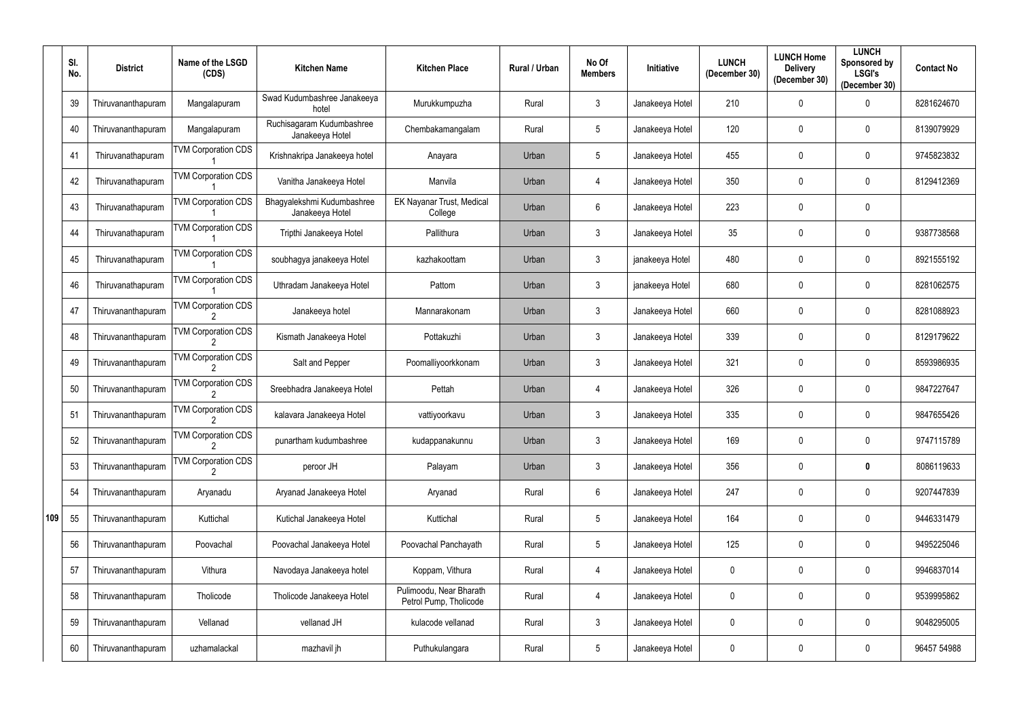|     | SI.<br>No. | <b>District</b>    | Name of the LSGD<br>(CDS)  | <b>Kitchen Name</b>                           | <b>Kitchen Place</b>                              | Rural / Urban | No Of<br><b>Members</b> | <b>Initiative</b> | <b>LUNCH</b><br>(December 30) | <b>LUNCH Home</b><br><b>Delivery</b><br>(December 30) | <b>LUNCH</b><br>Sponsored by<br><b>LSGI's</b><br>(December 30) | <b>Contact No</b> |
|-----|------------|--------------------|----------------------------|-----------------------------------------------|---------------------------------------------------|---------------|-------------------------|-------------------|-------------------------------|-------------------------------------------------------|----------------------------------------------------------------|-------------------|
|     | 39         | Thiruvananthapuram | Mangalapuram               | Swad Kudumbashree Janakeeya<br>hotel          | Murukkumpuzha                                     | Rural         | $\mathfrak{Z}$          | Janakeeya Hotel   | 210                           | $\mathbf{0}$                                          | 0                                                              | 8281624670        |
|     | 40         | Thiruvananthapuram | Mangalapuram               | Ruchisagaram Kudumbashree<br>Janakeeya Hotel  | Chembakamangalam                                  | Rural         | $5\phantom{.0}$         | Janakeeya Hotel   | 120                           | 0                                                     | $\overline{0}$                                                 | 8139079929        |
|     | 41         | Thiruvanathapuram  | <b>VM Corporation CDS</b>  | Krishnakripa Janakeeya hotel                  | Anayara                                           | Urban         | $5\phantom{.0}$         | Janakeeya Hotel   | 455                           | 0                                                     | 0                                                              | 9745823832        |
|     | 42         | Thiruvanathapuram  | <b>TVM Corporation CDS</b> | Vanitha Janakeeya Hotel                       | Manvila                                           | Urban         | $\overline{4}$          | Janakeeya Hotel   | 350                           | 0                                                     | $\overline{0}$                                                 | 8129412369        |
|     | 43         | Thiruvanathapuram  | <b>TVM Corporation CDS</b> | Bhagyalekshmi Kudumbashree<br>Janakeeya Hotel | EK Nayanar Trust, Medical<br>College              | Urban         | 6                       | Janakeeya Hotel   | 223                           | $\mathbf 0$                                           | $\mathbf 0$                                                    |                   |
|     | 44         | Thiruvanathapuram  | <b>TVM Corporation CDS</b> | Tripthi Janakeeya Hotel                       | Pallithura                                        | Urban         | $\mathfrak{Z}$          | Janakeeya Hotel   | 35                            | $\mathbf{0}$                                          | $\overline{0}$                                                 | 9387738568        |
|     | 45         | Thiruvanathapuram  | <b>TVM Corporation CDS</b> | soubhagya janakeeya Hotel                     | kazhakoottam                                      | Urban         | $\mathfrak{Z}$          | janakeeya Hotel   | 480                           | $\mathbf 0$                                           | $\overline{0}$                                                 | 8921555192        |
|     | 46         | Thiruvanathapuram  | <b>TVM Corporation CDS</b> | Uthradam Janakeeya Hotel                      | Pattom                                            | Urban         | $\mathfrak{Z}$          | janakeeya Hotel   | 680                           | 0                                                     | $\overline{0}$                                                 | 8281062575        |
|     | 47         | Thiruvananthapuram | <b>TVM Corporation CDS</b> | Janakeeya hotel                               | Mannarakonam                                      | Urban         | $\mathfrak{Z}$          | Janakeeya Hotel   | 660                           | 0                                                     | $\overline{0}$                                                 | 8281088923        |
|     | 48         | Thiruvananthapuram | <b>TVM Corporation CDS</b> | Kismath Janakeeya Hotel                       | Pottakuzhi                                        | Urban         | $\mathfrak{Z}$          | Janakeeya Hotel   | 339                           | $\mathbf 0$                                           | $\mathbf 0$                                                    | 8129179622        |
|     | 49         | Thiruvananthapuram | <b>VM Corporation CDS</b>  | Salt and Pepper                               | Poomalliyoorkkonam                                | Urban         | $\mathfrak{Z}$          | Janakeeya Hotel   | 321                           | 0                                                     | $\overline{0}$                                                 | 8593986935        |
|     | 50         | Thiruvananthapuram | <b>TVM Corporation CDS</b> | Sreebhadra Janakeeya Hotel                    | Pettah                                            | Urban         | 4                       | Janakeeya Hotel   | 326                           | $\mathbf 0$                                           | $\boldsymbol{0}$                                               | 9847227647        |
|     | 51         | Thiruvananthapuram | <b>TVM Corporation CDS</b> | kalavara Janakeeya Hotel                      | vattiyoorkavu                                     | Urban         | $\mathbf{3}$            | Janakeeya Hotel   | 335                           | $\mathbf 0$                                           | $\mathbf 0$                                                    | 9847655426        |
|     | 52         | Thiruvananthapuram | <b>TVM Corporation CDS</b> | punartham kudumbashree                        | kudappanakunnu                                    | Urban         | 3                       | Janakeeya Hotel   | 169                           | $\mathbf 0$                                           | $\mathbf 0$                                                    | 9747115789        |
|     | 53         | Thiruvananthapuram | <b>TVM Corporation CDS</b> | peroor JH                                     | Palayam                                           | Urban         | $\mathfrak{Z}$          | Janakeeya Hotel   | 356                           | 0                                                     | $\boldsymbol{0}$                                               | 8086119633        |
|     | 54         | Thiruvananthapuram | Aryanadu                   | Aryanad Janakeeya Hotel                       | Aryanad                                           | Rural         | $6\phantom{.0}$         | Janakeeya Hotel   | 247                           | $\mathbf 0$                                           | $\mathbf 0$                                                    | 9207447839        |
| 109 | 55         | Thiruvananthapuram | Kuttichal                  | Kutichal Janakeeya Hotel                      | Kuttichal                                         | Rural         | $5\phantom{.0}$         | Janakeeya Hotel   | 164                           | 0                                                     | $\mathbf 0$                                                    | 9446331479        |
|     | 56         | Thiruvananthapuram | Poovachal                  | Poovachal Janakeeya Hotel                     | Poovachal Panchayath                              | Rural         | $\overline{5}$          | Janakeeya Hotel   | 125                           | 0                                                     | $\mathbf 0$                                                    | 9495225046        |
|     | 57         | Thiruvananthapuram | Vithura                    | Navodaya Janakeeya hotel                      | Koppam, Vithura                                   | Rural         | 4                       | Janakeeya Hotel   | $\boldsymbol{0}$              | 0                                                     | $\bm{0}$                                                       | 9946837014        |
|     | 58         | Thiruvananthapuram | Tholicode                  | Tholicode Janakeeya Hotel                     | Pulimoodu, Near Bharath<br>Petrol Pump, Tholicode | Rural         | 4                       | Janakeeya Hotel   | $\mathbf 0$                   | $\mathbf 0$                                           | $\mathbf 0$                                                    | 9539995862        |
|     | 59         | Thiruvananthapuram | Vellanad                   | vellanad JH                                   | kulacode vellanad                                 | Rural         | $\mathfrak{Z}$          | Janakeeya Hotel   | $\mathbf 0$                   | $\mathbf 0$                                           | $\mathbf 0$                                                    | 9048295005        |
|     | 60         | Thiruvananthapuram | uzhamalackal               | mazhavil jh                                   | Puthukulangara                                    | Rural         | $\overline{5}$          | Janakeeya Hotel   | $\boldsymbol{0}$              | $\mathbf 0$                                           | $\bf{0}$                                                       | 96457 54988       |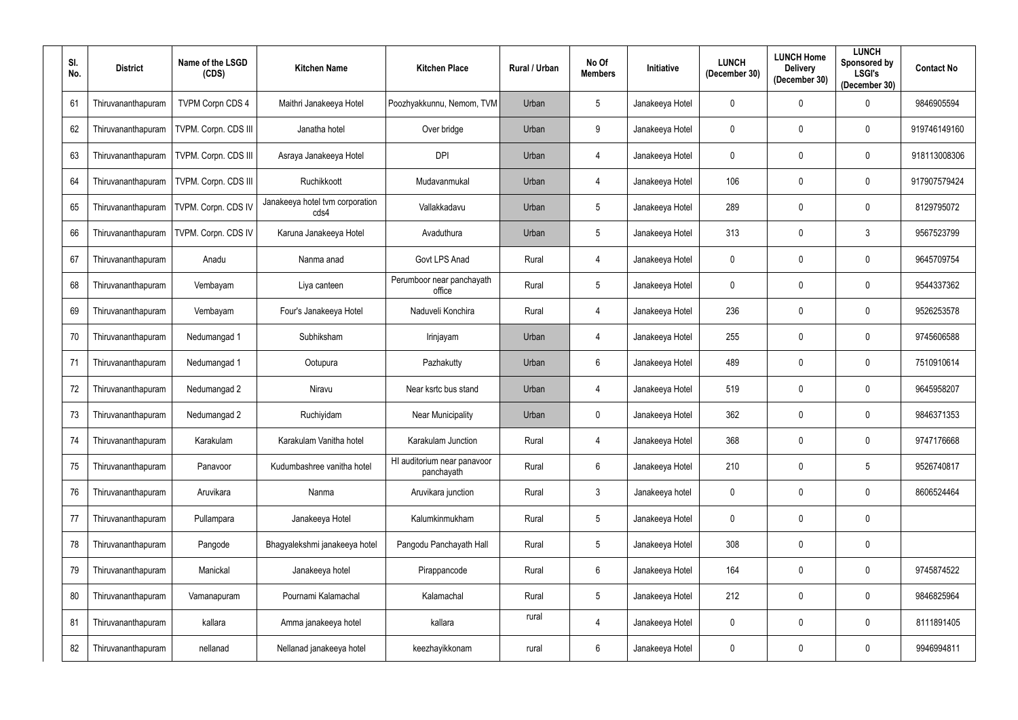| SI.<br>No. | <b>District</b>    | Name of the LSGD<br>(CDS) | <b>Kitchen Name</b>                     | <b>Kitchen Place</b>                      | Rural / Urban | No Of<br><b>Members</b> | Initiative      | <b>LUNCH</b><br>(December 30) | <b>LUNCH Home</b><br><b>Delivery</b><br>(December 30) | <b>LUNCH</b><br>Sponsored by<br><b>LSGI's</b><br>(December 30) | <b>Contact No</b> |
|------------|--------------------|---------------------------|-----------------------------------------|-------------------------------------------|---------------|-------------------------|-----------------|-------------------------------|-------------------------------------------------------|----------------------------------------------------------------|-------------------|
| 61         | Thiruvananthapuram | <b>TVPM Corpn CDS 4</b>   | Maithri Janakeeya Hotel                 | Poozhyakkunnu, Nemom, TVM                 | Urban         | $5\overline{)}$         | Janakeeya Hotel | $\mathbf 0$                   | $\mathbf 0$                                           | $\boldsymbol{0}$                                               | 9846905594        |
| 62         | Thiruvananthapuram | TVPM. Corpn. CDS III      | Janatha hotel                           | Over bridge                               | Urban         | 9                       | Janakeeya Hotel | $\mathbf 0$                   | $\mathbf 0$                                           | $\mathbf 0$                                                    | 919746149160      |
| 63         | Thiruvananthapuram | TVPM. Corpn. CDS III      | Asraya Janakeeya Hotel                  | <b>DPI</b>                                | Urban         | 4                       | Janakeeya Hotel | $\mathbf 0$                   | $\mathbf 0$                                           | $\mathbf 0$                                                    | 918113008306      |
| 64         | Thiruvananthapuram | TVPM. Corpn. CDS III      | Ruchikkoott                             | Mudavanmukal                              | Urban         | $\overline{4}$          | Janakeeya Hotel | 106                           | $\mathbf 0$                                           | $\mathbf 0$                                                    | 917907579424      |
| 65         | Thiruvananthapuram | TVPM. Corpn. CDS IV       | Janakeeya hotel tvm corporation<br>cds4 | Vallakkadavu                              | Urban         | $5\overline{)}$         | Janakeeya Hotel | 289                           | $\mathbf 0$                                           | $\mathbf 0$                                                    | 8129795072        |
| 66         | Thiruvananthapuram | TVPM. Corpn. CDS IV       | Karuna Janakeeya Hotel                  | Avaduthura                                | Urban         | $5\overline{)}$         | Janakeeya Hotel | 313                           | $\mathbf 0$                                           | $\mathbf{3}$                                                   | 9567523799        |
| 67         | Thiruvananthapuram | Anadu                     | Nanma anad                              | Govt LPS Anad                             | Rural         | 4                       | Janakeeya Hotel | $\mathbf 0$                   | $\pmb{0}$                                             | $\boldsymbol{0}$                                               | 9645709754        |
| 68         | Thiruvananthapuram | Vembayam                  | Liya canteen                            | Perumboor near panchayath<br>office       | Rural         | $5\overline{)}$         | Janakeeya Hotel | $\mathbf 0$                   | $\mathbf 0$                                           | $\mathbf 0$                                                    | 9544337362        |
| 69         | Thiruvananthapuram | Vembayam                  | Four's Janakeeya Hotel                  | Naduveli Konchira                         | Rural         | $\overline{4}$          | Janakeeya Hotel | 236                           | $\pmb{0}$                                             | $\mathbf 0$                                                    | 9526253578        |
| 70         | Thiruvananthapuram | Nedumangad 1              | Subhiksham                              | Irinjayam                                 | Urban         | 4                       | Janakeeya Hotel | 255                           | $\mathbf 0$                                           | $\mathbf 0$                                                    | 9745606588        |
| 71         | Thiruvananthapuram | Nedumangad 1              | Ootupura                                | Pazhakutty                                | Urban         | $6\overline{6}$         | Janakeeya Hotel | 489                           | $\mathbf 0$                                           | $\mathbf 0$                                                    | 7510910614        |
| 72         | Thiruvananthapuram | Nedumangad 2              | Niravu                                  | Near ksrtc bus stand                      | Urban         | 4                       | Janakeeya Hotel | 519                           | $\mathbf 0$                                           | $\overline{0}$                                                 | 9645958207        |
| 73         | Thiruvananthapuram | Nedumangad 2              | Ruchiyidam                              | <b>Near Municipality</b>                  | Urban         | $\mathbf 0$             | Janakeeya Hotel | 362                           | $\mathbf 0$                                           | $\mathbf 0$                                                    | 9846371353        |
| 74         | Thiruvananthapuram | Karakulam                 | Karakulam Vanitha hotel                 | Karakulam Junction                        | Rural         | 4                       | Janakeeya Hotel | 368                           | $\mathbf 0$                                           | $\mathbf 0$                                                    | 9747176668        |
| 75         | Thiruvananthapuram | Panavoor                  | Kudumbashree vanitha hotel              | HI auditorium near panavoor<br>panchayath | Rural         | $6\overline{6}$         | Janakeeya Hotel | 210                           | $\pmb{0}$                                             | $\sqrt{5}$                                                     | 9526740817        |
| 76         | Thiruvananthapuram | Aruvikara                 | Nanma                                   | Aruvikara junction                        | Rural         | $\mathbf{3}$            | Janakeeya hotel | $\pmb{0}$                     | $\mathbf 0$                                           | $\mathbf 0$                                                    | 8606524464        |
| 77         | Thiruvananthapuram | Pullampara                | Janakeeya Hotel                         | Kalumkinmukham                            | Rural         | $5\phantom{.0}$         | Janakeeya Hotel | $\pmb{0}$                     | $\mathbf 0$                                           | $\pmb{0}$                                                      |                   |
| 78         | Thiruvananthapuram | Pangode                   | Bhagyalekshmi janakeeya hotel           | Pangodu Panchayath Hall                   | Rural         | $5\phantom{.0}$         | Janakeeya Hotel | 308                           | $\pmb{0}$                                             | $\boldsymbol{0}$                                               |                   |
| 79         | Thiruvananthapuram | Manickal                  | Janakeeya hotel                         | Pirappancode                              | Rural         | $6\overline{6}$         | Janakeeya Hotel | 164                           | $\pmb{0}$                                             | $\mathbf 0$                                                    | 9745874522        |
| 80         | Thiruvananthapuram | Vamanapuram               | Pournami Kalamachal                     | Kalamachal                                | Rural         | $5\phantom{.0}$         | Janakeeya Hotel | 212                           | $\pmb{0}$                                             | $\mathbf 0$                                                    | 9846825964        |
| 81         | Thiruvananthapuram | kallara                   | Amma janakeeya hotel                    | kallara                                   | rural         | $\overline{4}$          | Janakeeya Hotel | $\mathbf 0$                   | 0                                                     | $\bm{0}$                                                       | 8111891405        |
| 82         | Thiruvananthapuram | nellanad                  | Nellanad janakeeya hotel                | keezhayikkonam                            | rural         | $6\overline{6}$         | Janakeeya Hotel | $\pmb{0}$                     | 0                                                     | $\bm{0}$                                                       | 9946994811        |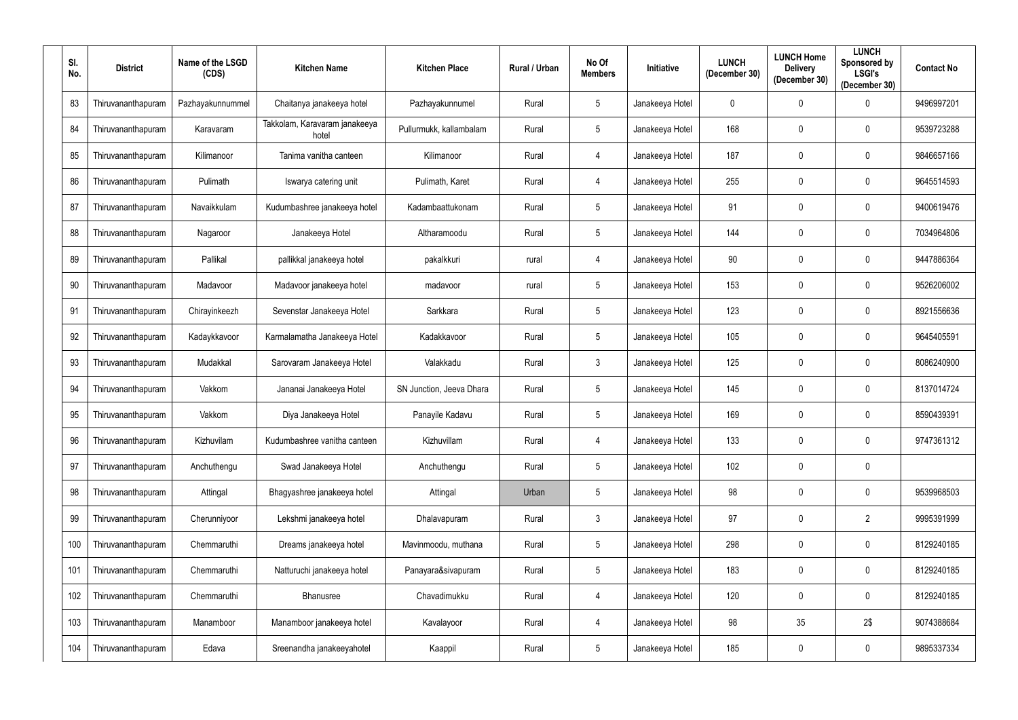| SI.<br>No. | <b>District</b>    | Name of the LSGD<br>(CDS) | <b>Kitchen Name</b>                    | <b>Kitchen Place</b>     | Rural / Urban | No Of<br><b>Members</b> | <b>Initiative</b> | <b>LUNCH</b><br>(December 30) | <b>LUNCH Home</b><br><b>Delivery</b><br>(December 30) | <b>LUNCH</b><br>Sponsored by<br><b>LSGI's</b><br>(December 30) | <b>Contact No</b> |
|------------|--------------------|---------------------------|----------------------------------------|--------------------------|---------------|-------------------------|-------------------|-------------------------------|-------------------------------------------------------|----------------------------------------------------------------|-------------------|
| 83         | Thiruvananthapuram | Pazhayakunnummel          | Chaitanya janakeeya hotel              | Pazhayakunnumel          | Rural         | 5 <sup>5</sup>          | Janakeeya Hotel   | $\mathbf 0$                   | $\mathbf 0$                                           | $\Omega$                                                       | 9496997201        |
| 84         | Thiruvananthapuram | Karavaram                 | Takkolam, Karavaram janakeeya<br>hotel | Pullurmukk, kallambalam  | Rural         | $5\phantom{.0}$         | Janakeeya Hotel   | 168                           | $\mathbf 0$                                           | 0                                                              | 9539723288        |
| 85         | Thiruvananthapuram | Kilimanoor                | Tanima vanitha canteen                 | Kilimanoor               | Rural         | 4                       | Janakeeya Hotel   | 187                           | $\mathbf 0$                                           | $\mathbf 0$                                                    | 9846657166        |
| 86         | Thiruvananthapuram | Pulimath                  | Iswarya catering unit                  | Pulimath, Karet          | Rural         | 4                       | Janakeeya Hotel   | 255                           | $\mathbf 0$                                           | 0                                                              | 9645514593        |
| 87         | Thiruvananthapuram | Navaikkulam               | Kudumbashree janakeeya hotel           | Kadambaattukonam         | Rural         | $5\overline{)}$         | Janakeeya Hotel   | 91                            | $\overline{0}$                                        | 0                                                              | 9400619476        |
| 88         | Thiruvananthapuram | Nagaroor                  | Janakeeya Hotel                        | Altharamoodu             | Rural         | $5\overline{)}$         | Janakeeya Hotel   | 144                           | $\mathbf 0$                                           | $\mathbf 0$                                                    | 7034964806        |
| 89         | Thiruvananthapuram | Pallikal                  | pallikkal janakeeya hotel              | pakalkkuri               | rural         | 4                       | Janakeeya Hotel   | 90                            | $\overline{0}$                                        | 0                                                              | 9447886364        |
| 90         | Thiruvananthapuram | Madavoor                  | Madavoor janakeeya hotel               | madavoor                 | rural         | $5\overline{)}$         | Janakeeya Hotel   | 153                           | $\mathbf 0$                                           | 0                                                              | 9526206002        |
| 91         | Thiruvananthapuram | Chirayinkeezh             | Sevenstar Janakeeya Hotel              | Sarkkara                 | Rural         | $5\overline{)}$         | Janakeeya Hotel   | 123                           | $\mathbf 0$                                           | 0                                                              | 8921556636        |
| 92         | Thiruvananthapuram | Kadaykkavoor              | Karmalamatha Janakeeya Hotel           | Kadakkavoor              | Rural         | 5 <sup>5</sup>          | Janakeeya Hotel   | 105                           | $\mathbf{0}$                                          | 0                                                              | 9645405591        |
| 93         | Thiruvananthapuram | Mudakkal                  | Sarovaram Janakeeya Hotel              | Valakkadu                | Rural         | $\mathbf{3}$            | Janakeeya Hotel   | 125                           | $\mathbf 0$                                           | $\mathbf 0$                                                    | 8086240900        |
| 94         | Thiruvananthapuram | Vakkom                    | Jananai Janakeeya Hotel                | SN Junction, Jeeva Dhara | Rural         | 5 <sup>5</sup>          | Janakeeya Hotel   | 145                           | $\mathbf 0$                                           | 0                                                              | 8137014724        |
| 95         | Thiruvananthapuram | Vakkom                    | Diya Janakeeya Hotel                   | Panayile Kadavu          | Rural         | $5\overline{)}$         | Janakeeya Hotel   | 169                           | $\mathbf 0$                                           | 0                                                              | 8590439391        |
| 96         | Thiruvananthapuram | Kizhuvilam                | Kudumbashree vanitha canteen           | Kizhuvillam              | Rural         | 4                       | Janakeeya Hotel   | 133                           | $\overline{0}$                                        | $\overline{0}$                                                 | 9747361312        |
| 97         | Thiruvananthapuram | Anchuthengu               | Swad Janakeeya Hotel                   | Anchuthengu              | Rural         | $5\phantom{.0}$         | Janakeeya Hotel   | 102                           | $\overline{0}$                                        | $\bm{0}$                                                       |                   |
| 98         | Thiruvananthapuram | Attingal                  | Bhagyashree janakeeya hotel            | Attingal                 | Urban         | $5\overline{)}$         | Janakeeya Hotel   | 98                            | $\overline{0}$                                        | $\mathbf 0$                                                    | 9539968503        |
| 99         | Thiruvananthapuram | Cherunniyoor              | Lekshmi janakeeya hotel                | Dhalavapuram             | Rural         | 3 <sup>1</sup>          | Janakeeya Hotel   | 97                            | $\overline{0}$                                        | $\overline{2}$                                                 | 9995391999        |
| 100        | Thiruvananthapuram | Chemmaruthi               | Dreams janakeeya hotel                 | Mavinmoodu, muthana      | Rural         | $5\phantom{.0}$         | Janakeeya Hotel   | 298                           | $\overline{0}$                                        | $\mathbf 0$                                                    | 8129240185        |
| 101        | Thiruvananthapuram | Chemmaruthi               | Natturuchi janakeeya hotel             | Panayara&sivapuram       | Rural         | $5\overline{)}$         | Janakeeya Hotel   | 183                           | $\mathbf 0$                                           | $\mathbf 0$                                                    | 8129240185        |
| 102        | Thiruvananthapuram | Chemmaruthi               | Bhanusree                              | Chavadimukku             | Rural         | 4                       | Janakeeya Hotel   | 120                           | $\mathbf 0$                                           | 0                                                              | 8129240185        |
| 103        | Thiruvananthapuram | Manamboor                 | Manamboor janakeeya hotel              | Kavalayoor               | Rural         | 4                       | Janakeeya Hotel   | 98                            | 35                                                    | 2\$                                                            | 9074388684        |
| 104        | Thiruvananthapuram | Edava                     | Sreenandha janakeeyahotel              | Kaappil                  | Rural         | $5\phantom{.0}$         | Janakeeya Hotel   | 185                           | $\boldsymbol{0}$                                      | $\boldsymbol{0}$                                               | 9895337334        |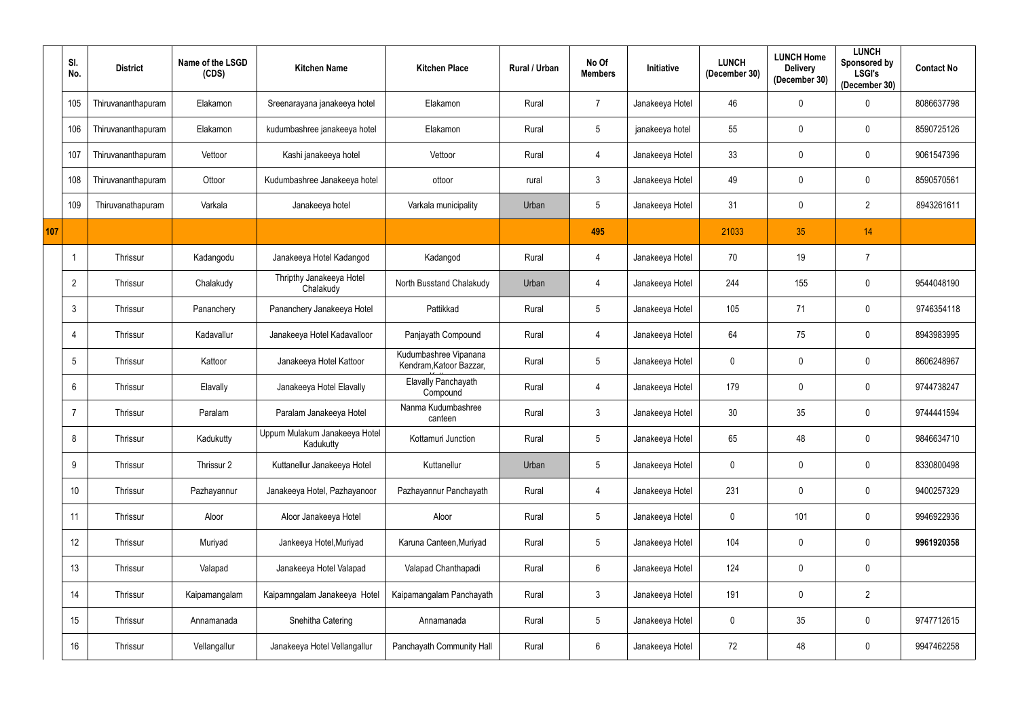|     | SI.<br>No.      | <b>District</b>    | Name of the LSGD<br>(CDS) | <b>Kitchen Name</b>                        | <b>Kitchen Place</b>                             | <b>Rural / Urban</b> | No Of<br><b>Members</b> | <b>Initiative</b> | <b>LUNCH</b><br>(December 30) | <b>LUNCH Home</b><br><b>Delivery</b><br>(December 30) | <b>LUNCH</b><br>Sponsored by<br><b>LSGI's</b><br>(December 30) | <b>Contact No</b> |
|-----|-----------------|--------------------|---------------------------|--------------------------------------------|--------------------------------------------------|----------------------|-------------------------|-------------------|-------------------------------|-------------------------------------------------------|----------------------------------------------------------------|-------------------|
|     | 105             | Thiruvananthapuram | Elakamon                  | Sreenarayana janakeeya hotel               | Elakamon                                         | Rural                | $\overline{7}$          | Janakeeya Hotel   | 46                            | $\mathbf 0$                                           | 0                                                              | 8086637798        |
|     | 106             | Thiruvananthapuram | Elakamon                  | kudumbashree janakeeya hotel               | Elakamon                                         | Rural                | $\overline{5}$          | janakeeya hotel   | 55                            | $\mathbf 0$                                           | $\boldsymbol{0}$                                               | 8590725126        |
|     | 107             | Thiruvananthapuram | Vettoor                   | Kashi janakeeya hotel                      | Vettoor                                          | Rural                | 4                       | Janakeeya Hotel   | 33                            | $\mathbf 0$                                           | $\boldsymbol{0}$                                               | 9061547396        |
|     | 108             | Thiruvananthapuram | Ottoor                    | Kudumbashree Janakeeya hotel               | ottoor                                           | rural                | $\mathfrak{Z}$          | Janakeeya Hotel   | 49                            | $\mathbf 0$                                           | $\boldsymbol{0}$                                               | 8590570561        |
|     | 109             | Thiruvanathapuram  | Varkala                   | Janakeeya hotel                            | Varkala municipality                             | Urban                | $5\phantom{.0}$         | Janakeeya Hotel   | 31                            | $\mathbf 0$                                           | $\overline{2}$                                                 | 8943261611        |
| 107 |                 |                    |                           |                                            |                                                  |                      | 495                     |                   | 21033                         | 35                                                    | 14                                                             |                   |
|     |                 | Thrissur           | Kadangodu                 | Janakeeya Hotel Kadangod                   | Kadangod                                         | Rural                | $\overline{4}$          | Janakeeya Hotel   | 70                            | 19                                                    | $\overline{7}$                                                 |                   |
|     | $\overline{2}$  | Thrissur           | Chalakudy                 | Thripthy Janakeeya Hotel<br>Chalakudy      | North Busstand Chalakudy                         | Urban                | $\overline{4}$          | Janakeeya Hotel   | 244                           | 155                                                   | 0                                                              | 9544048190        |
|     | 3               | Thrissur           | Pananchery                | Pananchery Janakeeya Hotel                 | Pattikkad                                        | Rural                | $5\phantom{.0}$         | Janakeeya Hotel   | 105                           | 71                                                    | $\mathbf 0$                                                    | 9746354118        |
|     |                 | Thrissur           | Kadavallur                | Janakeeya Hotel Kadavalloor                | Panjayath Compound                               | Rural                | $\overline{4}$          | Janakeeya Hotel   | 64                            | 75                                                    | $\mathbf 0$                                                    | 8943983995        |
|     | $5\phantom{.0}$ | Thrissur           | Kattoor                   | Janakeeya Hotel Kattoor                    | Kudumbashree Vipanana<br>Kendram, Katoor Bazzar, | Rural                | $5\phantom{.0}$         | Janakeeya Hotel   | $\overline{0}$                | $\boldsymbol{0}$                                      | $\mathbf 0$                                                    | 8606248967        |
|     | 6               | Thrissur           | Elavally                  | Janakeeya Hotel Elavally                   | Elavally Panchayath<br>Compound                  | Rural                | $\overline{4}$          | Janakeeya Hotel   | 179                           | $\mathbf 0$                                           | $\mathbf 0$                                                    | 9744738247        |
|     |                 | Thrissur           | Paralam                   | Paralam Janakeeya Hotel                    | Nanma Kudumbashree<br>canteen                    | Rural                | $3\overline{3}$         | Janakeeya Hotel   | 30                            | 35                                                    | $\mathbf 0$                                                    | 9744441594        |
|     | 8               | Thrissur           | Kadukutty                 | Uppum Mulakum Janakeeya Hotel<br>Kadukutty | Kottamuri Junction                               | Rural                | $\overline{5}$          | Janakeeya Hotel   | 65                            | 48                                                    | $\bm{0}$                                                       | 9846634710        |
|     | 9               | Thrissur           | Thrissur 2                | Kuttanellur Janakeeya Hotel                | Kuttanellur                                      | Urban                | $\overline{5}$          | Janakeeya Hotel   | $\mathbf 0$                   | $\mathbf 0$                                           | $\mathbf 0$                                                    | 8330800498        |
|     | 10              | Thrissur           | Pazhayannur               | Janakeeya Hotel, Pazhayanoor               | Pazhayannur Panchayath                           | Rural                | $\overline{4}$          | Janakeeya Hotel   | 231                           | 0                                                     | $\pmb{0}$                                                      | 9400257329        |
|     | 11              | Thrissur           | Aloor                     | Aloor Janakeeya Hotel                      | Aloor                                            | Rural                | $5\,$                   | Janakeeya Hotel   | $\pmb{0}$                     | 101                                                   | $\pmb{0}$                                                      | 9946922936        |
|     | 12              | Thrissur           | Muriyad                   | Jankeeya Hotel, Muriyad                    | Karuna Canteen, Muriyad                          | Rural                | $5\phantom{.0}$         | Janakeeya Hotel   | 104                           | $\mathbf 0$                                           | $\mathbf 0$                                                    | 9961920358        |
|     | 13              | Thrissur           | Valapad                   | Janakeeya Hotel Valapad                    | Valapad Chanthapadi                              | Rural                | $6\phantom{.0}$         | Janakeeya Hotel   | 124                           | $\mathbf 0$                                           | $\bm{0}$                                                       |                   |
|     | 14              | Thrissur           | Kaipamangalam             | Kaipamngalam Janakeeya Hotel               | Kaipamangalam Panchayath                         | Rural                | $\mathbf{3}$            | Janakeeya Hotel   | 191                           | $\mathbf 0$                                           | $\overline{2}$                                                 |                   |
|     | 15              | Thrissur           | Annamanada                | Snehitha Catering                          | Annamanada                                       | Rural                | $5\phantom{.0}$         | Janakeeya Hotel   | $\overline{0}$                | 35                                                    | $\bm{0}$                                                       | 9747712615        |
|     | 16              | Thrissur           | Vellangallur              | Janakeeya Hotel Vellangallur               | Panchayath Community Hall                        | Rural                | $6\phantom{.0}$         | Janakeeya Hotel   | 72                            | 48                                                    | $\boldsymbol{0}$                                               | 9947462258        |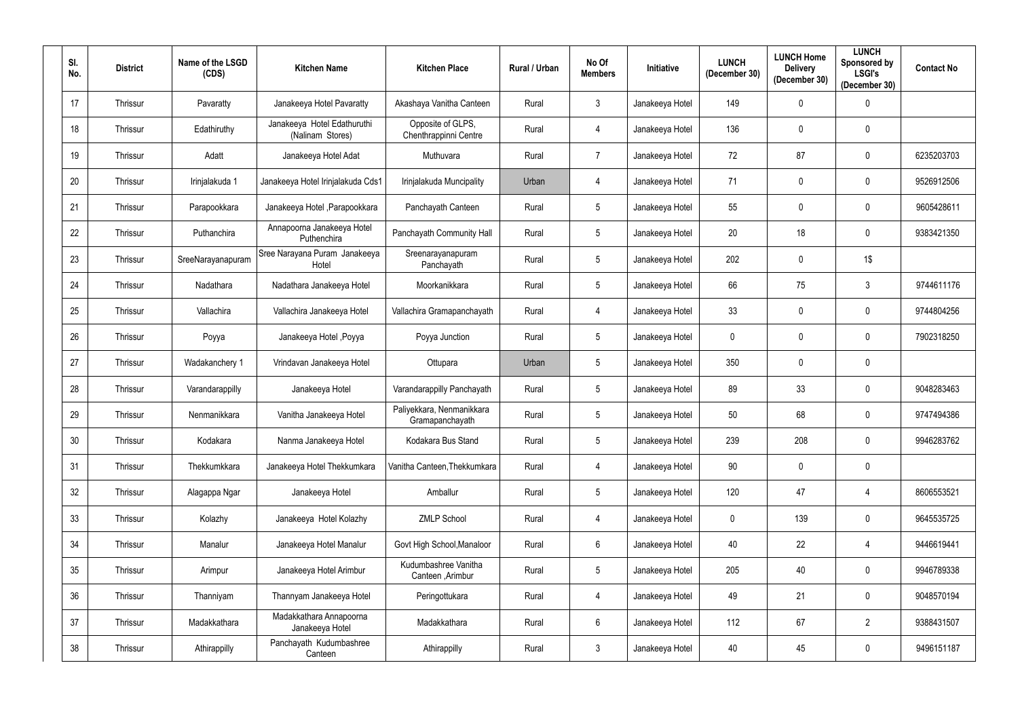| SI.<br>No. | <b>District</b> | Name of the LSGD<br>(CDS) | <b>Kitchen Name</b>                             | <b>Kitchen Place</b>                         | <b>Rural / Urban</b> | No Of<br><b>Members</b> | Initiative      | <b>LUNCH</b><br>(December 30) | <b>LUNCH Home</b><br><b>Delivery</b><br>(December 30) | <b>LUNCH</b><br>Sponsored by<br><b>LSGI's</b><br>(December 30) | <b>Contact No</b> |
|------------|-----------------|---------------------------|-------------------------------------------------|----------------------------------------------|----------------------|-------------------------|-----------------|-------------------------------|-------------------------------------------------------|----------------------------------------------------------------|-------------------|
| 17         | Thrissur        | Pavaratty                 | Janakeeya Hotel Pavaratty                       | Akashaya Vanitha Canteen                     | Rural                | $\mathbf{3}$            | Janakeeya Hotel | 149                           | $\mathbf 0$                                           | $\overline{0}$                                                 |                   |
| 18         | Thrissur        | Edathiruthy               | Janakeeya Hotel Edathuruthi<br>(Nalinam Stores) | Opposite of GLPS,<br>Chenthrappinni Centre   | Rural                | 4                       | Janakeeya Hotel | 136                           | 0                                                     | $\boldsymbol{0}$                                               |                   |
| 19         | Thrissur        | Adatt                     | Janakeeya Hotel Adat                            | Muthuvara                                    | Rural                | $\overline{7}$          | Janakeeya Hotel | 72                            | 87                                                    | $\mathbf 0$                                                    | 6235203703        |
| 20         | Thrissur        | Irinjalakuda 1            | Janakeeya Hotel Irinjalakuda Cds1               | Irinjalakuda Muncipality                     | Urban                | 4                       | Janakeeya Hotel | 71                            | $\mathbf 0$                                           | $\mathbf 0$                                                    | 9526912506        |
| 21         | Thrissur        | Parapookkara              | Janakeeya Hotel , Parapookkara                  | Panchayath Canteen                           | Rural                | $5\phantom{.0}$         | Janakeeya Hotel | 55                            | $\mathbf 0$                                           | $\mathbf 0$                                                    | 9605428611        |
| 22         | Thrissur        | Puthanchira               | Annapoorna Janakeeya Hotel<br>Puthenchira       | Panchayath Community Hall                    | Rural                | $5\phantom{.0}$         | Janakeeya Hotel | 20                            | 18                                                    | $\mathbf 0$                                                    | 9383421350        |
| 23         | Thrissur        | SreeNarayanapuram         | Sree Narayana Puram Janakeeya<br>Hotel          | Sreenarayanapuram<br>Panchayath              | Rural                | $5\phantom{.0}$         | Janakeeya Hotel | 202                           | $\mathbf 0$                                           | 1\$                                                            |                   |
| 24         | Thrissur        | Nadathara                 | Nadathara Janakeeya Hotel                       | Moorkanikkara                                | Rural                | $5\phantom{.0}$         | Janakeeya Hotel | 66                            | 75                                                    | 3                                                              | 9744611176        |
| 25         | Thrissur        | Vallachira                | Vallachira Janakeeya Hotel                      | Vallachira Gramapanchayath                   | Rural                | 4                       | Janakeeya Hotel | 33                            | $\mathbf 0$                                           | $\mathbf 0$                                                    | 9744804256        |
| 26         | Thrissur        | Poyya                     | Janakeeya Hotel, Poyya                          | Poyya Junction                               | Rural                | 5                       | Janakeeya Hotel | $\mathbf 0$                   | 0                                                     | $\mathbf 0$                                                    | 7902318250        |
| 27         | Thrissur        | Wadakanchery 1            | Vrindavan Janakeeya Hotel                       | Ottupara                                     | Urban                | $5\phantom{.0}$         | Janakeeya Hotel | 350                           | $\mathbf 0$                                           | $\boldsymbol{0}$                                               |                   |
| 28         | Thrissur        | Varandarappilly           | Janakeeya Hotel                                 | Varandarappilly Panchayath                   | Rural                | $5\phantom{.0}$         | Janakeeya Hotel | 89                            | 33                                                    | $\mathbf 0$                                                    | 9048283463        |
| 29         | Thrissur        | Nenmanikkara              | Vanitha Janakeeya Hotel                         | Paliyekkara, Nenmanikkara<br>Gramapanchayath | Rural                | $5\phantom{.0}$         | Janakeeya Hotel | 50                            | 68                                                    | $\mathbf 0$                                                    | 9747494386        |
| 30         | Thrissur        | Kodakara                  | Nanma Janakeeya Hotel                           | Kodakara Bus Stand                           | Rural                | $5\phantom{.0}$         | Janakeeya Hotel | 239                           | 208                                                   | $\mathbf 0$                                                    | 9946283762        |
| 31         | Thrissur        | Thekkumkkara              | Janakeeya Hotel Thekkumkara                     | Vanitha Canteen, Thekkumkara                 | Rural                | $\overline{4}$          | Janakeeya Hotel | 90                            | $\mathbf 0$                                           | $\bm{0}$                                                       |                   |
| 32         | Thrissur        | Alagappa Ngar             | Janakeeya Hotel                                 | Amballur                                     | Rural                | $5\phantom{.0}$         | Janakeeya Hotel | 120                           | 47                                                    | 4                                                              | 8606553521        |
| 33         | Thrissur        | Kolazhy                   | Janakeeya Hotel Kolazhy                         | <b>ZMLP School</b>                           | Rural                | $\overline{4}$          | Janakeeya Hotel | $\mathbf 0$                   | 139                                                   | $\mathbf 0$                                                    | 9645535725        |
| 34         | Thrissur        | Manalur                   | Janakeeya Hotel Manalur                         | Govt High School, Manaloor                   | Rural                | $6\overline{6}$         | Janakeeya Hotel | 40                            | 22                                                    | 4                                                              | 9446619441        |
| 35         | Thrissur        | Arimpur                   | Janakeeya Hotel Arimbur                         | Kudumbashree Vanitha<br>Canteen , Arimbur    | Rural                | $5\phantom{.0}$         | Janakeeya Hotel | 205                           | 40                                                    | $\mathbf 0$                                                    | 9946789338        |
| 36         | Thrissur        | Thanniyam                 | Thannyam Janakeeya Hotel                        | Peringottukara                               | Rural                | 4                       | Janakeeya Hotel | 49                            | 21                                                    | $\mathbf 0$                                                    | 9048570194        |
| 37         | Thrissur        | Madakkathara              | Madakkathara Annapoorna<br>Janakeeya Hotel      | Madakkathara                                 | Rural                | $6\overline{6}$         | Janakeeya Hotel | 112                           | 67                                                    | $\overline{2}$                                                 | 9388431507        |
| 38         | Thrissur        | Athirappilly              | Panchayath Kudumbashree<br>Canteen              | Athirappilly                                 | Rural                | $\mathbf{3}$            | Janakeeya Hotel | 40                            | 45                                                    | $\bf{0}$                                                       | 9496151187        |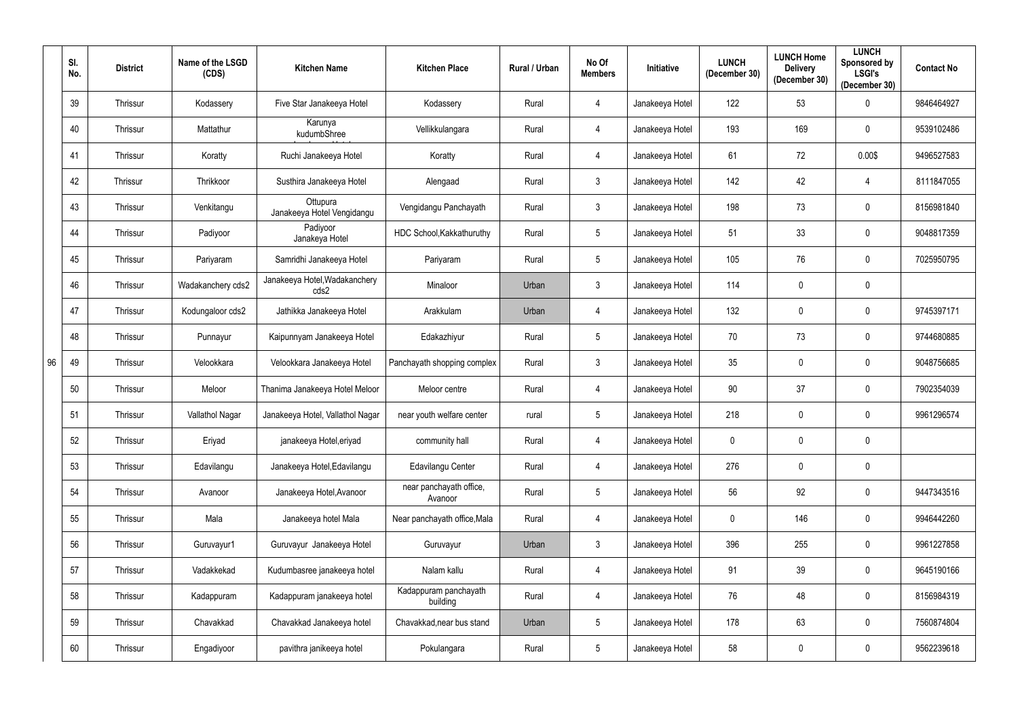|    | SI.<br>No. | <b>District</b> | Name of the LSGD<br>(CDS) | <b>Kitchen Name</b>                    | <b>Kitchen Place</b>               | Rural / Urban | No Of<br><b>Members</b> | <b>Initiative</b> | <b>LUNCH</b><br>(December 30) | <b>LUNCH Home</b><br><b>Delivery</b><br>(December 30) | <b>LUNCH</b><br>Sponsored by<br><b>LSGI's</b><br>(December 30) | <b>Contact No</b> |
|----|------------|-----------------|---------------------------|----------------------------------------|------------------------------------|---------------|-------------------------|-------------------|-------------------------------|-------------------------------------------------------|----------------------------------------------------------------|-------------------|
|    | 39         | Thrissur        | Kodassery                 | Five Star Janakeeya Hotel              | Kodassery                          | Rural         | 4                       | Janakeeya Hotel   | 122                           | 53                                                    | 0                                                              | 9846464927        |
|    | 40         | Thrissur        | Mattathur                 | Karunya<br>kudumbShree                 | Vellikkulangara                    | Rural         | $\overline{4}$          | Janakeeya Hotel   | 193                           | 169                                                   | $\boldsymbol{0}$                                               | 9539102486        |
|    | 41         | Thrissur        | Koratty                   | Ruchi Janakeeya Hotel                  | Koratty                            | Rural         | 4                       | Janakeeya Hotel   | 61                            | 72                                                    | 0.00\$                                                         | 9496527583        |
|    | 42         | Thrissur        | Thrikkoor                 | Susthira Janakeeya Hotel               | Alengaad                           | Rural         | 3                       | Janakeeya Hotel   | 142                           | 42                                                    | 4                                                              | 8111847055        |
|    | 43         | Thrissur        | Venkitangu                | Ottupura<br>Janakeeya Hotel Vengidangu | Vengidangu Panchayath              | Rural         | 3                       | Janakeeya Hotel   | 198                           | 73                                                    | $\mathbf 0$                                                    | 8156981840        |
|    | 44         | Thrissur        | Padiyoor                  | Padiyoor<br>Janakeya Hotel             | HDC School, Kakkathuruthy          | Rural         | 5                       | Janakeeya Hotel   | 51                            | 33                                                    | $\boldsymbol{0}$                                               | 9048817359        |
|    | 45         | Thrissur        | Pariyaram                 | Samridhi Janakeeya Hotel               | Pariyaram                          | Rural         | 5                       | Janakeeya Hotel   | 105                           | 76                                                    | $\mathbf 0$                                                    | 7025950795        |
|    | 46         | Thrissur        | Wadakanchery cds2         | Janakeeya Hotel, Wadakanchery<br>cds2  | Minaloor                           | Urban         | 3                       | Janakeeya Hotel   | 114                           | 0                                                     | $\boldsymbol{0}$                                               |                   |
|    | 47         | Thrissur        | Kodungaloor cds2          | Jathikka Janakeeya Hotel               | Arakkulam                          | Urban         | 4                       | Janakeeya Hotel   | 132                           | 0                                                     | $\boldsymbol{0}$                                               | 9745397171        |
|    | 48         | Thrissur        | Punnayur                  | Kaipunnyam Janakeeya Hotel             | Edakazhiyur                        | Rural         | 5                       | Janakeeya Hotel   | 70                            | 73                                                    | $\boldsymbol{0}$                                               | 9744680885        |
| 96 | 49         | Thrissur        | Velookkara                | Velookkara Janakeeya Hotel             | Panchayath shopping complex        | Rural         | $\mathbf{3}$            | Janakeeya Hotel   | 35                            | 0                                                     | $\boldsymbol{0}$                                               | 9048756685        |
|    | 50         | Thrissur        | Meloor                    | Thanima Janakeeya Hotel Meloor         | Meloor centre                      | Rural         | 4                       | Janakeeya Hotel   | 90                            | 37                                                    | $\boldsymbol{0}$                                               | 7902354039        |
|    | 51         | Thrissur        | Vallathol Nagar           | Janakeeya Hotel, Vallathol Nagar       | near youth welfare center          | rural         | $5\phantom{.0}$         | Janakeeya Hotel   | 218                           | $\mathbf 0$                                           | $\mathbf 0$                                                    | 9961296574        |
|    | 52         | Thrissur        | Eriyad                    | janakeeya Hotel, eriyad                | community hall                     | Rural         | $\overline{4}$          | Janakeeya Hotel   | $\mathbf 0$                   | $\mathbf 0$                                           | $\bm{0}$                                                       |                   |
|    | 53         | Thrissur        | Edavilangu                | Janakeeya Hotel, Edavilangu            | Edavilangu Center                  | Rural         | $\overline{4}$          | Janakeeya Hotel   | 276                           | $\mathbf 0$                                           | $\pmb{0}$                                                      |                   |
|    | 54         | Thrissur        | Avanoor                   | Janakeeya Hotel, Avanoor               | near panchayath office,<br>Avanoor | Rural         | $5\phantom{.0}$         | Janakeeya Hotel   | 56                            | 92                                                    | $\mathbf 0$                                                    | 9447343516        |
|    | 55         | Thrissur        | Mala                      | Janakeeya hotel Mala                   | Near panchayath office, Mala       | Rural         | $\overline{4}$          | Janakeeya Hotel   | $\pmb{0}$                     | 146                                                   | $\pmb{0}$                                                      | 9946442260        |
|    | 56         | Thrissur        | Guruvayur1                | Guruvayur Janakeeya Hotel              | Guruvayur                          | Urban         | 3                       | Janakeeya Hotel   | 396                           | 255                                                   | $\mathbf 0$                                                    | 9961227858        |
|    | 57         | Thrissur        | Vadakkekad                | Kudumbasree janakeeya hotel            | Nalam kallu                        | Rural         | $\overline{4}$          | Janakeeya Hotel   | 91                            | 39                                                    | $\bm{0}$                                                       | 9645190166        |
|    | 58         | Thrissur        | Kadappuram                | Kadappuram janakeeya hotel             | Kadappuram panchayath<br>building  | Rural         | 4                       | Janakeeya Hotel   | 76                            | 48                                                    | $\overline{0}$                                                 | 8156984319        |
|    | 59         | Thrissur        | Chavakkad                 | Chavakkad Janakeeya hotel              | Chavakkad, near bus stand          | Urban         | $5\phantom{.0}$         | Janakeeya Hotel   | 178                           | 63                                                    | $\overline{0}$                                                 | 7560874804        |
|    | 60         | Thrissur        | Engadiyoor                | pavithra janikeeya hotel               | Pokulangara                        | Rural         | $5\phantom{.0}$         | Janakeeya Hotel   | 58                            | $\pmb{0}$                                             | $\bm{0}$                                                       | 9562239618        |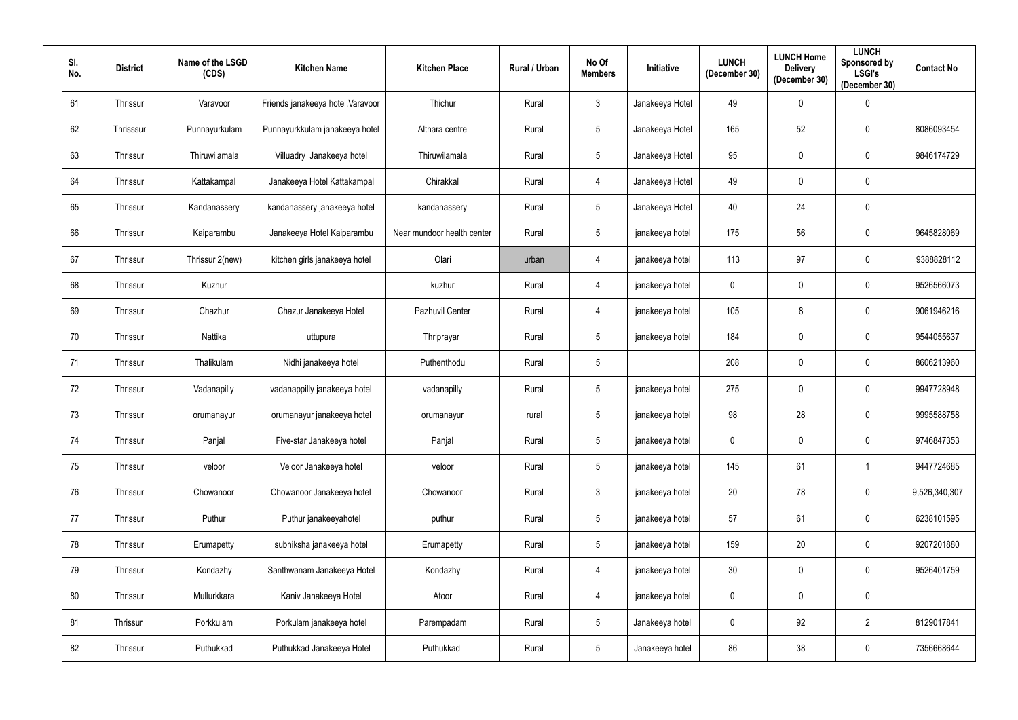| SI.<br>No. | <b>District</b> | Name of the LSGD<br>(CDS) | <b>Kitchen Name</b>               | <b>Kitchen Place</b>       | Rural / Urban | No Of<br><b>Members</b> | Initiative      | <b>LUNCH</b><br>(December 30) | <b>LUNCH Home</b><br><b>Delivery</b><br>(December 30) | <b>LUNCH</b><br>Sponsored by<br><b>LSGI's</b><br>(December 30) | <b>Contact No</b> |
|------------|-----------------|---------------------------|-----------------------------------|----------------------------|---------------|-------------------------|-----------------|-------------------------------|-------------------------------------------------------|----------------------------------------------------------------|-------------------|
| 61         | Thrissur        | Varavoor                  | Friends janakeeya hotel, Varavoor | Thichur                    | Rural         | $\mathfrak{Z}$          | Janakeeya Hotel | 49                            | $\mathbf 0$                                           | $\bm{0}$                                                       |                   |
| 62         | Thrisssur       | Punnayurkulam             | Punnayurkkulam janakeeya hotel    | Althara centre             | Rural         | 5                       | Janakeeya Hotel | 165                           | 52                                                    | $\mathbf 0$                                                    | 8086093454        |
| 63         | Thrissur        | Thiruwilamala             | Villuadry Janakeeya hotel         | Thiruwilamala              | Rural         | 5                       | Janakeeya Hotel | 95                            | $\mathbf 0$                                           | $\mathbf 0$                                                    | 9846174729        |
| 64         | Thrissur        | Kattakampal               | Janakeeya Hotel Kattakampal       | Chirakkal                  | Rural         | 4                       | Janakeeya Hotel | 49                            | $\mathbf 0$                                           | $\mathbf 0$                                                    |                   |
| 65         | Thrissur        | Kandanassery              | kandanassery janakeeya hotel      | kandanassery               | Rural         | 5                       | Janakeeya Hotel | 40                            | 24                                                    | $\mathbf 0$                                                    |                   |
| 66         | Thrissur        | Kaiparambu                | Janakeeya Hotel Kaiparambu        | Near mundoor health center | Rural         | 5                       | janakeeya hotel | 175                           | 56                                                    | $\mathbf 0$                                                    | 9645828069        |
| 67         | Thrissur        | Thrissur 2(new)           | kitchen girls janakeeya hotel     | Olari                      | urban         | $\overline{4}$          | janakeeya hotel | 113                           | 97                                                    | $\mathbf 0$                                                    | 9388828112        |
| 68         | Thrissur        | Kuzhur                    |                                   | kuzhur                     | Rural         | $\overline{4}$          | janakeeya hotel | $\pmb{0}$                     | $\mathbf 0$                                           | $\mathbf 0$                                                    | 9526566073        |
| 69         | Thrissur        | Chazhur                   | Chazur Janakeeya Hotel            | Pazhuvil Center            | Rural         | $\overline{4}$          | janakeeya hotel | 105                           | 8                                                     | $\mathbf 0$                                                    | 9061946216        |
| 70         | Thrissur        | Nattika                   | uttupura                          | Thriprayar                 | Rural         | 5 <sup>5</sup>          | janakeeya hotel | 184                           | $\mathbf 0$                                           | $\mathbf 0$                                                    | 9544055637        |
| 71         | Thrissur        | Thalikulam                | Nidhi janakeeya hotel             | Puthenthodu                | Rural         | 5                       |                 | 208                           | $\mathbf 0$                                           | $\mathbf 0$                                                    | 8606213960        |
| 72         | Thrissur        | Vadanapilly               | vadanappilly janakeeya hotel      | vadanapilly                | Rural         | 5                       | janakeeya hotel | 275                           | 0                                                     | $\mathbf 0$                                                    | 9947728948        |
| 73         | Thrissur        | orumanayur                | orumanayur janakeeya hotel        | orumanayur                 | rural         | 5 <sup>5</sup>          | janakeeya hotel | 98                            | 28                                                    | $\mathbf 0$                                                    | 9995588758        |
| 74         | Thrissur        | Panjal                    | Five-star Janakeeya hotel         | Panjal                     | Rural         | $5\phantom{.0}$         | janakeeya hotel | $\mathbf 0$                   | $\mathbf 0$                                           | $\mathbf 0$                                                    | 9746847353        |
| 75         | Thrissur        | veloor                    | Veloor Janakeeya hotel            | veloor                     | Rural         | 5 <sub>5</sub>          | janakeeya hotel | 145                           | 61                                                    | $\mathbf{1}$                                                   | 9447724685        |
| 76         | Thrissur        | Chowanoor                 | Chowanoor Janakeeya hotel         | Chowanoor                  | Rural         | 3 <sup>1</sup>          | janakeeya hotel | 20                            | 78                                                    | $\overline{0}$                                                 | 9,526,340,307     |
| 77         | Thrissur        | Puthur                    | Puthur janakeeyahotel             | puthur                     | Rural         | $5\overline{)}$         | janakeeya hotel | 57                            | 61                                                    | $\mathbf 0$                                                    | 6238101595        |
| 78         | Thrissur        | Erumapetty                | subhiksha janakeeya hotel         | Erumapetty                 | Rural         | 5 <sub>5</sub>          | janakeeya hotel | 159                           | 20                                                    | $\overline{0}$                                                 | 9207201880        |
| 79         | Thrissur        | Kondazhy                  | Santhwanam Janakeeya Hotel        | Kondazhy                   | Rural         | $\overline{4}$          | janakeeya hotel | 30                            | $\boldsymbol{0}$                                      | $\mathbf 0$                                                    | 9526401759        |
| 80         | Thrissur        | Mullurkkara               | Kaniv Janakeeya Hotel             | Atoor                      | Rural         | 4                       | janakeeya hotel | $\mathbf 0$                   | $\mathbf 0$                                           | $\mathbf 0$                                                    |                   |
| 81         | Thrissur        | Porkkulam                 | Porkulam janakeeya hotel          | Parempadam                 | Rural         | $5\phantom{.0}$         | Janakeeya hotel | $\mathbf 0$                   | 92                                                    | $\overline{2}$                                                 | 8129017841        |
| 82         | Thrissur        | Puthukkad                 | Puthukkad Janakeeya Hotel         | Puthukkad                  | Rural         | $5\phantom{.0}$         | Janakeeya hotel | 86                            | 38                                                    | $\pmb{0}$                                                      | 7356668644        |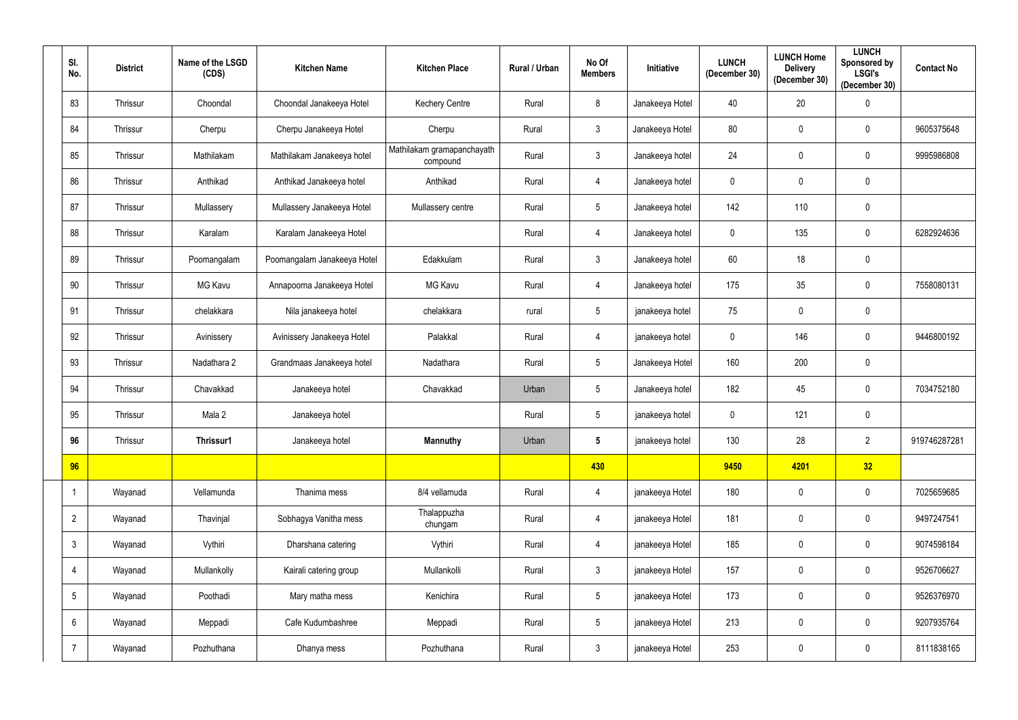| SI.<br>No.      | <b>District</b> | Name of the LSGD<br>(CDS) | <b>Kitchen Name</b>         | <b>Kitchen Place</b>                   | Rural / Urban | No Of<br><b>Members</b> | Initiative      | <b>LUNCH</b><br>(December 30) | <b>LUNCH Home</b><br><b>Delivery</b><br>(December 30) | <b>LUNCH</b><br>Sponsored by<br><b>LSGI's</b><br>(December 30) | <b>Contact No</b> |
|-----------------|-----------------|---------------------------|-----------------------------|----------------------------------------|---------------|-------------------------|-----------------|-------------------------------|-------------------------------------------------------|----------------------------------------------------------------|-------------------|
| 83              | Thrissur        | Choondal                  | Choondal Janakeeya Hotel    | <b>Kechery Centre</b>                  | Rural         | 8                       | Janakeeya Hotel | 40                            | 20                                                    | $\boldsymbol{0}$                                               |                   |
| 84              | Thrissur        | Cherpu                    | Cherpu Janakeeya Hotel      | Cherpu                                 | Rural         | $\mathbf{3}$            | Janakeeya Hotel | 80                            | $\mathbf 0$                                           | $\overline{0}$                                                 | 9605375648        |
| 85              | Thrissur        | Mathilakam                | Mathilakam Janakeeya hotel  | Mathilakam gramapanchayath<br>compound | Rural         | $\mathfrak{Z}$          | Janakeeya hotel | 24                            | $\mathbf 0$                                           | $\overline{0}$                                                 | 9995986808        |
| 86              | Thrissur        | Anthikad                  | Anthikad Janakeeya hotel    | Anthikad                               | Rural         | 4                       | Janakeeya hotel | $\mathbf 0$                   | $\mathbf 0$                                           | $\overline{0}$                                                 |                   |
| 87              | Thrissur        | Mullassery                | Mullassery Janakeeya Hotel  | Mullassery centre                      | Rural         | $5\phantom{.0}$         | Janakeeya hotel | 142                           | 110                                                   | $\mathbf 0$                                                    |                   |
| 88              | Thrissur        | Karalam                   | Karalam Janakeeya Hotel     |                                        | Rural         | 4                       | Janakeeya hotel | $\mathbf 0$                   | 135                                                   | $\overline{0}$                                                 | 6282924636        |
| 89              | Thrissur        | Poomangalam               | Poomangalam Janakeeya Hotel | Edakkulam                              | Rural         | $\mathfrak{Z}$          | Janakeeya hotel | 60                            | 18                                                    | $\overline{0}$                                                 |                   |
| 90              | Thrissur        | MG Kavu                   | Annapoorna Janakeeya Hotel  | <b>MG Kavu</b>                         | Rural         | 4                       | Janakeeya hotel | 175                           | 35                                                    | $\overline{0}$                                                 | 7558080131        |
| 91              | Thrissur        | chelakkara                | Nila janakeeya hotel        | chelakkara                             | rural         | $5\phantom{.0}$         | janakeeya hotel | 75                            | $\mathbf 0$                                           | $\boldsymbol{0}$                                               |                   |
| 92              | Thrissur        | Avinissery                | Avinissery Janakeeya Hotel  | Palakkal                               | Rural         | 4                       | janakeeya hotel | $\mathbf 0$                   | 146                                                   | $\overline{0}$                                                 | 9446800192        |
| 93              | Thrissur        | Nadathara 2               | Grandmaas Janakeeya hotel   | Nadathara                              | Rural         | $5\phantom{.0}$         | Janakeeya Hotel | 160                           | 200                                                   | $\overline{0}$                                                 |                   |
| 94              | Thrissur        | Chavakkad                 | Janakeeya hotel             | Chavakkad                              | Urban         | $5\phantom{.0}$         | Janakeeya hotel | 182                           | 45                                                    | $\overline{0}$                                                 | 7034752180        |
| 95              | Thrissur        | Mala 2                    | Janakeeya hotel             |                                        | Rural         | $5\phantom{.0}$         | janakeeya hotel | $\mathbf 0$                   | 121                                                   | $\overline{0}$                                                 |                   |
| 96              | Thrissur        | Thrissur1                 | Janakeeya hotel             | <b>Mannuthy</b>                        | Urban         | $5\phantom{.0}$         | janakeeya hotel | 130                           | 28                                                    | $\overline{2}$                                                 | 919746287281      |
| 96              |                 |                           |                             |                                        |               | 430                     |                 | 9450                          | 4201                                                  | 32                                                             |                   |
|                 | Wayanad         | Vellamunda                | Thanima mess                | 8/4 vellamuda                          | Rural         | $\overline{4}$          | janakeeya Hotel | 180                           | $\mathbf 0$                                           | $\bm{0}$                                                       | 7025659685        |
| $\overline{2}$  | Wayanad         | Thavinjal                 | Sobhagya Vanitha mess       | Thalappuzha<br>chungam                 | Rural         | $\overline{4}$          | janakeeya Hotel | 181                           | $\mathbf 0$                                           | $\overline{0}$                                                 | 9497247541        |
| $\mathbf{3}$    | Wayanad         | Vythiri                   | Dharshana catering          | Vythiri                                | Rural         | $\overline{4}$          | janakeeya Hotel | 185                           | $\mathbf 0$                                           | $\bm{0}$                                                       | 9074598184        |
| $\overline{4}$  | Wayanad         | Mullankolly               | Kairali catering group      | Mullankolli                            | Rural         | $\mathfrak{Z}$          | janakeeya Hotel | 157                           | $\mathbf 0$                                           | $\bm{0}$                                                       | 9526706627        |
| $5\overline{)}$ | Wayanad         | Poothadi                  | Mary matha mess             | Kenichira                              | Rural         | $5\phantom{.0}$         | janakeeya Hotel | 173                           | $\mathbf 0$                                           | $\overline{0}$                                                 | 9526376970        |
| 6               | Wayanad         | Meppadi                   | Cafe Kudumbashree           | Meppadi                                | Rural         | $5\phantom{.0}$         | janakeeya Hotel | 213                           | $\mathbf 0$                                           | $\bm{0}$                                                       | 9207935764        |
| $\overline{7}$  | Wayanad         | Pozhuthana                | Dhanya mess                 | Pozhuthana                             | Rural         | $\mathfrak{Z}$          | janakeeya Hotel | 253                           | $\mathbf 0$                                           | $\bm{0}$                                                       | 8111838165        |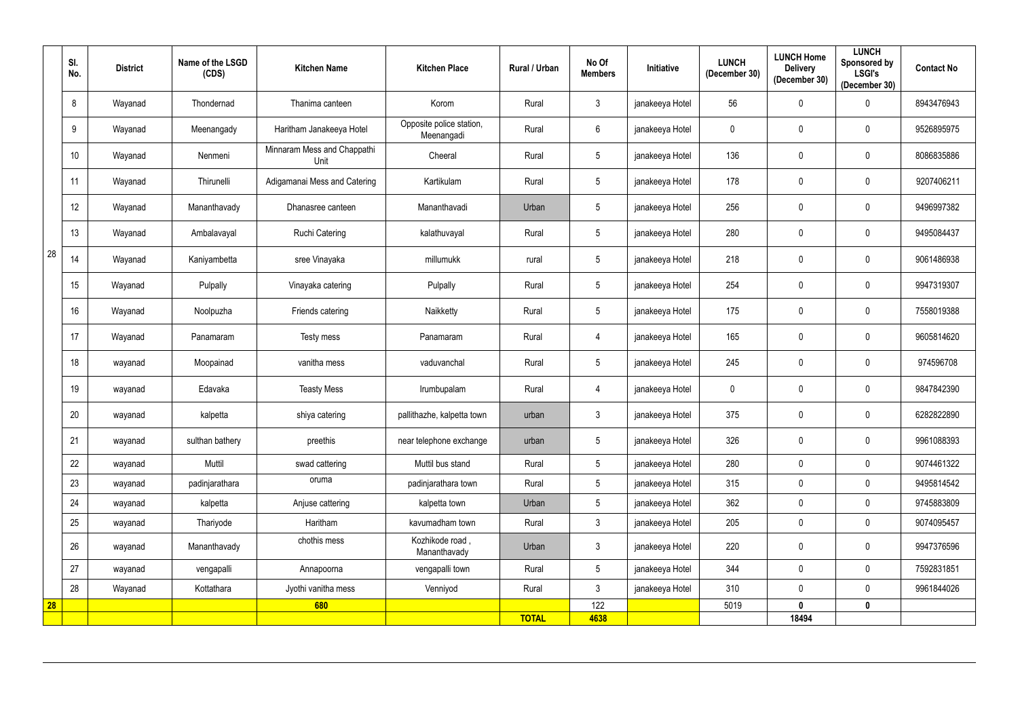|    | SI.<br>No. | <b>District</b> | Name of the LSGD<br>(CDS) | <b>Kitchen Name</b>                 | <b>Kitchen Place</b>                   | Rural / Urban | No Of<br><b>Members</b> | Initiative      | <b>LUNCH</b><br>(December 30) | <b>LUNCH Home</b><br><b>Delivery</b><br>(December 30) | <b>LUNCH</b><br><b>Sponsored by</b><br><b>LSGI's</b><br>(December 30) | <b>Contact No</b> |
|----|------------|-----------------|---------------------------|-------------------------------------|----------------------------------------|---------------|-------------------------|-----------------|-------------------------------|-------------------------------------------------------|-----------------------------------------------------------------------|-------------------|
|    | 8          | Wayanad         | Thondernad                | Thanima canteen                     | Korom                                  | Rural         | $\mathbf{3}$            | janakeeya Hotel | 56                            | $\mathbf 0$                                           | $\boldsymbol{0}$                                                      | 8943476943        |
|    | 9          | Wayanad         | Meenangady                | Haritham Janakeeya Hotel            | Opposite police station,<br>Meenangadi | Rural         | 6                       | janakeeya Hotel | $\mathbf 0$                   | $\mathbf 0$                                           | $\overline{0}$                                                        | 9526895975        |
|    | 10         | Wayanad         | Nenmeni                   | Minnaram Mess and Chappathi<br>Unit | Cheeral                                | Rural         | $5\phantom{.0}$         | janakeeya Hotel | 136                           | $\mathbf 0$                                           | $\mathbf 0$                                                           | 8086835886        |
|    | 11         | Wayanad         | Thirunelli                | Adigamanai Mess and Catering        | Kartikulam                             | Rural         | $5\phantom{.0}$         | janakeeya Hotel | 178                           | $\mathbf 0$                                           | $\boldsymbol{0}$                                                      | 9207406211        |
|    | 12         | Wayanad         | Mananthavady              | Dhanasree canteen                   | Mananthavadi                           | Urban         | $5\phantom{.0}$         | janakeeya Hotel | 256                           | $\mathbf 0$                                           | $\mathbf 0$                                                           | 9496997382        |
|    | 13         | Wayanad         | Ambalavayal               | <b>Ruchi Catering</b>               | kalathuvayal                           | Rural         | $5\overline{)}$         | janakeeya Hotel | 280                           | $\mathbf 0$                                           | $\mathbf 0$                                                           | 9495084437        |
| 28 | 14         | Wayanad         | Kaniyambetta              | sree Vinayaka                       | millumukk                              | rural         | $5\phantom{.0}$         | janakeeya Hotel | 218                           | $\mathbf 0$                                           | $\mathbf 0$                                                           | 9061486938        |
|    | 15         | Wayanad         | Pulpally                  | Vinayaka catering                   | Pulpally                               | Rural         | $5\phantom{.0}$         | janakeeya Hotel | 254                           | $\mathbf 0$                                           | $\boldsymbol{0}$                                                      | 9947319307        |
|    | 16         | Wayanad         | Noolpuzha                 | Friends catering                    | Naikketty                              | Rural         | $5\phantom{.0}$         | janakeeya Hotel | 175                           | $\mathbf 0$                                           | $\mathbf 0$                                                           | 7558019388        |
|    | 17         | Wayanad         | Panamaram                 | Testy mess                          | Panamaram                              | Rural         | 4                       | janakeeya Hotel | 165                           | 0                                                     | $\boldsymbol{0}$                                                      | 9605814620        |
|    | 18         | wayanad         | Moopainad                 | vanitha mess                        | vaduvanchal                            | Rural         | $5\phantom{.0}$         | janakeeya Hotel | 245                           | $\boldsymbol{0}$                                      | $\mathbf 0$                                                           | 974596708         |
|    | 19         | wayanad         | Edavaka                   | <b>Teasty Mess</b>                  | Irumbupalam                            | Rural         | $\overline{4}$          | janakeeya Hotel | $\overline{0}$                | $\mathbf 0$                                           | $\mathbf 0$                                                           | 9847842390        |
|    | 20         | wayanad         | kalpetta                  | shiya catering                      | pallithazhe, kalpetta town             | urban         | $\mathbf{3}$            | janakeeya Hotel | 375                           | $\mathbf 0$                                           | $\mathbf 0$                                                           | 6282822890        |
|    | 21         | wayanad         | sulthan bathery           | preethis                            | near telephone exchange                | urban         | $5\phantom{.0}$         | janakeeya Hotel | 326                           | $\mathbf 0$                                           | $\mathbf 0$                                                           | 9961088393        |
|    | 22         | wayanad         | Muttil                    | swad cattering                      | Muttil bus stand                       | Rural         | $5\phantom{.0}$         | janakeeya Hotel | 280                           | $\mathbf 0$                                           | $\mathbf 0$                                                           | 9074461322        |
|    | 23         | wayanad         | padinjarathara            | oruma                               | padinjarathara town                    | Rural         | $5\phantom{.0}$         | janakeeya Hotel | 315                           | $\mathbf 0$                                           | $\mathbf 0$                                                           | 9495814542        |
|    | 24         | wayanad         | kalpetta                  | Anjuse cattering                    | kalpetta town                          | Urban         | $5\phantom{.0}$         | janakeeya Hotel | 362                           | $\mathbf 0$                                           | $\mathbf 0$                                                           | 9745883809        |
|    | 25         | wayanad         | Thariyode                 | Haritham                            | kavumadham town                        | Rural         | $\mathbf{3}$            | janakeeya Hotel | 205                           | $\mathbf 0$                                           | $\mathbf 0$                                                           | 9074095457        |
|    | 26         | wayanad         | Mananthavady              | chothis mess                        | Kozhikode road,<br>Mananthavady        | Urban         | $\mathfrak{Z}$          | janakeeya Hotel | 220                           | $\mathbf 0$                                           | $\pmb{0}$                                                             | 9947376596        |
|    | 27         | wayanad         | vengapalli                | Annapoorna                          | vengapalli town                        | Rural         | $5\phantom{.0}$         | janakeeya Hotel | 344                           | $\mathbf 0$                                           | $\mathbf 0$                                                           | 7592831851        |
|    | 28         | Wayanad         | Kottathara                | Jyothi vanitha mess                 | Venniyod                               | Rural         | $\mathbf{3}$            | janakeeya Hotel | 310                           | $\mathbf 0$                                           | $\mathbf 0$                                                           | 9961844026        |
| 28 |            |                 |                           | 680                                 |                                        |               | 122                     |                 | 5019                          | $\mathbf{0}$                                          | $\mathbf 0$                                                           |                   |
|    |            |                 |                           |                                     |                                        | <b>TOTAL</b>  | 4638                    |                 |                               | 18494                                                 |                                                                       |                   |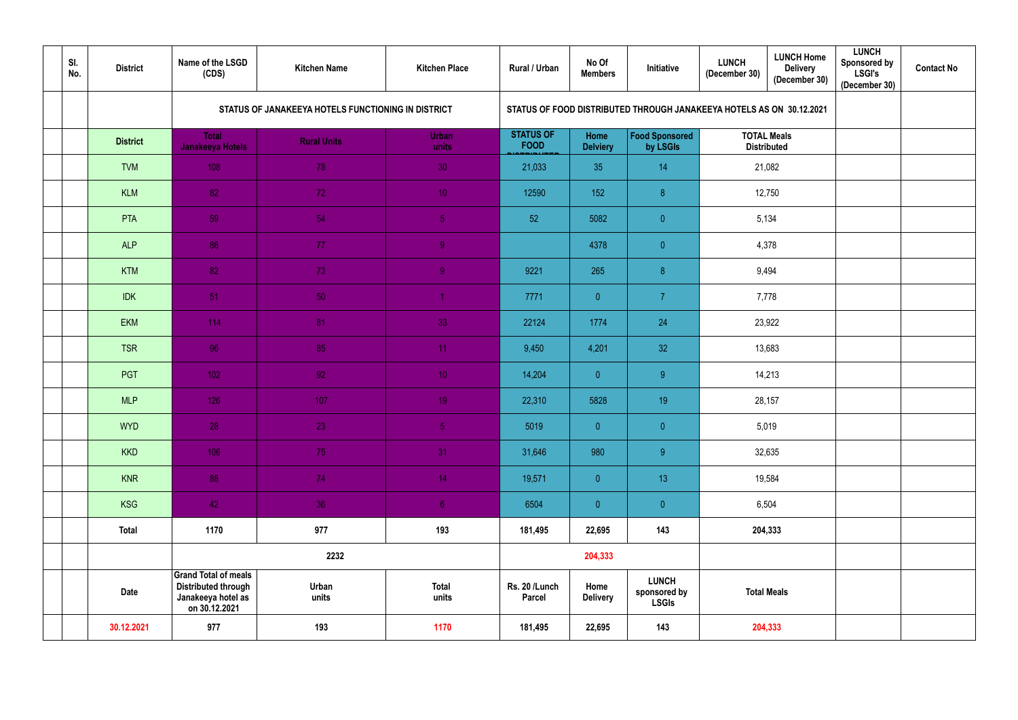| SI.<br>No. | <b>District</b> | Name of the LSGD<br>(CDS)                                                                        | <b>Kitchen Name</b>                                | <b>Kitchen Place</b>  | Rural / Urban                   | No Of<br><b>Members</b> | Initiative                                                           | <b>LUNCH</b><br>(December 30) | <b>LUNCH Home</b><br><b>Delivery</b><br>(December 30) |  | <b>Contact No</b> |
|------------|-----------------|--------------------------------------------------------------------------------------------------|----------------------------------------------------|-----------------------|---------------------------------|-------------------------|----------------------------------------------------------------------|-------------------------------|-------------------------------------------------------|--|-------------------|
|            |                 |                                                                                                  | STATUS OF JANAKEEYA HOTELS FUNCTIONING IN DISTRICT |                       |                                 |                         | STATUS OF FOOD DISTRIBUTED THROUGH JANAKEEYA HOTELS AS ON 30.12.2021 |                               |                                                       |  |                   |
|            | <b>District</b> | <b>Total</b><br>Janakeeya Hotels                                                                 | <b>Rural Units</b>                                 | <b>Urban</b><br>units | <b>STATUS OF</b><br><b>FOOD</b> | Home<br><b>Delviery</b> | <b>Food Sponsored</b><br>by LSGIs                                    |                               | <b>TOTAL Meals</b><br><b>Distributed</b>              |  |                   |
|            | <b>TVM</b>      | 108                                                                                              | 78                                                 | 30                    | 21,033                          | 35                      | 14                                                                   |                               | 21,082                                                |  |                   |
|            | <b>KLM</b>      | 82                                                                                               | 72                                                 | 10 <sup>°</sup>       | 12590                           | 152                     | 8                                                                    |                               | 12,750                                                |  |                   |
|            | <b>PTA</b>      | 59                                                                                               | 54                                                 | $\overline{5}$        | 52                              | 5082                    | $\overline{0}$                                                       | 5,134                         |                                                       |  |                   |
|            | <b>ALP</b>      | 86                                                                                               | 77                                                 | 9                     |                                 | 4378                    | $\overline{0}$                                                       | 4,378                         |                                                       |  |                   |
|            | <b>KTM</b>      | 82                                                                                               | 73                                                 | $\overline{9}$        | 9221                            | 265                     | 8                                                                    | 9,494                         |                                                       |  |                   |
|            | <b>IDK</b>      | 51                                                                                               | 50                                                 |                       | 7771                            | $\overline{0}$          | $\overline{7}$                                                       | 7,778                         |                                                       |  |                   |
|            | <b>EKM</b>      | 114                                                                                              | 81                                                 | 33                    | 22124                           | 1774                    | 24                                                                   | 23,922                        |                                                       |  |                   |
|            | <b>TSR</b>      | 96                                                                                               | 85                                                 | 11 <sub>1</sub>       | 9,450                           | 4,201                   | 32                                                                   |                               | 13,683                                                |  |                   |
|            | PGT             | 102                                                                                              | 92                                                 | 10 <sup>°</sup>       | 14,204                          | $\overline{0}$          | 9 <sup>°</sup>                                                       |                               | 14,213                                                |  |                   |
|            | <b>MLP</b>      | 126                                                                                              | 107                                                | 19 <sup>°</sup>       | 22,310                          | 5828                    | 19                                                                   |                               | 28,157                                                |  |                   |
|            | <b>WYD</b>      | 28                                                                                               | 23                                                 | 5 <sub>1</sub>        | 5019                            | $\overline{0}$          | $\overline{0}$                                                       |                               | 5,019                                                 |  |                   |
|            | <b>KKD</b>      | 106                                                                                              | 75                                                 | 31                    | 31,646                          | 980                     | 9                                                                    |                               | 32,635                                                |  |                   |
|            | <b>KNR</b>      | 88                                                                                               | 74                                                 | 14 <sub>1</sub>       | 19,571                          | $\pmb{0}$               | 13 <sup>°</sup>                                                      |                               | 19,584                                                |  |                   |
|            | <b>KSG</b>      | 42                                                                                               | 36                                                 | $6\,$                 | 6504                            | $\pmb{0}$               | $\overline{0}$                                                       |                               | 6,504                                                 |  |                   |
|            | <b>Total</b>    | 1170                                                                                             | 977                                                | 193                   | 181,495                         | 22,695                  | 143                                                                  |                               | 204,333                                               |  |                   |
|            |                 |                                                                                                  | 2232                                               |                       |                                 | 204,333                 |                                                                      |                               |                                                       |  |                   |
|            | <b>Date</b>     | <b>Grand Total of meals</b><br><b>Distributed through</b><br>Janakeeya hotel as<br>on 30.12.2021 | Urban<br>units                                     | <b>Total</b><br>units | Rs. 20 /Lunch<br>Parcel         | Home<br><b>Delivery</b> | <b>LUNCH</b><br>sponsored by<br><b>LSGIs</b>                         | <b>Total Meals</b>            |                                                       |  |                   |
|            | 30.12.2021      | 977                                                                                              | 193                                                | 1170                  | 181,495                         | 22,695                  | 143                                                                  |                               | 204,333                                               |  |                   |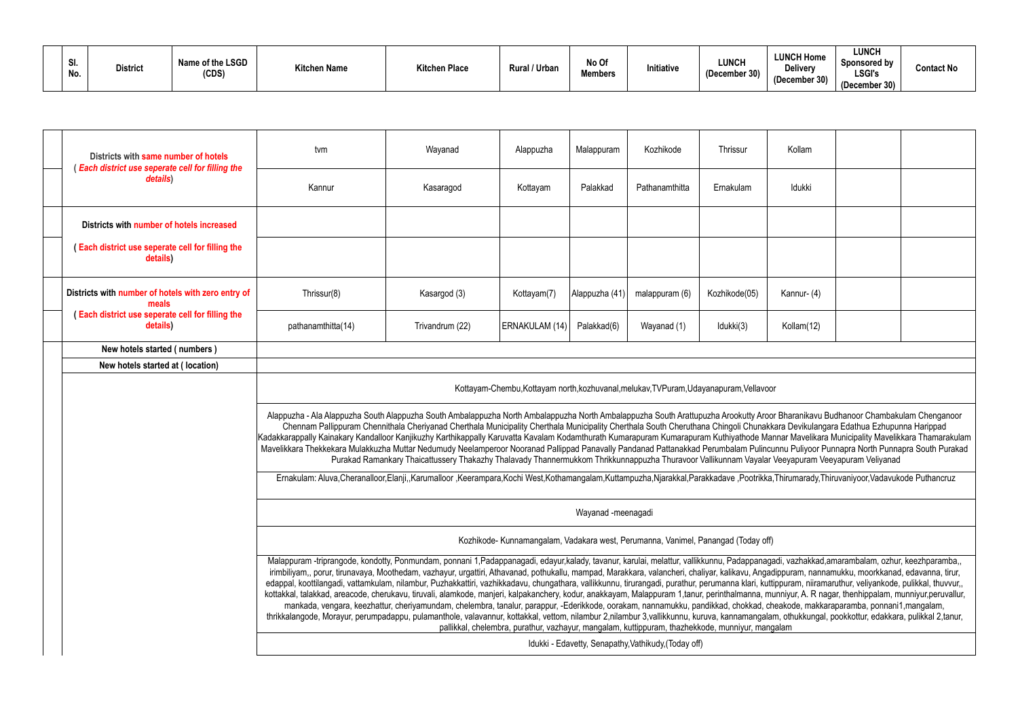| SI.<br>No. | <b>District</b> | Name of the LSGD<br>(CDS) | <b>Kitchen Name</b> | <b>Kitchen Place</b> | Rural / Urban | No Of<br><b>Members</b> | Initiative | LUNCH<br>(December 30) |
|------------|-----------------|---------------------------|---------------------|----------------------|---------------|-------------------------|------------|------------------------|
|------------|-----------------|---------------------------|---------------------|----------------------|---------------|-------------------------|------------|------------------------|

| Kollam                                                                                                                                                                                                                                                                                                                                                |  |                                                                                                               |  |  |  |  |  |  |  |  |  |
|-------------------------------------------------------------------------------------------------------------------------------------------------------------------------------------------------------------------------------------------------------------------------------------------------------------------------------------------------------|--|---------------------------------------------------------------------------------------------------------------|--|--|--|--|--|--|--|--|--|
| Idukki                                                                                                                                                                                                                                                                                                                                                |  |                                                                                                               |  |  |  |  |  |  |  |  |  |
|                                                                                                                                                                                                                                                                                                                                                       |  |                                                                                                               |  |  |  |  |  |  |  |  |  |
|                                                                                                                                                                                                                                                                                                                                                       |  |                                                                                                               |  |  |  |  |  |  |  |  |  |
| Kannur- (4)                                                                                                                                                                                                                                                                                                                                           |  |                                                                                                               |  |  |  |  |  |  |  |  |  |
| Kollam(12)                                                                                                                                                                                                                                                                                                                                            |  |                                                                                                               |  |  |  |  |  |  |  |  |  |
|                                                                                                                                                                                                                                                                                                                                                       |  |                                                                                                               |  |  |  |  |  |  |  |  |  |
| or                                                                                                                                                                                                                                                                                                                                                    |  |                                                                                                               |  |  |  |  |  |  |  |  |  |
| or Bharanikavu Budhanoor Chambakulam Chenganoor<br>kara Devikulangara Edathua Ezhupunna Harippad<br>Veeyapuram Veeyapuram Veliyanad                                                                                                                                                                                                                   |  | annar Mavelikara Municipality Mavelikkara Thamarakulam<br>unnu Puliyoor Punnapra North Punnapra South Purakad |  |  |  |  |  |  |  |  |  |
| a, Thirumarady, Thiruvaniyoor, Vadavukode Puthancruz                                                                                                                                                                                                                                                                                                  |  |                                                                                                               |  |  |  |  |  |  |  |  |  |
|                                                                                                                                                                                                                                                                                                                                                       |  |                                                                                                               |  |  |  |  |  |  |  |  |  |
|                                                                                                                                                                                                                                                                                                                                                       |  |                                                                                                               |  |  |  |  |  |  |  |  |  |
| jadi, vazhakkad,amarambalam, ozhur, keezhparamba,,<br>dippuram, nannamukku, moorkkanad, edavanna, tirur,<br>tippuram, niiramaruthur, veliyankode, pulikkal, thuvvur,,<br>unniyur, A. R nagar, thenhippalam, munniyur,peruvallur,<br>heakode, makkaraparamba, ponnani1, mangalam,<br>am, othukkungal, pookkottur, edakkara, pulikkal 2,tanur,<br>galam |  |                                                                                                               |  |  |  |  |  |  |  |  |  |
|                                                                                                                                                                                                                                                                                                                                                       |  |                                                                                                               |  |  |  |  |  |  |  |  |  |

| Districts with same number of hotels<br>Each district use seperate cell for filling the | tvm                                                                                                                                                                                                                                                                                                                                                                                                                                                                                                                                                                                                                                                                                                                                                                                                                                                                                                                                                                                                                                                                                                                                                                                                                                                                                                              | Wayanad                                                                                                                                                                                                                                                                                                                              | Alappuzha                                                                         | Malappuram         | Kozhikode      | Thrissur      | Kollam      |  |  |  |  |  |  |
|-----------------------------------------------------------------------------------------|------------------------------------------------------------------------------------------------------------------------------------------------------------------------------------------------------------------------------------------------------------------------------------------------------------------------------------------------------------------------------------------------------------------------------------------------------------------------------------------------------------------------------------------------------------------------------------------------------------------------------------------------------------------------------------------------------------------------------------------------------------------------------------------------------------------------------------------------------------------------------------------------------------------------------------------------------------------------------------------------------------------------------------------------------------------------------------------------------------------------------------------------------------------------------------------------------------------------------------------------------------------------------------------------------------------|--------------------------------------------------------------------------------------------------------------------------------------------------------------------------------------------------------------------------------------------------------------------------------------------------------------------------------------|-----------------------------------------------------------------------------------|--------------------|----------------|---------------|-------------|--|--|--|--|--|--|
| details)                                                                                | Kannur                                                                                                                                                                                                                                                                                                                                                                                                                                                                                                                                                                                                                                                                                                                                                                                                                                                                                                                                                                                                                                                                                                                                                                                                                                                                                                           | Kasaragod                                                                                                                                                                                                                                                                                                                            | Kottayam                                                                          | Palakkad           | Pathanamthitta | Ernakulam     | Idukki      |  |  |  |  |  |  |
| Districts with number of hotels increased                                               |                                                                                                                                                                                                                                                                                                                                                                                                                                                                                                                                                                                                                                                                                                                                                                                                                                                                                                                                                                                                                                                                                                                                                                                                                                                                                                                  |                                                                                                                                                                                                                                                                                                                                      |                                                                                   |                    |                |               |             |  |  |  |  |  |  |
| Each district use seperate cell for filling the<br>details)                             |                                                                                                                                                                                                                                                                                                                                                                                                                                                                                                                                                                                                                                                                                                                                                                                                                                                                                                                                                                                                                                                                                                                                                                                                                                                                                                                  |                                                                                                                                                                                                                                                                                                                                      |                                                                                   |                    |                |               |             |  |  |  |  |  |  |
| Districts with number of hotels with zero entry of<br>meals                             | Thrissur(8)                                                                                                                                                                                                                                                                                                                                                                                                                                                                                                                                                                                                                                                                                                                                                                                                                                                                                                                                                                                                                                                                                                                                                                                                                                                                                                      | Kasargod (3)                                                                                                                                                                                                                                                                                                                         | Kottayam(7)                                                                       | Alappuzha (41)     | malappuram (6) | Kozhikode(05) | Kannur- (4) |  |  |  |  |  |  |
| (Each district use seperate cell for filling the<br>details)                            | pathanamthitta(14)                                                                                                                                                                                                                                                                                                                                                                                                                                                                                                                                                                                                                                                                                                                                                                                                                                                                                                                                                                                                                                                                                                                                                                                                                                                                                               | Trivandrum (22)                                                                                                                                                                                                                                                                                                                      | ERNAKULAM (14)                                                                    | Palakkad(6)        | Wayanad (1)    | Idukki(3)     | Kollam(12)  |  |  |  |  |  |  |
| New hotels started (numbers)                                                            |                                                                                                                                                                                                                                                                                                                                                                                                                                                                                                                                                                                                                                                                                                                                                                                                                                                                                                                                                                                                                                                                                                                                                                                                                                                                                                                  |                                                                                                                                                                                                                                                                                                                                      |                                                                                   |                    |                |               |             |  |  |  |  |  |  |
| New hotels started at (location)                                                        |                                                                                                                                                                                                                                                                                                                                                                                                                                                                                                                                                                                                                                                                                                                                                                                                                                                                                                                                                                                                                                                                                                                                                                                                                                                                                                                  |                                                                                                                                                                                                                                                                                                                                      |                                                                                   |                    |                |               |             |  |  |  |  |  |  |
|                                                                                         |                                                                                                                                                                                                                                                                                                                                                                                                                                                                                                                                                                                                                                                                                                                                                                                                                                                                                                                                                                                                                                                                                                                                                                                                                                                                                                                  | Kottayam-Chembu, Kottayam north, kozhuvanal, melukav, TVPuram, Udayanapuram, Vellavoor                                                                                                                                                                                                                                               |                                                                                   |                    |                |               |             |  |  |  |  |  |  |
|                                                                                         | Alappuzha - Ala Alappuzha South Alappuzha South Ambalappuzha North Ambalappuzha North Ambalappuzha South Arattupuzha Arookutty Aroor Bharanikavu Budhanoor Chambakulam Chenganoor<br>Kadakkarappally Kainakary Kandalloor Kanjikuzhy Karthikappally Karuvatta Kavalam Kodamthurath Kumarapuram Kumarapuram Kuthiyathode Mannar Mavelikara Municipality Mavelikkara Thamarakulam<br>Mavelikkara Thekkekara Mulakkuzha Muttar Nedumudy Neelamperoor Nooranad Pallippad Panavally Pandanad Pattanakkad Perumbalam Pulincunnu Puliyoor Punnapra North Punnapra South Purakad                                                                                                                                                                                                                                                                                                                                                                                                                                                                                                                                                                                                                                                                                                                                         | Chennam Pallippuram Chennithala Cheriyanad Cherthala Municipality Cherthala Municipality Cherthala South Cheruthana Chingoli Chunakkara Devikulangara Edathua Ezhupunna Harippad<br>Purakad Ramankary Thaicattussery Thakazhy Thalavady Thannermukkom Thrikkunnappuzha Thuravoor Vallikunnam Vayalar Veeyapuram Veeyapuram Veliyanad |                                                                                   |                    |                |               |             |  |  |  |  |  |  |
|                                                                                         |                                                                                                                                                                                                                                                                                                                                                                                                                                                                                                                                                                                                                                                                                                                                                                                                                                                                                                                                                                                                                                                                                                                                                                                                                                                                                                                  | Ernakulam: Aluva,Cheranalloor,Elanji,,Karumalloor,Keerampara,Kochi West,Kothamangalam,Kuttampuzha,Njarakkal,Parakkadave,Pootrikka,Thirumarady,Thiruvaniyoor,Vadavukode Puthancruz                                                                                                                                                    |                                                                                   |                    |                |               |             |  |  |  |  |  |  |
|                                                                                         |                                                                                                                                                                                                                                                                                                                                                                                                                                                                                                                                                                                                                                                                                                                                                                                                                                                                                                                                                                                                                                                                                                                                                                                                                                                                                                                  |                                                                                                                                                                                                                                                                                                                                      |                                                                                   | Wayanad -meenagadi |                |               |             |  |  |  |  |  |  |
|                                                                                         |                                                                                                                                                                                                                                                                                                                                                                                                                                                                                                                                                                                                                                                                                                                                                                                                                                                                                                                                                                                                                                                                                                                                                                                                                                                                                                                  |                                                                                                                                                                                                                                                                                                                                      | Kozhikode- Kunnamangalam, Vadakara west, Perumanna, Vanimel, Panangad (Today off) |                    |                |               |             |  |  |  |  |  |  |
|                                                                                         | Malappuram -triprangode, kondotty, Ponmundam, ponnani 1,Padappanagadi, edayur,kalady, tavanur, karulai, melattur, vallikkunnu, Padappanagadi, vazhakkad,amarambalam, ozhur, keezhparamba,,<br>irimbiliyam,, porur, tirunavaya, Moothedam, vazhayur, urgattiri, Athavanad, pothukallu, mampad, Marakkara, valancheri, chaliyar, kalikavu, Angadippuram, nannamukku, moorkkanad, edavanna, tirur,<br>edappal, koottilangadi, vattamkulam, nilambur, Puzhakkattiri, vazhikkadavu, chungathara, vallikkunnu, tirurangadi, purathur, perumanna klari, kuttippuram, niiramaruthur, veliyankode, pulikkal, thuvvur,,<br>kottakkal, talakkad, areacode, cherukavu, tiruvali, alamkode, manjeri, kalpakanchery, kodur, anakkayam, Malappuram 1,tanur, perinthalmanna, munniyur, A. R nagar, thenhippalam, munniyur,peruvallur,<br>mankada, vengara, keezhattur, cheriyamundam, chelembra, tanalur, parappur, -Ederikkode, oorakam, nannamukku, pandikkad, chokkad, cheakode, makkaraparamba, ponnani1,mangalam,<br>thrikkalangode, Morayur, perumpadappu, pulamanthole, valavannur, kottakkal, vettom, nilambur 2,nilambur 3,vallikkunnu, kuruva, kannamangalam, othukkungal, pookkottur, edakkara, pulikkal 2,tanur,<br>pallikkal, chelembra, purathur, vazhayur, mangalam, kuttippuram, thazhekkode, munniyur, mangalam |                                                                                                                                                                                                                                                                                                                                      |                                                                                   |                    |                |               |             |  |  |  |  |  |  |
|                                                                                         |                                                                                                                                                                                                                                                                                                                                                                                                                                                                                                                                                                                                                                                                                                                                                                                                                                                                                                                                                                                                                                                                                                                                                                                                                                                                                                                  | Idukki - Edavetty, Senapathy, Vathikudy, (Today off)                                                                                                                                                                                                                                                                                 |                                                                                   |                    |                |               |             |  |  |  |  |  |  |